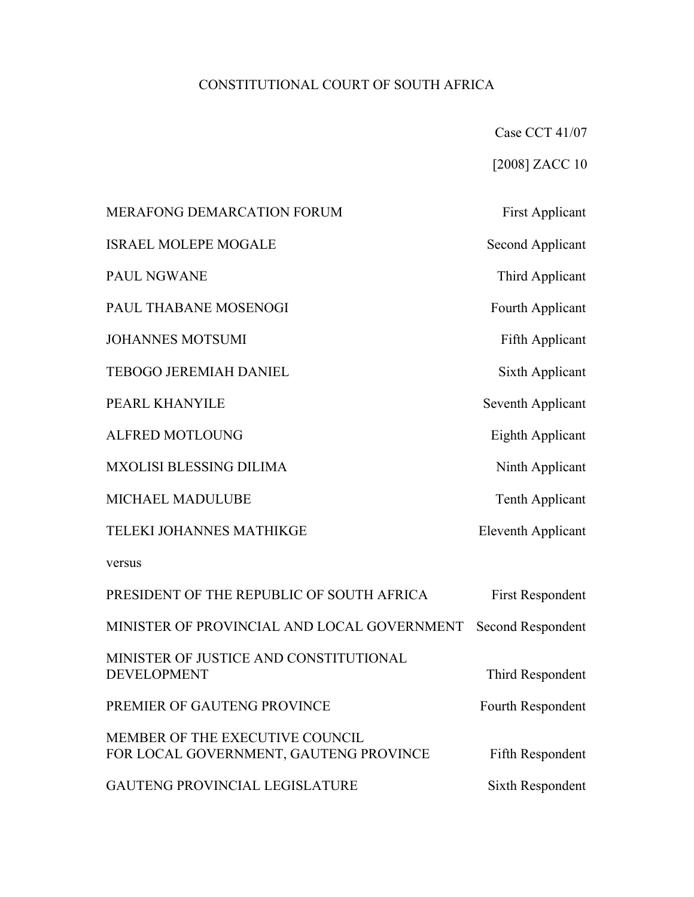# CONSTITUTIONAL COURT OF SOUTH AFRICA

Case CCT 41/07

|                                                                           | [2008] ZACC 10            |
|---------------------------------------------------------------------------|---------------------------|
| <b>MERAFONG DEMARCATION FORUM</b>                                         | <b>First Applicant</b>    |
| <b>ISRAEL MOLEPE MOGALE</b>                                               | <b>Second Applicant</b>   |
| PAUL NGWANE                                                               | Third Applicant           |
| PAUL THABANE MOSENOGI                                                     | Fourth Applicant          |
| <b>JOHANNES MOTSUMI</b>                                                   | <b>Fifth Applicant</b>    |
| <b>TEBOGO JEREMIAH DANIEL</b>                                             | Sixth Applicant           |
| PEARL KHANYILE                                                            | Seventh Applicant         |
| <b>ALFRED MOTLOUNG</b>                                                    | Eighth Applicant          |
| <b>MXOLISI BLESSING DILIMA</b>                                            | Ninth Applicant           |
| MICHAEL MADULUBE                                                          | Tenth Applicant           |
| TELEKI JOHANNES MATHIKGE                                                  | <b>Eleventh Applicant</b> |
| versus                                                                    |                           |
| PRESIDENT OF THE REPUBLIC OF SOUTH AFRICA                                 | <b>First Respondent</b>   |
| MINISTER OF PROVINCIAL AND LOCAL GOVERNMENT                               | Second Respondent         |
| MINISTER OF JUSTICE AND CONSTITUTIONAL<br><b>DEVELOPMENT</b>              | Third Respondent          |
| PREMIER OF GAUTENG PROVINCE                                               | Fourth Respondent         |
| MEMBER OF THE EXECUTIVE COUNCIL<br>FOR LOCAL GOVERNMENT, GAUTENG PROVINCE | Fifth Respondent          |
| GAUTENG PROVINCIAL LEGISLATURE                                            | Sixth Respondent          |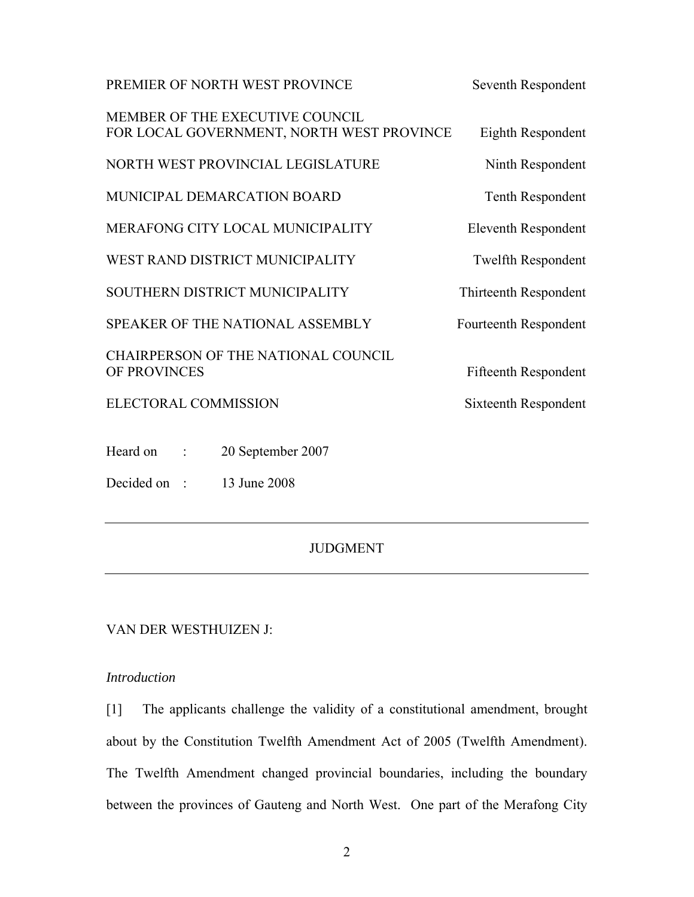| PREMIER OF NORTH WEST PROVINCE                                               | Seventh Respondent          |
|------------------------------------------------------------------------------|-----------------------------|
| MEMBER OF THE EXECUTIVE COUNCIL<br>FOR LOCAL GOVERNMENT, NORTH WEST PROVINCE | Eighth Respondent           |
| NORTH WEST PROVINCIAL LEGISLATURE                                            | Ninth Respondent            |
| MUNICIPAL DEMARCATION BOARD                                                  | Tenth Respondent            |
| MERAFONG CITY LOCAL MUNICIPALITY                                             | Eleventh Respondent         |
| WEST RAND DISTRICT MUNICIPALITY                                              | <b>Twelfth Respondent</b>   |
| SOUTHERN DISTRICT MUNICIPALITY                                               | Thirteenth Respondent       |
| SPEAKER OF THE NATIONAL ASSEMBLY                                             | Fourteenth Respondent       |
| <b>CHAIRPERSON OF THE NATIONAL COUNCIL</b><br>OF PROVINCES                   | <b>Fifteenth Respondent</b> |
| ELECTORAL COMMISSION                                                         | Sixteenth Respondent        |
| Heard on<br>20 September 2007                                                |                             |

Decided on : 13 June 2008

## JUDGMENT

VAN DER WESTHUIZEN J:

#### *Introduction*

[1] The applicants challenge the validity of a constitutional amendment, brought about by the Constitution Twelfth Amendment Act of 2005 (Twelfth Amendment). The Twelfth Amendment changed provincial boundaries, including the boundary between the provinces of Gauteng and North West. One part of the Merafong City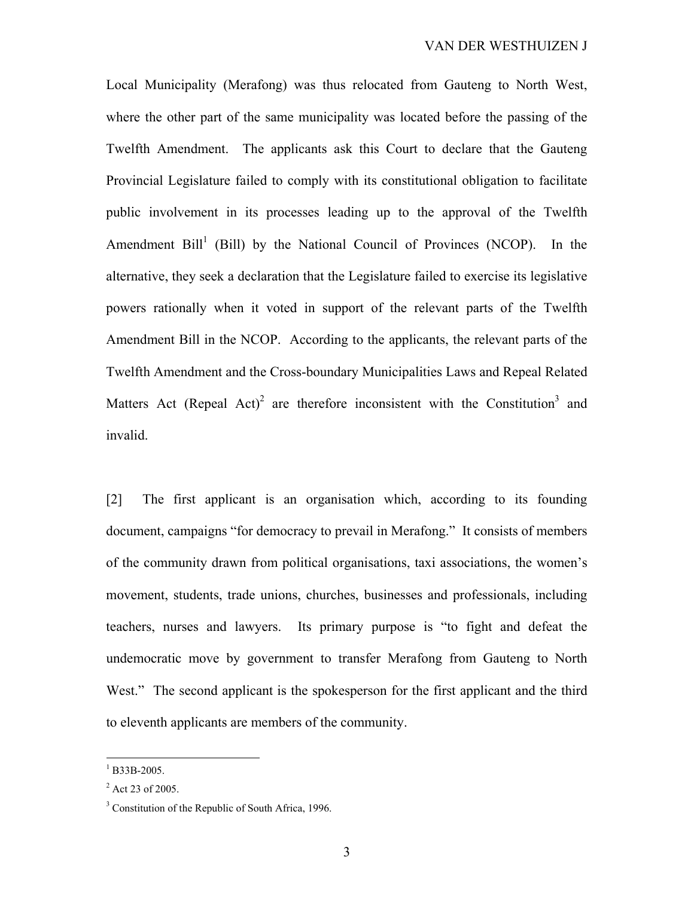Local Municipality (Merafong) was thus relocated from Gauteng to North West, where the other part of the same municipality was located before the passing of the Twelfth Amendment. The applicants ask this Court to declare that the Gauteng Provincial Legislature failed to comply with its constitutional obligation to facilitate public involvement in its processes leading up to the approval of the Twelfth Amendment  $\text{Bill}^1$  (Bill) by the National Council of Provinces (NCOP). In the alternative, they seek a declaration that the Legislature failed to exercise its legislative powers rationally when it voted in support of the relevant parts of the Twelfth Amendment Bill in the NCOP. According to the applicants, the relevant parts of the Twelfth Amendment and the Cross-boundary Municipalities Laws and Repeal Related Matters Act (Repeal Act)<sup>2</sup> are therefore inconsistent with the Constitution<sup>3</sup> and invalid.

[2] The first applicant is an organisation which, according to its founding document, campaigns "for democracy to prevail in Merafong." It consists of members of the community drawn from political organisations, taxi associations, the women's movement, students, trade unions, churches, businesses and professionals, including teachers, nurses and lawyers. Its primary purpose is "to fight and defeat the undemocratic move by government to transfer Merafong from Gauteng to North West." The second applicant is the spokesperson for the first applicant and the third to eleventh applicants are members of the community.

 $^{1}$  B33B-2005.

 $^{2}$  Act 23 of 2005.

<sup>&</sup>lt;sup>3</sup> Constitution of the Republic of South Africa, 1996.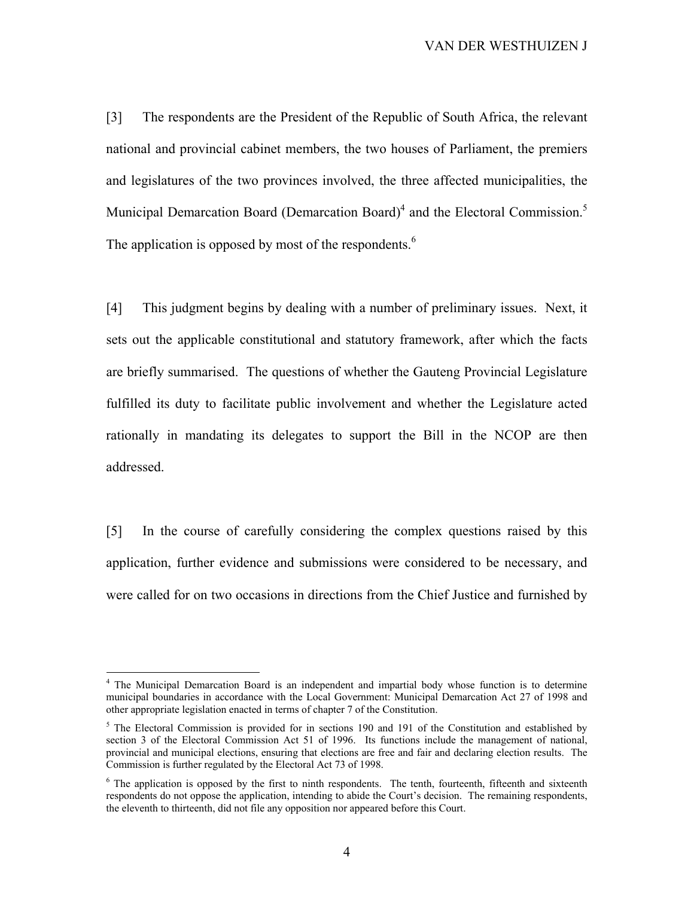[3] The respondents are the President of the Republic of South Africa, the relevant national and provincial cabinet members, the two houses of Parliament, the premiers and legislatures of the two provinces involved, the three affected municipalities, the Municipal Demarcation Board (Demarcation Board)<sup>4</sup> and the Electoral Commission.<sup>5</sup> The application is opposed by most of the respondents.<sup>6</sup>

[4] This judgment begins by dealing with a number of preliminary issues. Next, it sets out the applicable constitutional and statutory framework, after which the facts are briefly summarised. The questions of whether the Gauteng Provincial Legislature fulfilled its duty to facilitate public involvement and whether the Legislature acted rationally in mandating its delegates to support the Bill in the NCOP are then addressed.

[5] In the course of carefully considering the complex questions raised by this application, further evidence and submissions were considered to be necessary, and were called for on two occasions in directions from the Chief Justice and furnished by

<sup>&</sup>lt;sup>4</sup> The Municipal Demarcation Board is an independent and impartial body whose function is to determine municipal boundaries in accordance with the Local Government: Municipal Demarcation Act 27 of 1998 and other appropriate legislation enacted in terms of chapter 7 of the Constitution.

 $5$  The Electoral Commission is provided for in sections 190 and 191 of the Constitution and established by section 3 of the Electoral Commission Act 51 of 1996. Its functions include the management of national, provincial and municipal elections, ensuring that elections are free and fair and declaring election results. The Commission is further regulated by the Electoral Act 73 of 1998.

<sup>&</sup>lt;sup>6</sup> The application is opposed by the first to ninth respondents. The tenth, fourteenth, fifteenth and sixteenth respondents do not oppose the application, intending to abide the Court's decision. The remaining respondents, the eleventh to thirteenth, did not file any opposition nor appeared before this Court.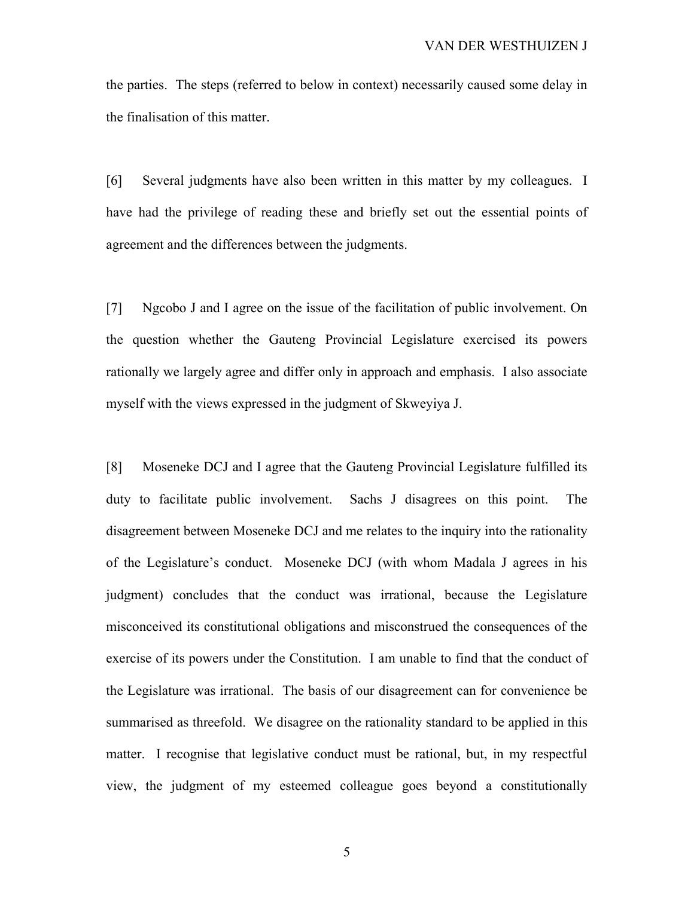the parties. The steps (referred to below in context) necessarily caused some delay in the finalisation of this matter.

[6] Several judgments have also been written in this matter by my colleagues. I have had the privilege of reading these and briefly set out the essential points of agreement and the differences between the judgments.

[7] Ngcobo J and I agree on the issue of the facilitation of public involvement. On the question whether the Gauteng Provincial Legislature exercised its powers rationally we largely agree and differ only in approach and emphasis. I also associate myself with the views expressed in the judgment of Skweyiya J.

[8] Moseneke DCJ and I agree that the Gauteng Provincial Legislature fulfilled its duty to facilitate public involvement. Sachs J disagrees on this point. The disagreement between Moseneke DCJ and me relates to the inquiry into the rationality of the Legislature's conduct. Moseneke DCJ (with whom Madala J agrees in his judgment) concludes that the conduct was irrational, because the Legislature misconceived its constitutional obligations and misconstrued the consequences of the exercise of its powers under the Constitution. I am unable to find that the conduct of the Legislature was irrational. The basis of our disagreement can for convenience be summarised as threefold. We disagree on the rationality standard to be applied in this matter. I recognise that legislative conduct must be rational, but, in my respectful view, the judgment of my esteemed colleague goes beyond a constitutionally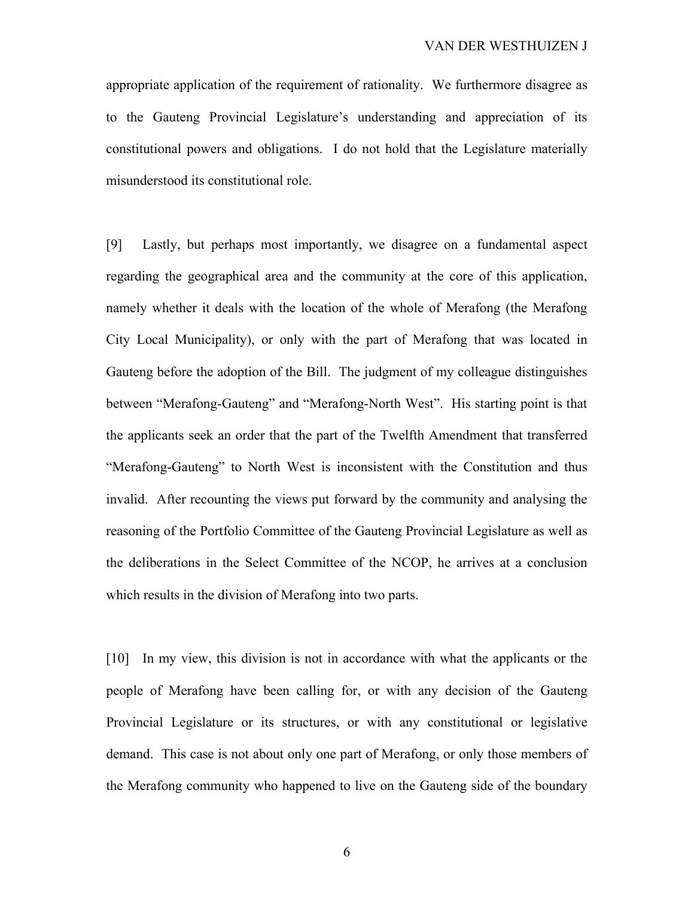appropriate application of the requirement of rationality. We furthermore disagree as to the Gauteng Provincial Legislature's understanding and appreciation of its constitutional powers and obligations. I do not hold that the Legislature materially misunderstood its constitutional role.

[9] Lastly, but perhaps most importantly, we disagree on a fundamental aspect regarding the geographical area and the community at the core of this application, namely whether it deals with the location of the whole of Merafong (the Merafong City Local Municipality), or only with the part of Merafong that was located in Gauteng before the adoption of the Bill. The judgment of my colleague distinguishes between "Merafong-Gauteng" and "Merafong-North West". His starting point is that the applicants seek an order that the part of the Twelfth Amendment that transferred "Merafong-Gauteng" to North West is inconsistent with the Constitution and thus invalid. After recounting the views put forward by the community and analysing the reasoning of the Portfolio Committee of the Gauteng Provincial Legislature as well as the deliberations in the Select Committee of the NCOP, he arrives at a conclusion which results in the division of Merafong into two parts.

[10] In my view, this division is not in accordance with what the applicants or the people of Merafong have been calling for, or with any decision of the Gauteng Provincial Legislature or its structures, or with any constitutional or legislative demand. This case is not about only one part of Merafong, or only those members of the Merafong community who happened to live on the Gauteng side of the boundary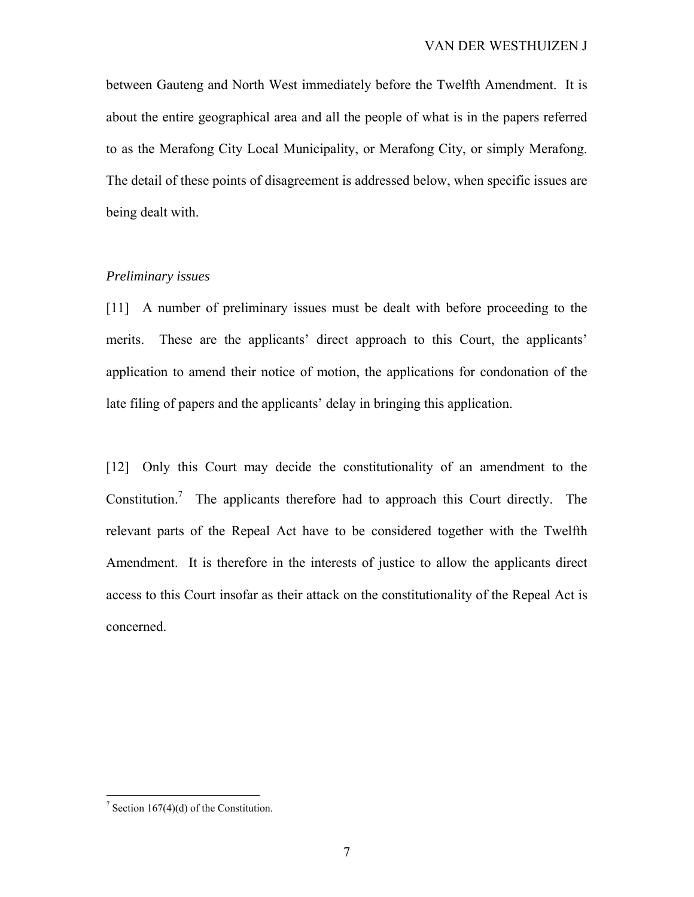between Gauteng and North West immediately before the Twelfth Amendment. It is about the entire geographical area and all the people of what is in the papers referred to as the Merafong City Local Municipality, or Merafong City, or simply Merafong. The detail of these points of disagreement is addressed below, when specific issues are being dealt with.

### *Preliminary issues*

[11] A number of preliminary issues must be dealt with before proceeding to the merits. These are the applicants' direct approach to this Court, the applicants' application to amend their notice of motion, the applications for condonation of the late filing of papers and the applicants' delay in bringing this application.

[12] Only this Court may decide the constitutionality of an amendment to the Constitution.<sup>7</sup> The applicants therefore had to approach this Court directly. The relevant parts of the Repeal Act have to be considered together with the Twelfth Amendment. It is therefore in the interests of justice to allow the applicants direct access to this Court insofar as their attack on the constitutionality of the Repeal Act is concerned.

<sup>&</sup>lt;sup>7</sup> Section 167(4)(d) of the Constitution.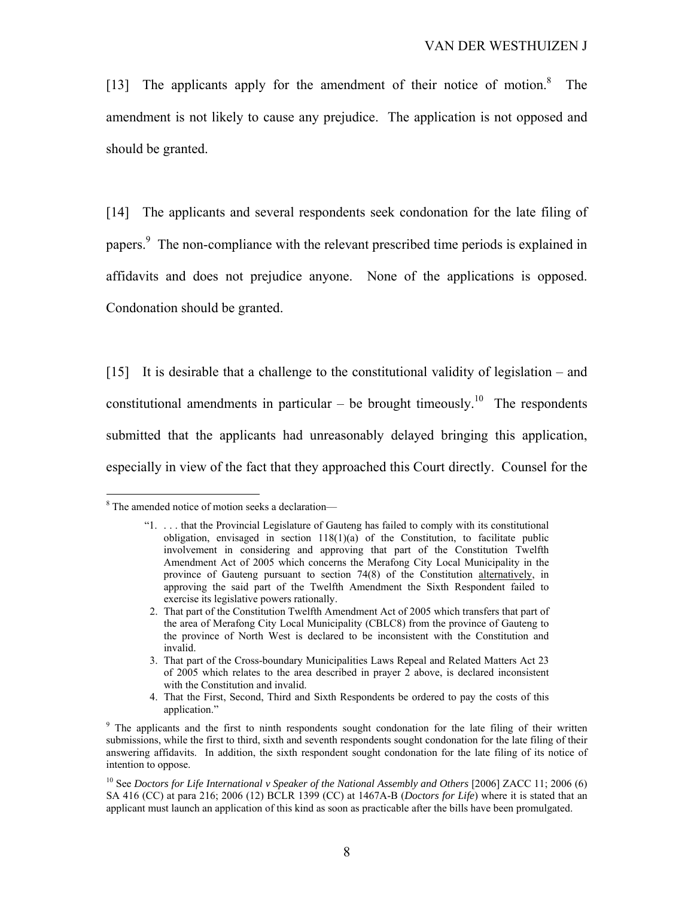[13] The applicants apply for the amendment of their notice of motion.<sup>8</sup> The amendment is not likely to cause any prejudice. The application is not opposed and should be granted.

[14] The applicants and several respondents seek condonation for the late filing of papers.<sup>9</sup> The non-compliance with the relevant prescribed time periods is explained in affidavits and does not prejudice anyone. None of the applications is opposed. Condonation should be granted.

[15] It is desirable that a challenge to the constitutional validity of legislation – and constitutional amendments in particular – be brought timeously.<sup>10</sup> The respondents submitted that the applicants had unreasonably delayed bringing this application, especially in view of the fact that they approached this Court directly. Counsel for the

<sup>&</sup>lt;sup>8</sup> The amended notice of motion seeks a declaration—

<sup>&</sup>quot;1. . . . that the Provincial Legislature of Gauteng has failed to comply with its constitutional obligation, envisaged in section  $118(1)(a)$  of the Constitution, to facilitate public involvement in considering and approving that part of the Constitution Twelfth Amendment Act of 2005 which concerns the Merafong City Local Municipality in the province of Gauteng pursuant to section 74(8) of the Constitution alternatively, in approving the said part of the Twelfth Amendment the Sixth Respondent failed to exercise its legislative powers rationally.

 <sup>2.</sup> That part of the Constitution Twelfth Amendment Act of 2005 which transfers that part of the area of Merafong City Local Municipality (CBLC8) from the province of Gauteng to the province of North West is declared to be inconsistent with the Constitution and invalid.

 <sup>3.</sup> That part of the Cross-boundary Municipalities Laws Repeal and Related Matters Act 23 of 2005 which relates to the area described in prayer 2 above, is declared inconsistent with the Constitution and invalid.

 <sup>4.</sup> That the First, Second, Third and Sixth Respondents be ordered to pay the costs of this application."

<sup>&</sup>lt;sup>9</sup> The applicants and the first to ninth respondents sought condonation for the late filing of their written submissions, while the first to third, sixth and seventh respondents sought condonation for the late filing of their answering affidavits. In addition, the sixth respondent sought condonation for the late filing of its notice of intention to oppose.

<sup>&</sup>lt;sup>10</sup> See *Doctors for Life International v Speaker of the National Assembly and Others* [2006] ZACC 11; 2006 (6) SA 416 (CC) at para 216; 2006 (12) BCLR 1399 (CC) at 1467A-B (*Doctors for Life*) where it is stated that an applicant must launch an application of this kind as soon as practicable after the bills have been promulgated.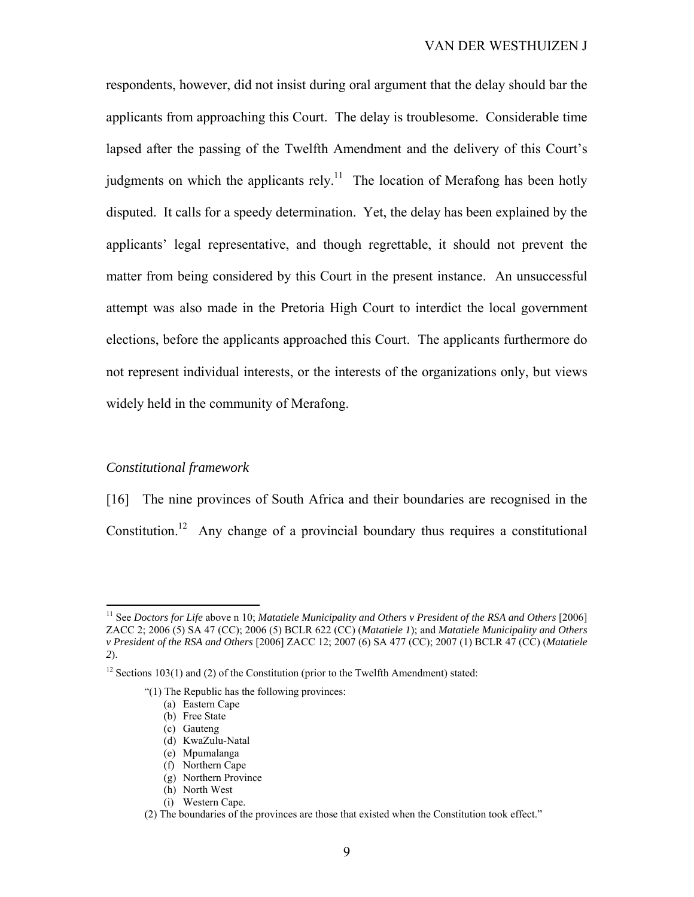respondents, however, did not insist during oral argument that the delay should bar the applicants from approaching this Court. The delay is troublesome. Considerable time lapsed after the passing of the Twelfth Amendment and the delivery of this Court's judgments on which the applicants rely.<sup>11</sup> The location of Merafong has been hotly disputed. It calls for a speedy determination. Yet, the delay has been explained by the applicants' legal representative, and though regrettable, it should not prevent the matter from being considered by this Court in the present instance. An unsuccessful attempt was also made in the Pretoria High Court to interdict the local government elections, before the applicants approached this Court. The applicants furthermore do not represent individual interests, or the interests of the organizations only, but views widely held in the community of Merafong.

#### *Constitutional framework*

 $\overline{a}$ 

[16] The nine provinces of South Africa and their boundaries are recognised in the Constitution.<sup>12</sup> Any change of a provincial boundary thus requires a constitutional

<sup>11</sup> See *Doctors for Life* above n 10; *Matatiele Municipality and Others v President of the RSA and Others* [2006] ZACC 2; 2006 (5) SA 47 (CC); 2006 (5) BCLR 622 (CC) (*Matatiele 1*); and *Matatiele Municipality and Others v President of the RSA and Others* [2006] ZACC 12; 2007 (6) SA 477 (CC); 2007 (1) BCLR 47 (CC) (*Matatiele 2*).

 $12$  Sections 103(1) and (2) of the Constitution (prior to the Twelfth Amendment) stated:

<sup>&</sup>quot;(1) The Republic has the following provinces:

<sup>(</sup>a) Eastern Cape

<sup>(</sup>b) Free State

<sup>(</sup>c) Gauteng

<sup>(</sup>d) KwaZulu-Natal

<sup>(</sup>e) Mpumalanga

<sup>(</sup>f) Northern Cape

<sup>(</sup>g) Northern Province

<sup>(</sup>h) North West

<sup>(</sup>i) Western Cape.

<sup>(2)</sup> The boundaries of the provinces are those that existed when the Constitution took effect."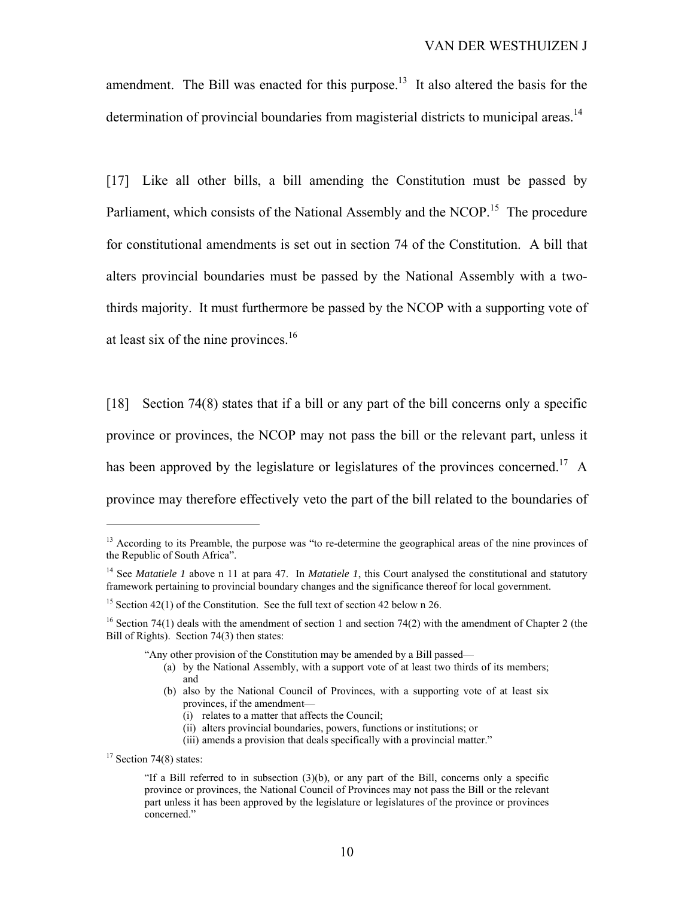amendment. The Bill was enacted for this purpose.<sup>13</sup> It also altered the basis for the determination of provincial boundaries from magisterial districts to municipal areas.<sup>14</sup>

[17] Like all other bills, a bill amending the Constitution must be passed by Parliament, which consists of the National Assembly and the NCOP.<sup>15</sup> The procedure for constitutional amendments is set out in section 74 of the Constitution. A bill that alters provincial boundaries must be passed by the National Assembly with a twothirds majority. It must furthermore be passed by the NCOP with a supporting vote of at least six of the nine provinces.<sup>16</sup>

[18] Section 74(8) states that if a bill or any part of the bill concerns only a specific province or provinces, the NCOP may not pass the bill or the relevant part, unless it has been approved by the legislature or legislatures of the provinces concerned.<sup>17</sup> A province may therefore effectively veto the part of the bill related to the boundaries of

"Any other provision of the Constitution may be amended by a Bill passed—

- (a) by the National Assembly, with a support vote of at least two thirds of its members; and
- (b) also by the National Council of Provinces, with a supporting vote of at least six provinces, if the amendment—
	- (i) relates to a matter that affects the Council;
	- (ii) alters provincial boundaries, powers, functions or institutions; or
	- (iii) amends a provision that deals specifically with a provincial matter."

<sup>&</sup>lt;sup>13</sup> According to its Preamble, the purpose was "to re-determine the geographical areas of the nine provinces of the Republic of South Africa".

<sup>14</sup> See *Matatiele 1* above n 11 at para 47. In *Matatiele 1*, this Court analysed the constitutional and statutory framework pertaining to provincial boundary changes and the significance thereof for local government.

<sup>&</sup>lt;sup>15</sup> Section 42(1) of the Constitution. See the full text of section 42 below n 26.

<sup>&</sup>lt;sup>16</sup> Section 74(1) deals with the amendment of section 1 and section 74(2) with the amendment of Chapter 2 (the Bill of Rights). Section 74(3) then states:

 $17$  Section 74(8) states:

<sup>&</sup>quot;If a Bill referred to in subsection  $(3)(b)$ , or any part of the Bill, concerns only a specific province or provinces, the National Council of Provinces may not pass the Bill or the relevant part unless it has been approved by the legislature or legislatures of the province or provinces concerned."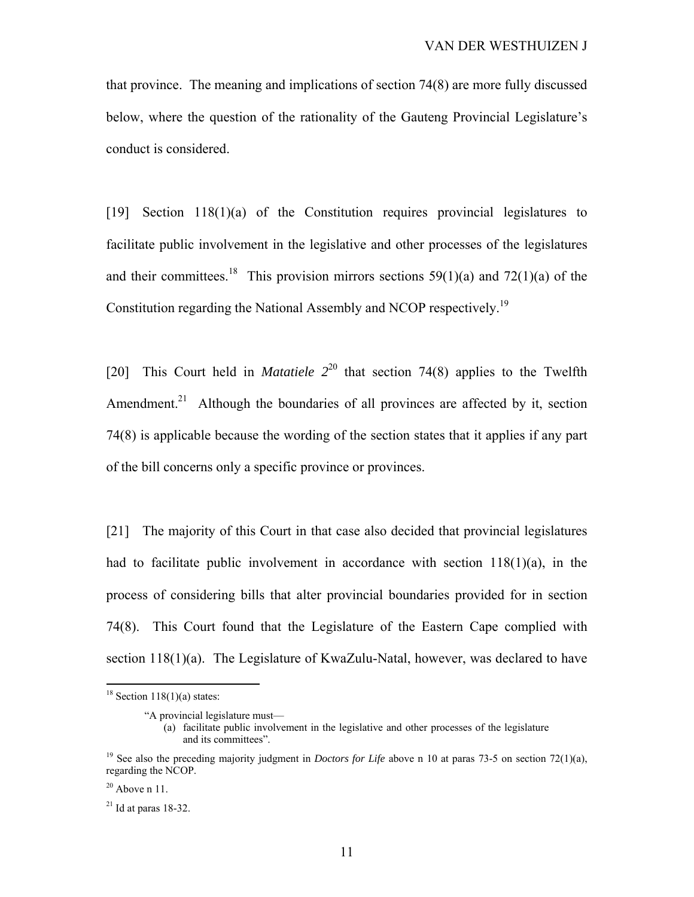that province. The meaning and implications of section 74(8) are more fully discussed below, where the question of the rationality of the Gauteng Provincial Legislature's conduct is considered.

[19] Section 118(1)(a) of the Constitution requires provincial legislatures to facilitate public involvement in the legislative and other processes of the legislatures and their committees.<sup>18</sup> This provision mirrors sections 59(1)(a) and 72(1)(a) of the Constitution regarding the National Assembly and NCOP respectively.<sup>19</sup>

[20] This Court held in *Matatiele 2*20 that section 74(8) applies to the Twelfth Amendment.<sup>21</sup> Although the boundaries of all provinces are affected by it, section 74(8) is applicable because the wording of the section states that it applies if any part of the bill concerns only a specific province or provinces.

[21] The majority of this Court in that case also decided that provincial legislatures had to facilitate public involvement in accordance with section 118(1)(a), in the process of considering bills that alter provincial boundaries provided for in section 74(8). This Court found that the Legislature of the Eastern Cape complied with section 118(1)(a). The Legislature of KwaZulu-Natal, however, was declared to have

 $18$  Section 118(1)(a) states:

<sup>&</sup>quot;A provincial legislature must—

<sup>(</sup>a) facilitate public involvement in the legislative and other processes of the legislature and its committees".

<sup>&</sup>lt;sup>19</sup> See also the preceding majority judgment in *Doctors for Life* above n 10 at paras 73-5 on section 72(1)(a), regarding the NCOP.

 $20$  Above n 11.

 $21$  Id at paras 18-32.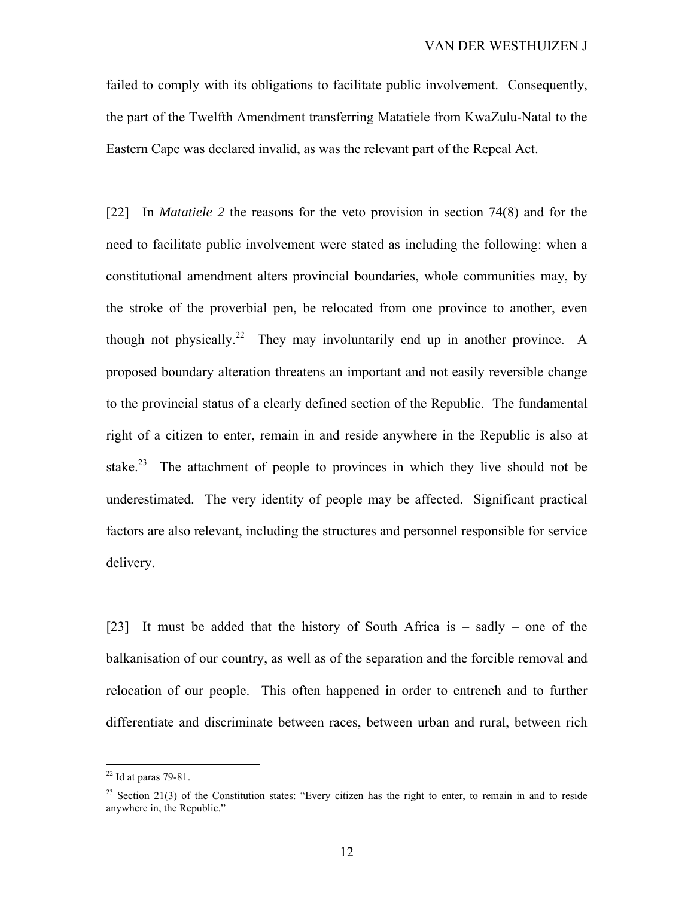failed to comply with its obligations to facilitate public involvement. Consequently, the part of the Twelfth Amendment transferring Matatiele from KwaZulu-Natal to the Eastern Cape was declared invalid, as was the relevant part of the Repeal Act.

[22] In *Matatiele 2* the reasons for the veto provision in section 74(8) and for the need to facilitate public involvement were stated as including the following: when a constitutional amendment alters provincial boundaries, whole communities may, by the stroke of the proverbial pen, be relocated from one province to another, even though not physically.<sup>22</sup> They may involuntarily end up in another province. A proposed boundary alteration threatens an important and not easily reversible change to the provincial status of a clearly defined section of the Republic. The fundamental right of a citizen to enter, remain in and reside anywhere in the Republic is also at stake.<sup>23</sup> The attachment of people to provinces in which they live should not be underestimated. The very identity of people may be affected. Significant practical factors are also relevant, including the structures and personnel responsible for service delivery.

[23] It must be added that the history of South Africa is – sadly – one of the balkanisation of our country, as well as of the separation and the forcible removal and relocation of our people. This often happened in order to entrench and to further differentiate and discriminate between races, between urban and rural, between rich

 $22$  Id at paras 79-81.

<sup>&</sup>lt;sup>23</sup> Section 21(3) of the Constitution states: "Every citizen has the right to enter, to remain in and to reside anywhere in, the Republic."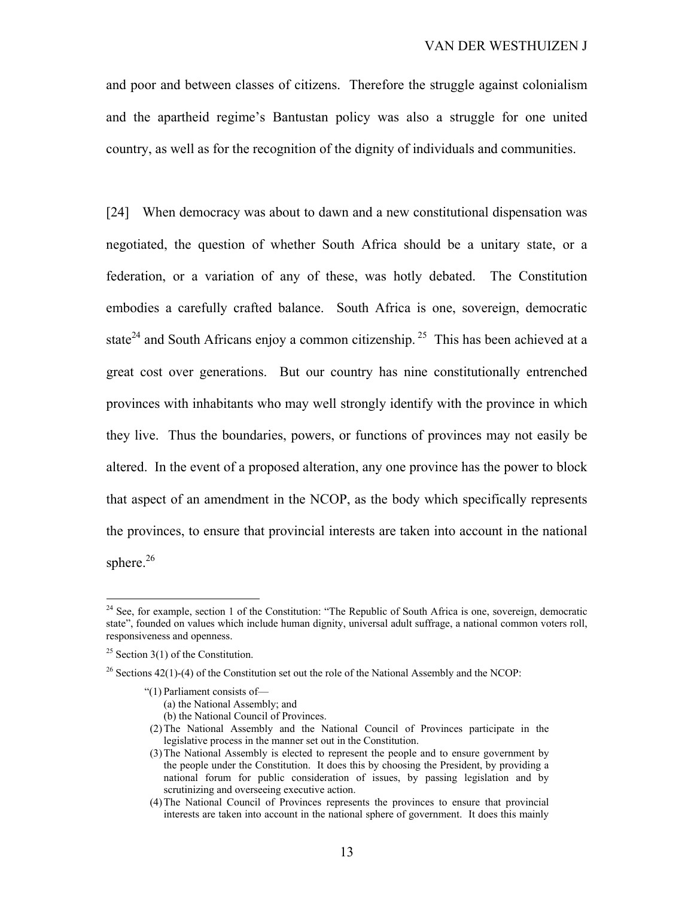and poor and between classes of citizens. Therefore the struggle against colonialism and the apartheid regime's Bantustan policy was also a struggle for one united country, as well as for the recognition of the dignity of individuals and communities.

[24] When democracy was about to dawn and a new constitutional dispensation was negotiated, the question of whether South Africa should be a unitary state, or a federation, or a variation of any of these, was hotly debated. The Constitution embodies a carefully crafted balance. South Africa is one, sovereign, democratic state<sup>24</sup> and South Africans enjoy a common citizenship.<sup>25</sup> This has been achieved at a great cost over generations. But our country has nine constitutionally entrenched provinces with inhabitants who may well strongly identify with the province in which they live. Thus the boundaries, powers, or functions of provinces may not easily be altered. In the event of a proposed alteration, any one province has the power to block that aspect of an amendment in the NCOP, as the body which specifically represents the provinces, to ensure that provincial interests are taken into account in the national sphere. $26$ 

- "(1) Parliament consists of— (a) the National Assembly; and
	- (b) the National Council of Provinces.
- (2) The National Assembly and the National Council of Provinces participate in the legislative process in the manner set out in the Constitution.
- (3) The National Assembly is elected to represent the people and to ensure government by the people under the Constitution. It does this by choosing the President, by providing a national forum for public consideration of issues, by passing legislation and by scrutinizing and overseeing executive action.
- (4) The National Council of Provinces represents the provinces to ensure that provincial interests are taken into account in the national sphere of government. It does this mainly

 $24$  See, for example, section 1 of the Constitution: "The Republic of South Africa is one, sovereign, democratic state", founded on values which include human dignity, universal adult suffrage, a national common voters roll, responsiveness and openness.

<sup>&</sup>lt;sup>25</sup> Section 3(1) of the Constitution.

 $26$  Sections 42(1)-(4) of the Constitution set out the role of the National Assembly and the NCOP: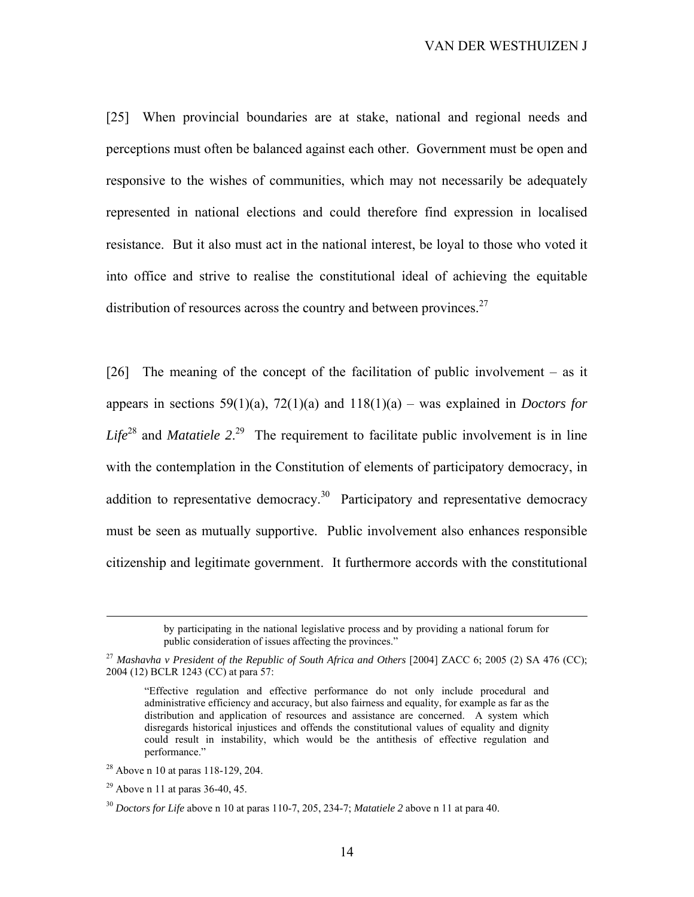[25] When provincial boundaries are at stake, national and regional needs and perceptions must often be balanced against each other. Government must be open and responsive to the wishes of communities, which may not necessarily be adequately represented in national elections and could therefore find expression in localised resistance. But it also must act in the national interest, be loyal to those who voted it into office and strive to realise the constitutional ideal of achieving the equitable distribution of resources across the country and between provinces.<sup>27</sup>

[26] The meaning of the concept of the facilitation of public involvement – as it appears in sections  $59(1)(a)$ ,  $72(1)(a)$  and  $118(1)(a)$  – was explained in *Doctors for*  $Life<sup>28</sup>$  and *Matatiele* 2<sup>29</sup> The requirement to facilitate public involvement is in line with the contemplation in the Constitution of elements of participatory democracy, in addition to representative democracy.<sup>30</sup> Participatory and representative democracy must be seen as mutually supportive. Public involvement also enhances responsible citizenship and legitimate government. It furthermore accords with the constitutional

by participating in the national legislative process and by providing a national forum for public consideration of issues affecting the provinces."

<sup>27</sup> *Mashavha v President of the Republic of South Africa and Others* [2004] ZACC 6; 2005 (2) SA 476 (CC); 2004 (12) BCLR 1243 (CC) at para 57:

<sup>&</sup>quot;Effective regulation and effective performance do not only include procedural and administrative efficiency and accuracy, but also fairness and equality, for example as far as the distribution and application of resources and assistance are concerned. A system which disregards historical injustices and offends the constitutional values of equality and dignity could result in instability, which would be the antithesis of effective regulation and performance."

<sup>28</sup> Above n 10 at paras 118-129, 204.

<sup>29</sup> Above n 11 at paras 36-40, 45.

<sup>30</sup> *Doctors for Life* above n 10 at paras 110-7, 205, 234-7; *Matatiele 2* above n 11 at para 40.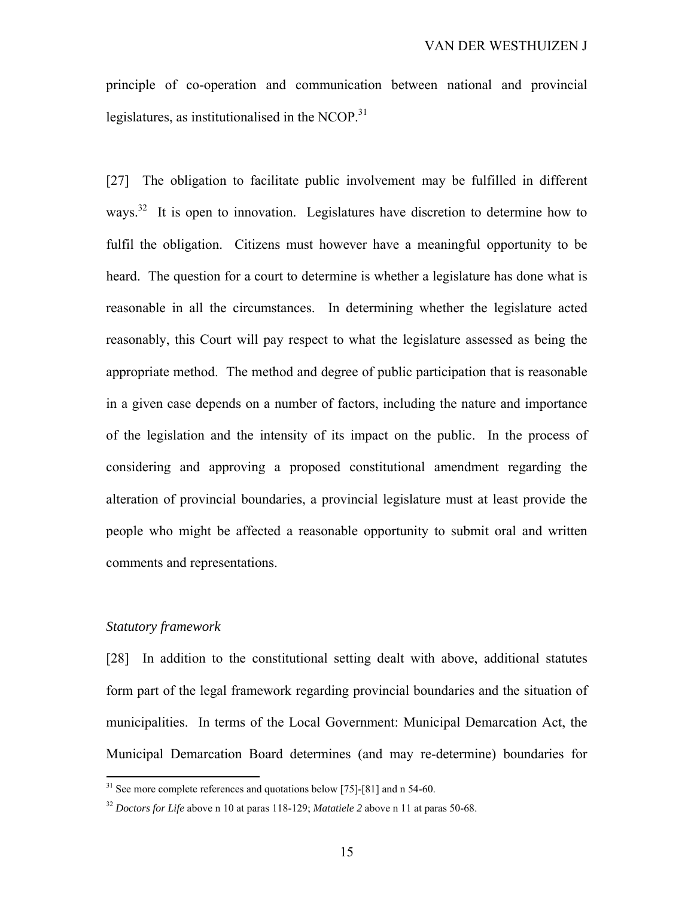principle of co-operation and communication between national and provincial legislatures, as institutionalised in the NCOP. $31$ 

[27] The obligation to facilitate public involvement may be fulfilled in different ways.<sup>32</sup> It is open to innovation. Legislatures have discretion to determine how to fulfil the obligation. Citizens must however have a meaningful opportunity to be heard. The question for a court to determine is whether a legislature has done what is reasonable in all the circumstances. In determining whether the legislature acted reasonably, this Court will pay respect to what the legislature assessed as being the appropriate method. The method and degree of public participation that is reasonable in a given case depends on a number of factors, including the nature and importance of the legislation and the intensity of its impact on the public. In the process of considering and approving a proposed constitutional amendment regarding the alteration of provincial boundaries, a provincial legislature must at least provide the people who might be affected a reasonable opportunity to submit oral and written comments and representations.

#### *Statutory framework*

1

[28] In addition to the constitutional setting dealt with above, additional statutes form part of the legal framework regarding provincial boundaries and the situation of municipalities. In terms of the Local Government: Municipal Demarcation Act, the Municipal Demarcation Board determines (and may re-determine) boundaries for

 $31$  See more complete references and quotations below [75]-[81] and n 54-60.

<sup>32</sup> *Doctors for Life* above n 10 at paras 118-129; *Matatiele 2* above n 11 at paras 50-68.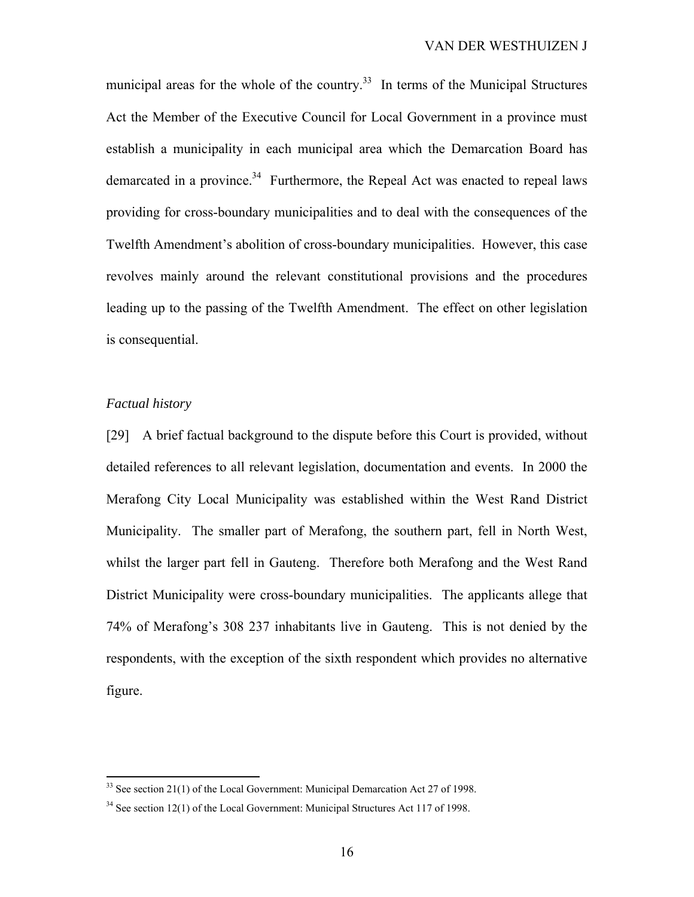municipal areas for the whole of the country.<sup>33</sup> In terms of the Municipal Structures Act the Member of the Executive Council for Local Government in a province must establish a municipality in each municipal area which the Demarcation Board has demarcated in a province.<sup>34</sup> Furthermore, the Repeal Act was enacted to repeal laws providing for cross-boundary municipalities and to deal with the consequences of the Twelfth Amendment's abolition of cross-boundary municipalities. However, this case revolves mainly around the relevant constitutional provisions and the procedures leading up to the passing of the Twelfth Amendment. The effect on other legislation is consequential.

#### *Factual history*

1

[29] A brief factual background to the dispute before this Court is provided, without detailed references to all relevant legislation, documentation and events. In 2000 the Merafong City Local Municipality was established within the West Rand District Municipality. The smaller part of Merafong, the southern part, fell in North West, whilst the larger part fell in Gauteng. Therefore both Merafong and the West Rand District Municipality were cross-boundary municipalities. The applicants allege that 74% of Merafong's 308 237 inhabitants live in Gauteng. This is not denied by the respondents, with the exception of the sixth respondent which provides no alternative figure.

<sup>&</sup>lt;sup>33</sup> See section 21(1) of the Local Government: Municipal Demarcation Act 27 of 1998.

<sup>&</sup>lt;sup>34</sup> See section 12(1) of the Local Government: Municipal Structures Act 117 of 1998.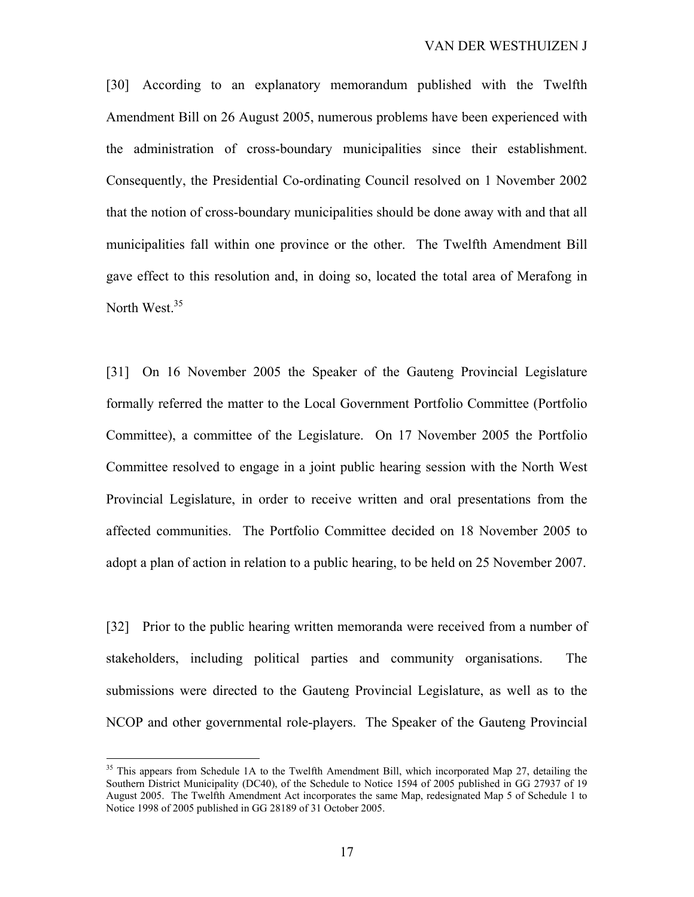[30] According to an explanatory memorandum published with the Twelfth Amendment Bill on 26 August 2005, numerous problems have been experienced with the administration of cross-boundary municipalities since their establishment. Consequently, the Presidential Co-ordinating Council resolved on 1 November 2002 that the notion of cross-boundary municipalities should be done away with and that all municipalities fall within one province or the other. The Twelfth Amendment Bill gave effect to this resolution and, in doing so, located the total area of Merafong in North West<sup>35</sup>

[31] On 16 November 2005 the Speaker of the Gauteng Provincial Legislature formally referred the matter to the Local Government Portfolio Committee (Portfolio Committee), a committee of the Legislature. On 17 November 2005 the Portfolio Committee resolved to engage in a joint public hearing session with the North West Provincial Legislature, in order to receive written and oral presentations from the affected communities. The Portfolio Committee decided on 18 November 2005 to adopt a plan of action in relation to a public hearing, to be held on 25 November 2007.

[32] Prior to the public hearing written memoranda were received from a number of stakeholders, including political parties and community organisations. The submissions were directed to the Gauteng Provincial Legislature, as well as to the NCOP and other governmental role-players. The Speaker of the Gauteng Provincial

<sup>&</sup>lt;sup>35</sup> This appears from Schedule 1A to the Twelfth Amendment Bill, which incorporated Map 27, detailing the Southern District Municipality (DC40), of the Schedule to Notice 1594 of 2005 published in GG 27937 of 19 August 2005. The Twelfth Amendment Act incorporates the same Map, redesignated Map 5 of Schedule 1 to Notice 1998 of 2005 published in GG 28189 of 31 October 2005.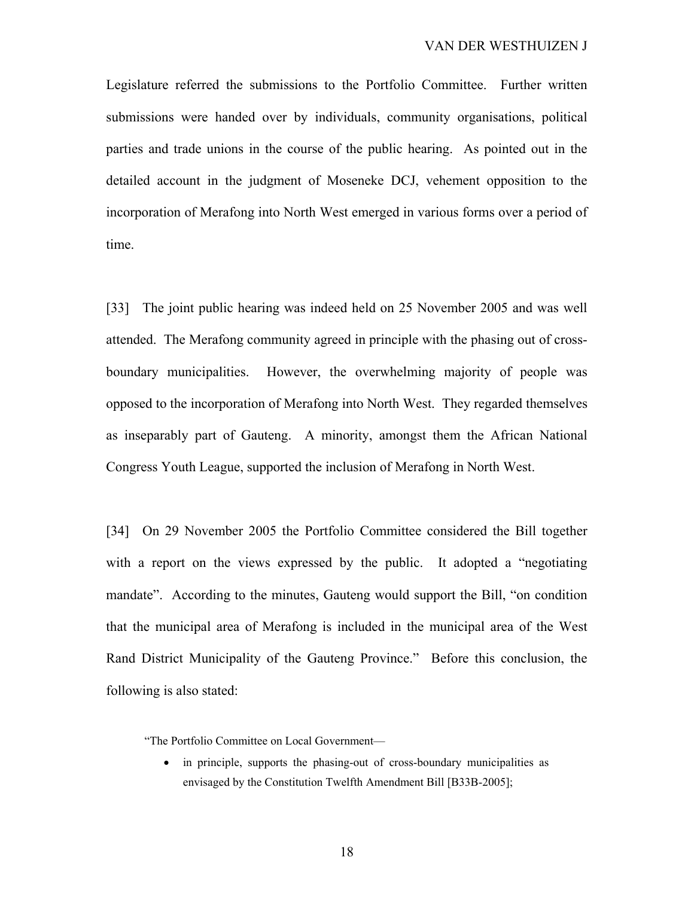Legislature referred the submissions to the Portfolio Committee. Further written submissions were handed over by individuals, community organisations, political parties and trade unions in the course of the public hearing. As pointed out in the detailed account in the judgment of Moseneke DCJ, vehement opposition to the incorporation of Merafong into North West emerged in various forms over a period of time.

[33] The joint public hearing was indeed held on 25 November 2005 and was well attended. The Merafong community agreed in principle with the phasing out of crossboundary municipalities. However, the overwhelming majority of people was opposed to the incorporation of Merafong into North West. They regarded themselves as inseparably part of Gauteng. A minority, amongst them the African National Congress Youth League, supported the inclusion of Merafong in North West.

[34] On 29 November 2005 the Portfolio Committee considered the Bill together with a report on the views expressed by the public. It adopted a "negotiating mandate". According to the minutes, Gauteng would support the Bill, "on condition that the municipal area of Merafong is included in the municipal area of the West Rand District Municipality of the Gauteng Province." Before this conclusion, the following is also stated:

"The Portfolio Committee on Local Government—

• in principle, supports the phasing-out of cross-boundary municipalities as envisaged by the Constitution Twelfth Amendment Bill [B33B-2005];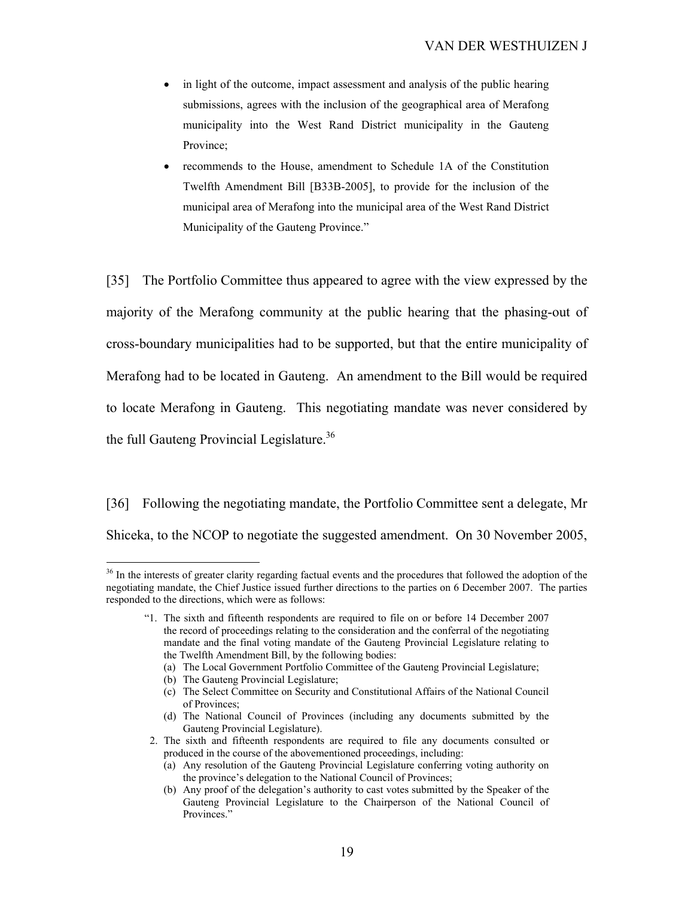- in light of the outcome, impact assessment and analysis of the public hearing submissions, agrees with the inclusion of the geographical area of Merafong municipality into the West Rand District municipality in the Gauteng Province;
- recommends to the House, amendment to Schedule 1A of the Constitution Twelfth Amendment Bill [B33B-2005], to provide for the inclusion of the municipal area of Merafong into the municipal area of the West Rand District Municipality of the Gauteng Province."

[35] The Portfolio Committee thus appeared to agree with the view expressed by the majority of the Merafong community at the public hearing that the phasing-out of cross-boundary municipalities had to be supported, but that the entire municipality of Merafong had to be located in Gauteng. An amendment to the Bill would be required to locate Merafong in Gauteng. This negotiating mandate was never considered by the full Gauteng Provincial Legislature.<sup>36</sup>

[36] Following the negotiating mandate, the Portfolio Committee sent a delegate, Mr Shiceka, to the NCOP to negotiate the suggested amendment. On 30 November 2005,

- (a) The Local Government Portfolio Committee of the Gauteng Provincial Legislature;
- (b) The Gauteng Provincial Legislature;

- (c) The Select Committee on Security and Constitutional Affairs of the National Council of Provinces;
- (d) The National Council of Provinces (including any documents submitted by the Gauteng Provincial Legislature).

<sup>&</sup>lt;sup>36</sup> In the interests of greater clarity regarding factual events and the procedures that followed the adoption of the negotiating mandate, the Chief Justice issued further directions to the parties on 6 December 2007. The parties responded to the directions, which were as follows:

<sup>&</sup>quot;1. The sixth and fifteenth respondents are required to file on or before 14 December 2007 the record of proceedings relating to the consideration and the conferral of the negotiating mandate and the final voting mandate of the Gauteng Provincial Legislature relating to the Twelfth Amendment Bill, by the following bodies:

 <sup>2.</sup> The sixth and fifteenth respondents are required to file any documents consulted or produced in the course of the abovementioned proceedings, including:

<sup>(</sup>a) Any resolution of the Gauteng Provincial Legislature conferring voting authority on the province's delegation to the National Council of Provinces;

<sup>(</sup>b) Any proof of the delegation's authority to cast votes submitted by the Speaker of the Gauteng Provincial Legislature to the Chairperson of the National Council of Provinces."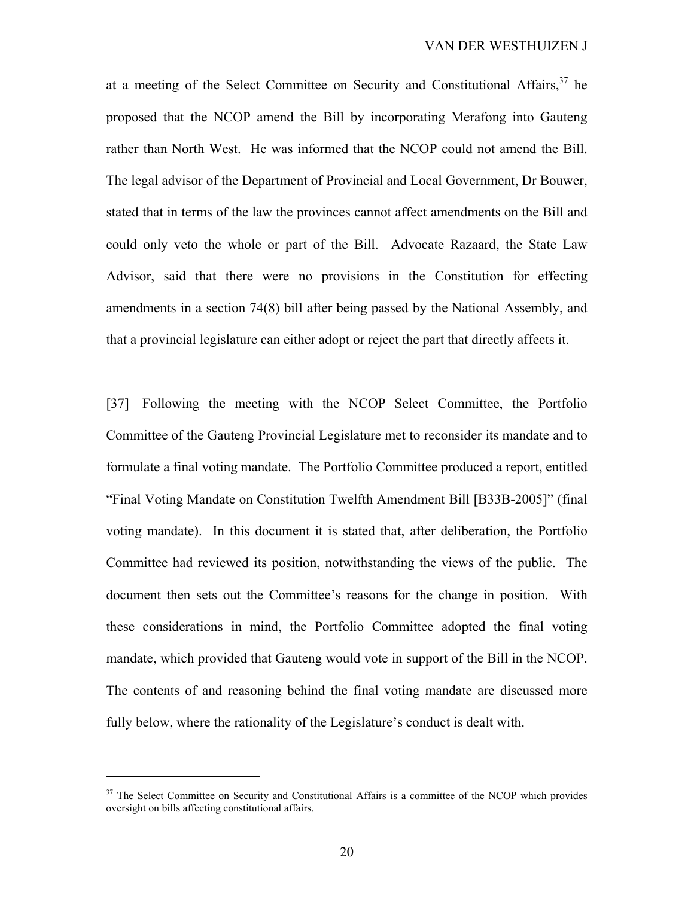at a meeting of the Select Committee on Security and Constitutional Affairs,  $37$  he proposed that the NCOP amend the Bill by incorporating Merafong into Gauteng rather than North West. He was informed that the NCOP could not amend the Bill. The legal advisor of the Department of Provincial and Local Government, Dr Bouwer, stated that in terms of the law the provinces cannot affect amendments on the Bill and could only veto the whole or part of the Bill. Advocate Razaard, the State Law Advisor, said that there were no provisions in the Constitution for effecting amendments in a section 74(8) bill after being passed by the National Assembly, and that a provincial legislature can either adopt or reject the part that directly affects it.

[37] Following the meeting with the NCOP Select Committee, the Portfolio Committee of the Gauteng Provincial Legislature met to reconsider its mandate and to formulate a final voting mandate. The Portfolio Committee produced a report, entitled "Final Voting Mandate on Constitution Twelfth Amendment Bill [B33B-2005]" (final voting mandate). In this document it is stated that, after deliberation, the Portfolio Committee had reviewed its position, notwithstanding the views of the public. The document then sets out the Committee's reasons for the change in position. With these considerations in mind, the Portfolio Committee adopted the final voting mandate, which provided that Gauteng would vote in support of the Bill in the NCOP. The contents of and reasoning behind the final voting mandate are discussed more fully below, where the rationality of the Legislature's conduct is dealt with.

<sup>&</sup>lt;sup>37</sup> The Select Committee on Security and Constitutional Affairs is a committee of the NCOP which provides oversight on bills affecting constitutional affairs.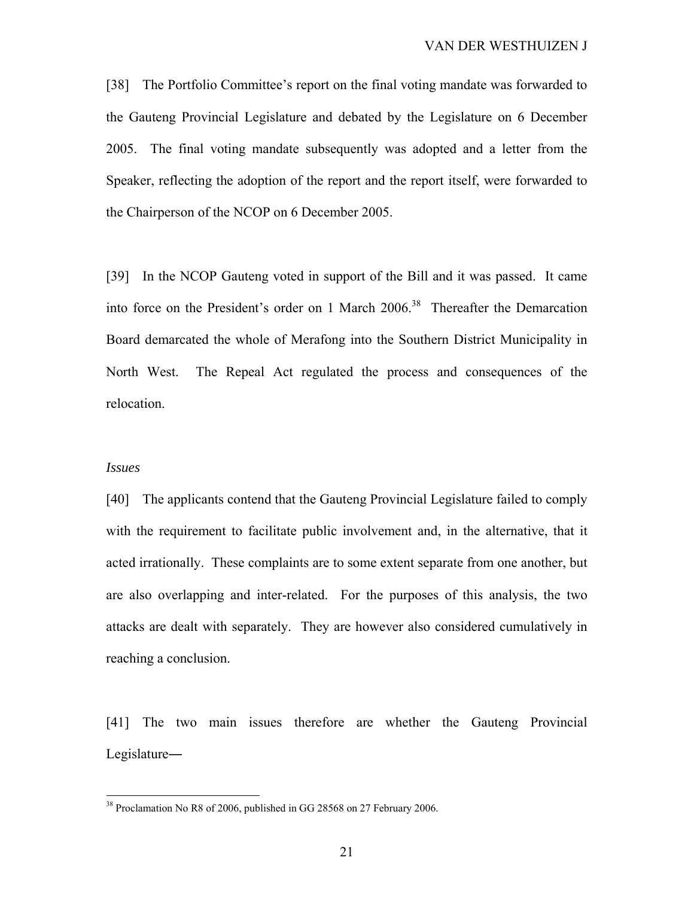[38] The Portfolio Committee's report on the final voting mandate was forwarded to the Gauteng Provincial Legislature and debated by the Legislature on 6 December 2005. The final voting mandate subsequently was adopted and a letter from the Speaker, reflecting the adoption of the report and the report itself, were forwarded to the Chairperson of the NCOP on 6 December 2005.

[39] In the NCOP Gauteng voted in support of the Bill and it was passed. It came into force on the President's order on 1 March  $2006<sup>38</sup>$  Thereafter the Demarcation Board demarcated the whole of Merafong into the Southern District Municipality in North West. The Repeal Act regulated the process and consequences of the relocation.

#### *Issues*

1

[40] The applicants contend that the Gauteng Provincial Legislature failed to comply with the requirement to facilitate public involvement and, in the alternative, that it acted irrationally. These complaints are to some extent separate from one another, but are also overlapping and inter-related. For the purposes of this analysis, the two attacks are dealt with separately. They are however also considered cumulatively in reaching a conclusion.

[41] The two main issues therefore are whether the Gauteng Provincial Legislature―

<sup>&</sup>lt;sup>38</sup> Proclamation No R8 of 2006, published in GG 28568 on 27 February 2006.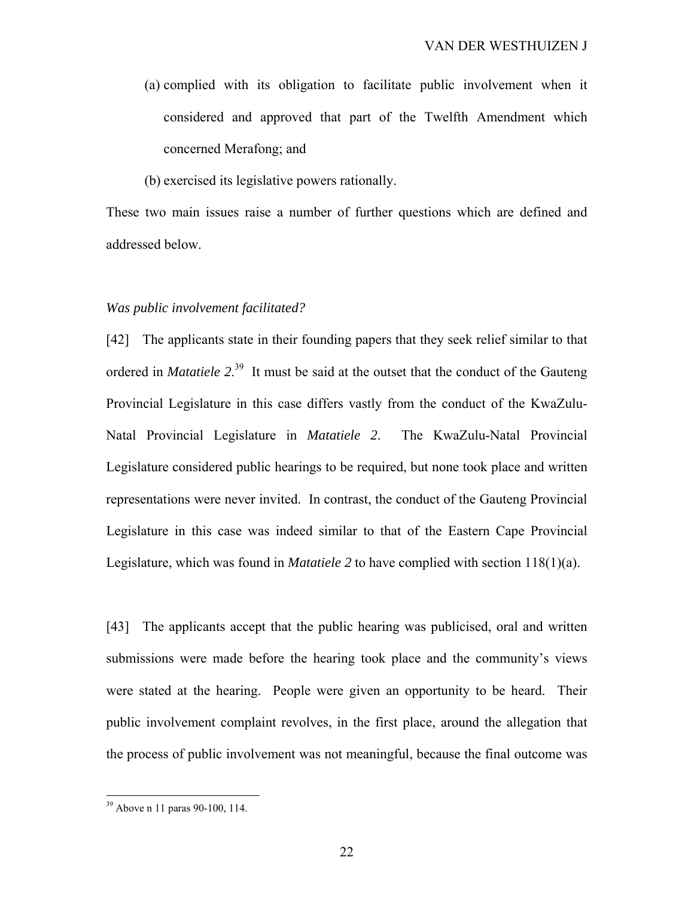- (a) complied with its obligation to facilitate public involvement when it considered and approved that part of the Twelfth Amendment which concerned Merafong; and
- (b) exercised its legislative powers rationally.

These two main issues raise a number of further questions which are defined and addressed below.

#### *Was public involvement facilitated?*

[42] The applicants state in their founding papers that they seek relief similar to that ordered in *Matatiele* 2<sup>39</sup> It must be said at the outset that the conduct of the Gauteng Provincial Legislature in this case differs vastly from the conduct of the KwaZulu-Natal Provincial Legislature in *Matatiele 2*. The KwaZulu-Natal Provincial Legislature considered public hearings to be required, but none took place and written representations were never invited. In contrast, the conduct of the Gauteng Provincial Legislature in this case was indeed similar to that of the Eastern Cape Provincial Legislature, which was found in *Matatiele 2* to have complied with section 118(1)(a).

[43] The applicants accept that the public hearing was publicised, oral and written submissions were made before the hearing took place and the community's views were stated at the hearing. People were given an opportunity to be heard. Their public involvement complaint revolves, in the first place, around the allegation that the process of public involvement was not meaningful, because the final outcome was

<sup>39</sup> Above n 11 paras 90-100, 114.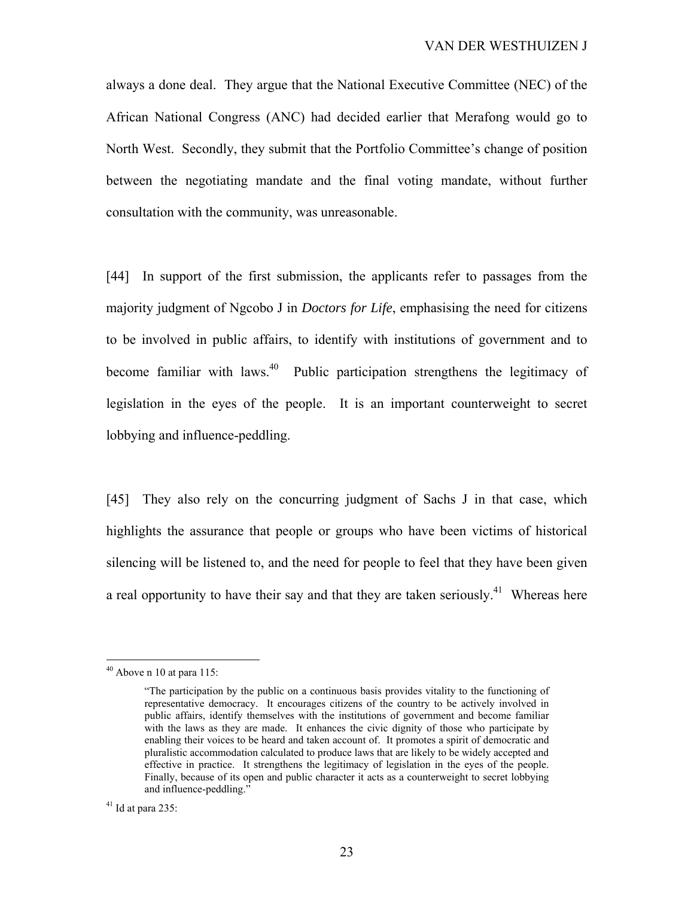always a done deal. They argue that the National Executive Committee (NEC) of the African National Congress (ANC) had decided earlier that Merafong would go to North West. Secondly, they submit that the Portfolio Committee's change of position between the negotiating mandate and the final voting mandate, without further consultation with the community, was unreasonable.

[44] In support of the first submission, the applicants refer to passages from the majority judgment of Ngcobo J in *Doctors for Life*, emphasising the need for citizens to be involved in public affairs, to identify with institutions of government and to become familiar with laws.<sup>40</sup> Public participation strengthens the legitimacy of legislation in the eyes of the people. It is an important counterweight to secret lobbying and influence-peddling.

[45] They also rely on the concurring judgment of Sachs J in that case, which highlights the assurance that people or groups who have been victims of historical silencing will be listened to, and the need for people to feel that they have been given a real opportunity to have their say and that they are taken seriously.<sup>41</sup> Whereas here

 $40$  Above n 10 at para 115:

<sup>&</sup>quot;The participation by the public on a continuous basis provides vitality to the functioning of representative democracy. It encourages citizens of the country to be actively involved in public affairs, identify themselves with the institutions of government and become familiar with the laws as they are made. It enhances the civic dignity of those who participate by enabling their voices to be heard and taken account of. It promotes a spirit of democratic and pluralistic accommodation calculated to produce laws that are likely to be widely accepted and effective in practice. It strengthens the legitimacy of legislation in the eyes of the people. Finally, because of its open and public character it acts as a counterweight to secret lobbying and influence-peddling."

 $41$  Id at para 235: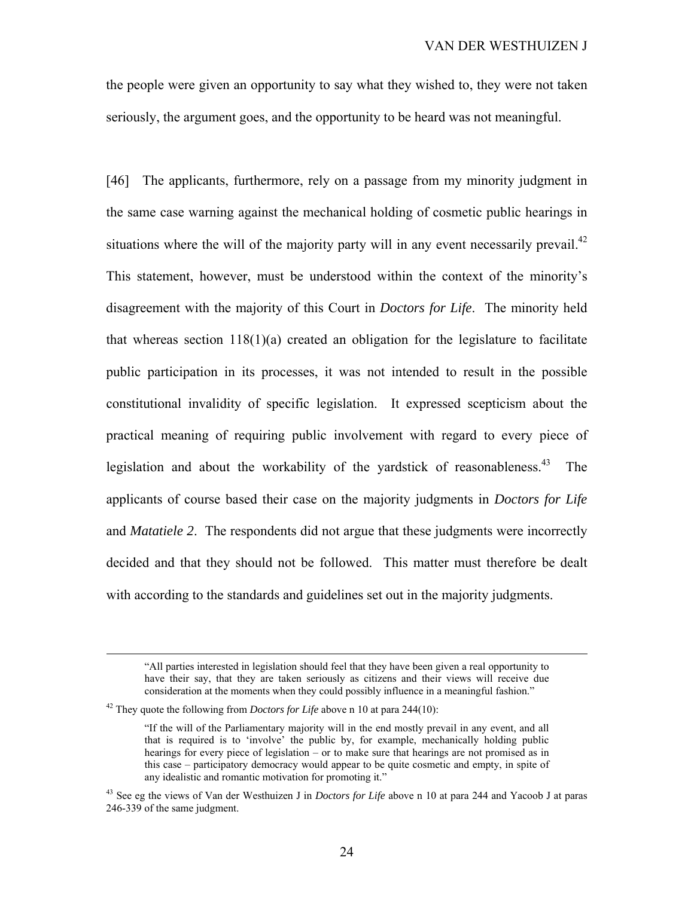the people were given an opportunity to say what they wished to, they were not taken seriously, the argument goes, and the opportunity to be heard was not meaningful.

[46] The applicants, furthermore, rely on a passage from my minority judgment in the same case warning against the mechanical holding of cosmetic public hearings in situations where the will of the majority party will in any event necessarily prevail.<sup>42</sup> This statement, however, must be understood within the context of the minority's disagreement with the majority of this Court in *Doctors for Life*. The minority held that whereas section  $118(1)(a)$  created an obligation for the legislature to facilitate public participation in its processes, it was not intended to result in the possible constitutional invalidity of specific legislation. It expressed scepticism about the practical meaning of requiring public involvement with regard to every piece of legislation and about the workability of the yardstick of reasonableness. $43$  The applicants of course based their case on the majority judgments in *Doctors for Life* and *Matatiele 2*. The respondents did not argue that these judgments were incorrectly decided and that they should not be followed. This matter must therefore be dealt with according to the standards and guidelines set out in the majority judgments.

 <sup>&</sup>quot;All parties interested in legislation should feel that they have been given a real opportunity to have their say, that they are taken seriously as citizens and their views will receive due consideration at the moments when they could possibly influence in a meaningful fashion."

<sup>&</sup>lt;sup>42</sup> They quote the following from *Doctors for Life* above n 10 at para 244(10):

<sup>&</sup>quot;If the will of the Parliamentary majority will in the end mostly prevail in any event, and all that is required is to 'involve' the public by, for example, mechanically holding public hearings for every piece of legislation – or to make sure that hearings are not promised as in this case – participatory democracy would appear to be quite cosmetic and empty, in spite of any idealistic and romantic motivation for promoting it."

<sup>43</sup> See eg the views of Van der Westhuizen J in *Doctors for Life* above n 10 at para 244 and Yacoob J at paras 246-339 of the same judgment.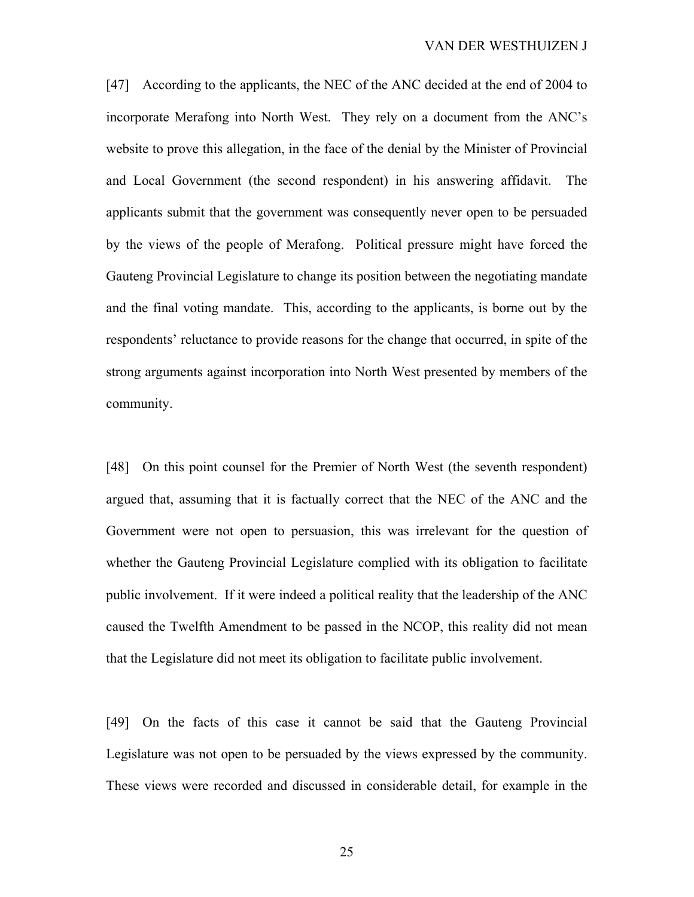[47] According to the applicants, the NEC of the ANC decided at the end of 2004 to incorporate Merafong into North West. They rely on a document from the ANC's website to prove this allegation, in the face of the denial by the Minister of Provincial and Local Government (the second respondent) in his answering affidavit. The applicants submit that the government was consequently never open to be persuaded by the views of the people of Merafong. Political pressure might have forced the Gauteng Provincial Legislature to change its position between the negotiating mandate and the final voting mandate. This, according to the applicants, is borne out by the respondents' reluctance to provide reasons for the change that occurred, in spite of the strong arguments against incorporation into North West presented by members of the community.

[48] On this point counsel for the Premier of North West (the seventh respondent) argued that, assuming that it is factually correct that the NEC of the ANC and the Government were not open to persuasion, this was irrelevant for the question of whether the Gauteng Provincial Legislature complied with its obligation to facilitate public involvement. If it were indeed a political reality that the leadership of the ANC caused the Twelfth Amendment to be passed in the NCOP, this reality did not mean that the Legislature did not meet its obligation to facilitate public involvement.

[49] On the facts of this case it cannot be said that the Gauteng Provincial Legislature was not open to be persuaded by the views expressed by the community. These views were recorded and discussed in considerable detail, for example in the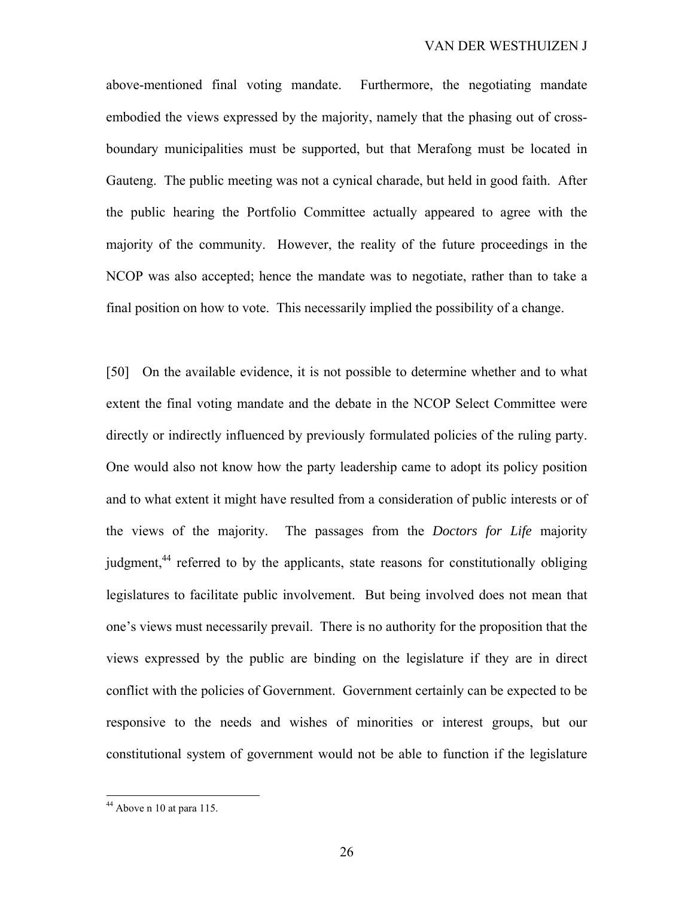above-mentioned final voting mandate. Furthermore, the negotiating mandate embodied the views expressed by the majority, namely that the phasing out of crossboundary municipalities must be supported, but that Merafong must be located in Gauteng. The public meeting was not a cynical charade, but held in good faith. After the public hearing the Portfolio Committee actually appeared to agree with the majority of the community. However, the reality of the future proceedings in the NCOP was also accepted; hence the mandate was to negotiate, rather than to take a final position on how to vote. This necessarily implied the possibility of a change.

[50] On the available evidence, it is not possible to determine whether and to what extent the final voting mandate and the debate in the NCOP Select Committee were directly or indirectly influenced by previously formulated policies of the ruling party. One would also not know how the party leadership came to adopt its policy position and to what extent it might have resulted from a consideration of public interests or of the views of the majority. The passages from the *Doctors for Life* majority judgment,<sup>44</sup> referred to by the applicants, state reasons for constitutionally obliging legislatures to facilitate public involvement. But being involved does not mean that one's views must necessarily prevail. There is no authority for the proposition that the views expressed by the public are binding on the legislature if they are in direct conflict with the policies of Government. Government certainly can be expected to be responsive to the needs and wishes of minorities or interest groups, but our constitutional system of government would not be able to function if the legislature

 $44$  Above n 10 at para 115.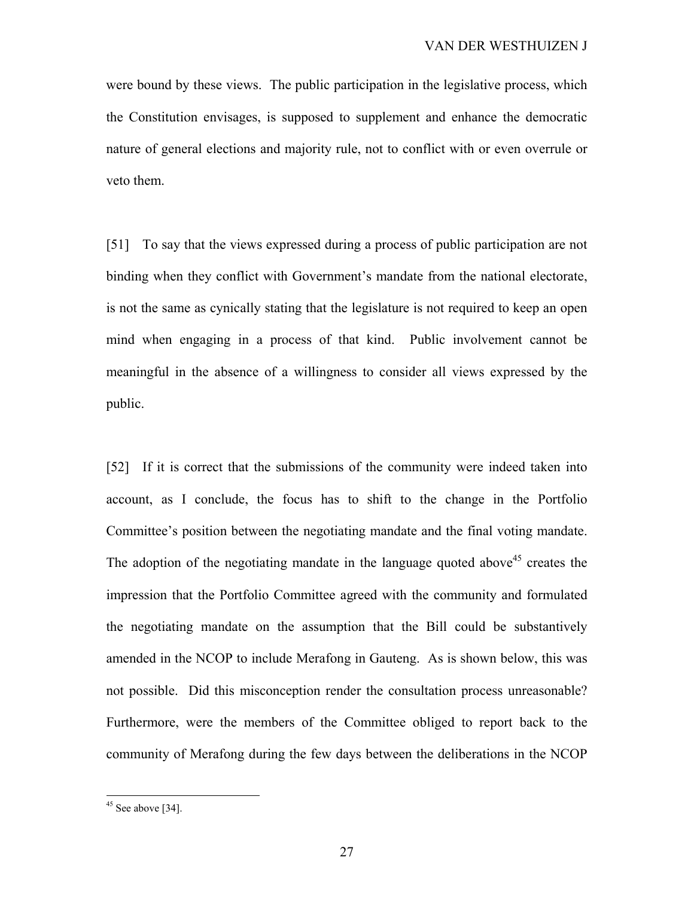were bound by these views. The public participation in the legislative process, which the Constitution envisages, is supposed to supplement and enhance the democratic nature of general elections and majority rule, not to conflict with or even overrule or veto them.

[51] To say that the views expressed during a process of public participation are not binding when they conflict with Government's mandate from the national electorate, is not the same as cynically stating that the legislature is not required to keep an open mind when engaging in a process of that kind. Public involvement cannot be meaningful in the absence of a willingness to consider all views expressed by the public.

[52] If it is correct that the submissions of the community were indeed taken into account, as I conclude, the focus has to shift to the change in the Portfolio Committee's position between the negotiating mandate and the final voting mandate. The adoption of the negotiating mandate in the language quoted above<sup>45</sup> creates the impression that the Portfolio Committee agreed with the community and formulated the negotiating mandate on the assumption that the Bill could be substantively amended in the NCOP to include Merafong in Gauteng. As is shown below, this was not possible. Did this misconception render the consultation process unreasonable? Furthermore, were the members of the Committee obliged to report back to the community of Merafong during the few days between the deliberations in the NCOP

 $45$  See above [34].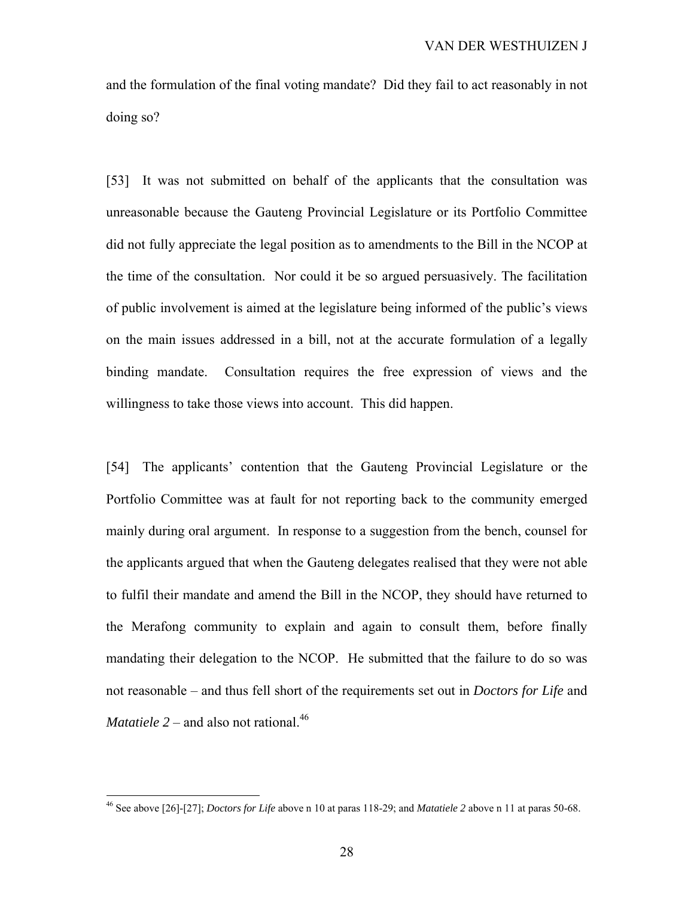and the formulation of the final voting mandate? Did they fail to act reasonably in not doing so?

[53] It was not submitted on behalf of the applicants that the consultation was unreasonable because the Gauteng Provincial Legislature or its Portfolio Committee did not fully appreciate the legal position as to amendments to the Bill in the NCOP at the time of the consultation. Nor could it be so argued persuasively. The facilitation of public involvement is aimed at the legislature being informed of the public's views on the main issues addressed in a bill, not at the accurate formulation of a legally binding mandate. Consultation requires the free expression of views and the willingness to take those views into account. This did happen.

[54] The applicants' contention that the Gauteng Provincial Legislature or the Portfolio Committee was at fault for not reporting back to the community emerged mainly during oral argument. In response to a suggestion from the bench, counsel for the applicants argued that when the Gauteng delegates realised that they were not able to fulfil their mandate and amend the Bill in the NCOP, they should have returned to the Merafong community to explain and again to consult them, before finally mandating their delegation to the NCOP. He submitted that the failure to do so was not reasonable – and thus fell short of the requirements set out in *Doctors for Life* and *Matatiele 2 – and also not rational.*<sup>46</sup>

<sup>46</sup> See above [26]-[27]; *Doctors for Life* above n 10 at paras 118-29; and *Matatiele 2* above n 11 at paras 50-68.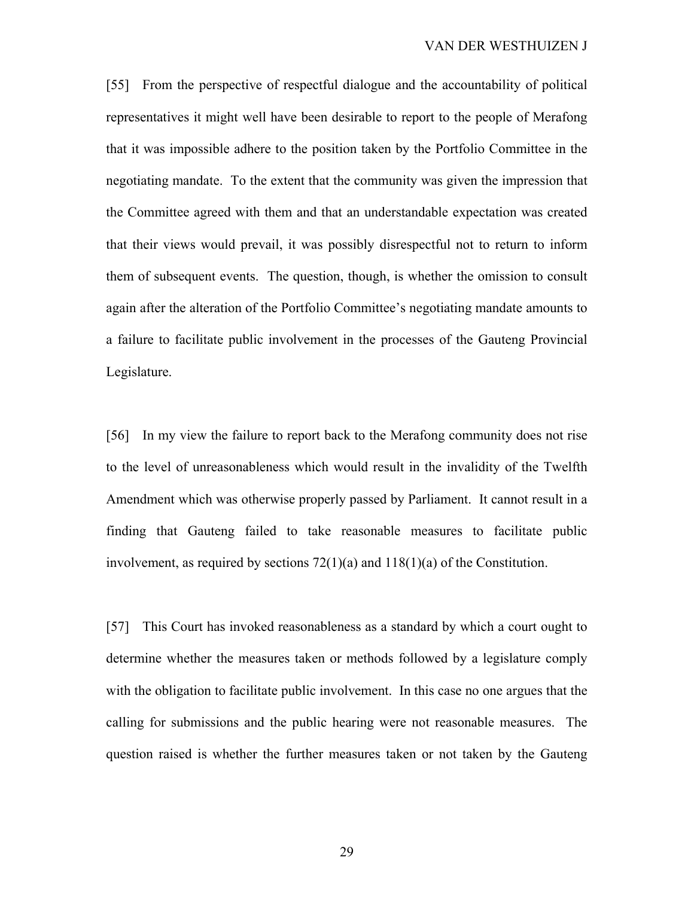[55] From the perspective of respectful dialogue and the accountability of political representatives it might well have been desirable to report to the people of Merafong that it was impossible adhere to the position taken by the Portfolio Committee in the negotiating mandate. To the extent that the community was given the impression that the Committee agreed with them and that an understandable expectation was created that their views would prevail, it was possibly disrespectful not to return to inform them of subsequent events. The question, though, is whether the omission to consult again after the alteration of the Portfolio Committee's negotiating mandate amounts to a failure to facilitate public involvement in the processes of the Gauteng Provincial Legislature.

[56] In my view the failure to report back to the Merafong community does not rise to the level of unreasonableness which would result in the invalidity of the Twelfth Amendment which was otherwise properly passed by Parliament. It cannot result in a finding that Gauteng failed to take reasonable measures to facilitate public involvement, as required by sections  $72(1)(a)$  and  $118(1)(a)$  of the Constitution.

[57] This Court has invoked reasonableness as a standard by which a court ought to determine whether the measures taken or methods followed by a legislature comply with the obligation to facilitate public involvement. In this case no one argues that the calling for submissions and the public hearing were not reasonable measures. The question raised is whether the further measures taken or not taken by the Gauteng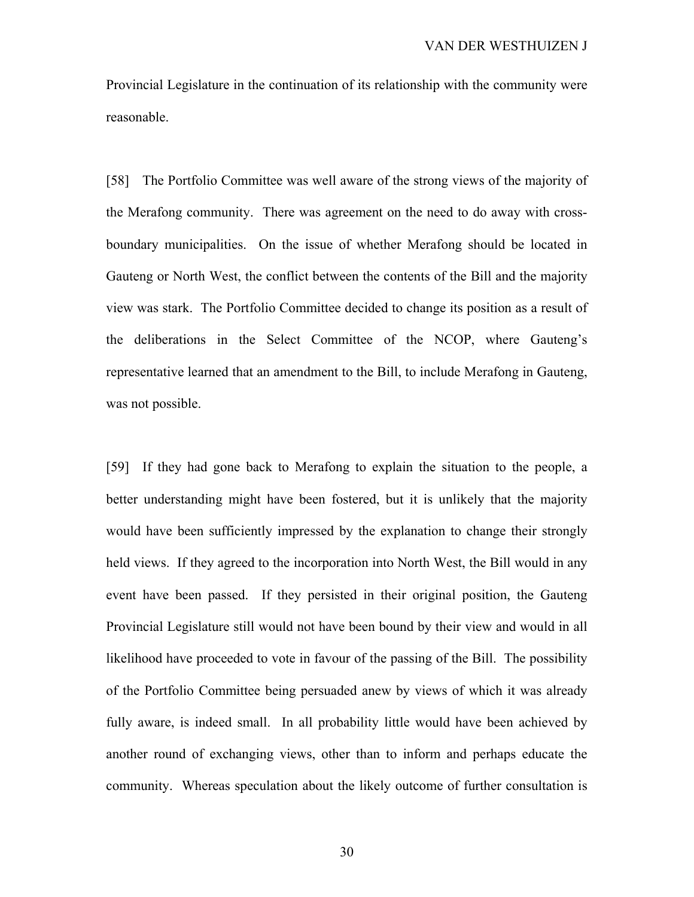Provincial Legislature in the continuation of its relationship with the community were reasonable.

[58] The Portfolio Committee was well aware of the strong views of the majority of the Merafong community. There was agreement on the need to do away with crossboundary municipalities. On the issue of whether Merafong should be located in Gauteng or North West, the conflict between the contents of the Bill and the majority view was stark. The Portfolio Committee decided to change its position as a result of the deliberations in the Select Committee of the NCOP, where Gauteng's representative learned that an amendment to the Bill, to include Merafong in Gauteng, was not possible.

[59] If they had gone back to Merafong to explain the situation to the people, a better understanding might have been fostered, but it is unlikely that the majority would have been sufficiently impressed by the explanation to change their strongly held views. If they agreed to the incorporation into North West, the Bill would in any event have been passed. If they persisted in their original position, the Gauteng Provincial Legislature still would not have been bound by their view and would in all likelihood have proceeded to vote in favour of the passing of the Bill. The possibility of the Portfolio Committee being persuaded anew by views of which it was already fully aware, is indeed small. In all probability little would have been achieved by another round of exchanging views, other than to inform and perhaps educate the community. Whereas speculation about the likely outcome of further consultation is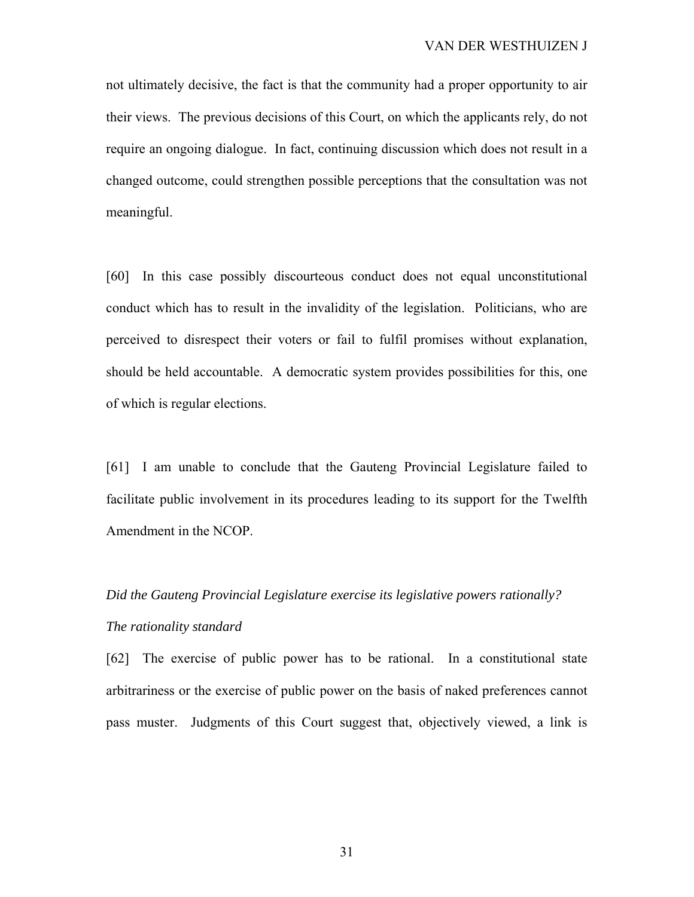not ultimately decisive, the fact is that the community had a proper opportunity to air their views. The previous decisions of this Court, on which the applicants rely, do not require an ongoing dialogue. In fact, continuing discussion which does not result in a changed outcome, could strengthen possible perceptions that the consultation was not meaningful.

[60] In this case possibly discourteous conduct does not equal unconstitutional conduct which has to result in the invalidity of the legislation. Politicians, who are perceived to disrespect their voters or fail to fulfil promises without explanation, should be held accountable. A democratic system provides possibilities for this, one of which is regular elections.

[61] I am unable to conclude that the Gauteng Provincial Legislature failed to facilitate public involvement in its procedures leading to its support for the Twelfth Amendment in the NCOP.

# *Did the Gauteng Provincial Legislature exercise its legislative powers rationally? The rationality standard*

[62] The exercise of public power has to be rational. In a constitutional state arbitrariness or the exercise of public power on the basis of naked preferences cannot pass muster. Judgments of this Court suggest that, objectively viewed, a link is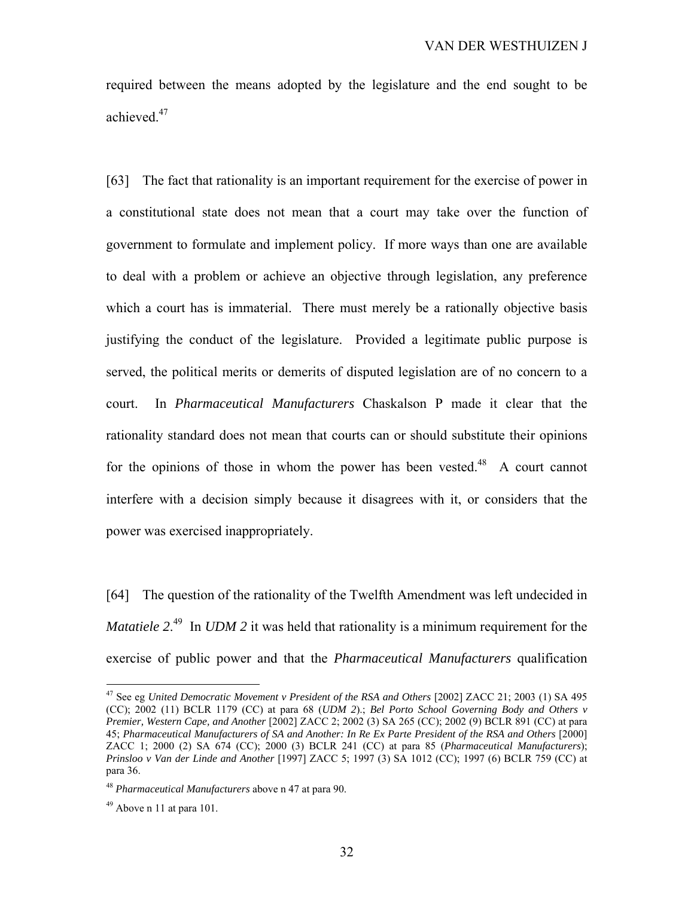required between the means adopted by the legislature and the end sought to be achieved<sup>47</sup>

[63] The fact that rationality is an important requirement for the exercise of power in a constitutional state does not mean that a court may take over the function of government to formulate and implement policy. If more ways than one are available to deal with a problem or achieve an objective through legislation, any preference which a court has is immaterial. There must merely be a rationally objective basis justifying the conduct of the legislature. Provided a legitimate public purpose is served, the political merits or demerits of disputed legislation are of no concern to a court. In *Pharmaceutical Manufacturers* Chaskalson P made it clear that the rationality standard does not mean that courts can or should substitute their opinions for the opinions of those in whom the power has been vested.<sup>48</sup> A court cannot interfere with a decision simply because it disagrees with it, or considers that the power was exercised inappropriately.

[64] The question of the rationality of the Twelfth Amendment was left undecided in *Matatiele* 2<sup>49</sup> In *UDM* 2 it was held that rationality is a minimum requirement for the exercise of public power and that the *Pharmaceutical Manufacturers* qualification

<sup>47</sup> See eg *United Democratic Movement v President of the RSA and Others* [2002] ZACC 21; 2003 (1) SA 495 (CC); 2002 (11) BCLR 1179 (CC) at para 68 (*UDM 2*).; *Bel Porto School Governing Body and Others v Premier, Western Cape, and Another* [2002] ZACC 2; 2002 (3) SA 265 (CC); 2002 (9) BCLR 891 (CC) at para 45; *Pharmaceutical Manufacturers of SA and Another: In Re Ex Parte President of the RSA and Others* [2000] ZACC 1; 2000 (2) SA 674 (CC); 2000 (3) BCLR 241 (CC) at para 85 (*Pharmaceutical Manufacturers*); *Prinsloo v Van der Linde and Another* [1997] ZACC 5; 1997 (3) SA 1012 (CC); 1997 (6) BCLR 759 (CC) at para 36.

<sup>48</sup> *Pharmaceutical Manufacturers* above n 47 at para 90.

 $49$  Above n 11 at para 101.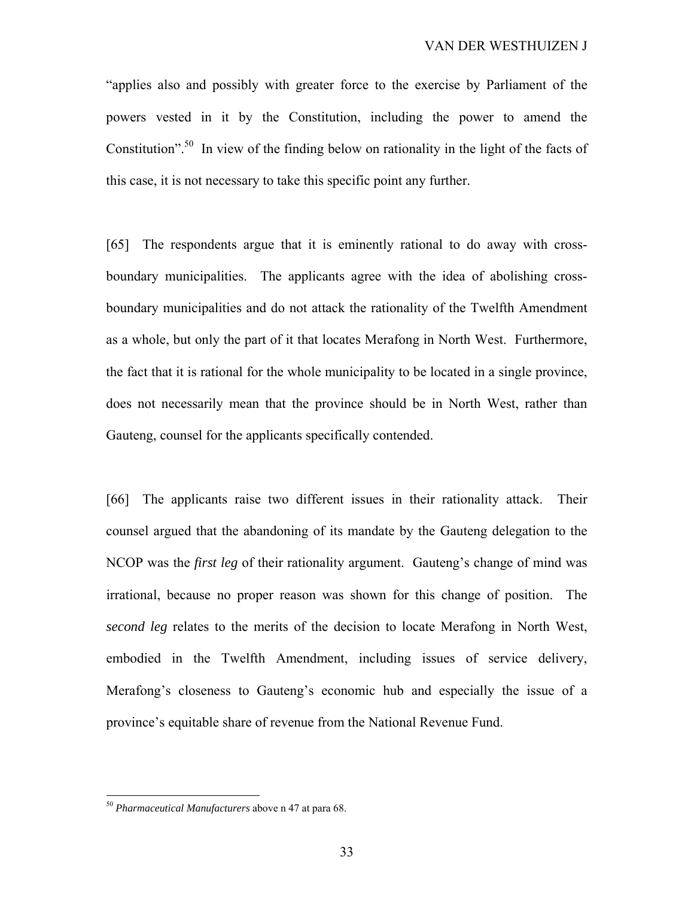"applies also and possibly with greater force to the exercise by Parliament of the powers vested in it by the Constitution, including the power to amend the Constitution".<sup>50</sup> In view of the finding below on rationality in the light of the facts of this case, it is not necessary to take this specific point any further.

[65] The respondents argue that it is eminently rational to do away with crossboundary municipalities. The applicants agree with the idea of abolishing crossboundary municipalities and do not attack the rationality of the Twelfth Amendment as a whole, but only the part of it that locates Merafong in North West. Furthermore, the fact that it is rational for the whole municipality to be located in a single province, does not necessarily mean that the province should be in North West, rather than Gauteng, counsel for the applicants specifically contended.

[66] The applicants raise two different issues in their rationality attack. Their counsel argued that the abandoning of its mandate by the Gauteng delegation to the NCOP was the *first leg* of their rationality argument. Gauteng's change of mind was irrational, because no proper reason was shown for this change of position. The *second leg* relates to the merits of the decision to locate Merafong in North West, embodied in the Twelfth Amendment, including issues of service delivery, Merafong's closeness to Gauteng's economic hub and especially the issue of a province's equitable share of revenue from the National Revenue Fund.

<sup>50</sup> *Pharmaceutical Manufacturers* above n 47 at para 68.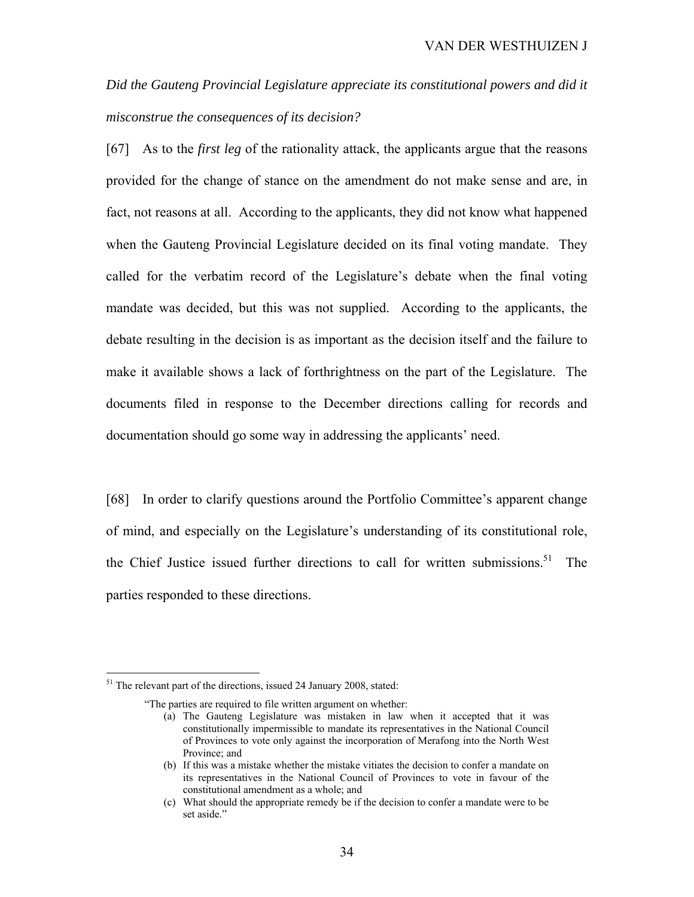*Did the Gauteng Provincial Legislature appreciate its constitutional powers and did it misconstrue the consequences of its decision?* 

[67] As to the *first leg* of the rationality attack, the applicants argue that the reasons provided for the change of stance on the amendment do not make sense and are, in fact, not reasons at all. According to the applicants, they did not know what happened when the Gauteng Provincial Legislature decided on its final voting mandate. They called for the verbatim record of the Legislature's debate when the final voting mandate was decided, but this was not supplied. According to the applicants, the debate resulting in the decision is as important as the decision itself and the failure to make it available shows a lack of forthrightness on the part of the Legislature. The documents filed in response to the December directions calling for records and documentation should go some way in addressing the applicants' need.

[68] In order to clarify questions around the Portfolio Committee's apparent change of mind, and especially on the Legislature's understanding of its constitutional role, the Chief Justice issued further directions to call for written submissions.<sup>51</sup> The parties responded to these directions.

<sup>&</sup>lt;sup>51</sup> The relevant part of the directions, issued 24 January 2008, stated:

<sup>&</sup>quot;The parties are required to file written argument on whether:

<sup>(</sup>a) The Gauteng Legislature was mistaken in law when it accepted that it was constitutionally impermissible to mandate its representatives in the National Council of Provinces to vote only against the incorporation of Merafong into the North West Province; and

<sup>(</sup>b) If this was a mistake whether the mistake vitiates the decision to confer a mandate on its representatives in the National Council of Provinces to vote in favour of the constitutional amendment as a whole; and

<sup>(</sup>c) What should the appropriate remedy be if the decision to confer a mandate were to be set aside."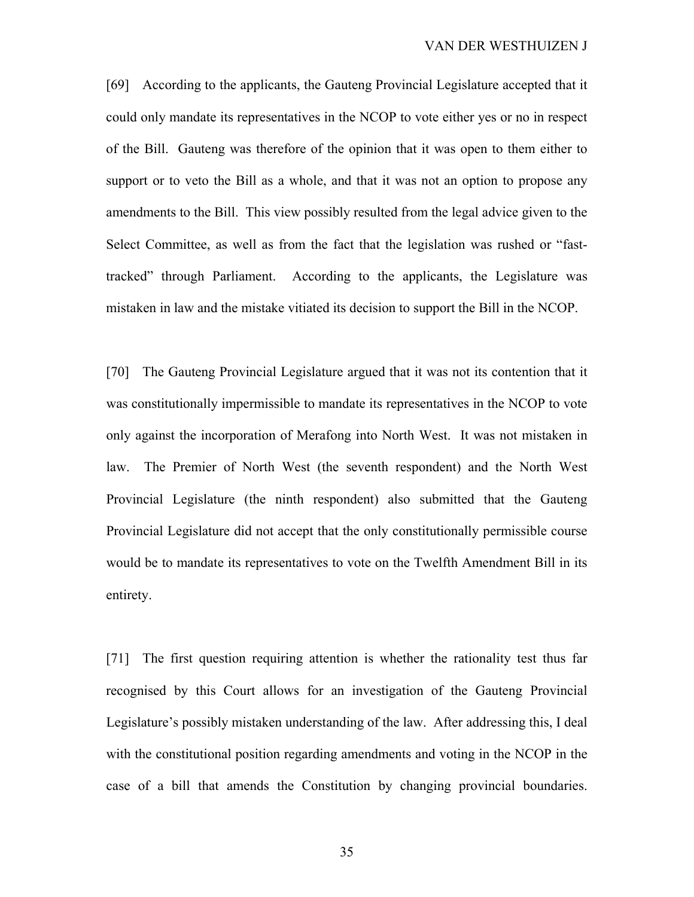[69] According to the applicants, the Gauteng Provincial Legislature accepted that it could only mandate its representatives in the NCOP to vote either yes or no in respect of the Bill. Gauteng was therefore of the opinion that it was open to them either to support or to veto the Bill as a whole, and that it was not an option to propose any amendments to the Bill. This view possibly resulted from the legal advice given to the Select Committee, as well as from the fact that the legislation was rushed or "fasttracked" through Parliament. According to the applicants, the Legislature was mistaken in law and the mistake vitiated its decision to support the Bill in the NCOP.

[70] The Gauteng Provincial Legislature argued that it was not its contention that it was constitutionally impermissible to mandate its representatives in the NCOP to vote only against the incorporation of Merafong into North West. It was not mistaken in law. The Premier of North West (the seventh respondent) and the North West Provincial Legislature (the ninth respondent) also submitted that the Gauteng Provincial Legislature did not accept that the only constitutionally permissible course would be to mandate its representatives to vote on the Twelfth Amendment Bill in its entirety.

[71] The first question requiring attention is whether the rationality test thus far recognised by this Court allows for an investigation of the Gauteng Provincial Legislature's possibly mistaken understanding of the law. After addressing this, I deal with the constitutional position regarding amendments and voting in the NCOP in the case of a bill that amends the Constitution by changing provincial boundaries.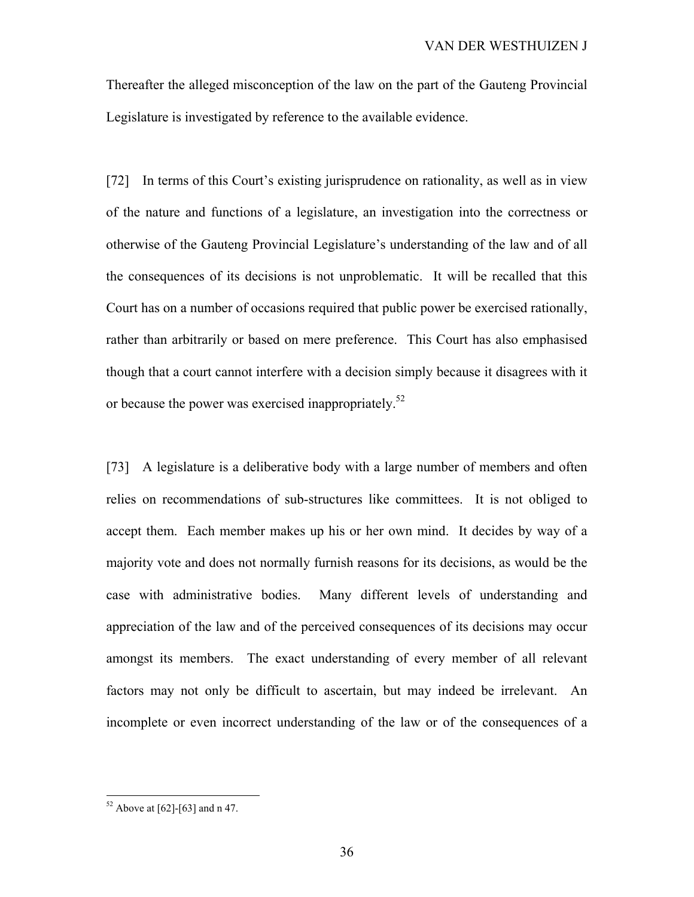Thereafter the alleged misconception of the law on the part of the Gauteng Provincial Legislature is investigated by reference to the available evidence.

[72] In terms of this Court's existing jurisprudence on rationality, as well as in view of the nature and functions of a legislature, an investigation into the correctness or otherwise of the Gauteng Provincial Legislature's understanding of the law and of all the consequences of its decisions is not unproblematic. It will be recalled that this Court has on a number of occasions required that public power be exercised rationally, rather than arbitrarily or based on mere preference. This Court has also emphasised though that a court cannot interfere with a decision simply because it disagrees with it or because the power was exercised inappropriately.<sup>52</sup>

[73] A legislature is a deliberative body with a large number of members and often relies on recommendations of sub-structures like committees. It is not obliged to accept them. Each member makes up his or her own mind. It decides by way of a majority vote and does not normally furnish reasons for its decisions, as would be the case with administrative bodies. Many different levels of understanding and appreciation of the law and of the perceived consequences of its decisions may occur amongst its members. The exact understanding of every member of all relevant factors may not only be difficult to ascertain, but may indeed be irrelevant. An incomplete or even incorrect understanding of the law or of the consequences of a

 $52$  Above at [62]-[63] and n 47.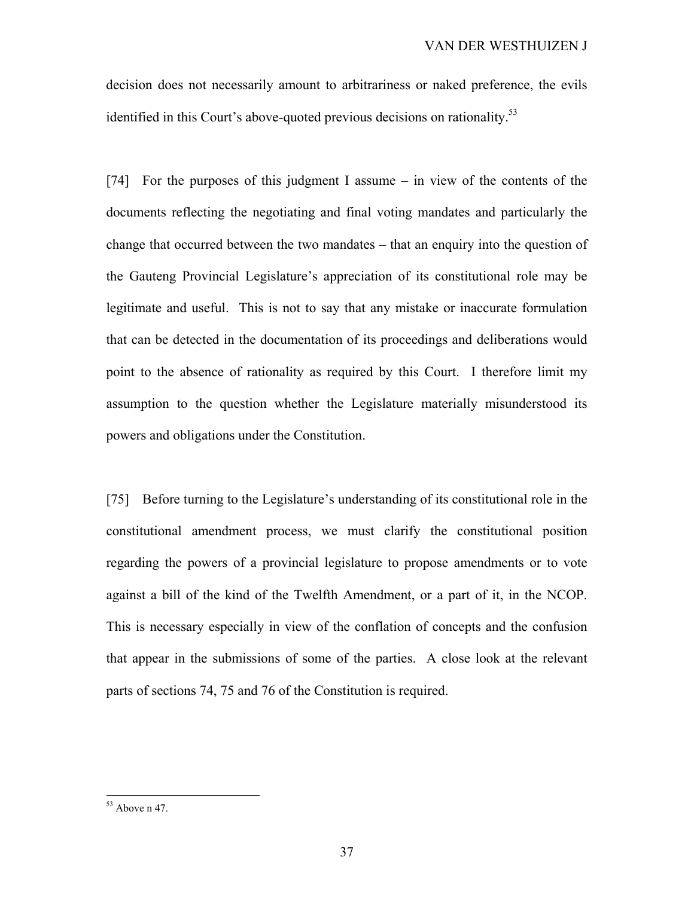decision does not necessarily amount to arbitrariness or naked preference, the evils identified in this Court's above-quoted previous decisions on rationality.<sup>53</sup>

[74] For the purposes of this judgment I assume – in view of the contents of the documents reflecting the negotiating and final voting mandates and particularly the change that occurred between the two mandates – that an enquiry into the question of the Gauteng Provincial Legislature's appreciation of its constitutional role may be legitimate and useful. This is not to say that any mistake or inaccurate formulation that can be detected in the documentation of its proceedings and deliberations would point to the absence of rationality as required by this Court. I therefore limit my assumption to the question whether the Legislature materially misunderstood its powers and obligations under the Constitution.

[75] Before turning to the Legislature's understanding of its constitutional role in the constitutional amendment process, we must clarify the constitutional position regarding the powers of a provincial legislature to propose amendments or to vote against a bill of the kind of the Twelfth Amendment, or a part of it, in the NCOP. This is necessary especially in view of the conflation of concepts and the confusion that appear in the submissions of some of the parties. A close look at the relevant parts of sections 74, 75 and 76 of the Constitution is required.

 $53$  Above n 47.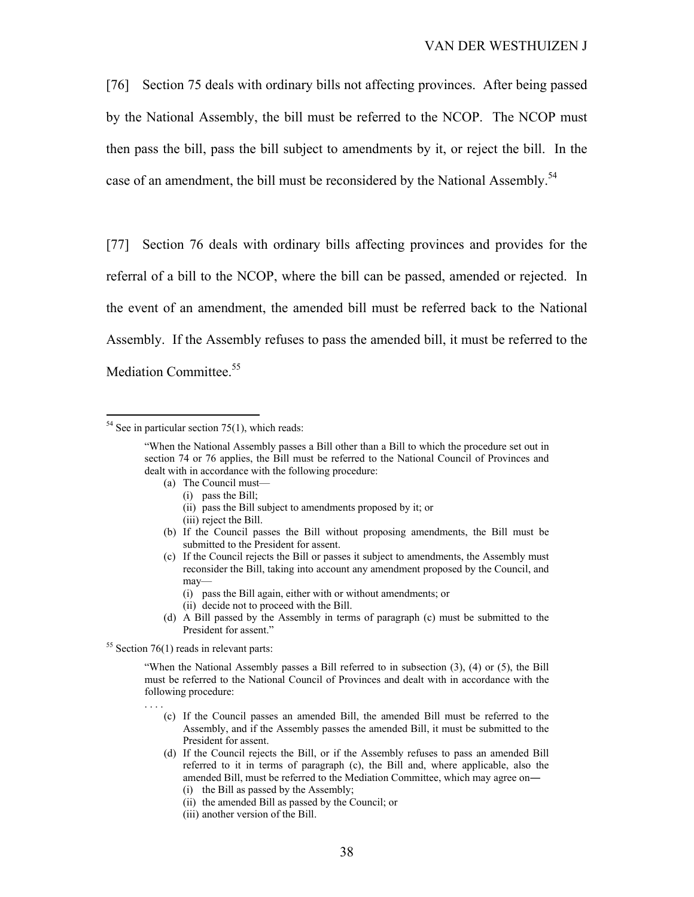[76] Section 75 deals with ordinary bills not affecting provinces. After being passed by the National Assembly, the bill must be referred to the NCOP. The NCOP must then pass the bill, pass the bill subject to amendments by it, or reject the bill. In the case of an amendment, the bill must be reconsidered by the National Assembly.<sup>54</sup>

[77] Section 76 deals with ordinary bills affecting provinces and provides for the referral of a bill to the NCOP, where the bill can be passed, amended or rejected. In the event of an amendment, the amended bill must be referred back to the National Assembly. If the Assembly refuses to pass the amended bill, it must be referred to the Mediation Committee.<sup>55</sup>

 $\overline{a}$ 

- (a) The Council must—
	- (i) pass the Bill;
	- (ii) pass the Bill subject to amendments proposed by it; or
	- (iii) reject the Bill.
- (b) If the Council passes the Bill without proposing amendments, the Bill must be submitted to the President for assent.
- (c) If the Council rejects the Bill or passes it subject to amendments, the Assembly must reconsider the Bill, taking into account any amendment proposed by the Council, and may—
	- (i) pass the Bill again, either with or without amendments; or
	- (ii) decide not to proceed with the Bill.
- (d) A Bill passed by the Assembly in terms of paragraph (c) must be submitted to the President for assent."

 $55$  Section 76(1) reads in relevant parts:

. . . .

"When the National Assembly passes a Bill referred to in subsection (3), (4) or (5), the Bill must be referred to the National Council of Provinces and dealt with in accordance with the following procedure:

- (c) If the Council passes an amended Bill, the amended Bill must be referred to the Assembly, and if the Assembly passes the amended Bill, it must be submitted to the President for assent.
- (d) If the Council rejects the Bill, or if the Assembly refuses to pass an amended Bill referred to it in terms of paragraph (c), the Bill and, where applicable, also the amended Bill, must be referred to the Mediation Committee, which may agree on― (i) the Bill as passed by the Assembly;
	-
	- (ii) the amended Bill as passed by the Council; or
	- (iii) another version of the Bill.

 $54$  See in particular section 75(1), which reads:

<sup>&</sup>quot;When the National Assembly passes a Bill other than a Bill to which the procedure set out in section 74 or 76 applies, the Bill must be referred to the National Council of Provinces and dealt with in accordance with the following procedure: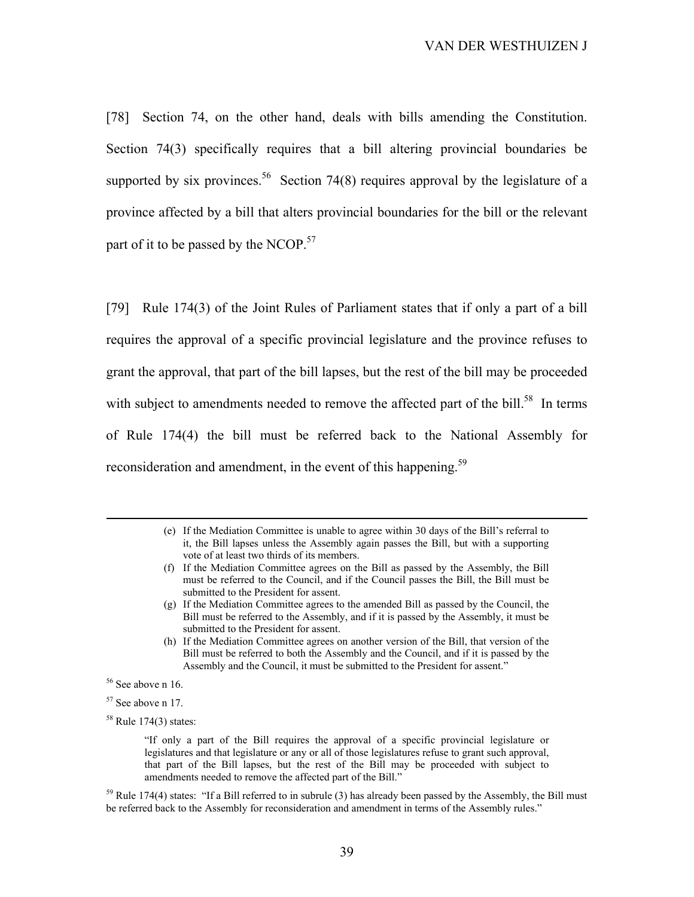[78] Section 74, on the other hand, deals with bills amending the Constitution. Section 74(3) specifically requires that a bill altering provincial boundaries be supported by six provinces.<sup>56</sup> Section 74(8) requires approval by the legislature of a province affected by a bill that alters provincial boundaries for the bill or the relevant part of it to be passed by the NCOP.<sup>57</sup>

[79] Rule 174(3) of the Joint Rules of Parliament states that if only a part of a bill requires the approval of a specific provincial legislature and the province refuses to grant the approval, that part of the bill lapses, but the rest of the bill may be proceeded with subject to amendments needed to remove the affected part of the bill.<sup>58</sup> In terms of Rule 174(4) the bill must be referred back to the National Assembly for reconsideration and amendment, in the event of this happening.<sup>59</sup>

- (f) If the Mediation Committee agrees on the Bill as passed by the Assembly, the Bill must be referred to the Council, and if the Council passes the Bill, the Bill must be submitted to the President for assent.
- (g) If the Mediation Committee agrees to the amended Bill as passed by the Council, the Bill must be referred to the Assembly, and if it is passed by the Assembly, it must be submitted to the President for assent.
- (h) If the Mediation Committee agrees on another version of the Bill, that version of the Bill must be referred to both the Assembly and the Council, and if it is passed by the Assembly and the Council, it must be submitted to the President for assent."

56 See above n 16.

 $57$  See above n 17.

 $58$  Rule 174(3) states:

"If only a part of the Bill requires the approval of a specific provincial legislature or legislatures and that legislature or any or all of those legislatures refuse to grant such approval, that part of the Bill lapses, but the rest of the Bill may be proceeded with subject to amendments needed to remove the affected part of the Bill."

 $59$  Rule 174(4) states: "If a Bill referred to in subrule (3) has already been passed by the Assembly, the Bill must be referred back to the Assembly for reconsideration and amendment in terms of the Assembly rules."

 <sup>(</sup>e) If the Mediation Committee is unable to agree within 30 days of the Bill's referral to it, the Bill lapses unless the Assembly again passes the Bill, but with a supporting vote of at least two thirds of its members.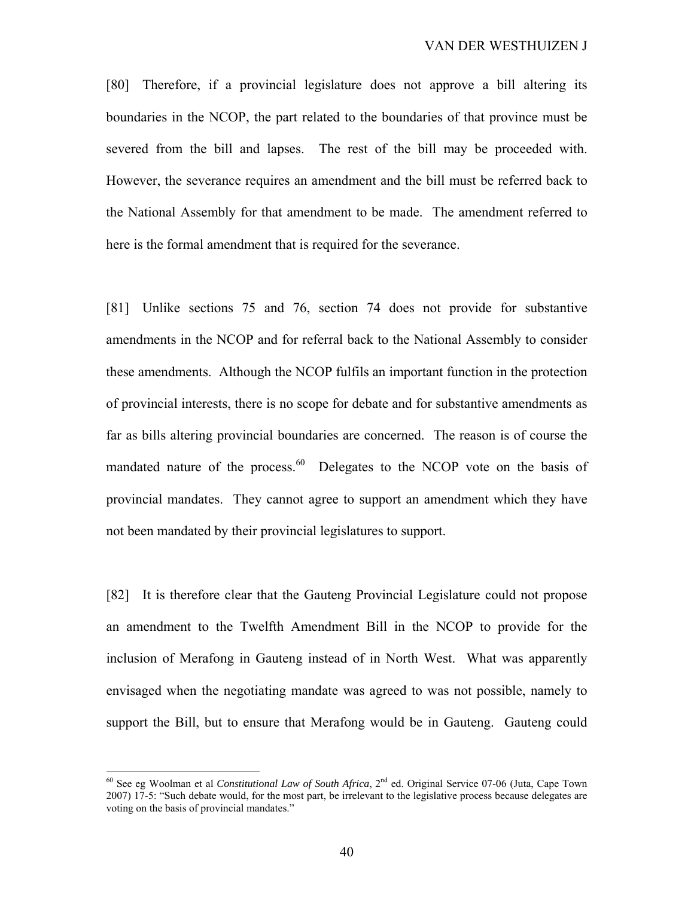[80] Therefore, if a provincial legislature does not approve a bill altering its boundaries in the NCOP, the part related to the boundaries of that province must be severed from the bill and lapses. The rest of the bill may be proceeded with. However, the severance requires an amendment and the bill must be referred back to the National Assembly for that amendment to be made. The amendment referred to here is the formal amendment that is required for the severance.

[81] Unlike sections 75 and 76, section 74 does not provide for substantive amendments in the NCOP and for referral back to the National Assembly to consider these amendments. Although the NCOP fulfils an important function in the protection of provincial interests, there is no scope for debate and for substantive amendments as far as bills altering provincial boundaries are concerned. The reason is of course the mandated nature of the process. $60$  Delegates to the NCOP vote on the basis of provincial mandates. They cannot agree to support an amendment which they have not been mandated by their provincial legislatures to support.

[82] It is therefore clear that the Gauteng Provincial Legislature could not propose an amendment to the Twelfth Amendment Bill in the NCOP to provide for the inclusion of Merafong in Gauteng instead of in North West. What was apparently envisaged when the negotiating mandate was agreed to was not possible, namely to support the Bill, but to ensure that Merafong would be in Gauteng. Gauteng could

 $\overline{a}$ 

<sup>60</sup> See eg Woolman et al *Constitutional Law of South Africa*, 2nd ed. Original Service 07-06 (Juta, Cape Town 2007) 17-5: "Such debate would, for the most part, be irrelevant to the legislative process because delegates are voting on the basis of provincial mandates."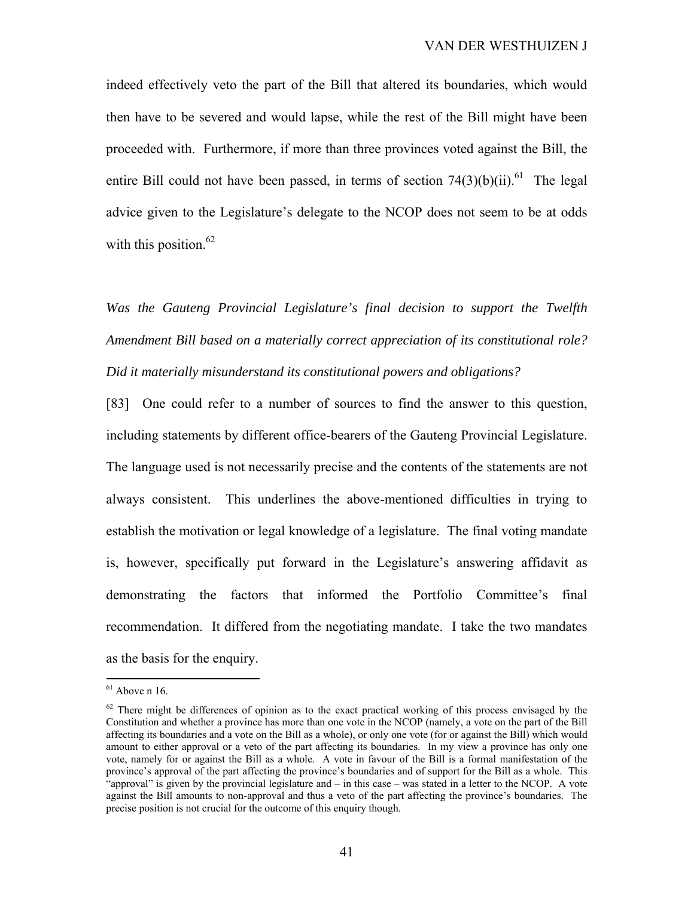indeed effectively veto the part of the Bill that altered its boundaries, which would then have to be severed and would lapse, while the rest of the Bill might have been proceeded with. Furthermore, if more than three provinces voted against the Bill, the entire Bill could not have been passed, in terms of section  $74(3)(b)(ii)$ .<sup>61</sup> The legal advice given to the Legislature's delegate to the NCOP does not seem to be at odds with this position. $62$ 

*Was the Gauteng Provincial Legislature's final decision to support the Twelfth Amendment Bill based on a materially correct appreciation of its constitutional role? Did it materially misunderstand its constitutional powers and obligations?* 

[83] One could refer to a number of sources to find the answer to this question, including statements by different office-bearers of the Gauteng Provincial Legislature. The language used is not necessarily precise and the contents of the statements are not always consistent. This underlines the above-mentioned difficulties in trying to establish the motivation or legal knowledge of a legislature. The final voting mandate is, however, specifically put forward in the Legislature's answering affidavit as demonstrating the factors that informed the Portfolio Committee's final recommendation. It differed from the negotiating mandate. I take the two mandates as the basis for the enquiry.

 $\overline{a}$ 

 $61$  Above n 16.

 $62$  There might be differences of opinion as to the exact practical working of this process envisaged by the Constitution and whether a province has more than one vote in the NCOP (namely, a vote on the part of the Bill affecting its boundaries and a vote on the Bill as a whole), or only one vote (for or against the Bill) which would amount to either approval or a veto of the part affecting its boundaries. In my view a province has only one vote, namely for or against the Bill as a whole. A vote in favour of the Bill is a formal manifestation of the province's approval of the part affecting the province's boundaries and of support for the Bill as a whole. This "approval" is given by the provincial legislature and  $-$  in this case  $-$  was stated in a letter to the NCOP. A vote against the Bill amounts to non-approval and thus a veto of the part affecting the province's boundaries. The precise position is not crucial for the outcome of this enquiry though.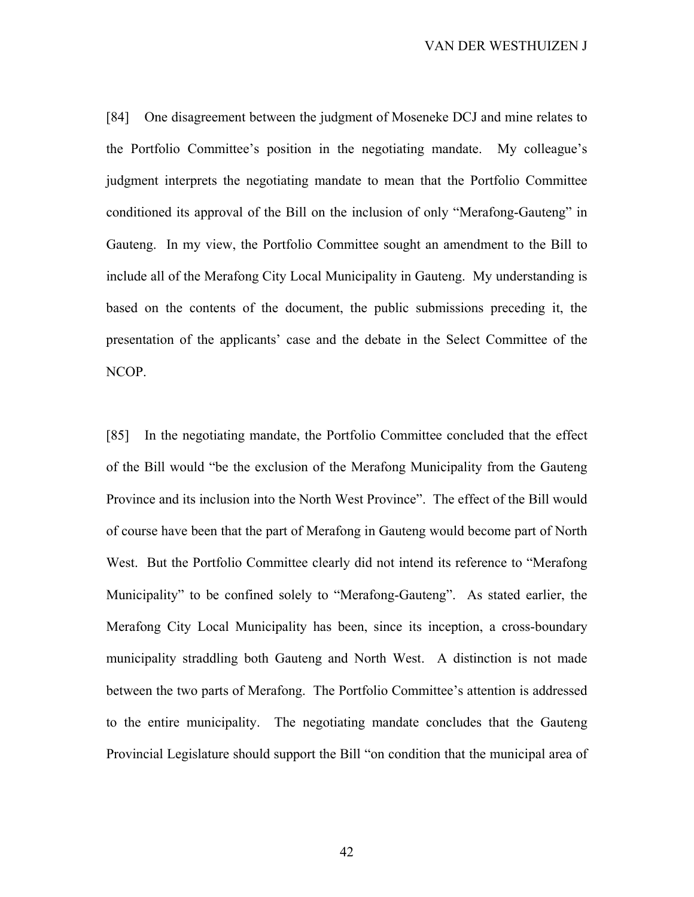[84] One disagreement between the judgment of Moseneke DCJ and mine relates to the Portfolio Committee's position in the negotiating mandate. My colleague's judgment interprets the negotiating mandate to mean that the Portfolio Committee conditioned its approval of the Bill on the inclusion of only "Merafong-Gauteng" in Gauteng. In my view, the Portfolio Committee sought an amendment to the Bill to include all of the Merafong City Local Municipality in Gauteng. My understanding is based on the contents of the document, the public submissions preceding it, the presentation of the applicants' case and the debate in the Select Committee of the NCOP.

[85] In the negotiating mandate, the Portfolio Committee concluded that the effect of the Bill would "be the exclusion of the Merafong Municipality from the Gauteng Province and its inclusion into the North West Province". The effect of the Bill would of course have been that the part of Merafong in Gauteng would become part of North West. But the Portfolio Committee clearly did not intend its reference to "Merafong Municipality" to be confined solely to "Merafong-Gauteng". As stated earlier, the Merafong City Local Municipality has been, since its inception, a cross-boundary municipality straddling both Gauteng and North West. A distinction is not made between the two parts of Merafong. The Portfolio Committee's attention is addressed to the entire municipality. The negotiating mandate concludes that the Gauteng Provincial Legislature should support the Bill "on condition that the municipal area of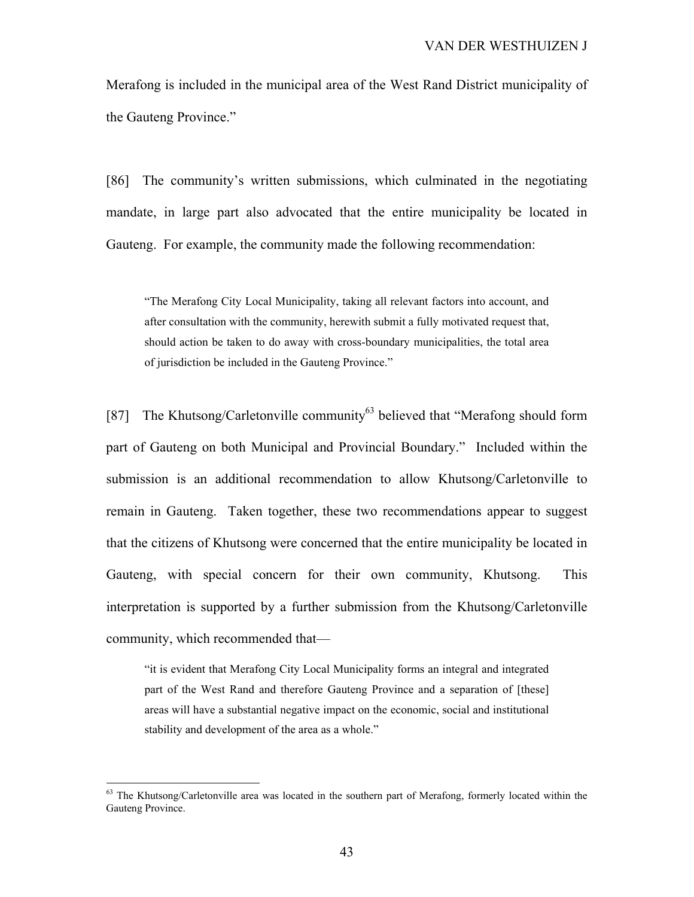Merafong is included in the municipal area of the West Rand District municipality of the Gauteng Province."

[86] The community's written submissions, which culminated in the negotiating mandate, in large part also advocated that the entire municipality be located in Gauteng. For example, the community made the following recommendation:

"The Merafong City Local Municipality, taking all relevant factors into account, and after consultation with the community, herewith submit a fully motivated request that, should action be taken to do away with cross-boundary municipalities, the total area of jurisdiction be included in the Gauteng Province."

[87] The Khutsong/Carletonville community<sup>63</sup> believed that "Merafong should form part of Gauteng on both Municipal and Provincial Boundary." Included within the submission is an additional recommendation to allow Khutsong/Carletonville to remain in Gauteng. Taken together, these two recommendations appear to suggest that the citizens of Khutsong were concerned that the entire municipality be located in Gauteng, with special concern for their own community, Khutsong. This interpretation is supported by a further submission from the Khutsong/Carletonville community, which recommended that—

"it is evident that Merafong City Local Municipality forms an integral and integrated part of the West Rand and therefore Gauteng Province and a separation of [these] areas will have a substantial negative impact on the economic, social and institutional stability and development of the area as a whole."

<sup>&</sup>lt;sup>63</sup> The Khutsong/Carletonville area was located in the southern part of Merafong, formerly located within the Gauteng Province.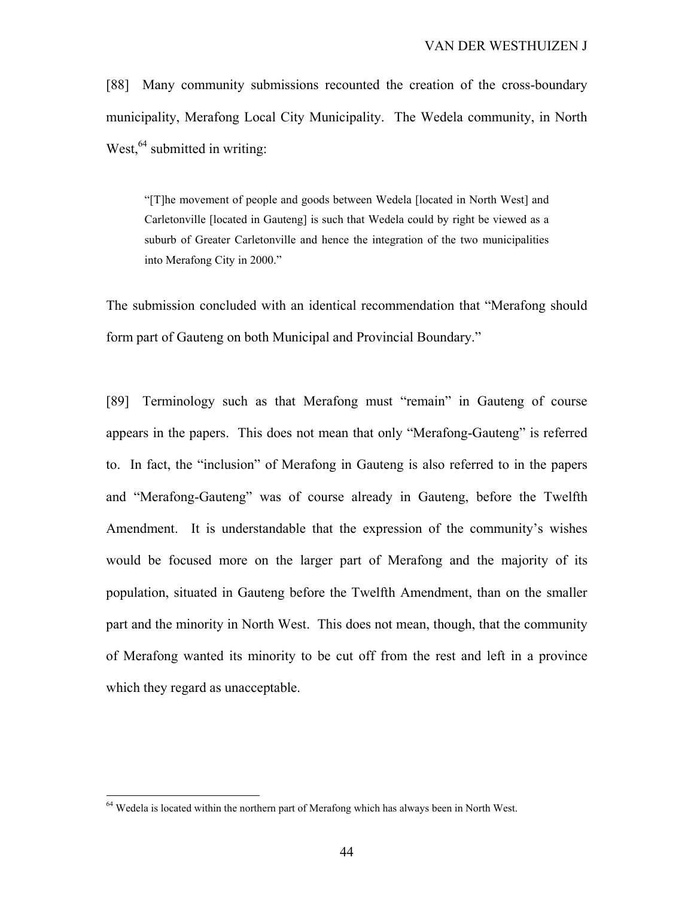[88] Many community submissions recounted the creation of the cross-boundary municipality, Merafong Local City Municipality. The Wedela community, in North West,  $64$  submitted in writing:

"[T]he movement of people and goods between Wedela [located in North West] and Carletonville [located in Gauteng] is such that Wedela could by right be viewed as a suburb of Greater Carletonville and hence the integration of the two municipalities into Merafong City in 2000."

The submission concluded with an identical recommendation that "Merafong should form part of Gauteng on both Municipal and Provincial Boundary."

[89] Terminology such as that Merafong must "remain" in Gauteng of course appears in the papers. This does not mean that only "Merafong-Gauteng" is referred to. In fact, the "inclusion" of Merafong in Gauteng is also referred to in the papers and "Merafong-Gauteng" was of course already in Gauteng, before the Twelfth Amendment. It is understandable that the expression of the community's wishes would be focused more on the larger part of Merafong and the majority of its population, situated in Gauteng before the Twelfth Amendment, than on the smaller part and the minority in North West. This does not mean, though, that the community of Merafong wanted its minority to be cut off from the rest and left in a province which they regard as unacceptable.

 $64$  Wedela is located within the northern part of Merafong which has always been in North West.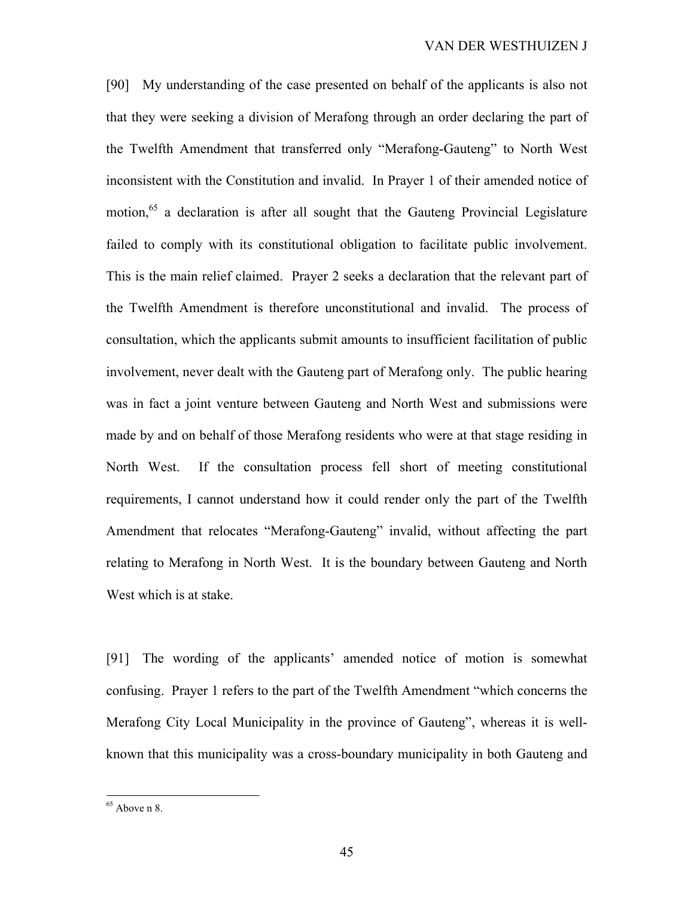[90] My understanding of the case presented on behalf of the applicants is also not that they were seeking a division of Merafong through an order declaring the part of the Twelfth Amendment that transferred only "Merafong-Gauteng" to North West inconsistent with the Constitution and invalid. In Prayer 1 of their amended notice of motion,<sup>65</sup> a declaration is after all sought that the Gauteng Provincial Legislature failed to comply with its constitutional obligation to facilitate public involvement. This is the main relief claimed. Prayer 2 seeks a declaration that the relevant part of the Twelfth Amendment is therefore unconstitutional and invalid. The process of consultation, which the applicants submit amounts to insufficient facilitation of public involvement, never dealt with the Gauteng part of Merafong only. The public hearing was in fact a joint venture between Gauteng and North West and submissions were made by and on behalf of those Merafong residents who were at that stage residing in North West. If the consultation process fell short of meeting constitutional requirements, I cannot understand how it could render only the part of the Twelfth Amendment that relocates "Merafong-Gauteng" invalid, without affecting the part relating to Merafong in North West. It is the boundary between Gauteng and North West which is at stake.

[91] The wording of the applicants' amended notice of motion is somewhat confusing. Prayer 1 refers to the part of the Twelfth Amendment "which concerns the Merafong City Local Municipality in the province of Gauteng", whereas it is wellknown that this municipality was a cross-boundary municipality in both Gauteng and

 $65$  Above n 8.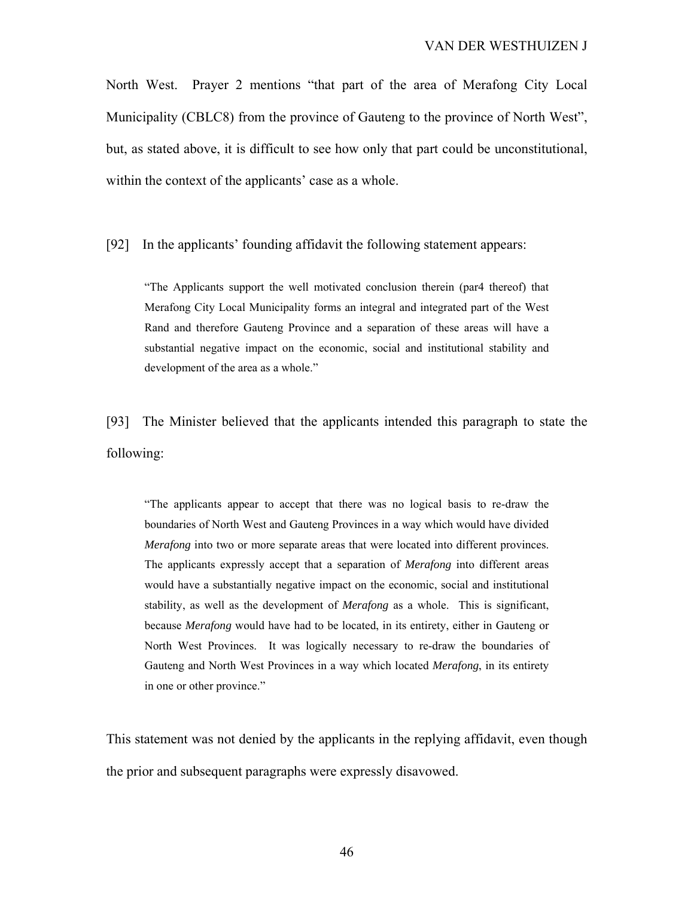North West. Prayer 2 mentions "that part of the area of Merafong City Local Municipality (CBLC8) from the province of Gauteng to the province of North West", but, as stated above, it is difficult to see how only that part could be unconstitutional, within the context of the applicants' case as a whole.

[92] In the applicants' founding affidavit the following statement appears:

"The Applicants support the well motivated conclusion therein (par4 thereof) that Merafong City Local Municipality forms an integral and integrated part of the West Rand and therefore Gauteng Province and a separation of these areas will have a substantial negative impact on the economic, social and institutional stability and development of the area as a whole."

[93] The Minister believed that the applicants intended this paragraph to state the following:

"The applicants appear to accept that there was no logical basis to re-draw the boundaries of North West and Gauteng Provinces in a way which would have divided *Merafong* into two or more separate areas that were located into different provinces. The applicants expressly accept that a separation of *Merafong* into different areas would have a substantially negative impact on the economic, social and institutional stability, as well as the development of *Merafong* as a whole. This is significant, because *Merafong* would have had to be located, in its entirety, either in Gauteng or North West Provinces. It was logically necessary to re-draw the boundaries of Gauteng and North West Provinces in a way which located *Merafong*, in its entirety in one or other province."

This statement was not denied by the applicants in the replying affidavit, even though the prior and subsequent paragraphs were expressly disavowed.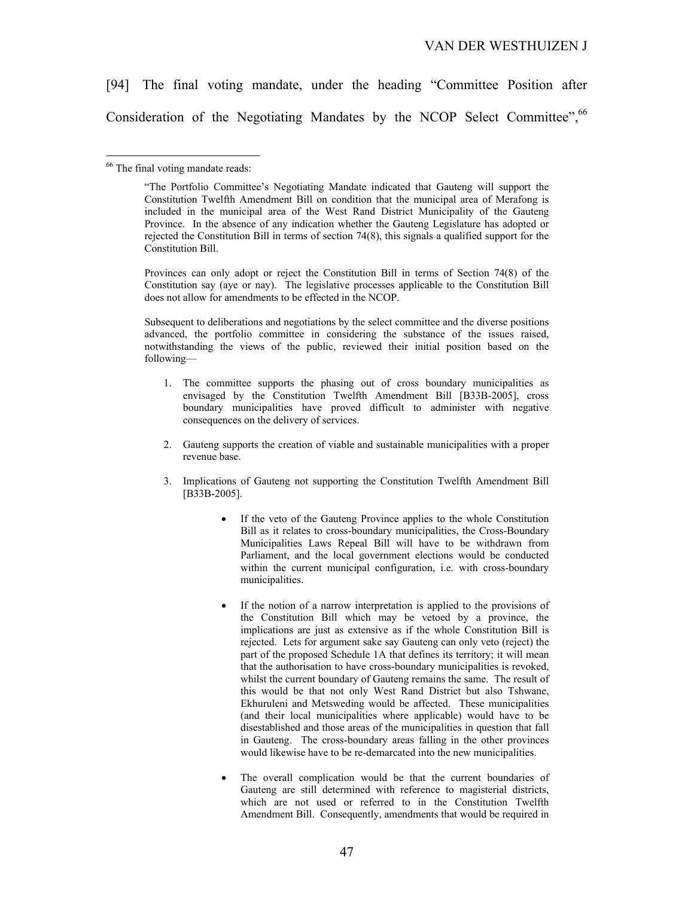[94] The final voting mandate, under the heading "Committee Position after Consideration of the Negotiating Mandates by the NCOP Select Committee", 66

 $\overline{a}$ 

Provinces can only adopt or reject the Constitution Bill in terms of Section 74(8) of the Constitution say (aye or nay). The legislative processes applicable to the Constitution Bill does not allow for amendments to be effected in the NCOP.

Subsequent to deliberations and negotiations by the select committee and the diverse positions advanced, the portfolio committee in considering the substance of the issues raised, notwithstanding the views of the public, reviewed their initial position based on the following—

- 1. The committee supports the phasing out of cross boundary municipalities as envisaged by the Constitution Twelfth Amendment Bill [B33B-2005], cross boundary municipalities have proved difficult to administer with negative consequences on the delivery of services.
- 2. Gauteng supports the creation of viable and sustainable municipalities with a proper revenue base.
- 3. Implications of Gauteng not supporting the Constitution Twelfth Amendment Bill [B33B-2005].
	- If the veto of the Gauteng Province applies to the whole Constitution Bill as it relates to cross-boundary municipalities, the Cross-Boundary Municipalities Laws Repeal Bill will have to be withdrawn from Parliament, and the local government elections would be conducted within the current municipal configuration, i.e. with cross-boundary municipalities.
	- If the notion of a narrow interpretation is applied to the provisions of the Constitution Bill which may be vetoed by a province, the implications are just as extensive as if the whole Constitution Bill is rejected. Lets for argument sake say Gauteng can only veto (reject) the part of the proposed Schedule 1A that defines its territory; it will mean that the authorisation to have cross-boundary municipalities is revoked, whilst the current boundary of Gauteng remains the same. The result of this would be that not only West Rand District but also Tshwane, Ekhuruleni and Metsweding would be affected. These municipalities (and their local municipalities where applicable) would have to be disestablished and those areas of the municipalities in question that fall in Gauteng. The cross-boundary areas falling in the other provinces would likewise have to be re-demarcated into the new municipalities.
	- The overall complication would be that the current boundaries of Gauteng are still determined with reference to magisterial districts, which are not used or referred to in the Constitution Twelfth Amendment Bill. Consequently, amendments that would be required in

<sup>&</sup>lt;sup>66</sup> The final voting mandate reads:

<sup>&</sup>quot;The Portfolio Committee's Negotiating Mandate indicated that Gauteng will support the Constitution Twelfth Amendment Bill on condition that the municipal area of Merafong is included in the municipal area of the West Rand District Municipality of the Gauteng Province. In the absence of any indication whether the Gauteng Legislature has adopted or rejected the Constitution Bill in terms of section 74(8), this signals a qualified support for the Constitution Bill.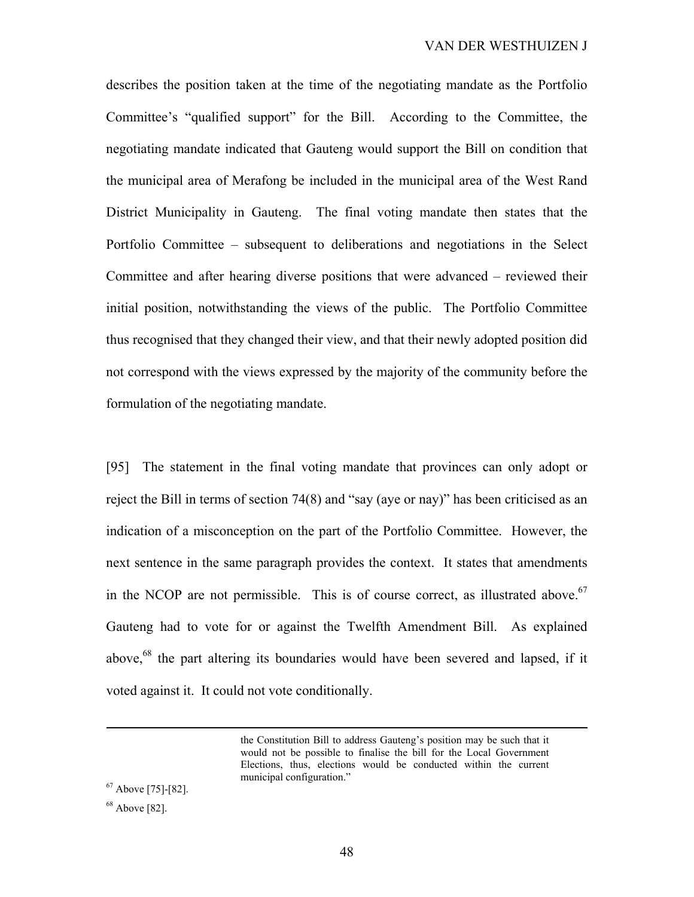describes the position taken at the time of the negotiating mandate as the Portfolio Committee's "qualified support" for the Bill. According to the Committee, the negotiating mandate indicated that Gauteng would support the Bill on condition that the municipal area of Merafong be included in the municipal area of the West Rand District Municipality in Gauteng. The final voting mandate then states that the Portfolio Committee – subsequent to deliberations and negotiations in the Select Committee and after hearing diverse positions that were advanced – reviewed their initial position, notwithstanding the views of the public. The Portfolio Committee thus recognised that they changed their view, and that their newly adopted position did not correspond with the views expressed by the majority of the community before the formulation of the negotiating mandate.

[95] The statement in the final voting mandate that provinces can only adopt or reject the Bill in terms of section 74(8) and "say (aye or nay)" has been criticised as an indication of a misconception on the part of the Portfolio Committee. However, the next sentence in the same paragraph provides the context. It states that amendments in the NCOP are not permissible. This is of course correct, as illustrated above.<sup>67</sup> Gauteng had to vote for or against the Twelfth Amendment Bill. As explained above,<sup>68</sup> the part altering its boundaries would have been severed and lapsed, if it voted against it. It could not vote conditionally.

 the Constitution Bill to address Gauteng's position may be such that it would not be possible to finalise the bill for the Local Government Elections, thus, elections would be conducted within the current <sup>67</sup> Above [75]-[82]. municipal configuration."

 $68$  Above [82].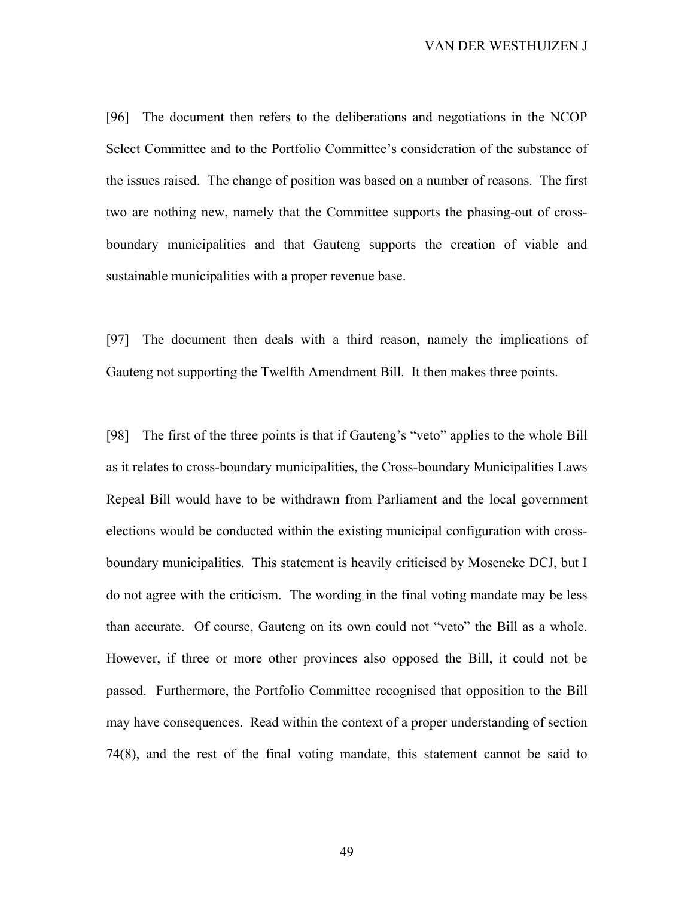[96] The document then refers to the deliberations and negotiations in the NCOP Select Committee and to the Portfolio Committee's consideration of the substance of the issues raised. The change of position was based on a number of reasons. The first two are nothing new, namely that the Committee supports the phasing-out of crossboundary municipalities and that Gauteng supports the creation of viable and sustainable municipalities with a proper revenue base.

[97] The document then deals with a third reason, namely the implications of Gauteng not supporting the Twelfth Amendment Bill. It then makes three points.

[98] The first of the three points is that if Gauteng's "veto" applies to the whole Bill as it relates to cross-boundary municipalities, the Cross-boundary Municipalities Laws Repeal Bill would have to be withdrawn from Parliament and the local government elections would be conducted within the existing municipal configuration with crossboundary municipalities. This statement is heavily criticised by Moseneke DCJ, but I do not agree with the criticism. The wording in the final voting mandate may be less than accurate. Of course, Gauteng on its own could not "veto" the Bill as a whole. However, if three or more other provinces also opposed the Bill, it could not be passed. Furthermore, the Portfolio Committee recognised that opposition to the Bill may have consequences. Read within the context of a proper understanding of section 74(8), and the rest of the final voting mandate, this statement cannot be said to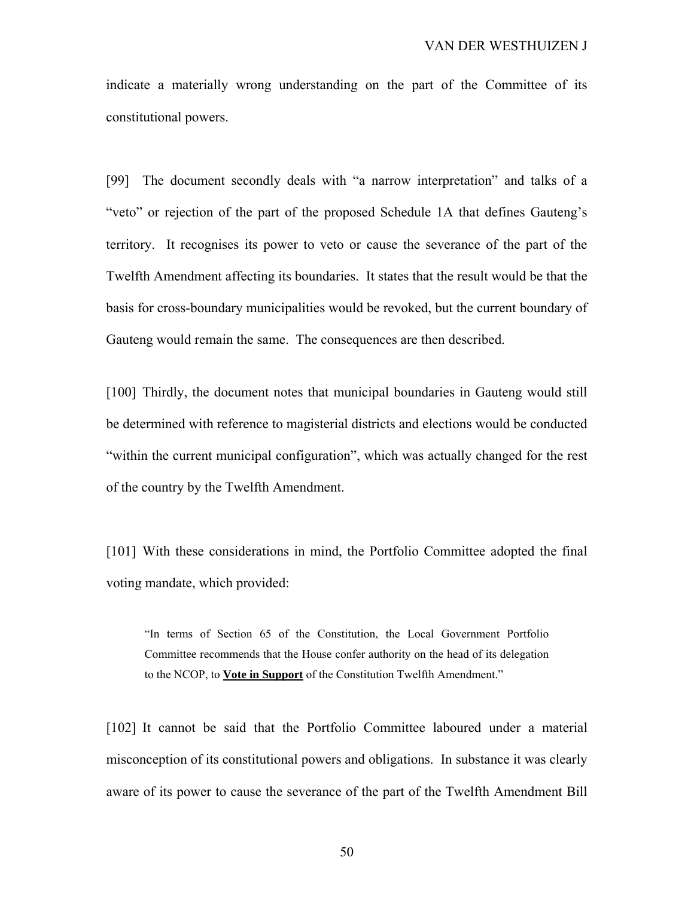indicate a materially wrong understanding on the part of the Committee of its constitutional powers.

[99] The document secondly deals with "a narrow interpretation" and talks of a "veto" or rejection of the part of the proposed Schedule 1A that defines Gauteng's territory. It recognises its power to veto or cause the severance of the part of the Twelfth Amendment affecting its boundaries. It states that the result would be that the basis for cross-boundary municipalities would be revoked, but the current boundary of Gauteng would remain the same. The consequences are then described.

[100] Thirdly, the document notes that municipal boundaries in Gauteng would still be determined with reference to magisterial districts and elections would be conducted "within the current municipal configuration", which was actually changed for the rest of the country by the Twelfth Amendment.

[101] With these considerations in mind, the Portfolio Committee adopted the final voting mandate, which provided:

"In terms of Section 65 of the Constitution, the Local Government Portfolio Committee recommends that the House confer authority on the head of its delegation to the NCOP, to **Vote in Support** of the Constitution Twelfth Amendment."

[102] It cannot be said that the Portfolio Committee laboured under a material misconception of its constitutional powers and obligations. In substance it was clearly aware of its power to cause the severance of the part of the Twelfth Amendment Bill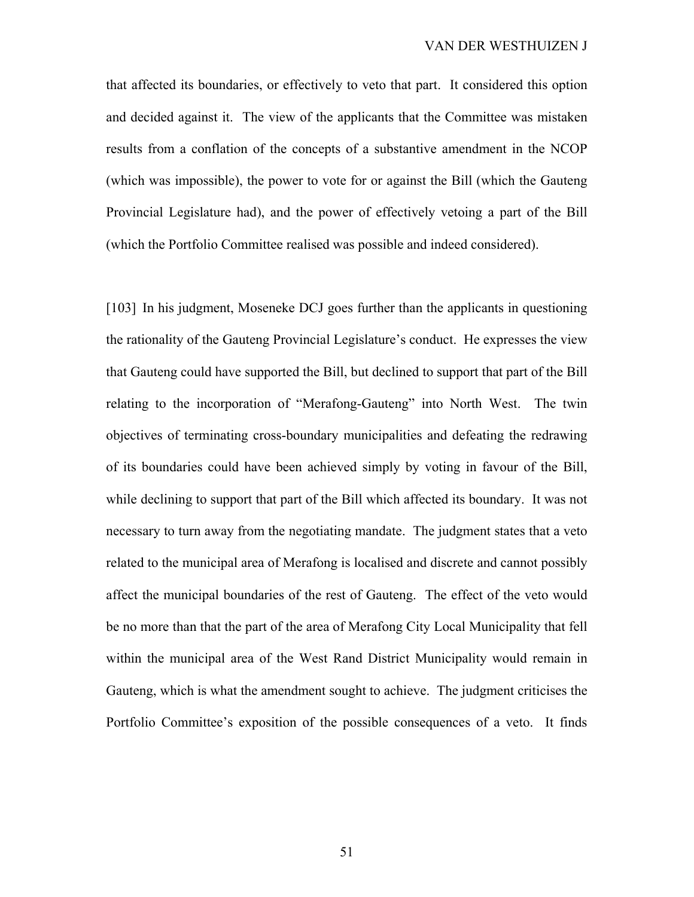that affected its boundaries, or effectively to veto that part. It considered this option and decided against it. The view of the applicants that the Committee was mistaken results from a conflation of the concepts of a substantive amendment in the NCOP (which was impossible), the power to vote for or against the Bill (which the Gauteng Provincial Legislature had), and the power of effectively vetoing a part of the Bill (which the Portfolio Committee realised was possible and indeed considered).

[103] In his judgment, Moseneke DCJ goes further than the applicants in questioning the rationality of the Gauteng Provincial Legislature's conduct. He expresses the view that Gauteng could have supported the Bill, but declined to support that part of the Bill relating to the incorporation of "Merafong-Gauteng" into North West. The twin objectives of terminating cross-boundary municipalities and defeating the redrawing of its boundaries could have been achieved simply by voting in favour of the Bill, while declining to support that part of the Bill which affected its boundary. It was not necessary to turn away from the negotiating mandate. The judgment states that a veto related to the municipal area of Merafong is localised and discrete and cannot possibly affect the municipal boundaries of the rest of Gauteng. The effect of the veto would be no more than that the part of the area of Merafong City Local Municipality that fell within the municipal area of the West Rand District Municipality would remain in Gauteng, which is what the amendment sought to achieve. The judgment criticises the Portfolio Committee's exposition of the possible consequences of a veto. It finds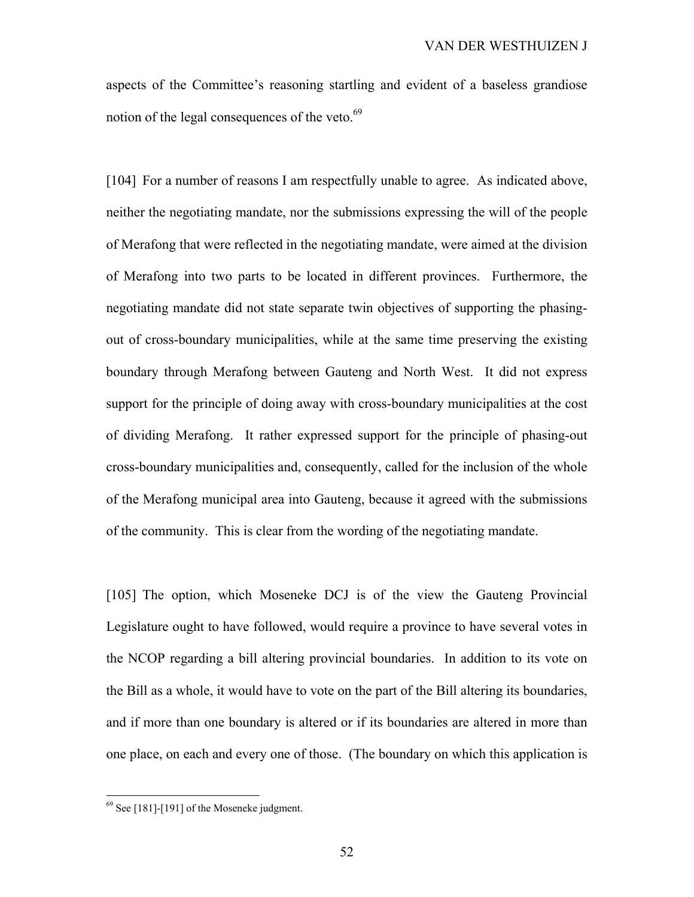aspects of the Committee's reasoning startling and evident of a baseless grandiose notion of the legal consequences of the veto. $69$ 

[104] For a number of reasons I am respectfully unable to agree. As indicated above, neither the negotiating mandate, nor the submissions expressing the will of the people of Merafong that were reflected in the negotiating mandate, were aimed at the division of Merafong into two parts to be located in different provinces. Furthermore, the negotiating mandate did not state separate twin objectives of supporting the phasingout of cross-boundary municipalities, while at the same time preserving the existing boundary through Merafong between Gauteng and North West. It did not express support for the principle of doing away with cross-boundary municipalities at the cost of dividing Merafong. It rather expressed support for the principle of phasing-out cross-boundary municipalities and, consequently, called for the inclusion of the whole of the Merafong municipal area into Gauteng, because it agreed with the submissions of the community. This is clear from the wording of the negotiating mandate.

[105] The option, which Moseneke DCJ is of the view the Gauteng Provincial Legislature ought to have followed, would require a province to have several votes in the NCOP regarding a bill altering provincial boundaries. In addition to its vote on the Bill as a whole, it would have to vote on the part of the Bill altering its boundaries, and if more than one boundary is altered or if its boundaries are altered in more than one place, on each and every one of those. (The boundary on which this application is

 $69$  See [181]-[191] of the Moseneke judgment.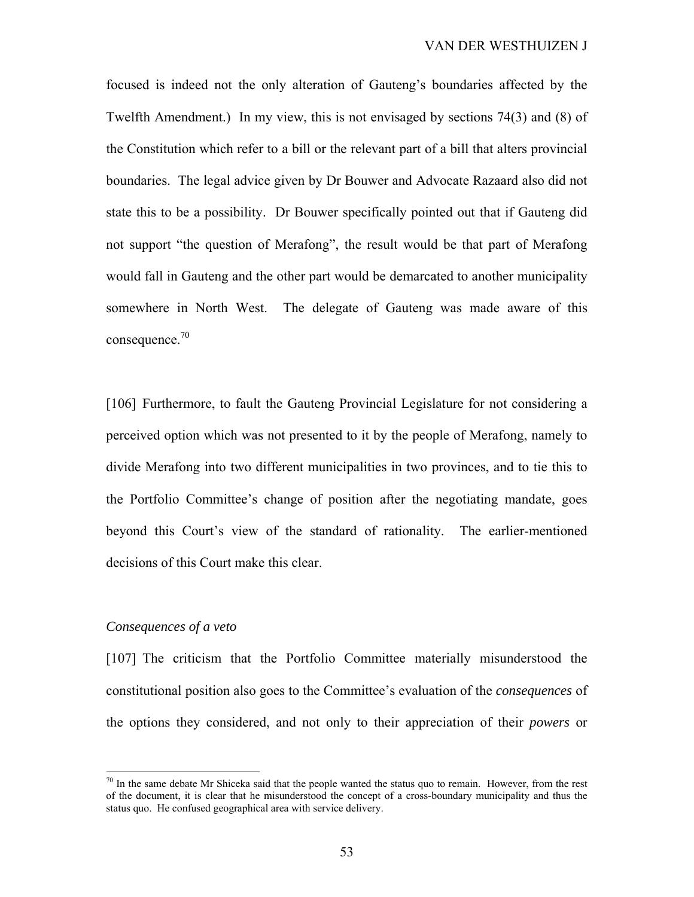focused is indeed not the only alteration of Gauteng's boundaries affected by the Twelfth Amendment.) In my view, this is not envisaged by sections 74(3) and (8) of the Constitution which refer to a bill or the relevant part of a bill that alters provincial boundaries. The legal advice given by Dr Bouwer and Advocate Razaard also did not state this to be a possibility. Dr Bouwer specifically pointed out that if Gauteng did not support "the question of Merafong", the result would be that part of Merafong would fall in Gauteng and the other part would be demarcated to another municipality somewhere in North West. The delegate of Gauteng was made aware of this consequence.70

[106] Furthermore, to fault the Gauteng Provincial Legislature for not considering a perceived option which was not presented to it by the people of Merafong, namely to divide Merafong into two different municipalities in two provinces, and to tie this to the Portfolio Committee's change of position after the negotiating mandate, goes beyond this Court's view of the standard of rationality. The earlier-mentioned decisions of this Court make this clear.

## *Consequences of a veto*

 $\overline{a}$ 

[107] The criticism that the Portfolio Committee materially misunderstood the constitutional position also goes to the Committee's evaluation of the *consequences* of the options they considered, and not only to their appreciation of their *powers* or

 $70$  In the same debate Mr Shiceka said that the people wanted the status quo to remain. However, from the rest of the document, it is clear that he misunderstood the concept of a cross-boundary municipality and thus the status quo. He confused geographical area with service delivery.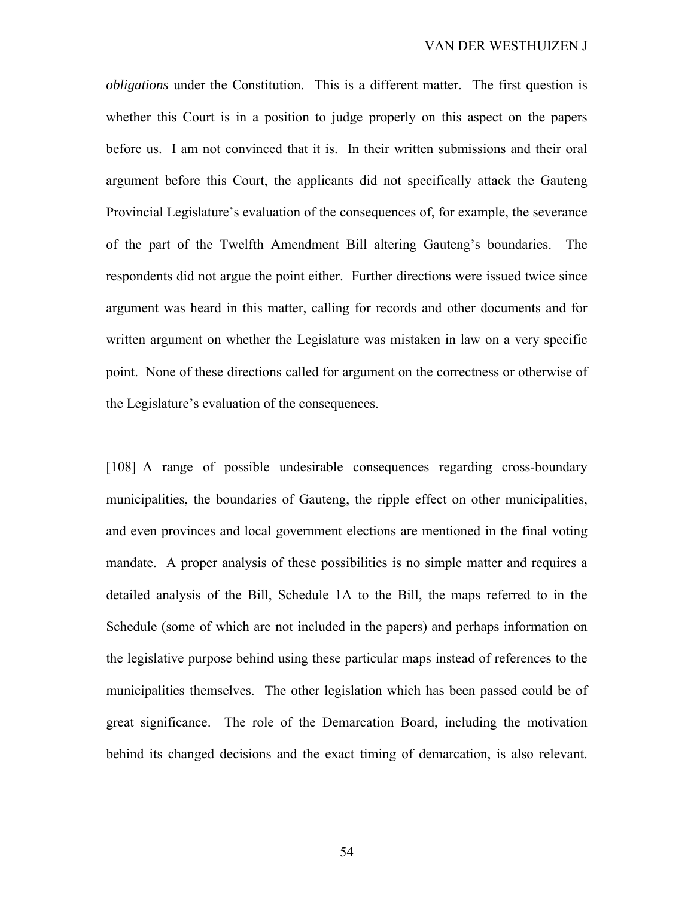*obligations* under the Constitution. This is a different matter. The first question is whether this Court is in a position to judge properly on this aspect on the papers before us. I am not convinced that it is. In their written submissions and their oral argument before this Court, the applicants did not specifically attack the Gauteng Provincial Legislature's evaluation of the consequences of, for example, the severance of the part of the Twelfth Amendment Bill altering Gauteng's boundaries. The respondents did not argue the point either. Further directions were issued twice since argument was heard in this matter, calling for records and other documents and for written argument on whether the Legislature was mistaken in law on a very specific point. None of these directions called for argument on the correctness or otherwise of the Legislature's evaluation of the consequences.

[108] A range of possible undesirable consequences regarding cross-boundary municipalities, the boundaries of Gauteng, the ripple effect on other municipalities, and even provinces and local government elections are mentioned in the final voting mandate. A proper analysis of these possibilities is no simple matter and requires a detailed analysis of the Bill, Schedule 1A to the Bill, the maps referred to in the Schedule (some of which are not included in the papers) and perhaps information on the legislative purpose behind using these particular maps instead of references to the municipalities themselves. The other legislation which has been passed could be of great significance. The role of the Demarcation Board, including the motivation behind its changed decisions and the exact timing of demarcation, is also relevant.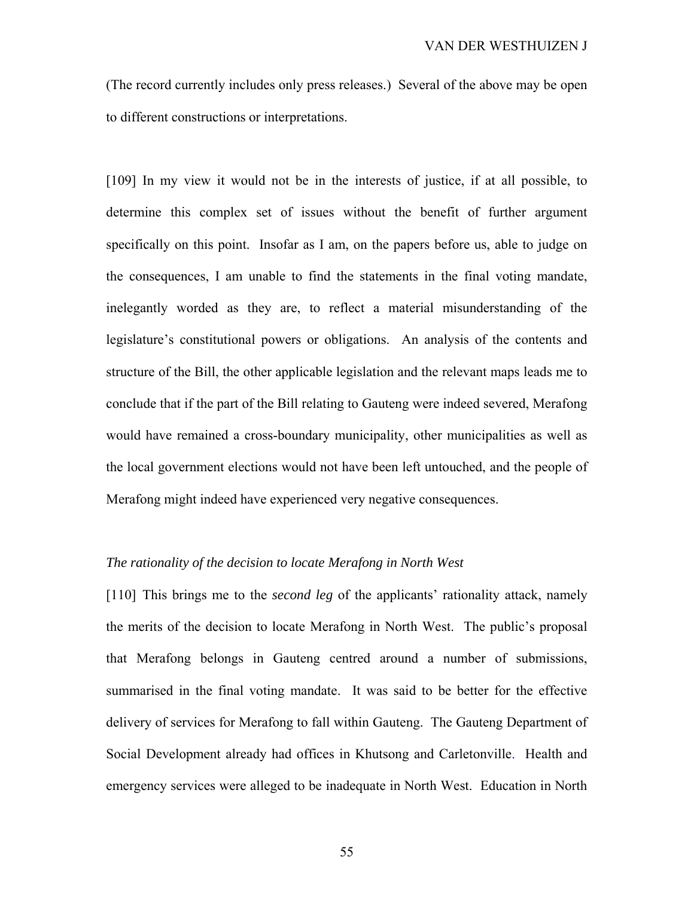(The record currently includes only press releases.) Several of the above may be open to different constructions or interpretations.

[109] In my view it would not be in the interests of justice, if at all possible, to determine this complex set of issues without the benefit of further argument specifically on this point. Insofar as I am, on the papers before us, able to judge on the consequences, I am unable to find the statements in the final voting mandate, inelegantly worded as they are, to reflect a material misunderstanding of the legislature's constitutional powers or obligations. An analysis of the contents and structure of the Bill, the other applicable legislation and the relevant maps leads me to conclude that if the part of the Bill relating to Gauteng were indeed severed, Merafong would have remained a cross-boundary municipality, other municipalities as well as the local government elections would not have been left untouched, and the people of Merafong might indeed have experienced very negative consequences.

### *The rationality of the decision to locate Merafong in North West*

[110] This brings me to the *second leg* of the applicants' rationality attack, namely the merits of the decision to locate Merafong in North West. The public's proposal that Merafong belongs in Gauteng centred around a number of submissions, summarised in the final voting mandate. It was said to be better for the effective delivery of services for Merafong to fall within Gauteng. The Gauteng Department of Social Development already had offices in Khutsong and Carletonville. Health and emergency services were alleged to be inadequate in North West. Education in North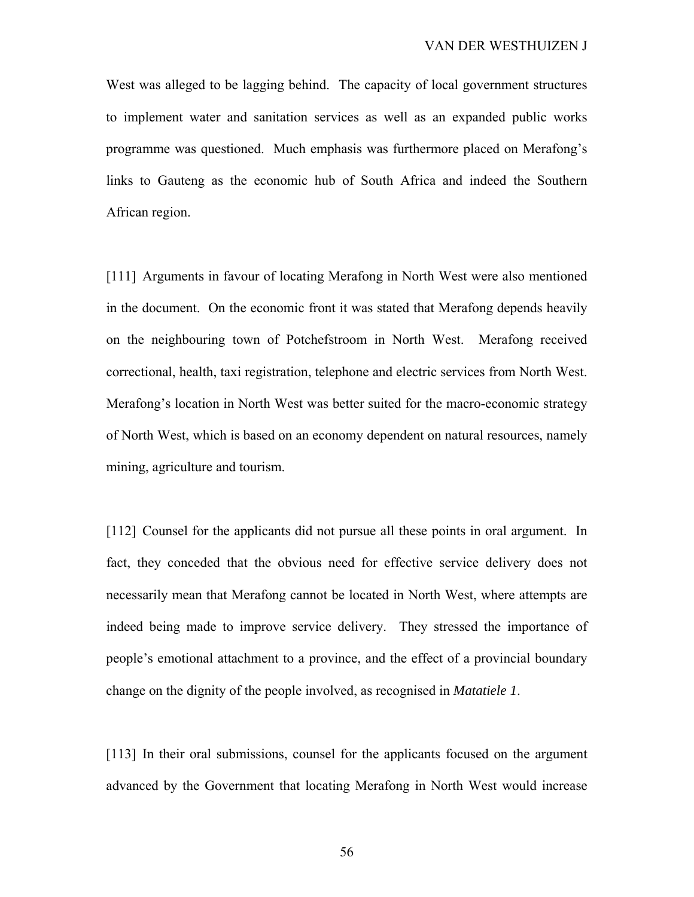West was alleged to be lagging behind. The capacity of local government structures to implement water and sanitation services as well as an expanded public works programme was questioned. Much emphasis was furthermore placed on Merafong's links to Gauteng as the economic hub of South Africa and indeed the Southern African region.

[111] Arguments in favour of locating Merafong in North West were also mentioned in the document. On the economic front it was stated that Merafong depends heavily on the neighbouring town of Potchefstroom in North West. Merafong received correctional, health, taxi registration, telephone and electric services from North West. Merafong's location in North West was better suited for the macro-economic strategy of North West, which is based on an economy dependent on natural resources, namely mining, agriculture and tourism.

[112] Counsel for the applicants did not pursue all these points in oral argument. In fact, they conceded that the obvious need for effective service delivery does not necessarily mean that Merafong cannot be located in North West, where attempts are indeed being made to improve service delivery. They stressed the importance of people's emotional attachment to a province, and the effect of a provincial boundary change on the dignity of the people involved, as recognised in *Matatiele 1*.

[113] In their oral submissions, counsel for the applicants focused on the argument advanced by the Government that locating Merafong in North West would increase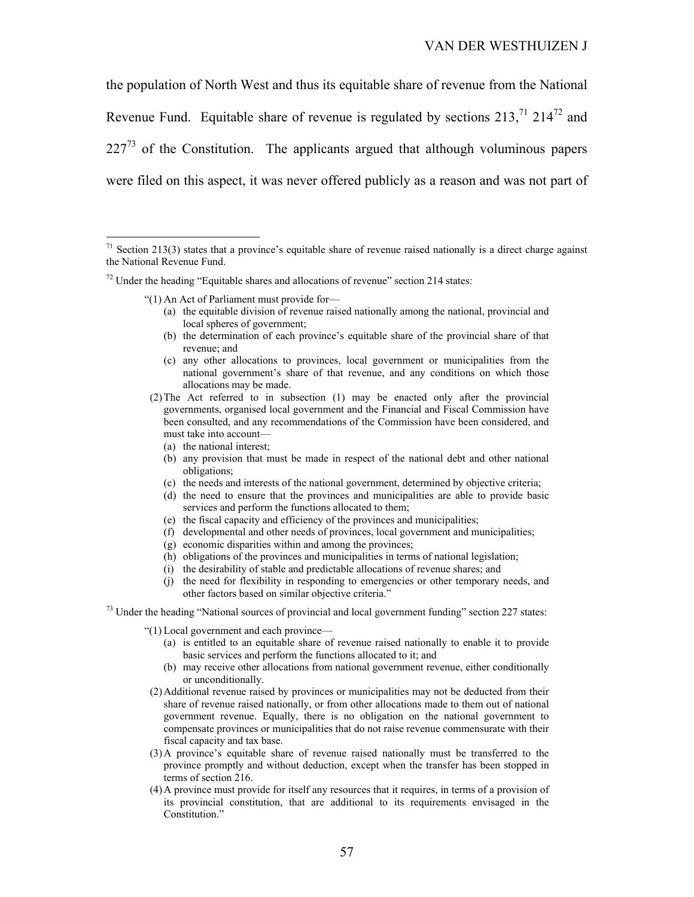the population of North West and thus its equitable share of revenue from the National Revenue Fund. Equitable share of revenue is regulated by sections  $213$ ,  $71$   $214$  $72$  and  $227<sup>73</sup>$  of the Constitution. The applicants argued that although voluminous papers were filed on this aspect, it was never offered publicly as a reason and was not part of

"(1) An Act of Parliament must provide for—

 $\overline{a}$ 

- (a) the equitable division of revenue raised nationally among the national, provincial and local spheres of government;
- (b) the determination of each province's equitable share of the provincial share of that revenue; and
- (c) any other allocations to provinces, local government or municipalities from the national government's share of that revenue, and any conditions on which those allocations may be made.
- (2) The Act referred to in subsection (1) may be enacted only after the provincial governments, organised local government and the Financial and Fiscal Commission have been consulted, and any recommendations of the Commission have been considered, and must take into account—
	- (a) the national interest;
	- (b) any provision that must be made in respect of the national debt and other national obligations;
	- (c) the needs and interests of the national government, determined by objective criteria;
	- (d) the need to ensure that the provinces and municipalities are able to provide basic services and perform the functions allocated to them;
	- (e) the fiscal capacity and efficiency of the provinces and municipalities;
	- (f) developmental and other needs of provinces, local government and municipalities;
	- (g) economic disparities within and among the provinces;
	- (h) obligations of the provinces and municipalities in terms of national legislation;
	- (i) the desirability of stable and predictable allocations of revenue shares; and
	- (j) the need for flexibility in responding to emergencies or other temporary needs, and other factors based on similar objective criteria."

 $^{73}$  Under the heading "National sources of provincial and local government funding" section 227 states:

- "(1) Local government and each province—
	- (a) is entitled to an equitable share of revenue raised nationally to enable it to provide basic services and perform the functions allocated to it; and
	- (b) may receive other allocations from national government revenue, either conditionally or unconditionally.
- (2) Additional revenue raised by provinces or municipalities may not be deducted from their share of revenue raised nationally, or from other allocations made to them out of national government revenue. Equally, there is no obligation on the national government to compensate provinces or municipalities that do not raise revenue commensurate with their fiscal capacity and tax base.
- (3) A province's equitable share of revenue raised nationally must be transferred to the province promptly and without deduction, except when the transfer has been stopped in terms of section 216.
- (4) A province must provide for itself any resources that it requires, in terms of a provision of its provincial constitution, that are additional to its requirements envisaged in the Constitution."

 $71$  Section 213(3) states that a province's equitable share of revenue raised nationally is a direct charge against the National Revenue Fund.

 $72$  Under the heading "Equitable shares and allocations of revenue" section 214 states: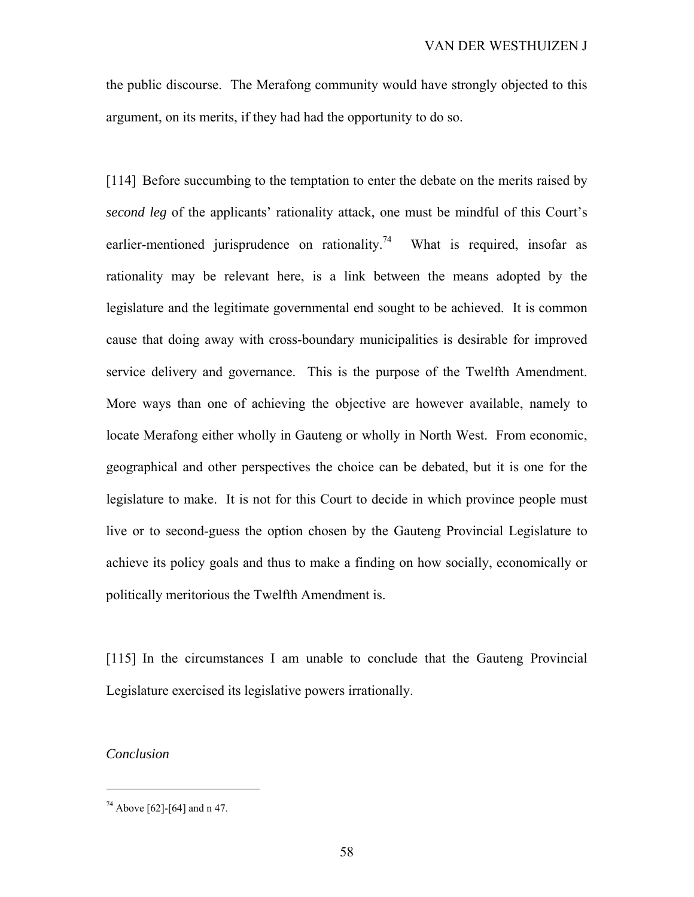the public discourse. The Merafong community would have strongly objected to this argument, on its merits, if they had had the opportunity to do so.

[114] Before succumbing to the temptation to enter the debate on the merits raised by *second leg* of the applicants' rationality attack, one must be mindful of this Court's earlier-mentioned jurisprudence on rationality.<sup>74</sup> What is required, insofar as rationality may be relevant here, is a link between the means adopted by the legislature and the legitimate governmental end sought to be achieved. It is common cause that doing away with cross-boundary municipalities is desirable for improved service delivery and governance. This is the purpose of the Twelfth Amendment. More ways than one of achieving the objective are however available, namely to locate Merafong either wholly in Gauteng or wholly in North West. From economic, geographical and other perspectives the choice can be debated, but it is one for the legislature to make. It is not for this Court to decide in which province people must live or to second-guess the option chosen by the Gauteng Provincial Legislature to achieve its policy goals and thus to make a finding on how socially, economically or politically meritorious the Twelfth Amendment is.

[115] In the circumstances I am unable to conclude that the Gauteng Provincial Legislature exercised its legislative powers irrationally.

# *Conclusion*

 $74$  Above [62]-[64] and n 47.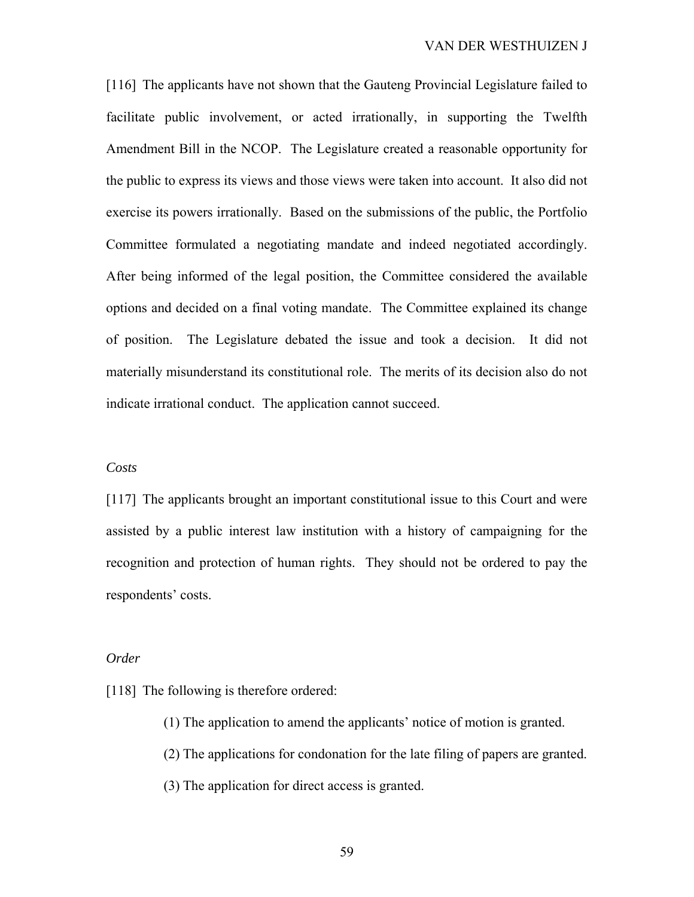[116] The applicants have not shown that the Gauteng Provincial Legislature failed to facilitate public involvement, or acted irrationally, in supporting the Twelfth Amendment Bill in the NCOP. The Legislature created a reasonable opportunity for the public to express its views and those views were taken into account. It also did not exercise its powers irrationally. Based on the submissions of the public, the Portfolio Committee formulated a negotiating mandate and indeed negotiated accordingly. After being informed of the legal position, the Committee considered the available options and decided on a final voting mandate. The Committee explained its change of position. The Legislature debated the issue and took a decision. It did not materially misunderstand its constitutional role. The merits of its decision also do not indicate irrational conduct. The application cannot succeed.

# *Costs*

[117] The applicants brought an important constitutional issue to this Court and were assisted by a public interest law institution with a history of campaigning for the recognition and protection of human rights. They should not be ordered to pay the respondents' costs.

### *Order*

[118] The following is therefore ordered:

- (1) The application to amend the applicants' notice of motion is granted.
- (2) The applications for condonation for the late filing of papers are granted.
- (3) The application for direct access is granted.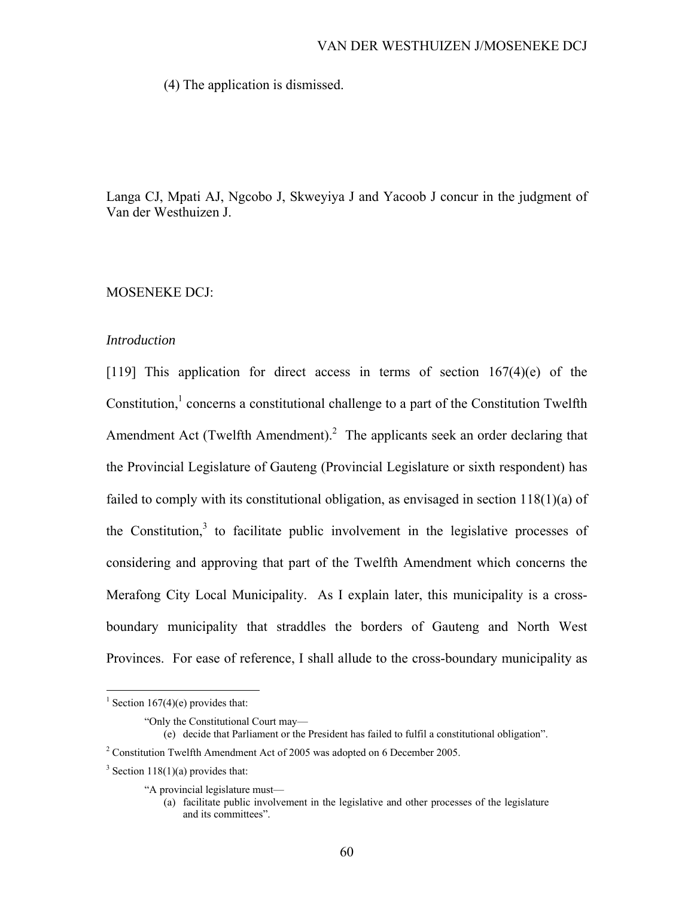(4) The application is dismissed.

Langa CJ, Mpati AJ, Ngcobo J, Skweyiya J and Yacoob J concur in the judgment of Van der Westhuizen J.

### MOSENEKE DCJ:

#### *Introduction*

[119] This application for direct access in terms of section  $167(4)(e)$  of the Constitution, $<sup>1</sup>$  concerns a constitutional challenge to a part of the Constitution Twelfth</sup> Amendment Act (Twelfth Amendment).<sup>2</sup> The applicants seek an order declaring that the Provincial Legislature of Gauteng (Provincial Legislature or sixth respondent) has failed to comply with its constitutional obligation, as envisaged in section 118(1)(a) of the Constitution, $3$  to facilitate public involvement in the legislative processes of considering and approving that part of the Twelfth Amendment which concerns the Merafong City Local Municipality. As I explain later, this municipality is a crossboundary municipality that straddles the borders of Gauteng and North West Provinces. For ease of reference, I shall allude to the cross-boundary municipality as

 $\overline{a}$ 

<sup>&</sup>lt;sup>1</sup> Section 167(4)(e) provides that:

<sup>&</sup>quot;Only the Constitutional Court may—

<sup>(</sup>e) decide that Parliament or the President has failed to fulfil a constitutional obligation".

<sup>&</sup>lt;sup>2</sup> Constitution Twelfth Amendment Act of 2005 was adopted on 6 December 2005.

 $3$  Section 118(1)(a) provides that:

<sup>&</sup>quot;A provincial legislature must—

<sup>(</sup>a) facilitate public involvement in the legislative and other processes of the legislature and its committees".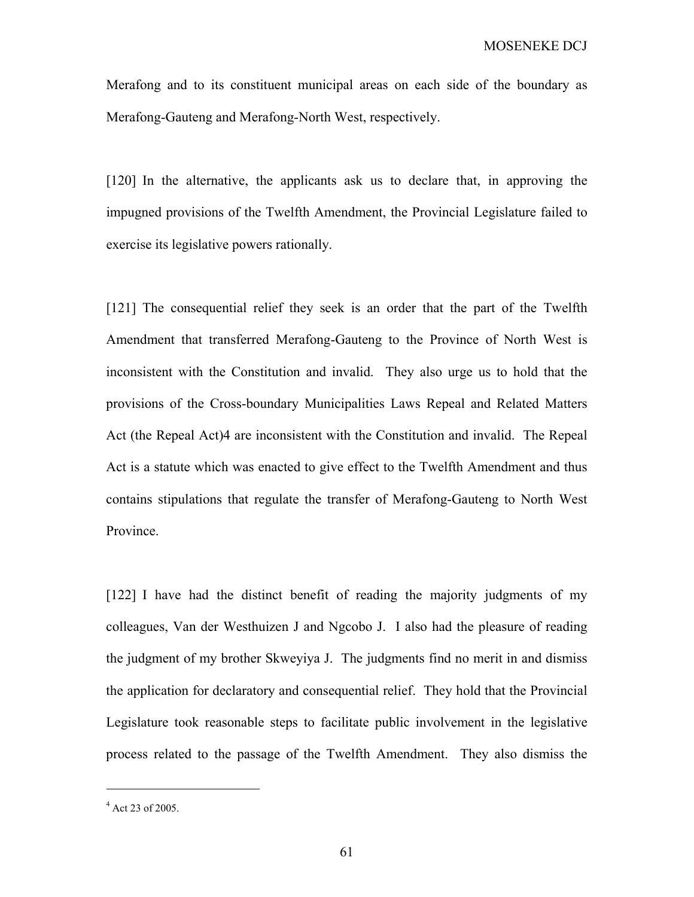Merafong and to its constituent municipal areas on each side of the boundary as Merafong-Gauteng and Merafong-North West, respectively.

[120] In the alternative, the applicants ask us to declare that, in approving the impugned provisions of the Twelfth Amendment, the Provincial Legislature failed to exercise its legislative powers rationally.

[121] The consequential relief they seek is an order that the part of the Twelfth Amendment that transferred Merafong-Gauteng to the Province of North West is inconsistent with the Constitution and invalid. They also urge us to hold that the provisions of the Cross-boundary Municipalities Laws Repeal and Related Matters Act (the Repeal Act)4 are inconsistent with the Constitution and invalid. The Repeal Act is a statute which was enacted to give effect to the Twelfth Amendment and thus contains stipulations that regulate the transfer of Merafong-Gauteng to North West Province.

[122] I have had the distinct benefit of reading the majority judgments of my colleagues, Van der Westhuizen J and Ngcobo J. I also had the pleasure of reading the judgment of my brother Skweyiya J. The judgments find no merit in and dismiss the application for declaratory and consequential relief. They hold that the Provincial Legislature took reasonable steps to facilitate public involvement in the legislative process related to the passage of the Twelfth Amendment. They also dismiss the

<sup>&</sup>lt;sup>4</sup> Act 23 of 2005.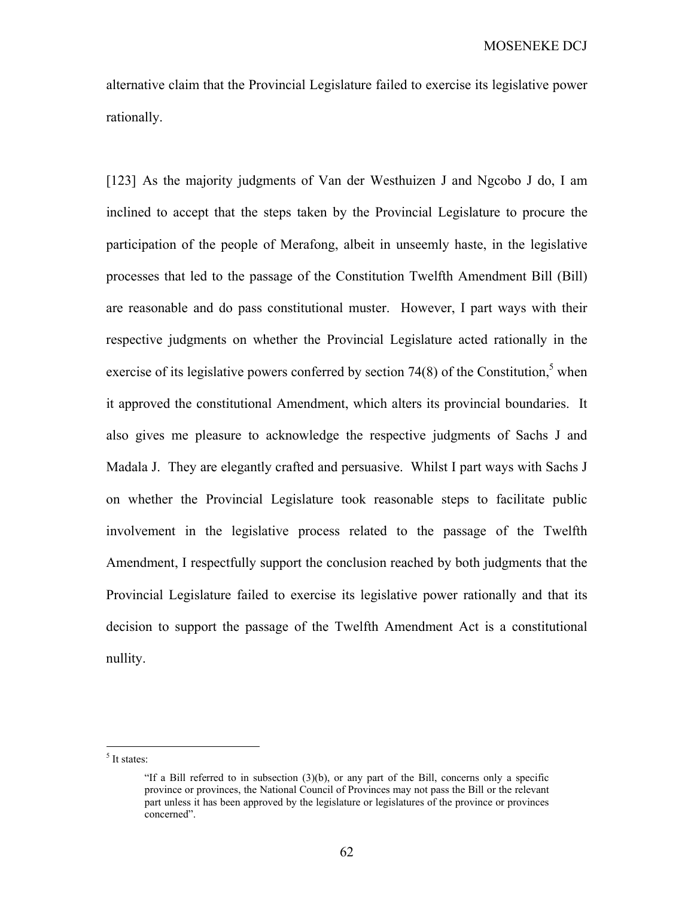alternative claim that the Provincial Legislature failed to exercise its legislative power rationally.

[123] As the majority judgments of Van der Westhuizen J and Ngcobo J do, I am inclined to accept that the steps taken by the Provincial Legislature to procure the participation of the people of Merafong, albeit in unseemly haste, in the legislative processes that led to the passage of the Constitution Twelfth Amendment Bill (Bill) are reasonable and do pass constitutional muster. However, I part ways with their respective judgments on whether the Provincial Legislature acted rationally in the exercise of its legislative powers conferred by section 74(8) of the Constitution,<sup>5</sup> when it approved the constitutional Amendment, which alters its provincial boundaries. It also gives me pleasure to acknowledge the respective judgments of Sachs J and Madala J. They are elegantly crafted and persuasive. Whilst I part ways with Sachs J on whether the Provincial Legislature took reasonable steps to facilitate public involvement in the legislative process related to the passage of the Twelfth Amendment, I respectfully support the conclusion reached by both judgments that the Provincial Legislature failed to exercise its legislative power rationally and that its decision to support the passage of the Twelfth Amendment Act is a constitutional nullity.

 $\frac{1}{5}$  It states:

<sup>&</sup>quot;If a Bill referred to in subsection  $(3)(b)$ , or any part of the Bill, concerns only a specific province or provinces, the National Council of Provinces may not pass the Bill or the relevant part unless it has been approved by the legislature or legislatures of the province or provinces concerned".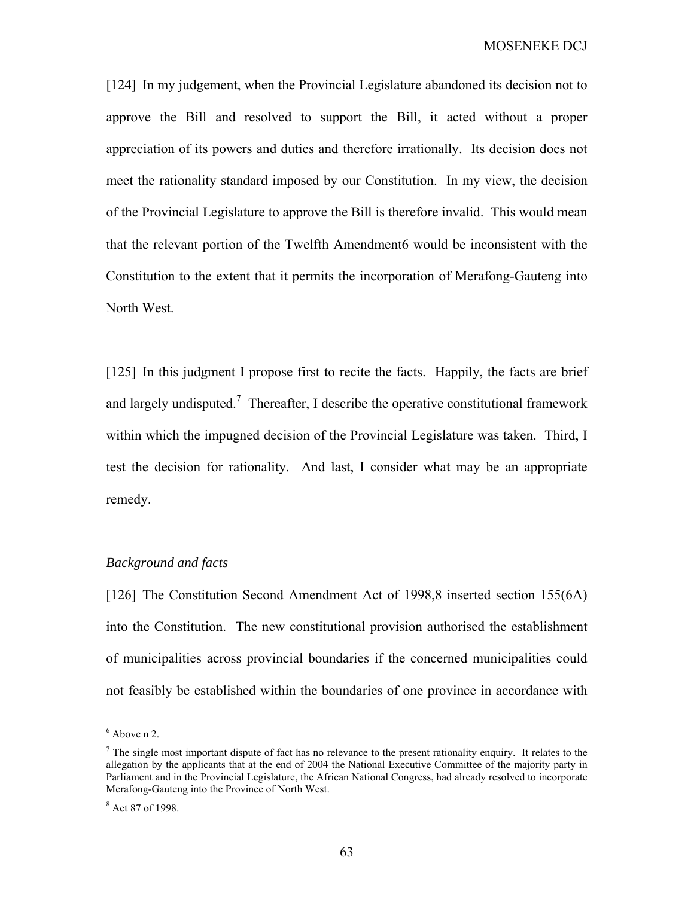[124] In my judgement, when the Provincial Legislature abandoned its decision not to approve the Bill and resolved to support the Bill, it acted without a proper appreciation of its powers and duties and therefore irrationally. Its decision does not meet the rationality standard imposed by our Constitution. In my view, the decision of the Provincial Legislature to approve the Bill is therefore invalid. This would mean that the relevant portion of the Twelfth Amendment6 would be inconsistent with the Constitution to the extent that it permits the incorporation of Merafong-Gauteng into North West.

[125] In this judgment I propose first to recite the facts. Happily, the facts are brief and largely undisputed.<sup>7</sup> Thereafter, I describe the operative constitutional framework within which the impugned decision of the Provincial Legislature was taken. Third, I test the decision for rationality. And last, I consider what may be an appropriate remedy.

# *Background and facts*

[126] The Constitution Second Amendment Act of 1998,8 inserted section 155(6A) into the Constitution. The new constitutional provision authorised the establishment of municipalities across provincial boundaries if the concerned municipalities could not feasibly be established within the boundaries of one province in accordance with

 $\overline{a}$ 

 $6$  Above n 2.

 $<sup>7</sup>$  The single most important dispute of fact has no relevance to the present rationality enquiry. It relates to the</sup> allegation by the applicants that at the end of 2004 the National Executive Committee of the majority party in Parliament and in the Provincial Legislature, the African National Congress, had already resolved to incorporate Merafong-Gauteng into the Province of North West.

<sup>8</sup> Act 87 of 1998.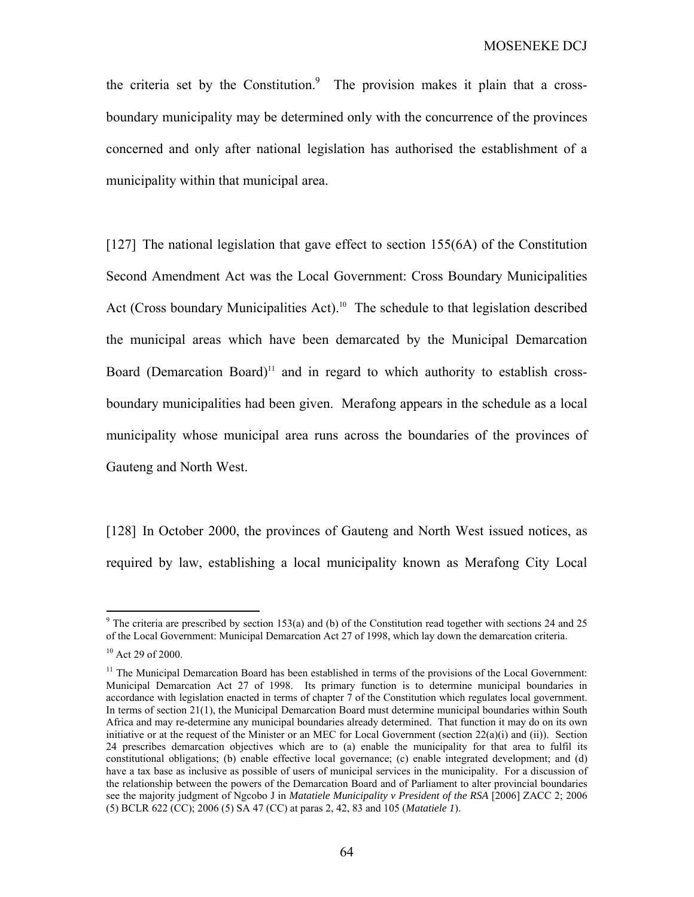the criteria set by the Constitution. $9$  The provision makes it plain that a crossboundary municipality may be determined only with the concurrence of the provinces concerned and only after national legislation has authorised the establishment of a municipality within that municipal area.

[127] The national legislation that gave effect to section 155(6A) of the Constitution Second Amendment Act was the Local Government: Cross Boundary Municipalities Act (Cross boundary Municipalities Act).<sup>10</sup> The schedule to that legislation described the municipal areas which have been demarcated by the Municipal Demarcation Board (Demarcation Board)<sup>11</sup> and in regard to which authority to establish crossboundary municipalities had been given. Merafong appears in the schedule as a local municipality whose municipal area runs across the boundaries of the provinces of Gauteng and North West.

[128] In October 2000, the provinces of Gauteng and North West issued notices, as required by law, establishing a local municipality known as Merafong City Local

<sup>&</sup>lt;sup>9</sup> The criteria are prescribed by section 153(a) and (b) of the Constitution read together with sections 24 and 25 of the Local Government: Municipal Demarcation Act 27 of 1998, which lay down the demarcation criteria.

<sup>10</sup> Act 29 of 2000.

 $<sup>11</sup>$  The Municipal Demarcation Board has been established in terms of the provisions of the Local Government:</sup> Municipal Demarcation Act 27 of 1998. Its primary function is to determine municipal boundaries in accordance with legislation enacted in terms of chapter 7 of the Constitution which regulates local government. In terms of section 21(1), the Municipal Demarcation Board must determine municipal boundaries within South Africa and may re-determine any municipal boundaries already determined. That function it may do on its own initiative or at the request of the Minister or an MEC for Local Government (section 22(a)(i) and (ii)). Section 24 prescribes demarcation objectives which are to (a) enable the municipality for that area to fulfil its constitutional obligations; (b) enable effective local governance; (c) enable integrated development; and (d) have a tax base as inclusive as possible of users of municipal services in the municipality. For a discussion of the relationship between the powers of the Demarcation Board and of Parliament to alter provincial boundaries see the majority judgment of Ngcobo J in *Matatiele Municipality v President of the RSA* [2006] ZACC 2; 2006 (5) BCLR 622 (CC); 2006 (5) SA 47 (CC) at paras 2, 42, 83 and 105 (*Matatiele 1*).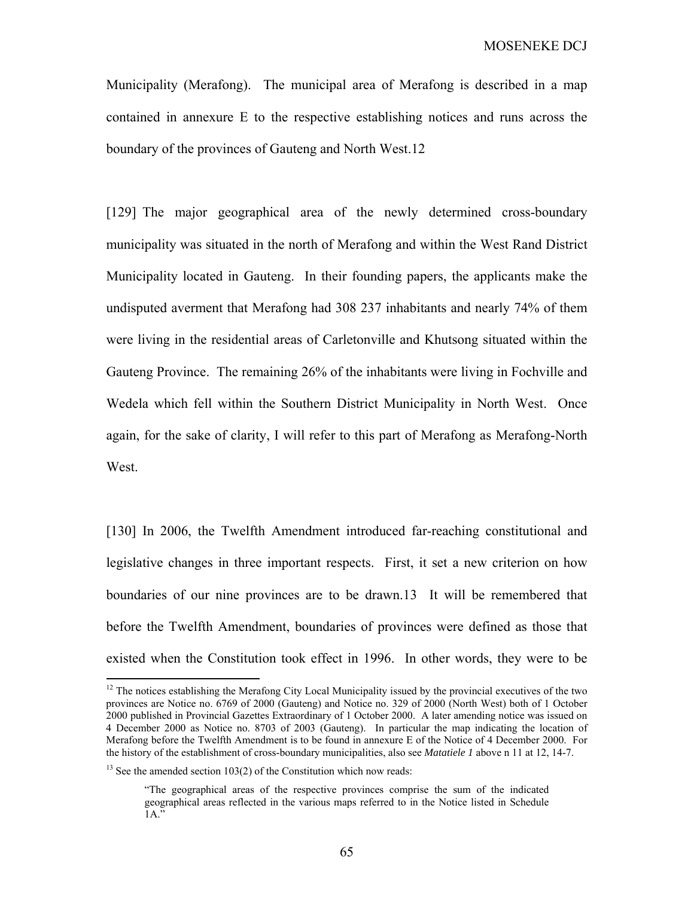Municipality (Merafong). The municipal area of Merafong is described in a map contained in annexure E to the respective establishing notices and runs across the boundary of the provinces of Gauteng and North West.12

[129] The major geographical area of the newly determined cross-boundary municipality was situated in the north of Merafong and within the West Rand District Municipality located in Gauteng. In their founding papers, the applicants make the undisputed averment that Merafong had 308 237 inhabitants and nearly 74% of them were living in the residential areas of Carletonville and Khutsong situated within the Gauteng Province. The remaining 26% of the inhabitants were living in Fochville and Wedela which fell within the Southern District Municipality in North West. Once again, for the sake of clarity, I will refer to this part of Merafong as Merafong-North West.

[130] In 2006, the Twelfth Amendment introduced far-reaching constitutional and legislative changes in three important respects. First, it set a new criterion on how boundaries of our nine provinces are to be drawn.13 It will be remembered that before the Twelfth Amendment, boundaries of provinces were defined as those that existed when the Constitution took effect in 1996. In other words, they were to be

 $\overline{a}$ 

 $12$  The notices establishing the Merafong City Local Municipality issued by the provincial executives of the two provinces are Notice no. 6769 of 2000 (Gauteng) and Notice no. 329 of 2000 (North West) both of 1 October 2000 published in Provincial Gazettes Extraordinary of 1 October 2000. A later amending notice was issued on 4 December 2000 as Notice no. 8703 of 2003 (Gauteng). In particular the map indicating the location of Merafong before the Twelfth Amendment is to be found in annexure E of the Notice of 4 December 2000. For the history of the establishment of cross-boundary municipalities, also see *Matatiele 1* above n 11 at 12, 14-7.

 $13$  See the amended section 103(2) of the Constitution which now reads:

<sup>&</sup>quot;The geographical areas of the respective provinces comprise the sum of the indicated geographical areas reflected in the various maps referred to in the Notice listed in Schedule  $1A$ ."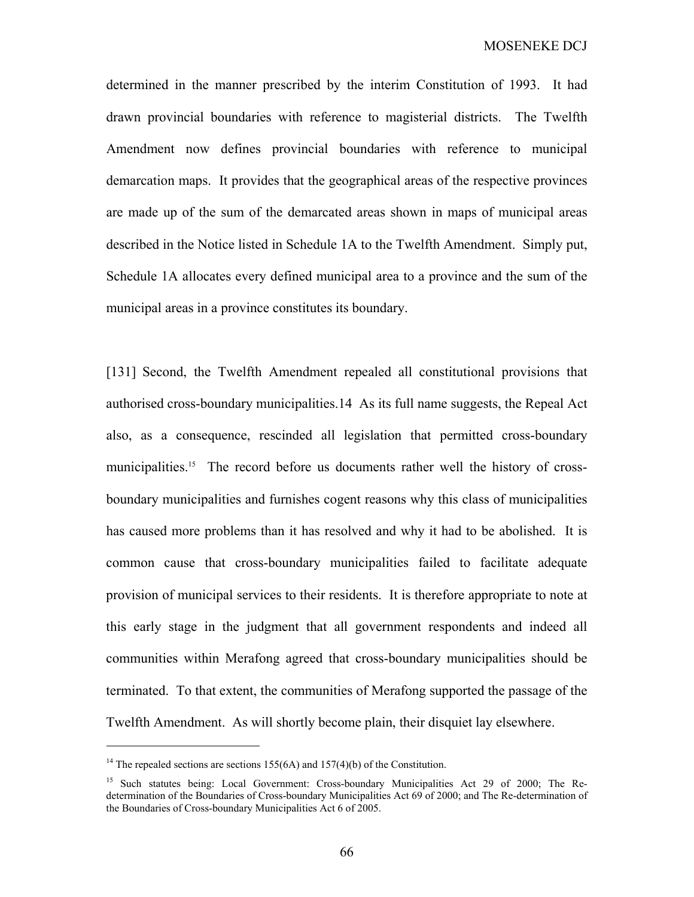determined in the manner prescribed by the interim Constitution of 1993. It had drawn provincial boundaries with reference to magisterial districts. The Twelfth Amendment now defines provincial boundaries with reference to municipal demarcation maps. It provides that the geographical areas of the respective provinces are made up of the sum of the demarcated areas shown in maps of municipal areas described in the Notice listed in Schedule 1A to the Twelfth Amendment. Simply put, Schedule 1A allocates every defined municipal area to a province and the sum of the municipal areas in a province constitutes its boundary.

[131] Second, the Twelfth Amendment repealed all constitutional provisions that authorised cross-boundary municipalities.14 As its full name suggests, the Repeal Act also, as a consequence, rescinded all legislation that permitted cross-boundary municipalities.<sup>15</sup> The record before us documents rather well the history of crossboundary municipalities and furnishes cogent reasons why this class of municipalities has caused more problems than it has resolved and why it had to be abolished. It is common cause that cross-boundary municipalities failed to facilitate adequate provision of municipal services to their residents. It is therefore appropriate to note at this early stage in the judgment that all government respondents and indeed all communities within Merafong agreed that cross-boundary municipalities should be terminated. To that extent, the communities of Merafong supported the passage of the Twelfth Amendment. As will shortly become plain, their disquiet lay elsewhere.

 $\overline{a}$ 

<sup>&</sup>lt;sup>14</sup> The repealed sections are sections 155(6A) and 157(4)(b) of the Constitution.

<sup>&</sup>lt;sup>15</sup> Such statutes being: Local Government: Cross-boundary Municipalities Act 29 of 2000; The Redetermination of the Boundaries of Cross-boundary Municipalities Act 69 of 2000; and The Re-determination of the Boundaries of Cross-boundary Municipalities Act 6 of 2005.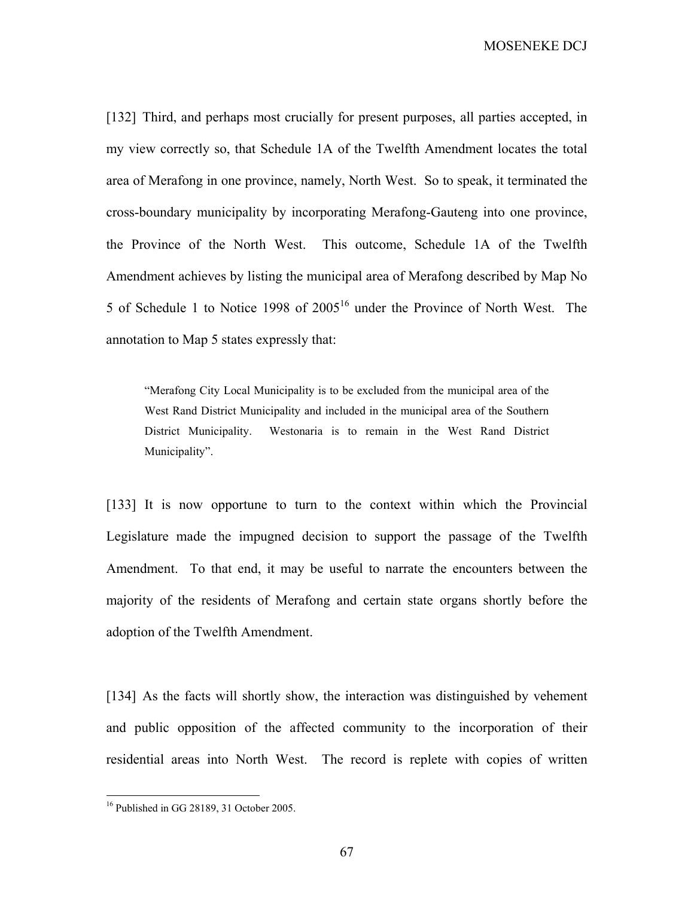MOSENEKE DCJ

[132] Third, and perhaps most crucially for present purposes, all parties accepted, in my view correctly so, that Schedule 1A of the Twelfth Amendment locates the total area of Merafong in one province, namely, North West. So to speak, it terminated the cross-boundary municipality by incorporating Merafong-Gauteng into one province, the Province of the North West. This outcome, Schedule 1A of the Twelfth Amendment achieves by listing the municipal area of Merafong described by Map No 5 of Schedule 1 to Notice 1998 of  $2005^{16}$  under the Province of North West. The annotation to Map 5 states expressly that:

"Merafong City Local Municipality is to be excluded from the municipal area of the West Rand District Municipality and included in the municipal area of the Southern District Municipality. Westonaria is to remain in the West Rand District Municipality".

[133] It is now opportune to turn to the context within which the Provincial Legislature made the impugned decision to support the passage of the Twelfth Amendment. To that end, it may be useful to narrate the encounters between the majority of the residents of Merafong and certain state organs shortly before the adoption of the Twelfth Amendment.

[134] As the facts will shortly show, the interaction was distinguished by vehement and public opposition of the affected community to the incorporation of their residential areas into North West. The record is replete with copies of written

<sup>&</sup>lt;sup>16</sup> Published in GG 28189, 31 October 2005.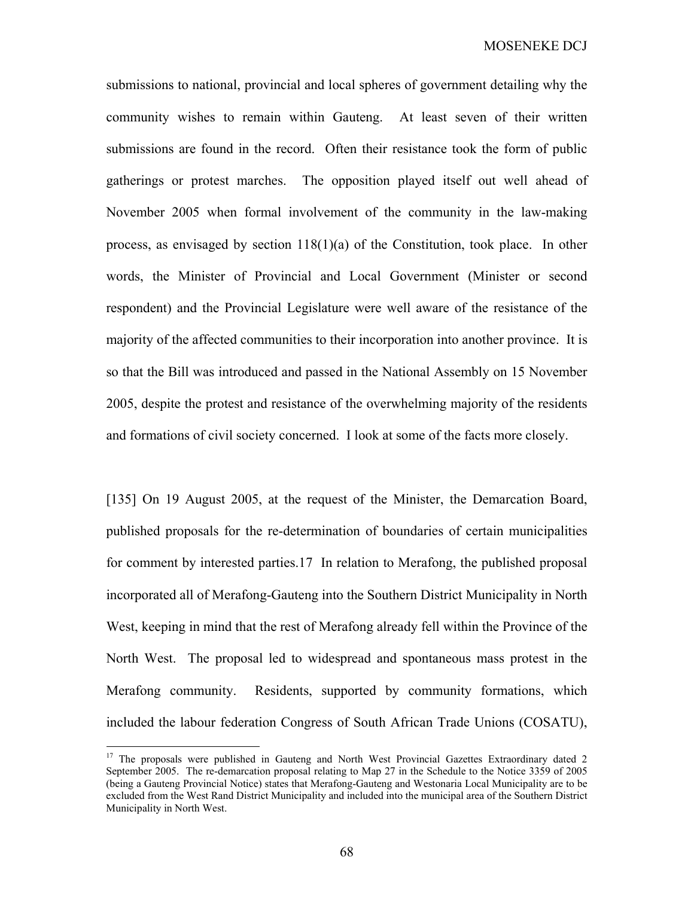submissions to national, provincial and local spheres of government detailing why the community wishes to remain within Gauteng. At least seven of their written submissions are found in the record. Often their resistance took the form of public gatherings or protest marches. The opposition played itself out well ahead of November 2005 when formal involvement of the community in the law-making process, as envisaged by section  $118(1)(a)$  of the Constitution, took place. In other words, the Minister of Provincial and Local Government (Minister or second respondent) and the Provincial Legislature were well aware of the resistance of the majority of the affected communities to their incorporation into another province. It is so that the Bill was introduced and passed in the National Assembly on 15 November 2005, despite the protest and resistance of the overwhelming majority of the residents and formations of civil society concerned. I look at some of the facts more closely.

[135] On 19 August 2005, at the request of the Minister, the Demarcation Board, published proposals for the re-determination of boundaries of certain municipalities for comment by interested parties.17 In relation to Merafong, the published proposal incorporated all of Merafong-Gauteng into the Southern District Municipality in North West, keeping in mind that the rest of Merafong already fell within the Province of the North West. The proposal led to widespread and spontaneous mass protest in the Merafong community. Residents, supported by community formations, which included the labour federation Congress of South African Trade Unions (COSATU),

 $\overline{a}$ 

<sup>&</sup>lt;sup>17</sup> The proposals were published in Gauteng and North West Provincial Gazettes Extraordinary dated 2 September 2005. The re-demarcation proposal relating to Map 27 in the Schedule to the Notice 3359 of 2005 (being a Gauteng Provincial Notice) states that Merafong-Gauteng and Westonaria Local Municipality are to be excluded from the West Rand District Municipality and included into the municipal area of the Southern District Municipality in North West.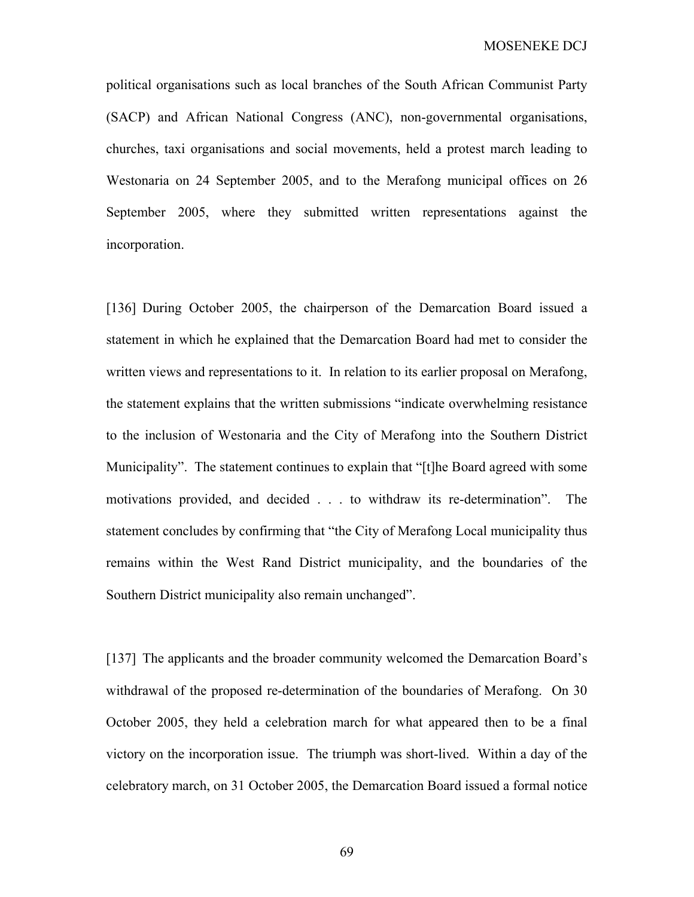political organisations such as local branches of the South African Communist Party (SACP) and African National Congress (ANC), non-governmental organisations, churches, taxi organisations and social movements, held a protest march leading to Westonaria on 24 September 2005, and to the Merafong municipal offices on 26 September 2005, where they submitted written representations against the incorporation.

[136] During October 2005, the chairperson of the Demarcation Board issued a statement in which he explained that the Demarcation Board had met to consider the written views and representations to it. In relation to its earlier proposal on Merafong, the statement explains that the written submissions "indicate overwhelming resistance to the inclusion of Westonaria and the City of Merafong into the Southern District Municipality". The statement continues to explain that "[t]he Board agreed with some motivations provided, and decided . . . to withdraw its re-determination". The statement concludes by confirming that "the City of Merafong Local municipality thus remains within the West Rand District municipality, and the boundaries of the Southern District municipality also remain unchanged".

[137] The applicants and the broader community welcomed the Demarcation Board's withdrawal of the proposed re-determination of the boundaries of Merafong. On 30 October 2005, they held a celebration march for what appeared then to be a final victory on the incorporation issue. The triumph was short-lived. Within a day of the celebratory march, on 31 October 2005, the Demarcation Board issued a formal notice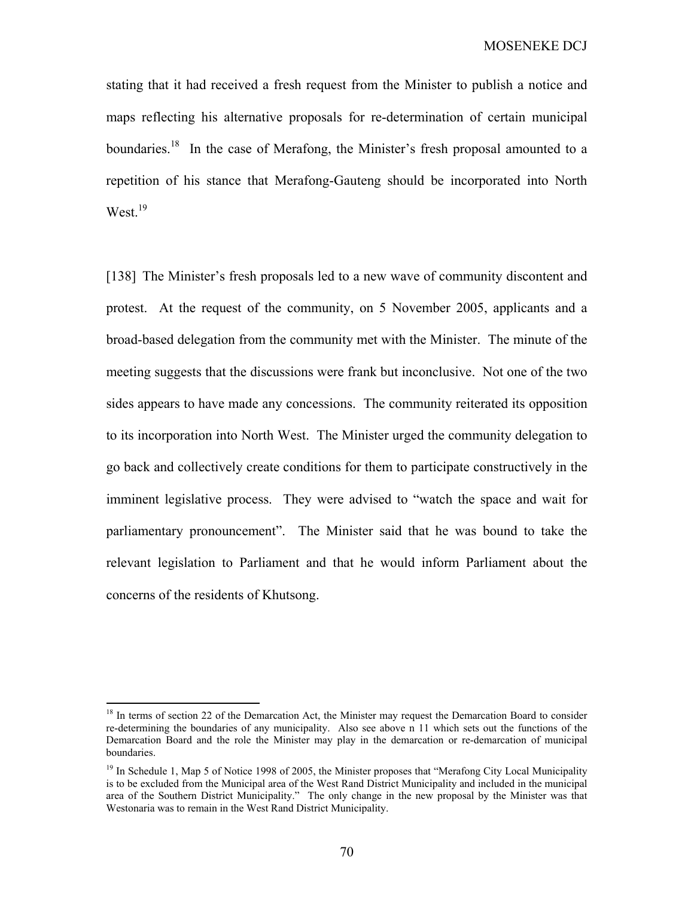stating that it had received a fresh request from the Minister to publish a notice and maps reflecting his alternative proposals for re-determination of certain municipal boundaries.<sup>18</sup> In the case of Merafong, the Minister's fresh proposal amounted to a repetition of his stance that Merafong-Gauteng should be incorporated into North  $West<sup>19</sup>$ 

[138] The Minister's fresh proposals led to a new wave of community discontent and protest. At the request of the community, on 5 November 2005, applicants and a broad-based delegation from the community met with the Minister. The minute of the meeting suggests that the discussions were frank but inconclusive. Not one of the two sides appears to have made any concessions. The community reiterated its opposition to its incorporation into North West. The Minister urged the community delegation to go back and collectively create conditions for them to participate constructively in the imminent legislative process. They were advised to "watch the space and wait for parliamentary pronouncement". The Minister said that he was bound to take the relevant legislation to Parliament and that he would inform Parliament about the concerns of the residents of Khutsong.

<sup>&</sup>lt;sup>18</sup> In terms of section 22 of the Demarcation Act, the Minister may request the Demarcation Board to consider re-determining the boundaries of any municipality. Also see above n 11 which sets out the functions of the Demarcation Board and the role the Minister may play in the demarcation or re-demarcation of municipal boundaries.

<sup>&</sup>lt;sup>19</sup> In Schedule 1, Map 5 of Notice 1998 of 2005, the Minister proposes that "Merafong City Local Municipality is to be excluded from the Municipal area of the West Rand District Municipality and included in the municipal area of the Southern District Municipality." The only change in the new proposal by the Minister was that Westonaria was to remain in the West Rand District Municipality.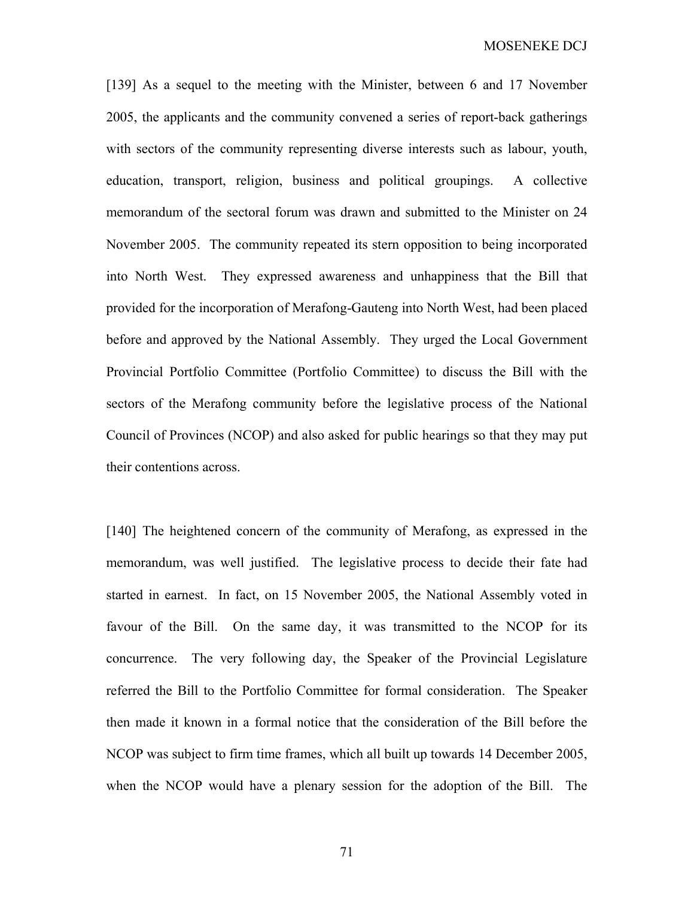[139] As a sequel to the meeting with the Minister, between 6 and 17 November 2005, the applicants and the community convened a series of report-back gatherings with sectors of the community representing diverse interests such as labour, youth, education, transport, religion, business and political groupings. A collective memorandum of the sectoral forum was drawn and submitted to the Minister on 24 November 2005. The community repeated its stern opposition to being incorporated into North West. They expressed awareness and unhappiness that the Bill that provided for the incorporation of Merafong-Gauteng into North West, had been placed before and approved by the National Assembly. They urged the Local Government Provincial Portfolio Committee (Portfolio Committee) to discuss the Bill with the sectors of the Merafong community before the legislative process of the National Council of Provinces (NCOP) and also asked for public hearings so that they may put their contentions across.

[140] The heightened concern of the community of Merafong, as expressed in the memorandum, was well justified. The legislative process to decide their fate had started in earnest. In fact, on 15 November 2005, the National Assembly voted in favour of the Bill. On the same day, it was transmitted to the NCOP for its concurrence. The very following day, the Speaker of the Provincial Legislature referred the Bill to the Portfolio Committee for formal consideration. The Speaker then made it known in a formal notice that the consideration of the Bill before the NCOP was subject to firm time frames, which all built up towards 14 December 2005, when the NCOP would have a plenary session for the adoption of the Bill. The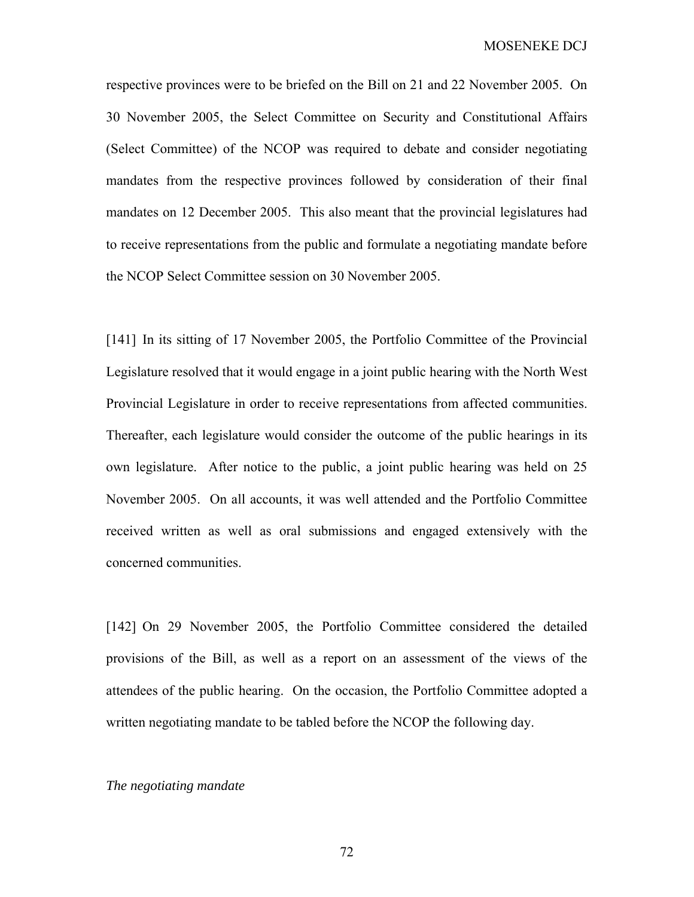respective provinces were to be briefed on the Bill on 21 and 22 November 2005. On 30 November 2005, the Select Committee on Security and Constitutional Affairs (Select Committee) of the NCOP was required to debate and consider negotiating mandates from the respective provinces followed by consideration of their final mandates on 12 December 2005. This also meant that the provincial legislatures had to receive representations from the public and formulate a negotiating mandate before the NCOP Select Committee session on 30 November 2005.

[141] In its sitting of 17 November 2005, the Portfolio Committee of the Provincial Legislature resolved that it would engage in a joint public hearing with the North West Provincial Legislature in order to receive representations from affected communities. Thereafter, each legislature would consider the outcome of the public hearings in its own legislature. After notice to the public, a joint public hearing was held on 25 November 2005. On all accounts, it was well attended and the Portfolio Committee received written as well as oral submissions and engaged extensively with the concerned communities.

[142] On 29 November 2005, the Portfolio Committee considered the detailed provisions of the Bill, as well as a report on an assessment of the views of the attendees of the public hearing. On the occasion, the Portfolio Committee adopted a written negotiating mandate to be tabled before the NCOP the following day.

#### *The negotiating mandate*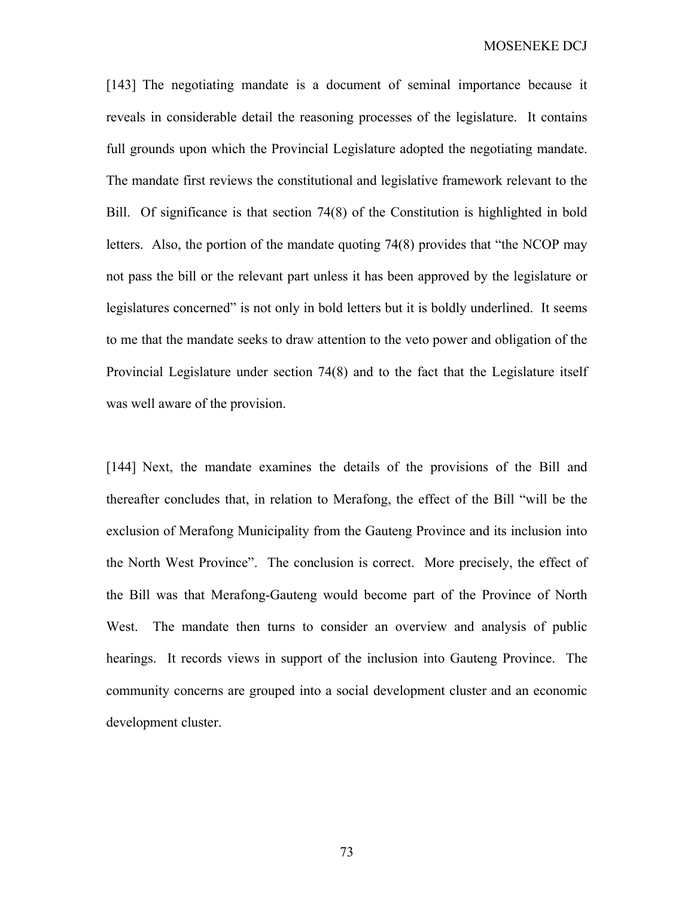[143] The negotiating mandate is a document of seminal importance because it reveals in considerable detail the reasoning processes of the legislature. It contains full grounds upon which the Provincial Legislature adopted the negotiating mandate. The mandate first reviews the constitutional and legislative framework relevant to the Bill. Of significance is that section 74(8) of the Constitution is highlighted in bold letters. Also, the portion of the mandate quoting 74(8) provides that "the NCOP may not pass the bill or the relevant part unless it has been approved by the legislature or legislatures concerned" is not only in bold letters but it is boldly underlined. It seems to me that the mandate seeks to draw attention to the veto power and obligation of the Provincial Legislature under section 74(8) and to the fact that the Legislature itself was well aware of the provision.

[144] Next, the mandate examines the details of the provisions of the Bill and thereafter concludes that, in relation to Merafong, the effect of the Bill "will be the exclusion of Merafong Municipality from the Gauteng Province and its inclusion into the North West Province". The conclusion is correct. More precisely, the effect of the Bill was that Merafong-Gauteng would become part of the Province of North West. The mandate then turns to consider an overview and analysis of public hearings. It records views in support of the inclusion into Gauteng Province. The community concerns are grouped into a social development cluster and an economic development cluster.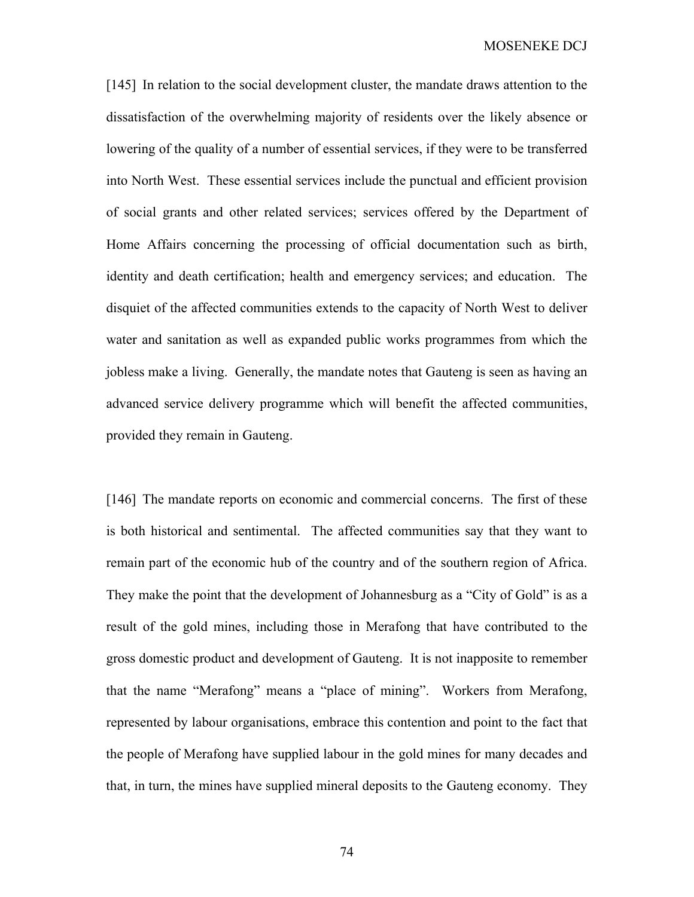[145] In relation to the social development cluster, the mandate draws attention to the dissatisfaction of the overwhelming majority of residents over the likely absence or lowering of the quality of a number of essential services, if they were to be transferred into North West. These essential services include the punctual and efficient provision of social grants and other related services; services offered by the Department of Home Affairs concerning the processing of official documentation such as birth, identity and death certification; health and emergency services; and education. The disquiet of the affected communities extends to the capacity of North West to deliver water and sanitation as well as expanded public works programmes from which the jobless make a living. Generally, the mandate notes that Gauteng is seen as having an advanced service delivery programme which will benefit the affected communities, provided they remain in Gauteng.

[146] The mandate reports on economic and commercial concerns. The first of these is both historical and sentimental. The affected communities say that they want to remain part of the economic hub of the country and of the southern region of Africa. They make the point that the development of Johannesburg as a "City of Gold" is as a result of the gold mines, including those in Merafong that have contributed to the gross domestic product and development of Gauteng. It is not inapposite to remember that the name "Merafong" means a "place of mining". Workers from Merafong, represented by labour organisations, embrace this contention and point to the fact that the people of Merafong have supplied labour in the gold mines for many decades and that, in turn, the mines have supplied mineral deposits to the Gauteng economy. They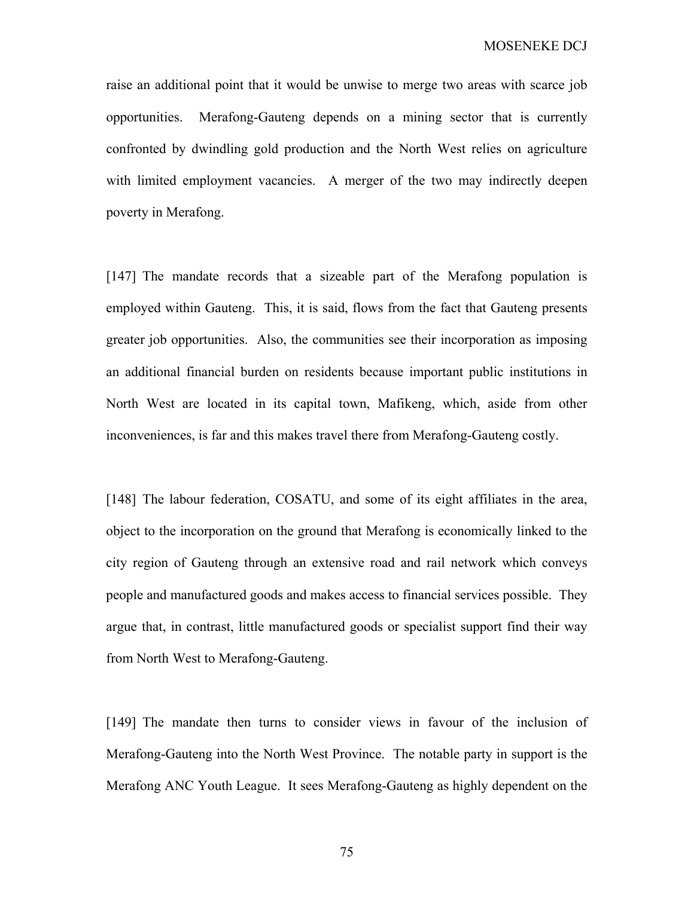raise an additional point that it would be unwise to merge two areas with scarce job opportunities. Merafong-Gauteng depends on a mining sector that is currently confronted by dwindling gold production and the North West relies on agriculture with limited employment vacancies. A merger of the two may indirectly deepen poverty in Merafong.

[147] The mandate records that a sizeable part of the Merafong population is employed within Gauteng. This, it is said, flows from the fact that Gauteng presents greater job opportunities. Also, the communities see their incorporation as imposing an additional financial burden on residents because important public institutions in North West are located in its capital town, Mafikeng, which, aside from other inconveniences, is far and this makes travel there from Merafong-Gauteng costly.

[148] The labour federation, COSATU, and some of its eight affiliates in the area, object to the incorporation on the ground that Merafong is economically linked to the city region of Gauteng through an extensive road and rail network which conveys people and manufactured goods and makes access to financial services possible. They argue that, in contrast, little manufactured goods or specialist support find their way from North West to Merafong-Gauteng.

[149] The mandate then turns to consider views in favour of the inclusion of Merafong-Gauteng into the North West Province. The notable party in support is the Merafong ANC Youth League. It sees Merafong-Gauteng as highly dependent on the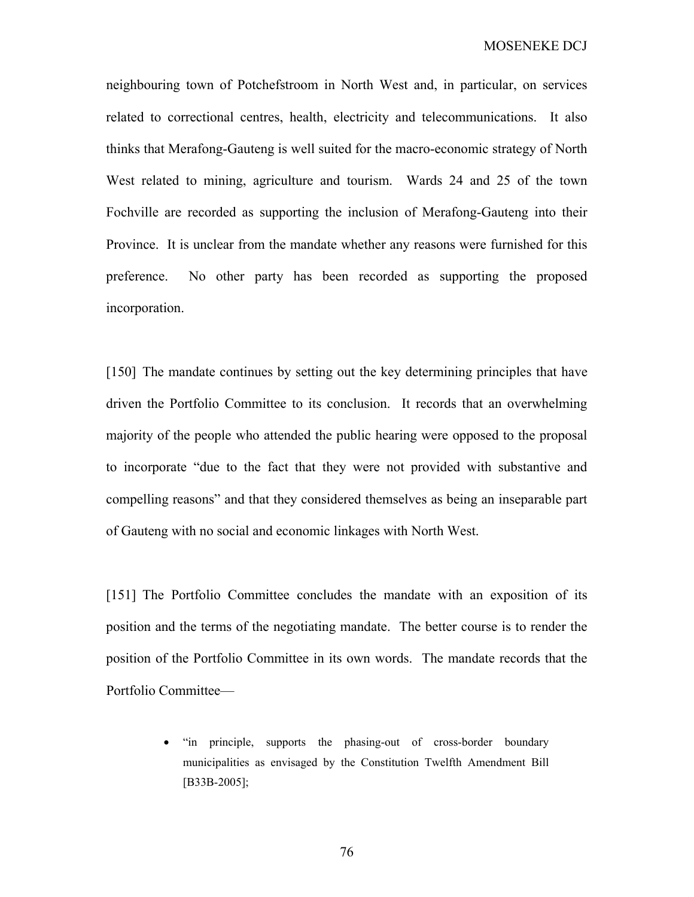neighbouring town of Potchefstroom in North West and, in particular, on services related to correctional centres, health, electricity and telecommunications. It also thinks that Merafong-Gauteng is well suited for the macro-economic strategy of North West related to mining, agriculture and tourism. Wards 24 and 25 of the town Fochville are recorded as supporting the inclusion of Merafong-Gauteng into their Province. It is unclear from the mandate whether any reasons were furnished for this preference. No other party has been recorded as supporting the proposed incorporation.

[150] The mandate continues by setting out the key determining principles that have driven the Portfolio Committee to its conclusion. It records that an overwhelming majority of the people who attended the public hearing were opposed to the proposal to incorporate "due to the fact that they were not provided with substantive and compelling reasons" and that they considered themselves as being an inseparable part of Gauteng with no social and economic linkages with North West.

[151] The Portfolio Committee concludes the mandate with an exposition of its position and the terms of the negotiating mandate. The better course is to render the position of the Portfolio Committee in its own words. The mandate records that the Portfolio Committee—

> • "in principle, supports the phasing-out of cross-border boundary municipalities as envisaged by the Constitution Twelfth Amendment Bill [B33B-2005];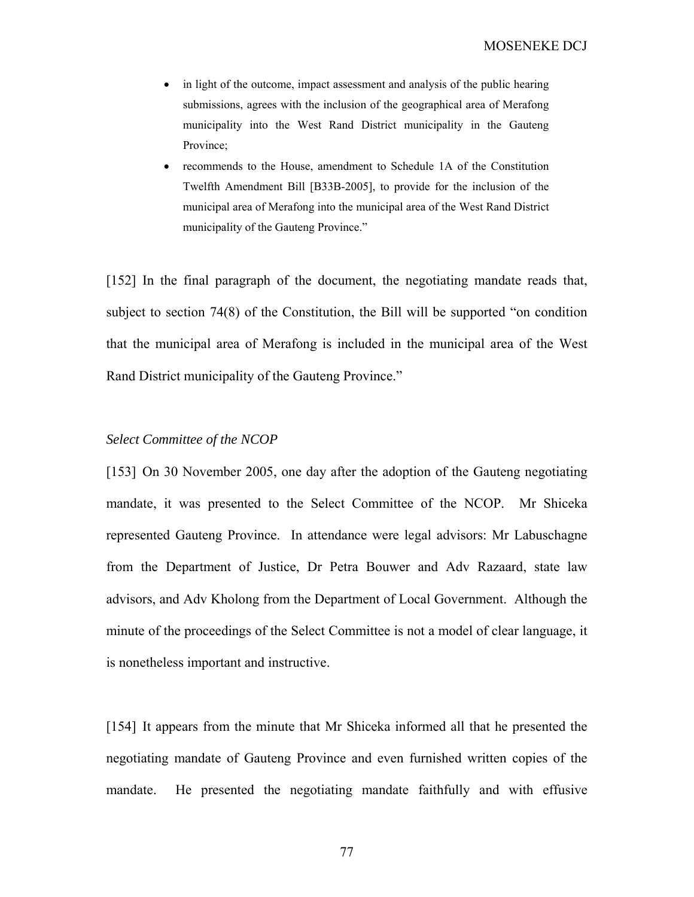- in light of the outcome, impact assessment and analysis of the public hearing submissions, agrees with the inclusion of the geographical area of Merafong municipality into the West Rand District municipality in the Gauteng Province;
- recommends to the House, amendment to Schedule 1A of the Constitution Twelfth Amendment Bill [B33B-2005], to provide for the inclusion of the municipal area of Merafong into the municipal area of the West Rand District municipality of the Gauteng Province."

[152] In the final paragraph of the document, the negotiating mandate reads that, subject to section 74(8) of the Constitution, the Bill will be supported "on condition that the municipal area of Merafong is included in the municipal area of the West Rand District municipality of the Gauteng Province."

### *Select Committee of the NCOP*

[153] On 30 November 2005, one day after the adoption of the Gauteng negotiating mandate, it was presented to the Select Committee of the NCOP. Mr Shiceka represented Gauteng Province. In attendance were legal advisors: Mr Labuschagne from the Department of Justice, Dr Petra Bouwer and Adv Razaard, state law advisors, and Adv Kholong from the Department of Local Government. Although the minute of the proceedings of the Select Committee is not a model of clear language, it is nonetheless important and instructive.

[154] It appears from the minute that Mr Shiceka informed all that he presented the negotiating mandate of Gauteng Province and even furnished written copies of the mandate. He presented the negotiating mandate faithfully and with effusive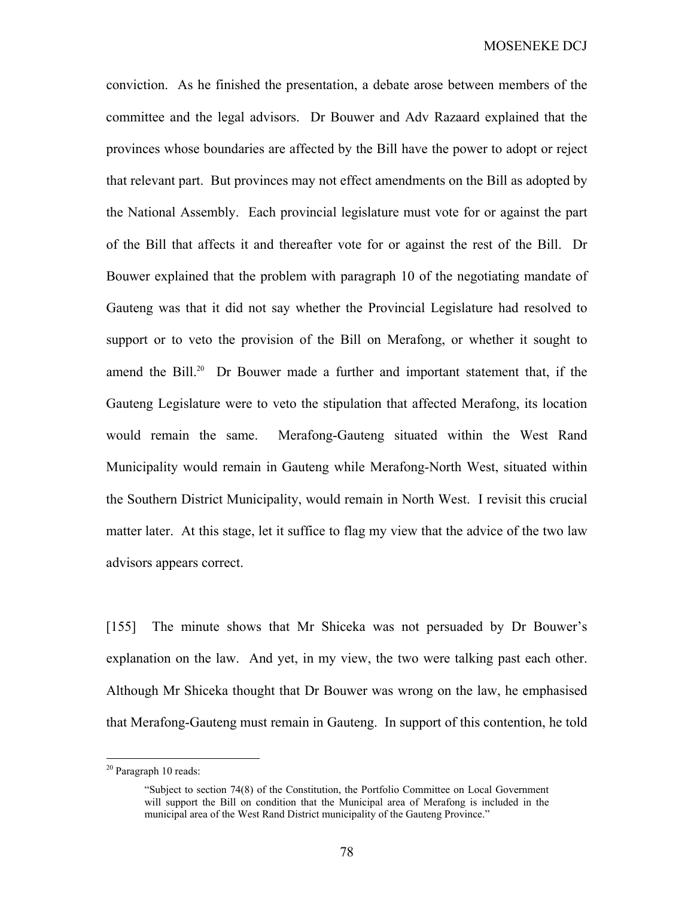conviction. As he finished the presentation, a debate arose between members of the committee and the legal advisors. Dr Bouwer and Adv Razaard explained that the provinces whose boundaries are affected by the Bill have the power to adopt or reject that relevant part. But provinces may not effect amendments on the Bill as adopted by the National Assembly. Each provincial legislature must vote for or against the part of the Bill that affects it and thereafter vote for or against the rest of the Bill. Dr Bouwer explained that the problem with paragraph 10 of the negotiating mandate of Gauteng was that it did not say whether the Provincial Legislature had resolved to support or to veto the provision of the Bill on Merafong, or whether it sought to amend the Bill.<sup>20</sup> Dr Bouwer made a further and important statement that, if the Gauteng Legislature were to veto the stipulation that affected Merafong, its location would remain the same. Merafong-Gauteng situated within the West Rand Municipality would remain in Gauteng while Merafong-North West, situated within the Southern District Municipality, would remain in North West. I revisit this crucial matter later. At this stage, let it suffice to flag my view that the advice of the two law advisors appears correct.

[155] The minute shows that Mr Shiceka was not persuaded by Dr Bouwer's explanation on the law. And yet, in my view, the two were talking past each other. Although Mr Shiceka thought that Dr Bouwer was wrong on the law, he emphasised that Merafong-Gauteng must remain in Gauteng. In support of this contention, he told

 $\overline{a}$ 

<sup>&</sup>lt;sup>20</sup> Paragraph 10 reads:

<sup>&</sup>quot;Subject to section 74(8) of the Constitution, the Portfolio Committee on Local Government will support the Bill on condition that the Municipal area of Merafong is included in the municipal area of the West Rand District municipality of the Gauteng Province."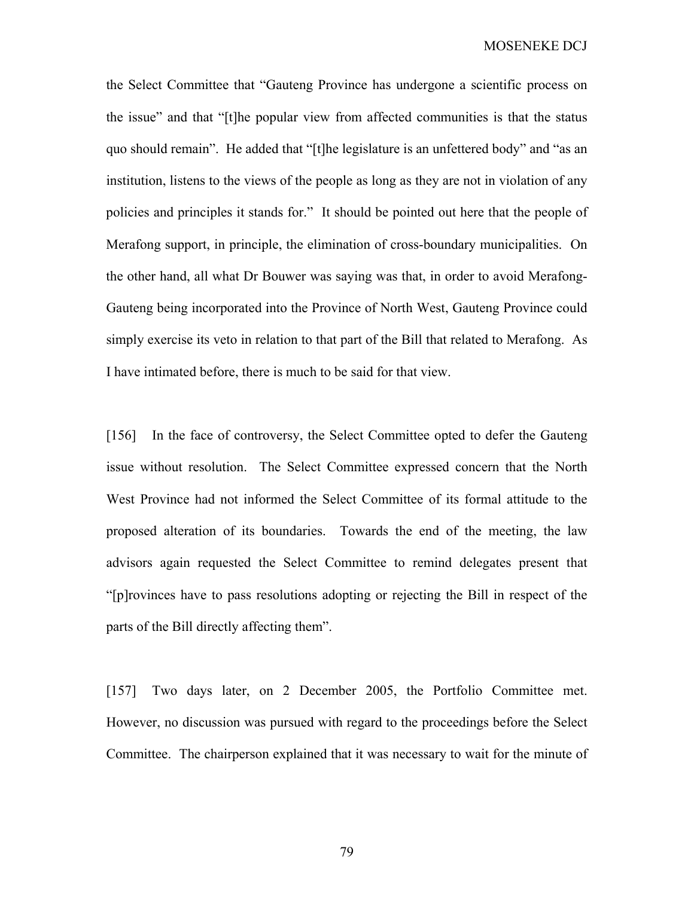the Select Committee that "Gauteng Province has undergone a scientific process on the issue" and that "[t]he popular view from affected communities is that the status quo should remain". He added that "[t]he legislature is an unfettered body" and "as an institution, listens to the views of the people as long as they are not in violation of any policies and principles it stands for." It should be pointed out here that the people of Merafong support, in principle, the elimination of cross-boundary municipalities. On the other hand, all what Dr Bouwer was saying was that, in order to avoid Merafong-Gauteng being incorporated into the Province of North West, Gauteng Province could simply exercise its veto in relation to that part of the Bill that related to Merafong. As I have intimated before, there is much to be said for that view.

[156] In the face of controversy, the Select Committee opted to defer the Gauteng issue without resolution. The Select Committee expressed concern that the North West Province had not informed the Select Committee of its formal attitude to the proposed alteration of its boundaries. Towards the end of the meeting, the law advisors again requested the Select Committee to remind delegates present that "[p]rovinces have to pass resolutions adopting or rejecting the Bill in respect of the parts of the Bill directly affecting them".

[157] Two days later, on 2 December 2005, the Portfolio Committee met. However, no discussion was pursued with regard to the proceedings before the Select Committee. The chairperson explained that it was necessary to wait for the minute of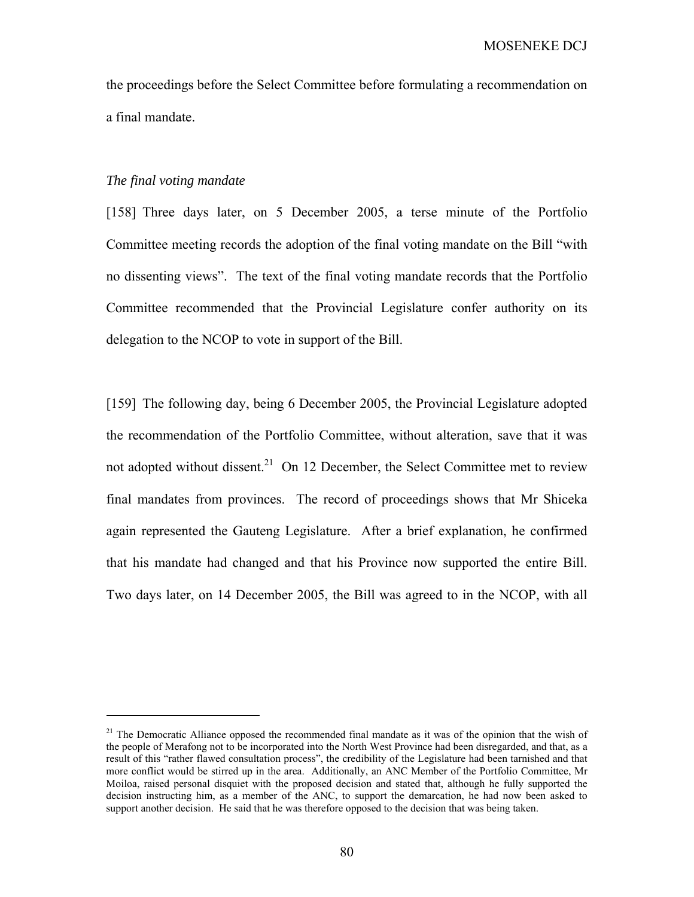the proceedings before the Select Committee before formulating a recommendation on a final mandate.

# *The final voting mandate*

1

[158] Three days later, on 5 December 2005, a terse minute of the Portfolio Committee meeting records the adoption of the final voting mandate on the Bill "with no dissenting views". The text of the final voting mandate records that the Portfolio Committee recommended that the Provincial Legislature confer authority on its delegation to the NCOP to vote in support of the Bill.

[159] The following day, being 6 December 2005, the Provincial Legislature adopted the recommendation of the Portfolio Committee, without alteration, save that it was not adopted without dissent.<sup>21</sup> On 12 December, the Select Committee met to review final mandates from provinces. The record of proceedings shows that Mr Shiceka again represented the Gauteng Legislature. After a brief explanation, he confirmed that his mandate had changed and that his Province now supported the entire Bill. Two days later, on 14 December 2005, the Bill was agreed to in the NCOP, with all

 $21$  The Democratic Alliance opposed the recommended final mandate as it was of the opinion that the wish of the people of Merafong not to be incorporated into the North West Province had been disregarded, and that, as a result of this "rather flawed consultation process", the credibility of the Legislature had been tarnished and that more conflict would be stirred up in the area. Additionally, an ANC Member of the Portfolio Committee, Mr Moiloa, raised personal disquiet with the proposed decision and stated that, although he fully supported the decision instructing him, as a member of the ANC, to support the demarcation, he had now been asked to support another decision. He said that he was therefore opposed to the decision that was being taken.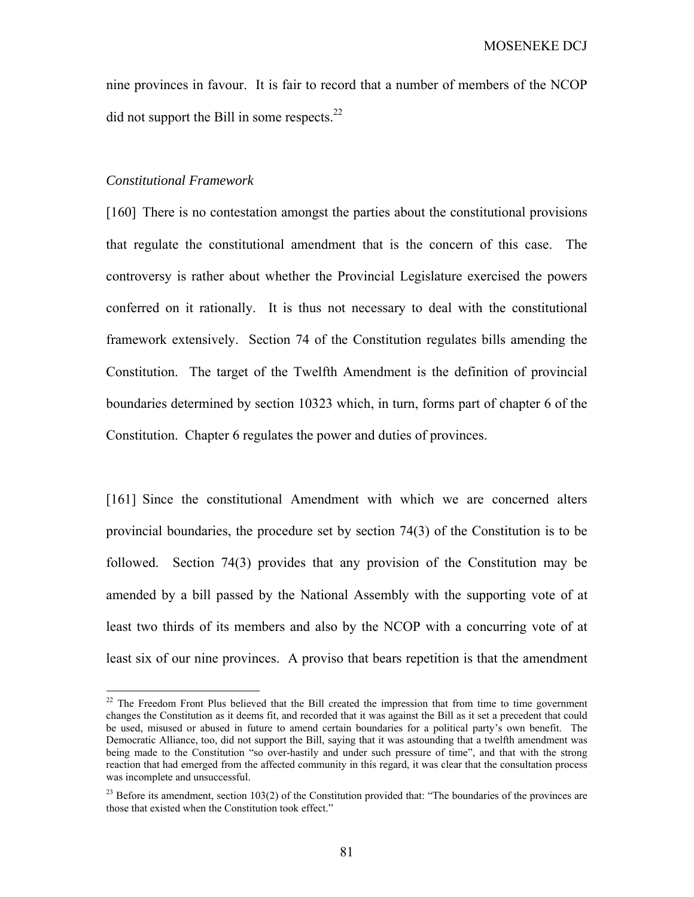nine provinces in favour. It is fair to record that a number of members of the NCOP did not support the Bill in some respects. $^{22}$ 

# *Constitutional Framework*

 $\overline{a}$ 

[160] There is no contestation amongst the parties about the constitutional provisions that regulate the constitutional amendment that is the concern of this case. The controversy is rather about whether the Provincial Legislature exercised the powers conferred on it rationally. It is thus not necessary to deal with the constitutional framework extensively. Section 74 of the Constitution regulates bills amending the Constitution. The target of the Twelfth Amendment is the definition of provincial boundaries determined by section 10323 which, in turn, forms part of chapter 6 of the Constitution. Chapter 6 regulates the power and duties of provinces.

[161] Since the constitutional Amendment with which we are concerned alters provincial boundaries, the procedure set by section 74(3) of the Constitution is to be followed. Section 74(3) provides that any provision of the Constitution may be amended by a bill passed by the National Assembly with the supporting vote of at least two thirds of its members and also by the NCOP with a concurring vote of at least six of our nine provinces. A proviso that bears repetition is that the amendment

 $22$  The Freedom Front Plus believed that the Bill created the impression that from time to time government changes the Constitution as it deems fit, and recorded that it was against the Bill as it set a precedent that could be used, misused or abused in future to amend certain boundaries for a political party's own benefit. The Democratic Alliance, too, did not support the Bill, saying that it was astounding that a twelfth amendment was being made to the Constitution "so over-hastily and under such pressure of time", and that with the strong reaction that had emerged from the affected community in this regard, it was clear that the consultation process was incomplete and unsuccessful.

<sup>&</sup>lt;sup>23</sup> Before its amendment, section 103(2) of the Constitution provided that: "The boundaries of the provinces are those that existed when the Constitution took effect."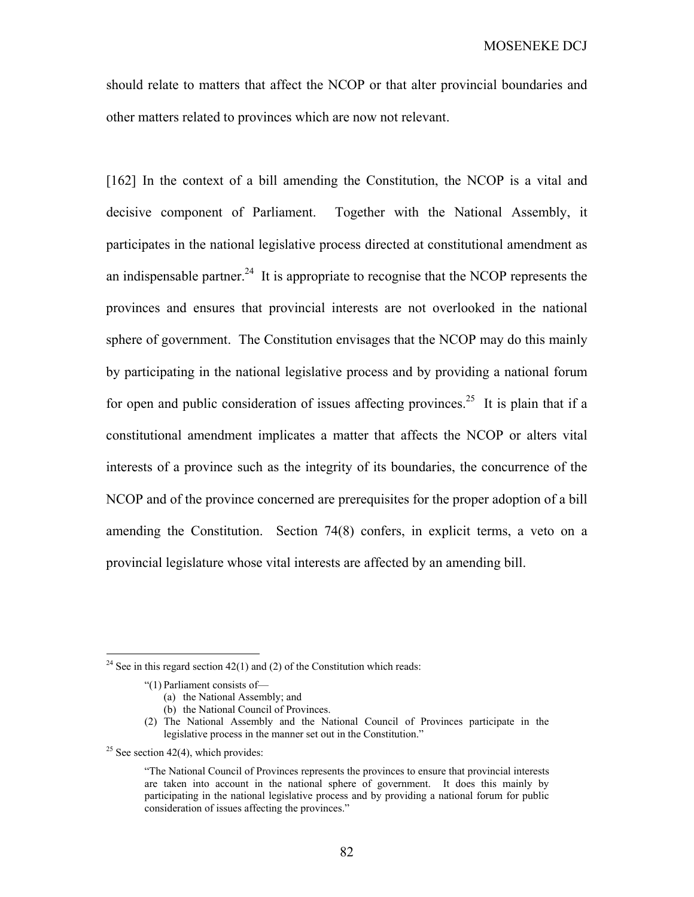should relate to matters that affect the NCOP or that alter provincial boundaries and other matters related to provinces which are now not relevant.

[162] In the context of a bill amending the Constitution, the NCOP is a vital and decisive component of Parliament. Together with the National Assembly, it participates in the national legislative process directed at constitutional amendment as an indispensable partner.<sup>24</sup> It is appropriate to recognise that the NCOP represents the provinces and ensures that provincial interests are not overlooked in the national sphere of government. The Constitution envisages that the NCOP may do this mainly by participating in the national legislative process and by providing a national forum for open and public consideration of issues affecting provinces.<sup>25</sup> It is plain that if a constitutional amendment implicates a matter that affects the NCOP or alters vital interests of a province such as the integrity of its boundaries, the concurrence of the NCOP and of the province concerned are prerequisites for the proper adoption of a bill amending the Constitution. Section 74(8) confers, in explicit terms, a veto on a provincial legislature whose vital interests are affected by an amending bill.

- "(1) Parliament consists of—
	- (a) the National Assembly; and
	- (b) the National Council of Provinces.
- (2) The National Assembly and the National Council of Provinces participate in the legislative process in the manner set out in the Constitution."

<sup>25</sup> See section 42(4), which provides:

 $\overline{a}$ 

<sup>&</sup>lt;sup>24</sup> See in this regard section 42(1) and (2) of the Constitution which reads:

<sup>&</sup>quot;The National Council of Provinces represents the provinces to ensure that provincial interests are taken into account in the national sphere of government. It does this mainly by participating in the national legislative process and by providing a national forum for public consideration of issues affecting the provinces."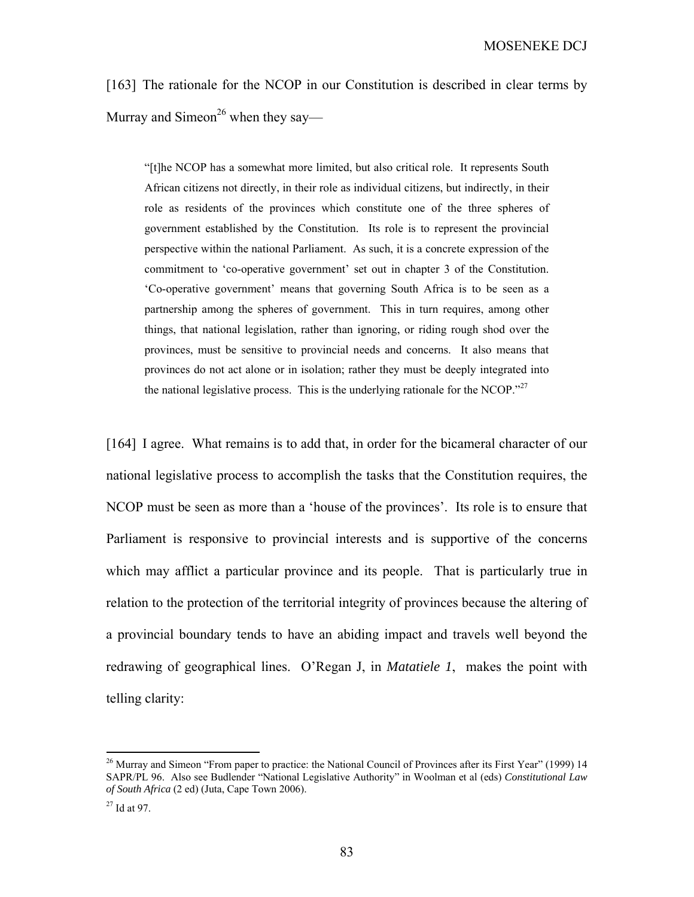[163] The rationale for the NCOP in our Constitution is described in clear terms by Murray and Simeon<sup>26</sup> when they say—

"[t]he NCOP has a somewhat more limited, but also critical role. It represents South African citizens not directly, in their role as individual citizens, but indirectly, in their role as residents of the provinces which constitute one of the three spheres of government established by the Constitution. Its role is to represent the provincial perspective within the national Parliament. As such, it is a concrete expression of the commitment to 'co-operative government' set out in chapter 3 of the Constitution. 'Co-operative government' means that governing South Africa is to be seen as a partnership among the spheres of government. This in turn requires, among other things, that national legislation, rather than ignoring, or riding rough shod over the provinces, must be sensitive to provincial needs and concerns. It also means that provinces do not act alone or in isolation; rather they must be deeply integrated into the national legislative process. This is the underlying rationale for the NCOP.<sup> $27$ </sup>

[164] I agree. What remains is to add that, in order for the bicameral character of our national legislative process to accomplish the tasks that the Constitution requires, the NCOP must be seen as more than a 'house of the provinces'. Its role is to ensure that Parliament is responsive to provincial interests and is supportive of the concerns which may afflict a particular province and its people. That is particularly true in relation to the protection of the territorial integrity of provinces because the altering of a provincial boundary tends to have an abiding impact and travels well beyond the redrawing of geographical lines. O'Regan J, in *Matatiele 1*, makes the point with telling clarity:

 $\overline{a}$ 

<sup>&</sup>lt;sup>26</sup> Murray and Simeon "From paper to practice: the National Council of Provinces after its First Year" (1999) 14 SAPR/PL 96. Also see Budlender "National Legislative Authority" in Woolman et al (eds) *Constitutional Law of South Africa* (2 ed) (Juta, Cape Town 2006).

 $27$  Id at 97.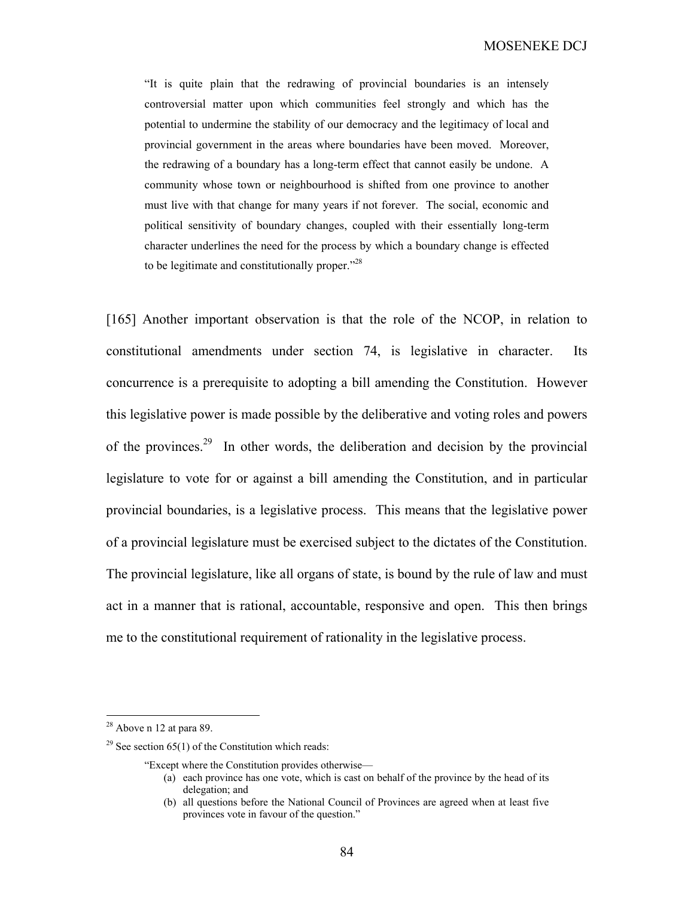"It is quite plain that the redrawing of provincial boundaries is an intensely controversial matter upon which communities feel strongly and which has the potential to undermine the stability of our democracy and the legitimacy of local and provincial government in the areas where boundaries have been moved. Moreover, the redrawing of a boundary has a long-term effect that cannot easily be undone. A community whose town or neighbourhood is shifted from one province to another must live with that change for many years if not forever. The social, economic and political sensitivity of boundary changes, coupled with their essentially long-term character underlines the need for the process by which a boundary change is effected to be legitimate and constitutionally proper."<sup>28</sup>

[165] Another important observation is that the role of the NCOP, in relation to constitutional amendments under section 74, is legislative in character. Its concurrence is a prerequisite to adopting a bill amending the Constitution. However this legislative power is made possible by the deliberative and voting roles and powers of the provinces.<sup>29</sup> In other words, the deliberation and decision by the provincial legislature to vote for or against a bill amending the Constitution, and in particular provincial boundaries, is a legislative process. This means that the legislative power of a provincial legislature must be exercised subject to the dictates of the Constitution. The provincial legislature, like all organs of state, is bound by the rule of law and must act in a manner that is rational, accountable, responsive and open. This then brings me to the constitutional requirement of rationality in the legislative process.

 $28$  Above n 12 at para 89.

<sup>&</sup>lt;sup>29</sup> See section  $65(1)$  of the Constitution which reads:

<sup>&</sup>quot;Except where the Constitution provides otherwise—

<sup>(</sup>a) each province has one vote, which is cast on behalf of the province by the head of its delegation; and

<sup>(</sup>b) all questions before the National Council of Provinces are agreed when at least five provinces vote in favour of the question."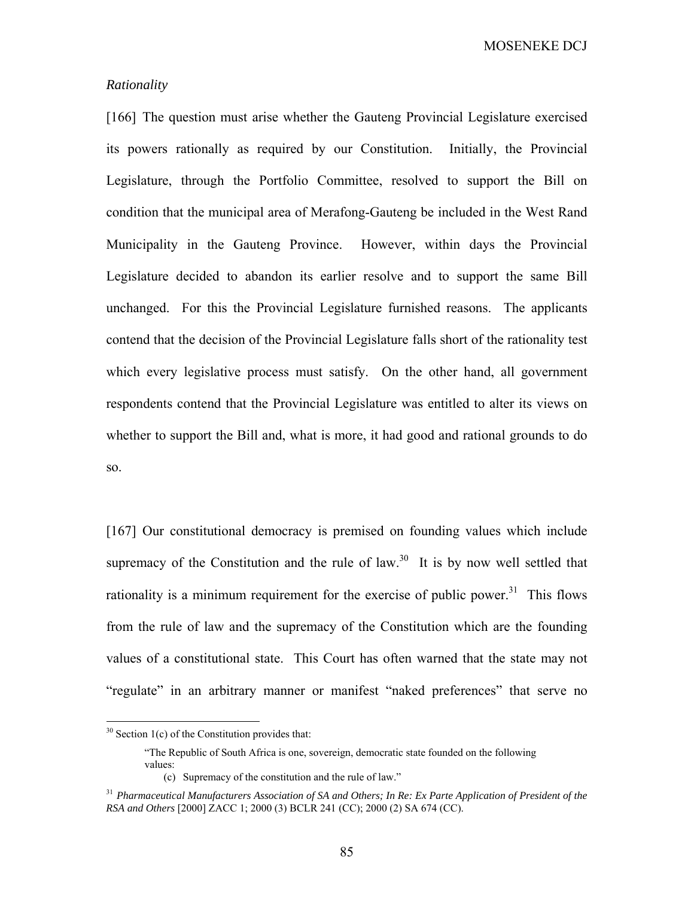## *Rationality*

[166] The question must arise whether the Gauteng Provincial Legislature exercised its powers rationally as required by our Constitution. Initially, the Provincial Legislature, through the Portfolio Committee, resolved to support the Bill on condition that the municipal area of Merafong-Gauteng be included in the West Rand Municipality in the Gauteng Province. However, within days the Provincial Legislature decided to abandon its earlier resolve and to support the same Bill unchanged. For this the Provincial Legislature furnished reasons. The applicants contend that the decision of the Provincial Legislature falls short of the rationality test which every legislative process must satisfy. On the other hand, all government respondents contend that the Provincial Legislature was entitled to alter its views on whether to support the Bill and, what is more, it had good and rational grounds to do so.

[167] Our constitutional democracy is premised on founding values which include supremacy of the Constitution and the rule of law.<sup>30</sup> It is by now well settled that rationality is a minimum requirement for the exercise of public power.<sup>31</sup> This flows from the rule of law and the supremacy of the Constitution which are the founding values of a constitutional state. This Court has often warned that the state may not "regulate" in an arbitrary manner or manifest "naked preferences" that serve no

 $\overline{a}$ 

 $30$  Section 1(c) of the Constitution provides that:

<sup>&</sup>quot;The Republic of South Africa is one, sovereign, democratic state founded on the following values:

<sup>(</sup>c) Supremacy of the constitution and the rule of law."

<sup>31</sup> *Pharmaceutical Manufacturers Association of SA and Others; In Re: Ex Parte Application of President of the RSA and Others* [2000] ZACC 1; 2000 (3) BCLR 241 (CC); 2000 (2) SA 674 (CC).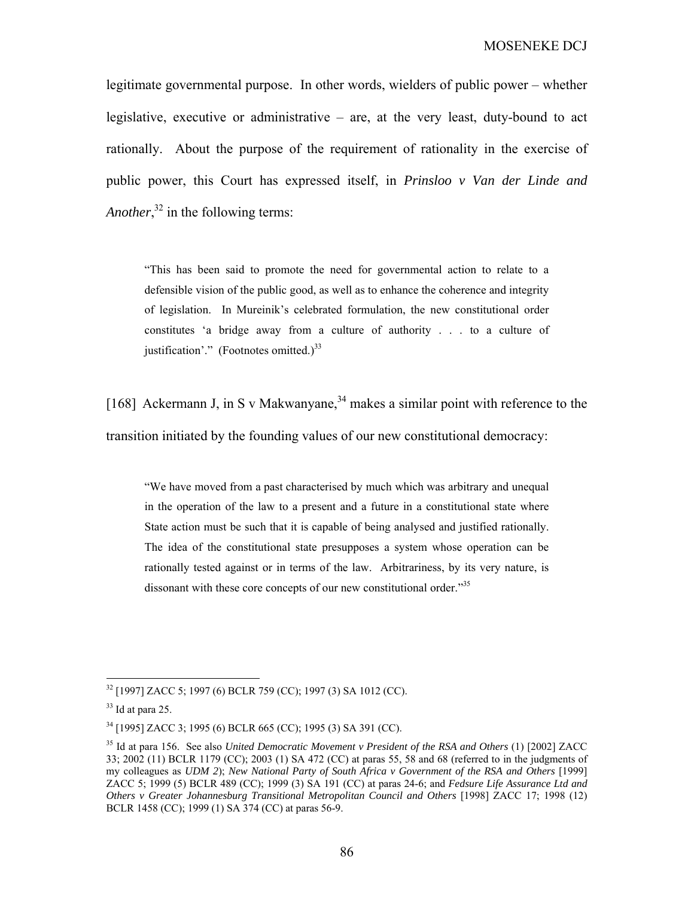legitimate governmental purpose. In other words, wielders of public power – whether legislative, executive or administrative – are, at the very least, duty-bound to act rationally. About the purpose of the requirement of rationality in the exercise of public power, this Court has expressed itself, in *Prinsloo v Van der Linde and*  Another,<sup>32</sup> in the following terms:

"This has been said to promote the need for governmental action to relate to a defensible vision of the public good, as well as to enhance the coherence and integrity of legislation. In Mureinik's celebrated formulation, the new constitutional order constitutes 'a bridge away from a culture of authority . . . to a culture of justification'." (Footnotes omitted.) $^{33}$ 

[168] Ackermann J, in S v Makwanyane,  $34$  makes a similar point with reference to the transition initiated by the founding values of our new constitutional democracy:

"We have moved from a past characterised by much which was arbitrary and unequal in the operation of the law to a present and a future in a constitutional state where State action must be such that it is capable of being analysed and justified rationally. The idea of the constitutional state presupposes a system whose operation can be rationally tested against or in terms of the law. Arbitrariness, by its very nature, is dissonant with these core concepts of our new constitutional order."<sup>35</sup>

<sup>32 [1997]</sup> ZACC 5; 1997 (6) BCLR 759 (CC); 1997 (3) SA 1012 (CC).

 $33$  Id at para 25.

<sup>34 [1995]</sup> ZACC 3; 1995 (6) BCLR 665 (CC); 1995 (3) SA 391 (CC).

<sup>35</sup> Id at para 156. See also *United Democratic Movement v President of the RSA and Others* (1) [2002] ZACC 33; 2002 (11) BCLR 1179 (CC); 2003 (1) SA 472 (CC) at paras 55, 58 and 68 (referred to in the judgments of my colleagues as *UDM 2*); *New National Party of South Africa v Government of the RSA and Others* [1999] ZACC 5; 1999 (5) BCLR 489 (CC); 1999 (3) SA 191 (CC) at paras 24-6; and *Fedsure Life Assurance Ltd and Others v Greater Johannesburg Transitional Metropolitan Council and Others* [1998] ZACC 17; 1998 (12) BCLR 1458 (CC); 1999 (1) SA 374 (CC) at paras 56-9.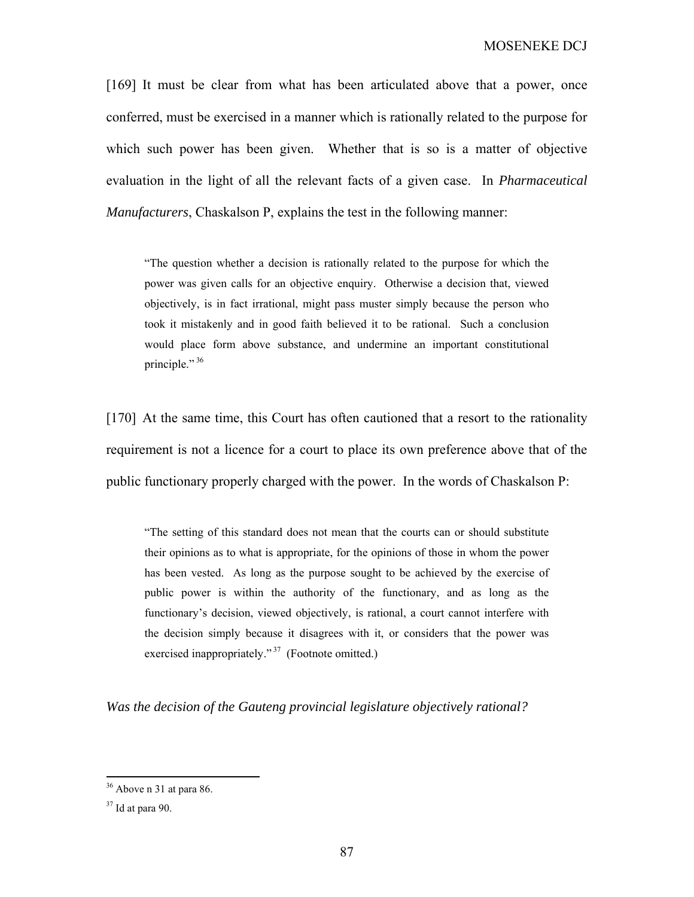[169] It must be clear from what has been articulated above that a power, once conferred, must be exercised in a manner which is rationally related to the purpose for which such power has been given. Whether that is so is a matter of objective evaluation in the light of all the relevant facts of a given case. In *Pharmaceutical Manufacturers*, Chaskalson P, explains the test in the following manner:

"The question whether a decision is rationally related to the purpose for which the power was given calls for an objective enquiry. Otherwise a decision that, viewed objectively, is in fact irrational, might pass muster simply because the person who took it mistakenly and in good faith believed it to be rational. Such a conclusion would place form above substance, and undermine an important constitutional principle." 36

[170] At the same time, this Court has often cautioned that a resort to the rationality requirement is not a licence for a court to place its own preference above that of the public functionary properly charged with the power. In the words of Chaskalson P:

"The setting of this standard does not mean that the courts can or should substitute their opinions as to what is appropriate, for the opinions of those in whom the power has been vested. As long as the purpose sought to be achieved by the exercise of public power is within the authority of the functionary, and as long as the functionary's decision, viewed objectively, is rational, a court cannot interfere with the decision simply because it disagrees with it, or considers that the power was exercised inappropriately."<sup>37</sup> (Footnote omitted.)

*Was the decision of the Gauteng provincial legislature objectively rational?* 

 $36$  Above n 31 at para 86.

 $37$  Id at para 90.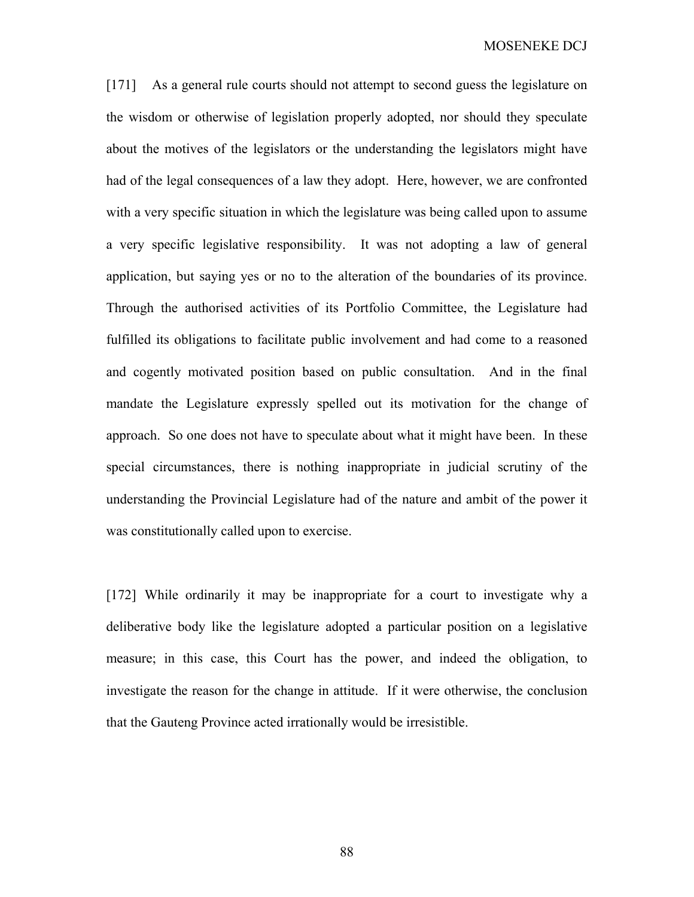[171] As a general rule courts should not attempt to second guess the legislature on the wisdom or otherwise of legislation properly adopted, nor should they speculate about the motives of the legislators or the understanding the legislators might have had of the legal consequences of a law they adopt. Here, however, we are confronted with a very specific situation in which the legislature was being called upon to assume a very specific legislative responsibility. It was not adopting a law of general application, but saying yes or no to the alteration of the boundaries of its province. Through the authorised activities of its Portfolio Committee, the Legislature had fulfilled its obligations to facilitate public involvement and had come to a reasoned and cogently motivated position based on public consultation. And in the final mandate the Legislature expressly spelled out its motivation for the change of approach. So one does not have to speculate about what it might have been. In these special circumstances, there is nothing inappropriate in judicial scrutiny of the understanding the Provincial Legislature had of the nature and ambit of the power it was constitutionally called upon to exercise.

[172] While ordinarily it may be inappropriate for a court to investigate why a deliberative body like the legislature adopted a particular position on a legislative measure; in this case, this Court has the power, and indeed the obligation, to investigate the reason for the change in attitude. If it were otherwise, the conclusion that the Gauteng Province acted irrationally would be irresistible.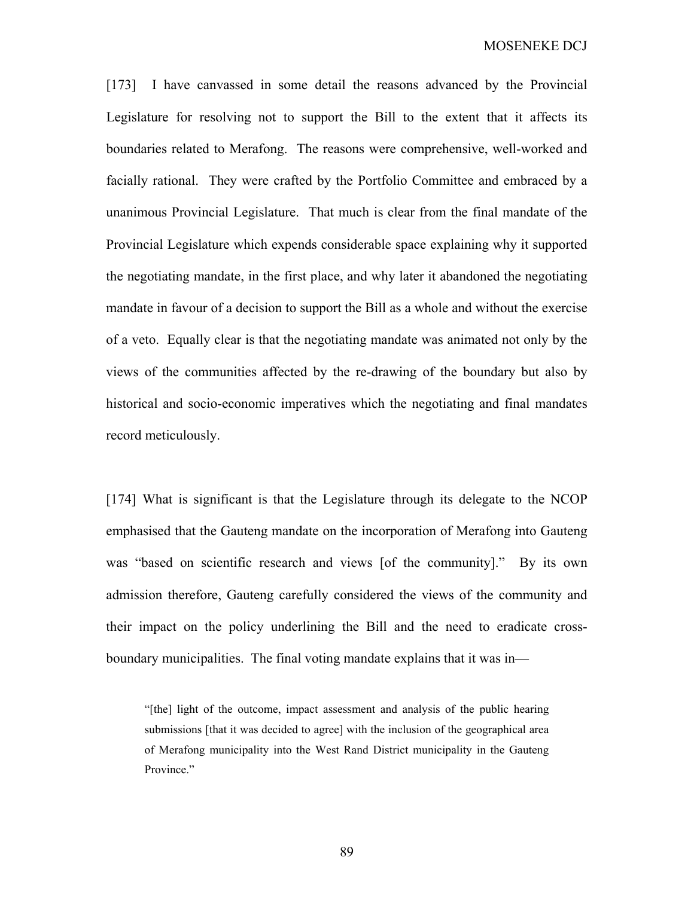[173] I have canvassed in some detail the reasons advanced by the Provincial Legislature for resolving not to support the Bill to the extent that it affects its boundaries related to Merafong. The reasons were comprehensive, well-worked and facially rational. They were crafted by the Portfolio Committee and embraced by a unanimous Provincial Legislature. That much is clear from the final mandate of the Provincial Legislature which expends considerable space explaining why it supported the negotiating mandate, in the first place, and why later it abandoned the negotiating mandate in favour of a decision to support the Bill as a whole and without the exercise of a veto. Equally clear is that the negotiating mandate was animated not only by the views of the communities affected by the re-drawing of the boundary but also by historical and socio-economic imperatives which the negotiating and final mandates record meticulously.

[174] What is significant is that the Legislature through its delegate to the NCOP emphasised that the Gauteng mandate on the incorporation of Merafong into Gauteng was "based on scientific research and views [of the community]." By its own admission therefore, Gauteng carefully considered the views of the community and their impact on the policy underlining the Bill and the need to eradicate crossboundary municipalities. The final voting mandate explains that it was in—

"[the] light of the outcome, impact assessment and analysis of the public hearing submissions [that it was decided to agree] with the inclusion of the geographical area of Merafong municipality into the West Rand District municipality in the Gauteng Province."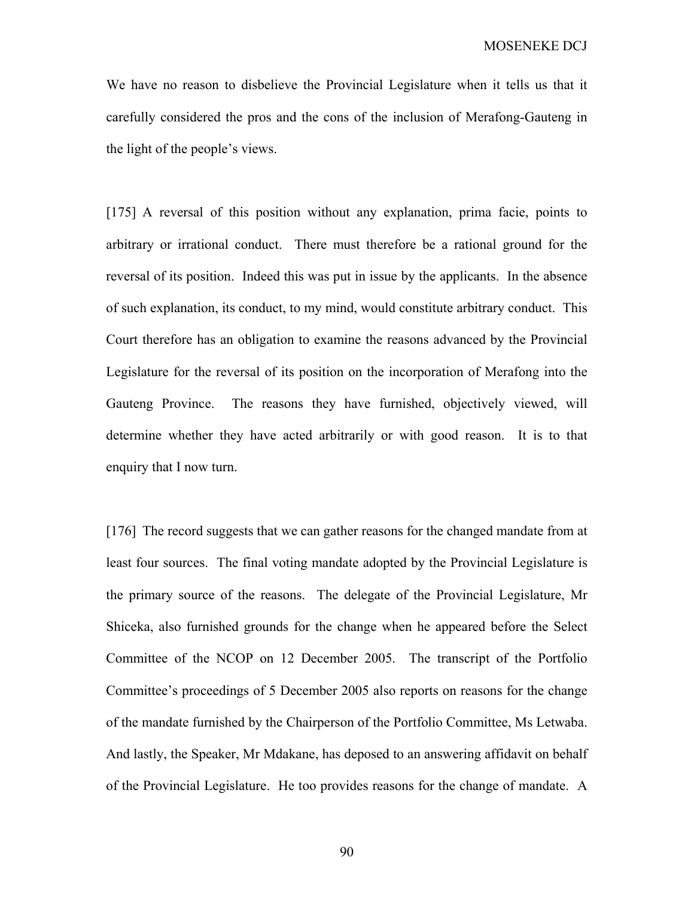We have no reason to disbelieve the Provincial Legislature when it tells us that it carefully considered the pros and the cons of the inclusion of Merafong-Gauteng in the light of the people's views.

[175] A reversal of this position without any explanation, prima facie, points to arbitrary or irrational conduct. There must therefore be a rational ground for the reversal of its position. Indeed this was put in issue by the applicants. In the absence of such explanation, its conduct, to my mind, would constitute arbitrary conduct. This Court therefore has an obligation to examine the reasons advanced by the Provincial Legislature for the reversal of its position on the incorporation of Merafong into the Gauteng Province. The reasons they have furnished, objectively viewed, will determine whether they have acted arbitrarily or with good reason. It is to that enquiry that I now turn.

[176] The record suggests that we can gather reasons for the changed mandate from at least four sources. The final voting mandate adopted by the Provincial Legislature is the primary source of the reasons. The delegate of the Provincial Legislature, Mr Shiceka, also furnished grounds for the change when he appeared before the Select Committee of the NCOP on 12 December 2005. The transcript of the Portfolio Committee's proceedings of 5 December 2005 also reports on reasons for the change of the mandate furnished by the Chairperson of the Portfolio Committee, Ms Letwaba. And lastly, the Speaker, Mr Mdakane, has deposed to an answering affidavit on behalf of the Provincial Legislature. He too provides reasons for the change of mandate. A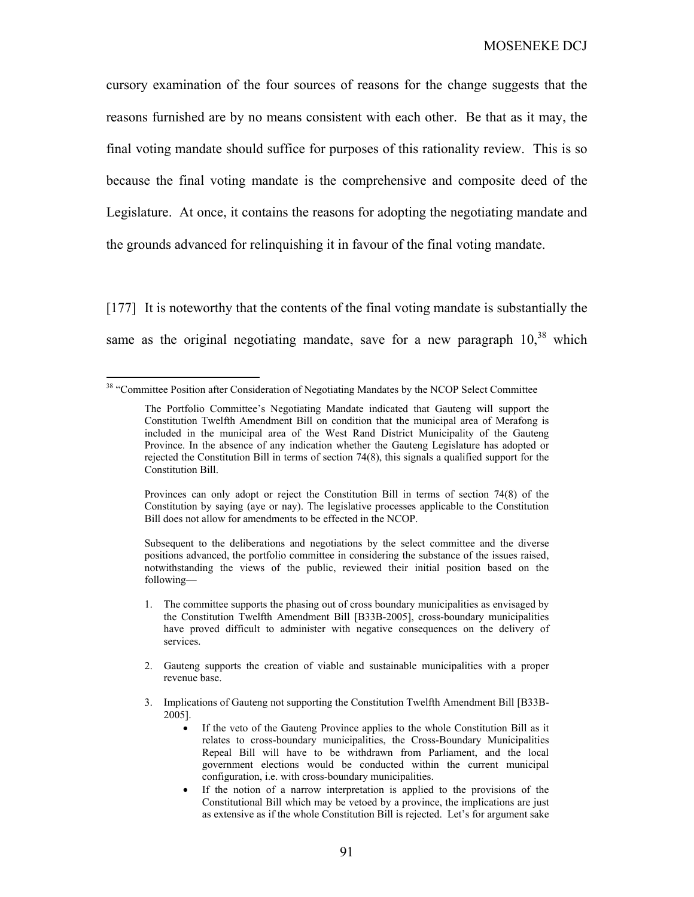cursory examination of the four sources of reasons for the change suggests that the reasons furnished are by no means consistent with each other. Be that as it may, the final voting mandate should suffice for purposes of this rationality review. This is so because the final voting mandate is the comprehensive and composite deed of the Legislature. At once, it contains the reasons for adopting the negotiating mandate and the grounds advanced for relinquishing it in favour of the final voting mandate.

[177] It is noteworthy that the contents of the final voting mandate is substantially the same as the original negotiating mandate, save for a new paragraph  $10^{38}$  which

 $\overline{a}$ 

Provinces can only adopt or reject the Constitution Bill in terms of section 74(8) of the Constitution by saying (aye or nay). The legislative processes applicable to the Constitution Bill does not allow for amendments to be effected in the NCOP.

Subsequent to the deliberations and negotiations by the select committee and the diverse positions advanced, the portfolio committee in considering the substance of the issues raised, notwithstanding the views of the public, reviewed their initial position based on the following—

- 1. The committee supports the phasing out of cross boundary municipalities as envisaged by the Constitution Twelfth Amendment Bill [B33B-2005], cross-boundary municipalities have proved difficult to administer with negative consequences on the delivery of services.
- 2. Gauteng supports the creation of viable and sustainable municipalities with a proper revenue base.
- 3. Implications of Gauteng not supporting the Constitution Twelfth Amendment Bill [B33B-2005].
	- If the veto of the Gauteng Province applies to the whole Constitution Bill as it relates to cross-boundary municipalities, the Cross-Boundary Municipalities Repeal Bill will have to be withdrawn from Parliament, and the local government elections would be conducted within the current municipal configuration, i.e. with cross-boundary municipalities.
	- If the notion of a narrow interpretation is applied to the provisions of the Constitutional Bill which may be vetoed by a province, the implications are just as extensive as if the whole Constitution Bill is rejected. Let's for argument sake

<sup>&</sup>lt;sup>38</sup> "Committee Position after Consideration of Negotiating Mandates by the NCOP Select Committee

The Portfolio Committee's Negotiating Mandate indicated that Gauteng will support the Constitution Twelfth Amendment Bill on condition that the municipal area of Merafong is included in the municipal area of the West Rand District Municipality of the Gauteng Province. In the absence of any indication whether the Gauteng Legislature has adopted or rejected the Constitution Bill in terms of section 74(8), this signals a qualified support for the Constitution Bill.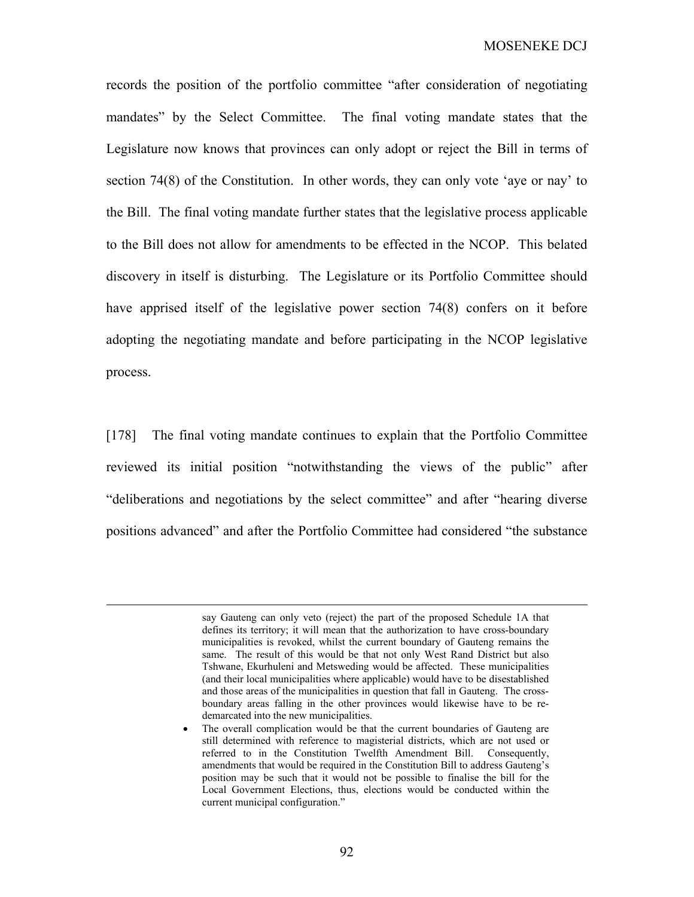records the position of the portfolio committee "after consideration of negotiating mandates" by the Select Committee. The final voting mandate states that the Legislature now knows that provinces can only adopt or reject the Bill in terms of section 74(8) of the Constitution. In other words, they can only vote 'aye or nay' to the Bill. The final voting mandate further states that the legislative process applicable to the Bill does not allow for amendments to be effected in the NCOP. This belated discovery in itself is disturbing. The Legislature or its Portfolio Committee should have apprised itself of the legislative power section 74(8) confers on it before adopting the negotiating mandate and before participating in the NCOP legislative process.

[178] The final voting mandate continues to explain that the Portfolio Committee reviewed its initial position "notwithstanding the views of the public" after "deliberations and negotiations by the select committee" and after "hearing diverse positions advanced" and after the Portfolio Committee had considered "the substance

say Gauteng can only veto (reject) the part of the proposed Schedule 1A that defines its territory; it will mean that the authorization to have cross-boundary municipalities is revoked, whilst the current boundary of Gauteng remains the same. The result of this would be that not only West Rand District but also Tshwane, Ekurhuleni and Metsweding would be affected. These municipalities (and their local municipalities where applicable) would have to be disestablished and those areas of the municipalities in question that fall in Gauteng. The crossboundary areas falling in the other provinces would likewise have to be redemarcated into the new municipalities.

The overall complication would be that the current boundaries of Gauteng are still determined with reference to magisterial districts, which are not used or referred to in the Constitution Twelfth Amendment Bill. Consequently, amendments that would be required in the Constitution Bill to address Gauteng's position may be such that it would not be possible to finalise the bill for the Local Government Elections, thus, elections would be conducted within the current municipal configuration."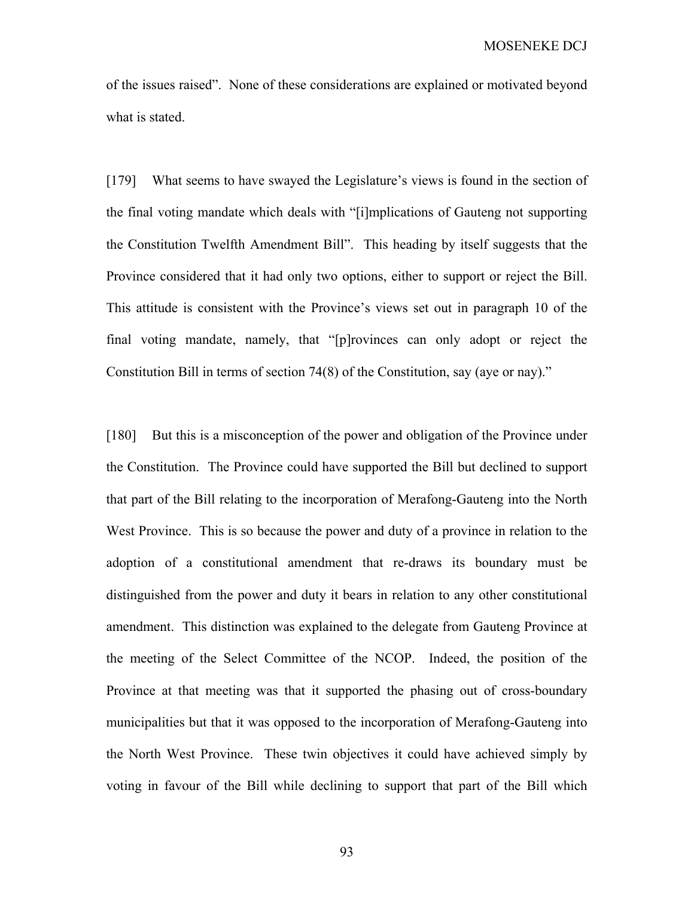of the issues raised". None of these considerations are explained or motivated beyond what is stated.

[179] What seems to have swayed the Legislature's views is found in the section of the final voting mandate which deals with "[i]mplications of Gauteng not supporting the Constitution Twelfth Amendment Bill". This heading by itself suggests that the Province considered that it had only two options, either to support or reject the Bill. This attitude is consistent with the Province's views set out in paragraph 10 of the final voting mandate, namely, that "[p]rovinces can only adopt or reject the Constitution Bill in terms of section 74(8) of the Constitution, say (aye or nay)."

[180] But this is a misconception of the power and obligation of the Province under the Constitution. The Province could have supported the Bill but declined to support that part of the Bill relating to the incorporation of Merafong-Gauteng into the North West Province. This is so because the power and duty of a province in relation to the adoption of a constitutional amendment that re-draws its boundary must be distinguished from the power and duty it bears in relation to any other constitutional amendment. This distinction was explained to the delegate from Gauteng Province at the meeting of the Select Committee of the NCOP. Indeed, the position of the Province at that meeting was that it supported the phasing out of cross-boundary municipalities but that it was opposed to the incorporation of Merafong-Gauteng into the North West Province. These twin objectives it could have achieved simply by voting in favour of the Bill while declining to support that part of the Bill which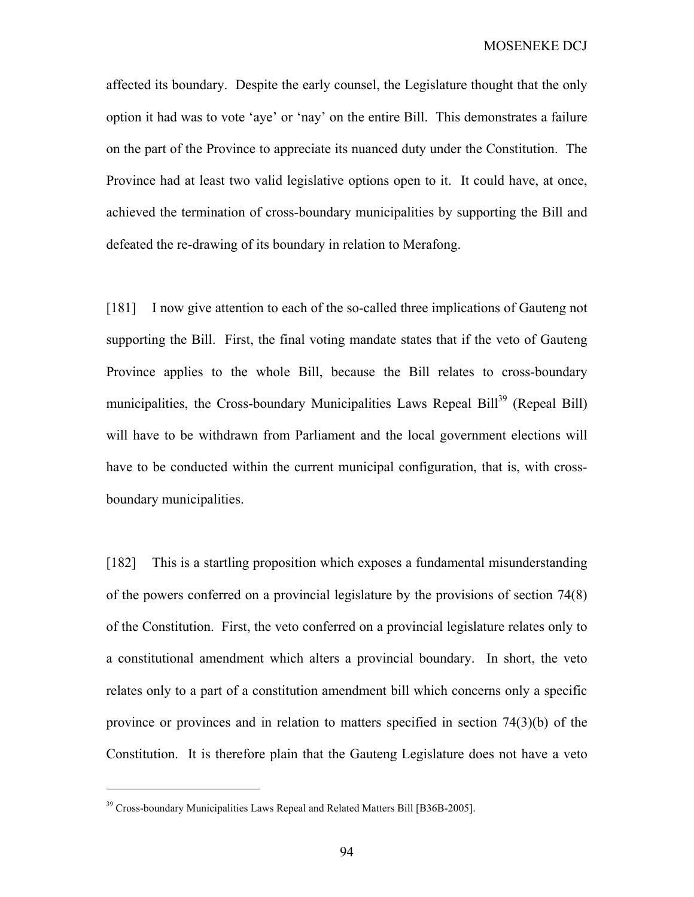affected its boundary. Despite the early counsel, the Legislature thought that the only option it had was to vote 'aye' or 'nay' on the entire Bill. This demonstrates a failure on the part of the Province to appreciate its nuanced duty under the Constitution. The Province had at least two valid legislative options open to it. It could have, at once, achieved the termination of cross-boundary municipalities by supporting the Bill and defeated the re-drawing of its boundary in relation to Merafong.

[181] I now give attention to each of the so-called three implications of Gauteng not supporting the Bill. First, the final voting mandate states that if the veto of Gauteng Province applies to the whole Bill, because the Bill relates to cross-boundary municipalities, the Cross-boundary Municipalities Laws Repeal Bill<sup>39</sup> (Repeal Bill) will have to be withdrawn from Parliament and the local government elections will have to be conducted within the current municipal configuration, that is, with crossboundary municipalities.

[182] This is a startling proposition which exposes a fundamental misunderstanding of the powers conferred on a provincial legislature by the provisions of section 74(8) of the Constitution. First, the veto conferred on a provincial legislature relates only to a constitutional amendment which alters a provincial boundary. In short, the veto relates only to a part of a constitution amendment bill which concerns only a specific province or provinces and in relation to matters specified in section 74(3)(b) of the Constitution. It is therefore plain that the Gauteng Legislature does not have a veto

<sup>&</sup>lt;sup>39</sup> Cross-boundary Municipalities Laws Repeal and Related Matters Bill [B36B-2005].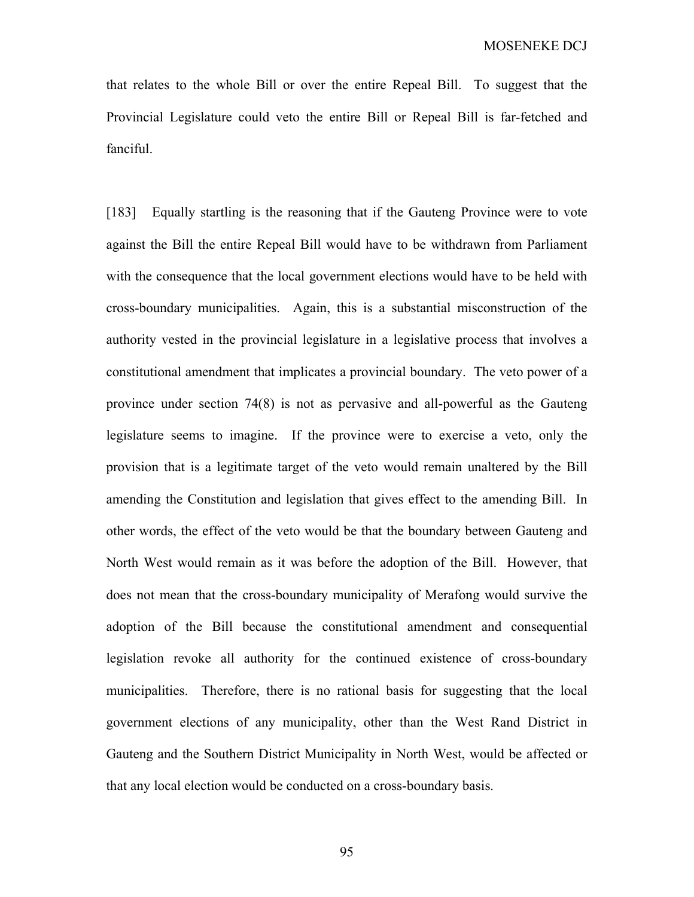that relates to the whole Bill or over the entire Repeal Bill. To suggest that the Provincial Legislature could veto the entire Bill or Repeal Bill is far-fetched and fanciful.

[183] Equally startling is the reasoning that if the Gauteng Province were to vote against the Bill the entire Repeal Bill would have to be withdrawn from Parliament with the consequence that the local government elections would have to be held with cross-boundary municipalities. Again, this is a substantial misconstruction of the authority vested in the provincial legislature in a legislative process that involves a constitutional amendment that implicates a provincial boundary. The veto power of a province under section 74(8) is not as pervasive and all-powerful as the Gauteng legislature seems to imagine. If the province were to exercise a veto, only the provision that is a legitimate target of the veto would remain unaltered by the Bill amending the Constitution and legislation that gives effect to the amending Bill. In other words, the effect of the veto would be that the boundary between Gauteng and North West would remain as it was before the adoption of the Bill. However, that does not mean that the cross-boundary municipality of Merafong would survive the adoption of the Bill because the constitutional amendment and consequential legislation revoke all authority for the continued existence of cross-boundary municipalities. Therefore, there is no rational basis for suggesting that the local government elections of any municipality, other than the West Rand District in Gauteng and the Southern District Municipality in North West, would be affected or that any local election would be conducted on a cross-boundary basis.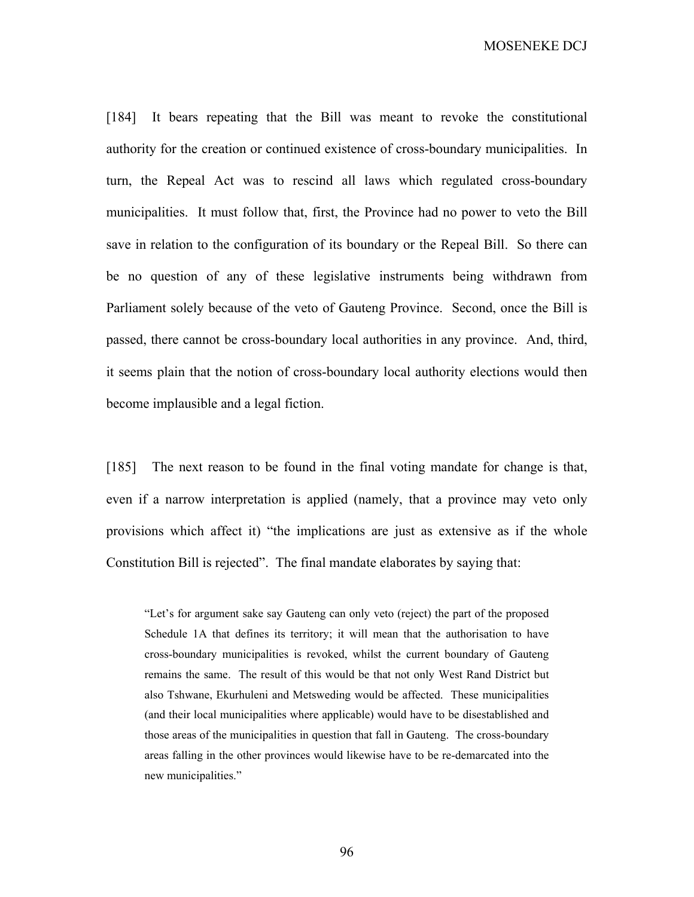[184] It bears repeating that the Bill was meant to revoke the constitutional authority for the creation or continued existence of cross-boundary municipalities. In turn, the Repeal Act was to rescind all laws which regulated cross-boundary municipalities. It must follow that, first, the Province had no power to veto the Bill save in relation to the configuration of its boundary or the Repeal Bill. So there can be no question of any of these legislative instruments being withdrawn from Parliament solely because of the veto of Gauteng Province. Second, once the Bill is passed, there cannot be cross-boundary local authorities in any province. And, third, it seems plain that the notion of cross-boundary local authority elections would then become implausible and a legal fiction.

[185] The next reason to be found in the final voting mandate for change is that, even if a narrow interpretation is applied (namely, that a province may veto only provisions which affect it) "the implications are just as extensive as if the whole Constitution Bill is rejected". The final mandate elaborates by saying that:

"Let's for argument sake say Gauteng can only veto (reject) the part of the proposed Schedule 1A that defines its territory; it will mean that the authorisation to have cross-boundary municipalities is revoked, whilst the current boundary of Gauteng remains the same. The result of this would be that not only West Rand District but also Tshwane, Ekurhuleni and Metsweding would be affected. These municipalities (and their local municipalities where applicable) would have to be disestablished and those areas of the municipalities in question that fall in Gauteng. The cross-boundary areas falling in the other provinces would likewise have to be re-demarcated into the new municipalities."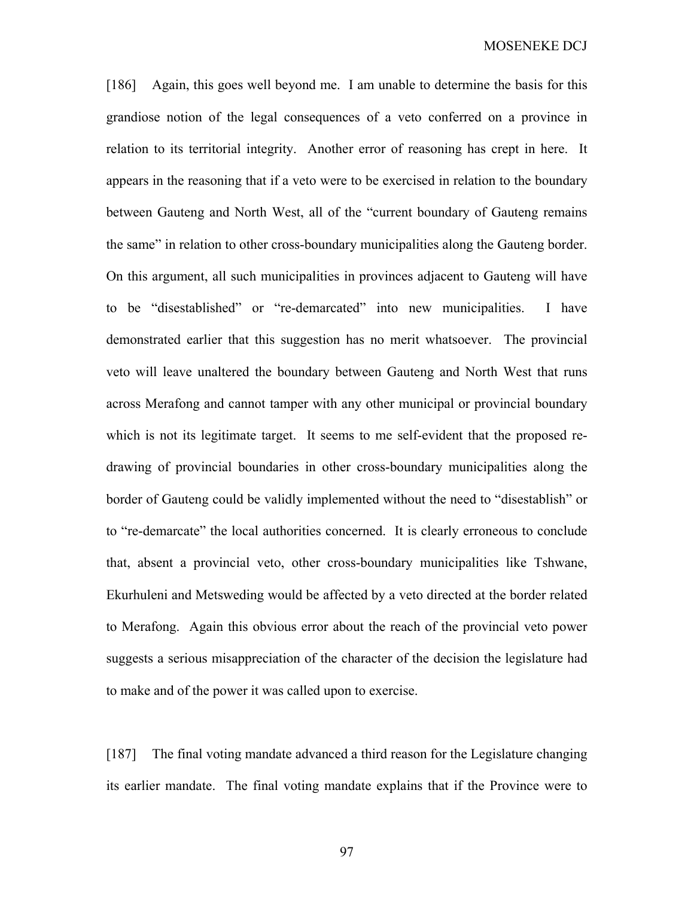[186] Again, this goes well beyond me. I am unable to determine the basis for this grandiose notion of the legal consequences of a veto conferred on a province in relation to its territorial integrity. Another error of reasoning has crept in here. It appears in the reasoning that if a veto were to be exercised in relation to the boundary between Gauteng and North West, all of the "current boundary of Gauteng remains the same" in relation to other cross-boundary municipalities along the Gauteng border. On this argument, all such municipalities in provinces adjacent to Gauteng will have to be "disestablished" or "re-demarcated" into new municipalities. I have demonstrated earlier that this suggestion has no merit whatsoever. The provincial veto will leave unaltered the boundary between Gauteng and North West that runs across Merafong and cannot tamper with any other municipal or provincial boundary which is not its legitimate target. It seems to me self-evident that the proposed redrawing of provincial boundaries in other cross-boundary municipalities along the border of Gauteng could be validly implemented without the need to "disestablish" or to "re-demarcate" the local authorities concerned. It is clearly erroneous to conclude that, absent a provincial veto, other cross-boundary municipalities like Tshwane, Ekurhuleni and Metsweding would be affected by a veto directed at the border related to Merafong. Again this obvious error about the reach of the provincial veto power suggests a serious misappreciation of the character of the decision the legislature had to make and of the power it was called upon to exercise.

[187] The final voting mandate advanced a third reason for the Legislature changing its earlier mandate. The final voting mandate explains that if the Province were to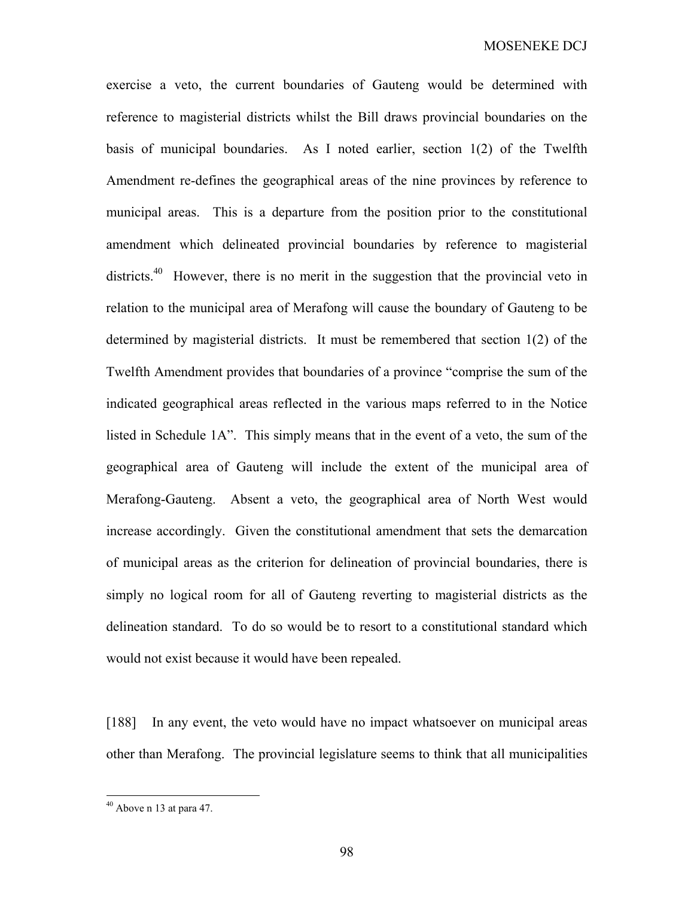exercise a veto, the current boundaries of Gauteng would be determined with reference to magisterial districts whilst the Bill draws provincial boundaries on the basis of municipal boundaries. As I noted earlier, section 1(2) of the Twelfth Amendment re-defines the geographical areas of the nine provinces by reference to municipal areas. This is a departure from the position prior to the constitutional amendment which delineated provincial boundaries by reference to magisterial districts.<sup>40</sup> However, there is no merit in the suggestion that the provincial veto in relation to the municipal area of Merafong will cause the boundary of Gauteng to be determined by magisterial districts. It must be remembered that section 1(2) of the Twelfth Amendment provides that boundaries of a province "comprise the sum of the indicated geographical areas reflected in the various maps referred to in the Notice listed in Schedule 1A". This simply means that in the event of a veto, the sum of the geographical area of Gauteng will include the extent of the municipal area of Merafong-Gauteng. Absent a veto, the geographical area of North West would increase accordingly. Given the constitutional amendment that sets the demarcation of municipal areas as the criterion for delineation of provincial boundaries, there is simply no logical room for all of Gauteng reverting to magisterial districts as the delineation standard. To do so would be to resort to a constitutional standard which would not exist because it would have been repealed.

[188] In any event, the veto would have no impact whatsoever on municipal areas other than Merafong. The provincial legislature seems to think that all municipalities

 $40$  Above n 13 at para 47.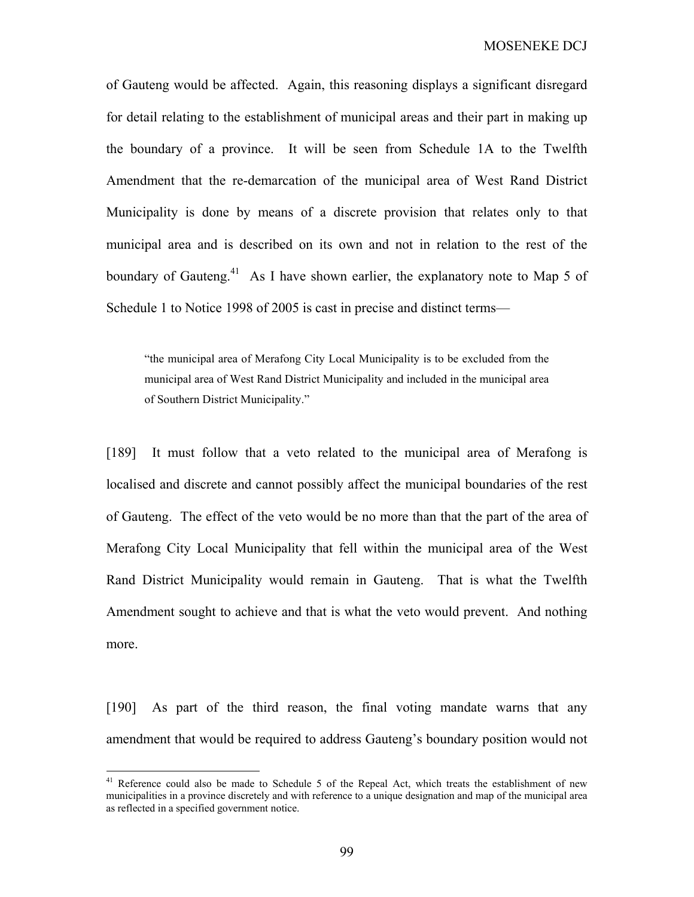of Gauteng would be affected. Again, this reasoning displays a significant disregard for detail relating to the establishment of municipal areas and their part in making up the boundary of a province. It will be seen from Schedule 1A to the Twelfth Amendment that the re-demarcation of the municipal area of West Rand District Municipality is done by means of a discrete provision that relates only to that municipal area and is described on its own and not in relation to the rest of the boundary of Gauteng.<sup>41</sup> As I have shown earlier, the explanatory note to Map 5 of Schedule 1 to Notice 1998 of 2005 is cast in precise and distinct terms—

"the municipal area of Merafong City Local Municipality is to be excluded from the municipal area of West Rand District Municipality and included in the municipal area of Southern District Municipality."

[189] It must follow that a veto related to the municipal area of Merafong is localised and discrete and cannot possibly affect the municipal boundaries of the rest of Gauteng. The effect of the veto would be no more than that the part of the area of Merafong City Local Municipality that fell within the municipal area of the West Rand District Municipality would remain in Gauteng. That is what the Twelfth Amendment sought to achieve and that is what the veto would prevent. And nothing more.

[190] As part of the third reason, the final voting mandate warns that any amendment that would be required to address Gauteng's boundary position would not

 $\overline{a}$ 

<sup>&</sup>lt;sup>41</sup> Reference could also be made to Schedule 5 of the Repeal Act, which treats the establishment of new municipalities in a province discretely and with reference to a unique designation and map of the municipal area as reflected in a specified government notice.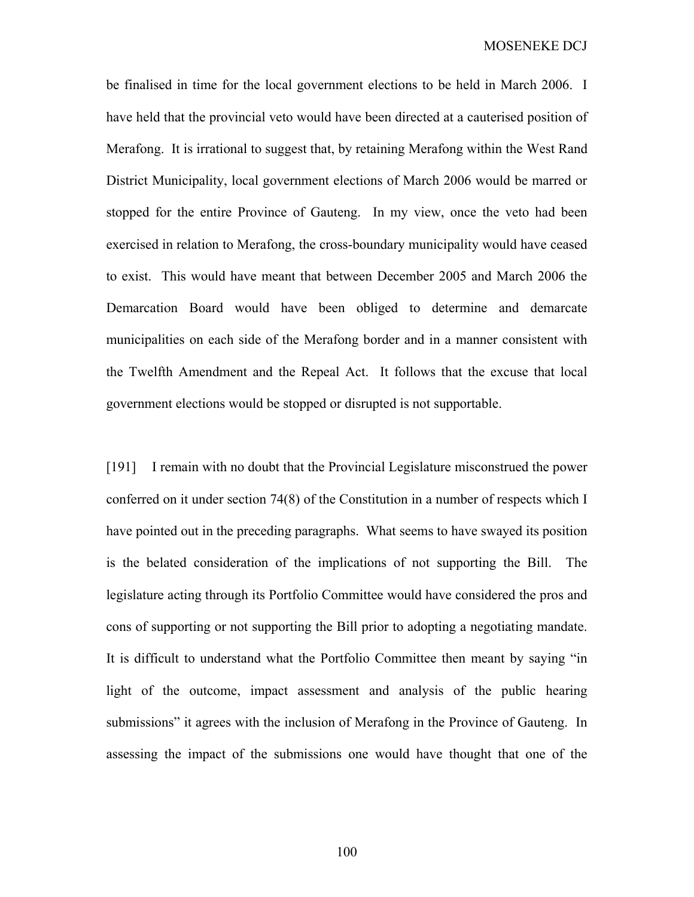be finalised in time for the local government elections to be held in March 2006. I have held that the provincial veto would have been directed at a cauterised position of Merafong. It is irrational to suggest that, by retaining Merafong within the West Rand District Municipality, local government elections of March 2006 would be marred or stopped for the entire Province of Gauteng. In my view, once the veto had been exercised in relation to Merafong, the cross-boundary municipality would have ceased to exist. This would have meant that between December 2005 and March 2006 the Demarcation Board would have been obliged to determine and demarcate municipalities on each side of the Merafong border and in a manner consistent with the Twelfth Amendment and the Repeal Act. It follows that the excuse that local government elections would be stopped or disrupted is not supportable.

[191] I remain with no doubt that the Provincial Legislature misconstrued the power conferred on it under section 74(8) of the Constitution in a number of respects which I have pointed out in the preceding paragraphs. What seems to have swayed its position is the belated consideration of the implications of not supporting the Bill. The legislature acting through its Portfolio Committee would have considered the pros and cons of supporting or not supporting the Bill prior to adopting a negotiating mandate. It is difficult to understand what the Portfolio Committee then meant by saying "in light of the outcome, impact assessment and analysis of the public hearing submissions" it agrees with the inclusion of Merafong in the Province of Gauteng. In assessing the impact of the submissions one would have thought that one of the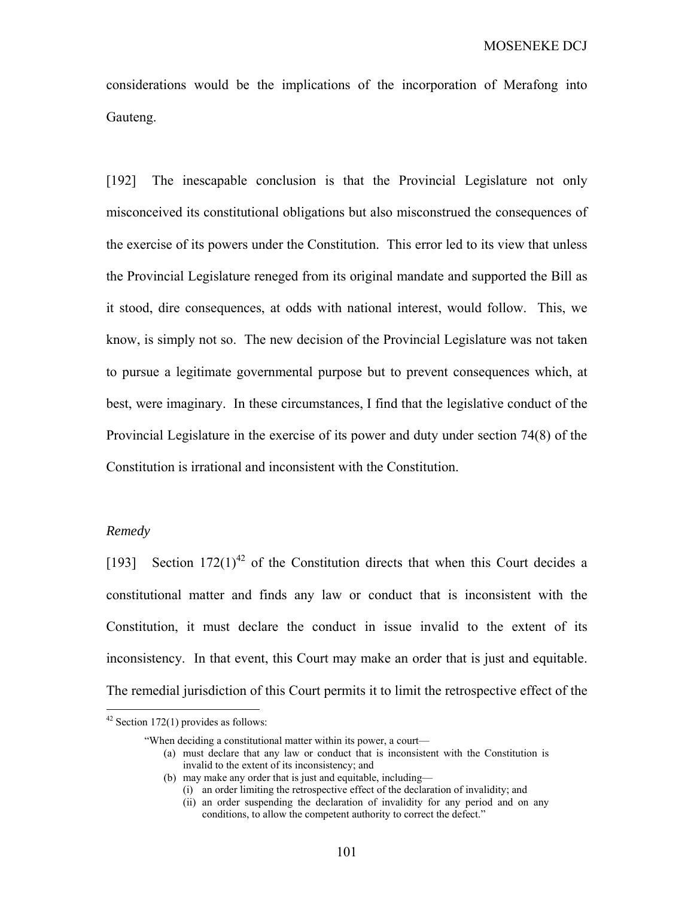considerations would be the implications of the incorporation of Merafong into Gauteng.

[192] The inescapable conclusion is that the Provincial Legislature not only misconceived its constitutional obligations but also misconstrued the consequences of the exercise of its powers under the Constitution. This error led to its view that unless the Provincial Legislature reneged from its original mandate and supported the Bill as it stood, dire consequences, at odds with national interest, would follow. This, we know, is simply not so. The new decision of the Provincial Legislature was not taken to pursue a legitimate governmental purpose but to prevent consequences which, at best, were imaginary. In these circumstances, I find that the legislative conduct of the Provincial Legislature in the exercise of its power and duty under section 74(8) of the Constitution is irrational and inconsistent with the Constitution.

## *Remedy*

1

[193] Section  $172(1)^{42}$  of the Constitution directs that when this Court decides a constitutional matter and finds any law or conduct that is inconsistent with the Constitution, it must declare the conduct in issue invalid to the extent of its inconsistency. In that event, this Court may make an order that is just and equitable. The remedial jurisdiction of this Court permits it to limit the retrospective effect of the

 $42$  Section 172(1) provides as follows:

<sup>&</sup>quot;When deciding a constitutional matter within its power, a court—

<sup>(</sup>a) must declare that any law or conduct that is inconsistent with the Constitution is invalid to the extent of its inconsistency; and

<sup>(</sup>b) may make any order that is just and equitable, including—

<sup>(</sup>i) an order limiting the retrospective effect of the declaration of invalidity; and

<sup>(</sup>ii) an order suspending the declaration of invalidity for any period and on any conditions, to allow the competent authority to correct the defect."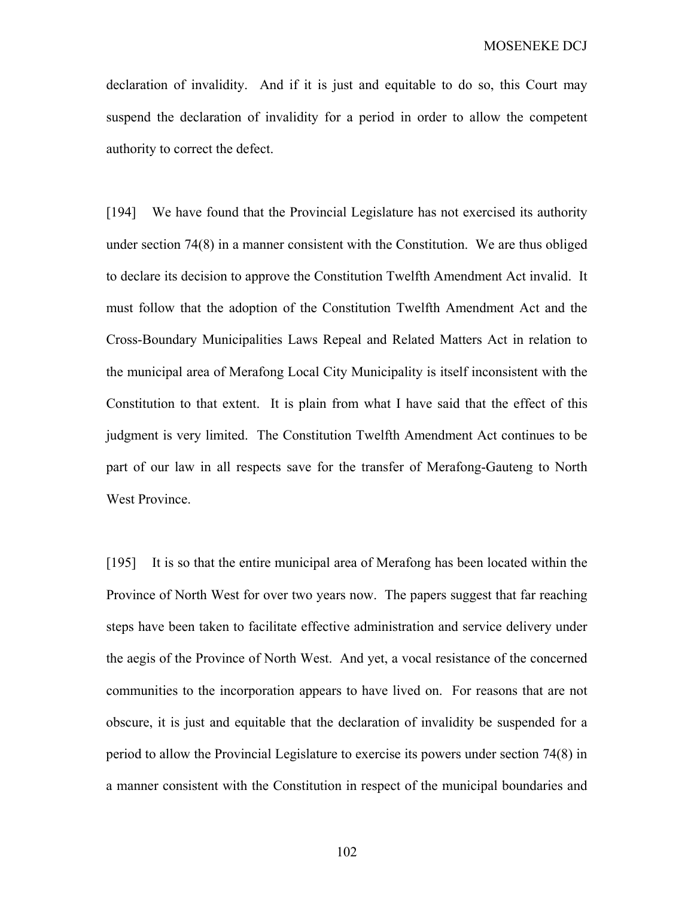declaration of invalidity. And if it is just and equitable to do so, this Court may suspend the declaration of invalidity for a period in order to allow the competent authority to correct the defect.

[194] We have found that the Provincial Legislature has not exercised its authority under section 74(8) in a manner consistent with the Constitution. We are thus obliged to declare its decision to approve the Constitution Twelfth Amendment Act invalid. It must follow that the adoption of the Constitution Twelfth Amendment Act and the Cross-Boundary Municipalities Laws Repeal and Related Matters Act in relation to the municipal area of Merafong Local City Municipality is itself inconsistent with the Constitution to that extent. It is plain from what I have said that the effect of this judgment is very limited. The Constitution Twelfth Amendment Act continues to be part of our law in all respects save for the transfer of Merafong-Gauteng to North West Province.

[195] It is so that the entire municipal area of Merafong has been located within the Province of North West for over two years now. The papers suggest that far reaching steps have been taken to facilitate effective administration and service delivery under the aegis of the Province of North West. And yet, a vocal resistance of the concerned communities to the incorporation appears to have lived on. For reasons that are not obscure, it is just and equitable that the declaration of invalidity be suspended for a period to allow the Provincial Legislature to exercise its powers under section 74(8) in a manner consistent with the Constitution in respect of the municipal boundaries and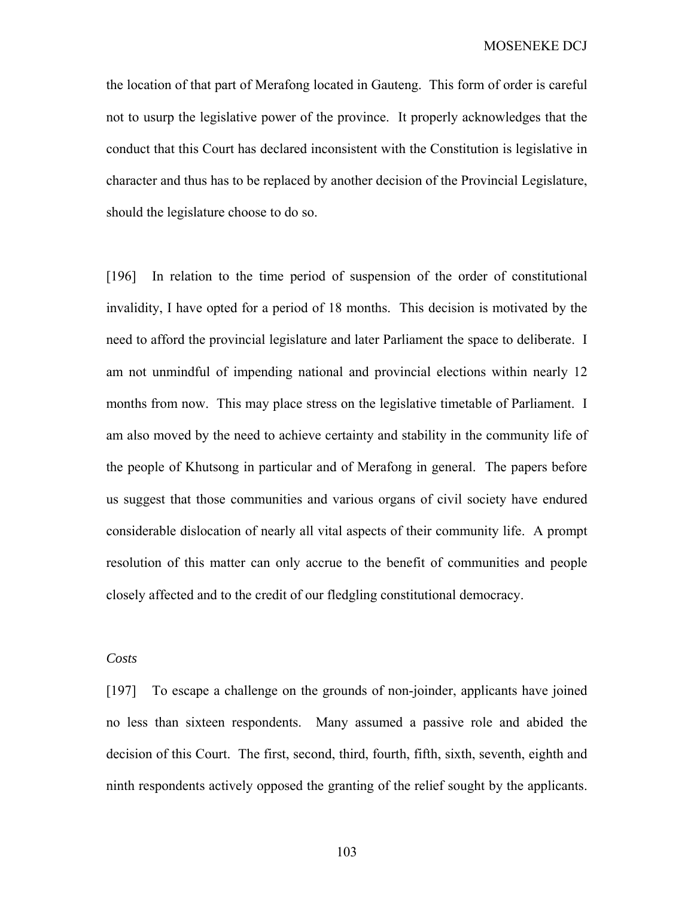the location of that part of Merafong located in Gauteng. This form of order is careful not to usurp the legislative power of the province. It properly acknowledges that the conduct that this Court has declared inconsistent with the Constitution is legislative in character and thus has to be replaced by another decision of the Provincial Legislature, should the legislature choose to do so.

[196] In relation to the time period of suspension of the order of constitutional invalidity, I have opted for a period of 18 months. This decision is motivated by the need to afford the provincial legislature and later Parliament the space to deliberate. I am not unmindful of impending national and provincial elections within nearly 12 months from now. This may place stress on the legislative timetable of Parliament. I am also moved by the need to achieve certainty and stability in the community life of the people of Khutsong in particular and of Merafong in general. The papers before us suggest that those communities and various organs of civil society have endured considerable dislocation of nearly all vital aspects of their community life. A prompt resolution of this matter can only accrue to the benefit of communities and people closely affected and to the credit of our fledgling constitutional democracy.

### *Costs*

[197] To escape a challenge on the grounds of non-joinder, applicants have joined no less than sixteen respondents. Many assumed a passive role and abided the decision of this Court. The first, second, third, fourth, fifth, sixth, seventh, eighth and ninth respondents actively opposed the granting of the relief sought by the applicants.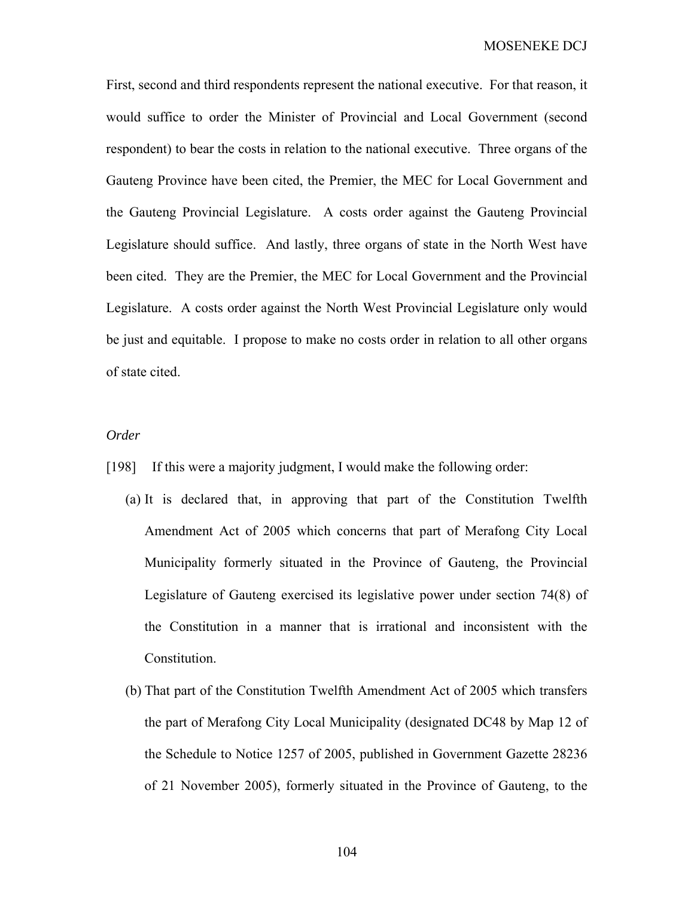First, second and third respondents represent the national executive. For that reason, it would suffice to order the Minister of Provincial and Local Government (second respondent) to bear the costs in relation to the national executive. Three organs of the Gauteng Province have been cited, the Premier, the MEC for Local Government and the Gauteng Provincial Legislature. A costs order against the Gauteng Provincial Legislature should suffice. And lastly, three organs of state in the North West have been cited. They are the Premier, the MEC for Local Government and the Provincial Legislature. A costs order against the North West Provincial Legislature only would be just and equitable. I propose to make no costs order in relation to all other organs of state cited.

# *Order*

- [198] If this were a majority judgment, I would make the following order:
	- (a) It is declared that, in approving that part of the Constitution Twelfth Amendment Act of 2005 which concerns that part of Merafong City Local Municipality formerly situated in the Province of Gauteng, the Provincial Legislature of Gauteng exercised its legislative power under section 74(8) of the Constitution in a manner that is irrational and inconsistent with the Constitution.
	- (b) That part of the Constitution Twelfth Amendment Act of 2005 which transfers the part of Merafong City Local Municipality (designated DC48 by Map 12 of the Schedule to Notice 1257 of 2005, published in Government Gazette 28236 of 21 November 2005), formerly situated in the Province of Gauteng, to the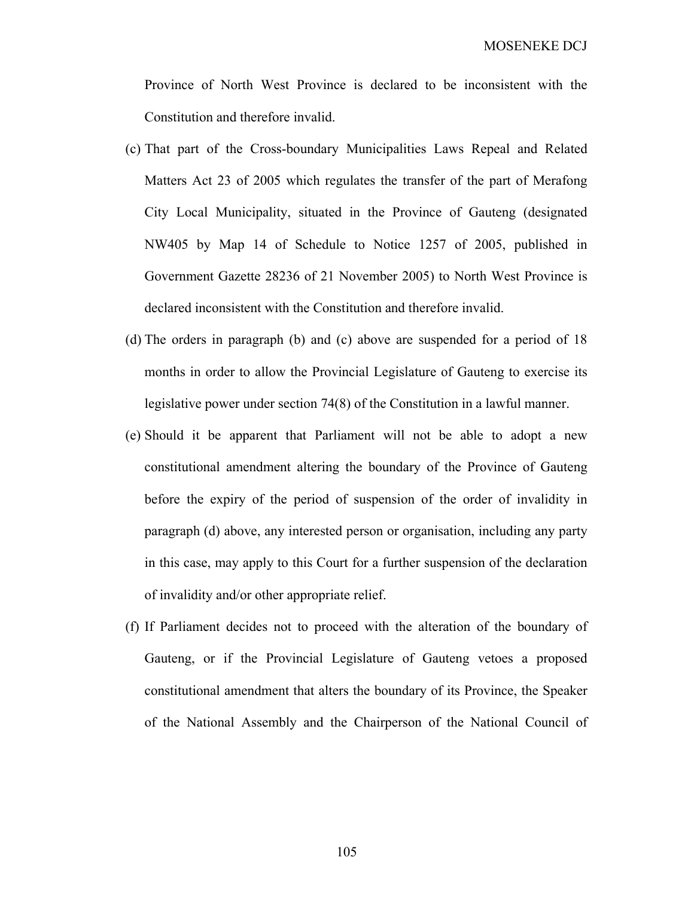Province of North West Province is declared to be inconsistent with the Constitution and therefore invalid.

- (c) That part of the Cross-boundary Municipalities Laws Repeal and Related Matters Act 23 of 2005 which regulates the transfer of the part of Merafong City Local Municipality, situated in the Province of Gauteng (designated NW405 by Map 14 of Schedule to Notice 1257 of 2005, published in Government Gazette 28236 of 21 November 2005) to North West Province is declared inconsistent with the Constitution and therefore invalid.
- (d) The orders in paragraph (b) and (c) above are suspended for a period of 18 months in order to allow the Provincial Legislature of Gauteng to exercise its legislative power under section 74(8) of the Constitution in a lawful manner.
- (e) Should it be apparent that Parliament will not be able to adopt a new constitutional amendment altering the boundary of the Province of Gauteng before the expiry of the period of suspension of the order of invalidity in paragraph (d) above, any interested person or organisation, including any party in this case, may apply to this Court for a further suspension of the declaration of invalidity and/or other appropriate relief.
- (f) If Parliament decides not to proceed with the alteration of the boundary of Gauteng, or if the Provincial Legislature of Gauteng vetoes a proposed constitutional amendment that alters the boundary of its Province, the Speaker of the National Assembly and the Chairperson of the National Council of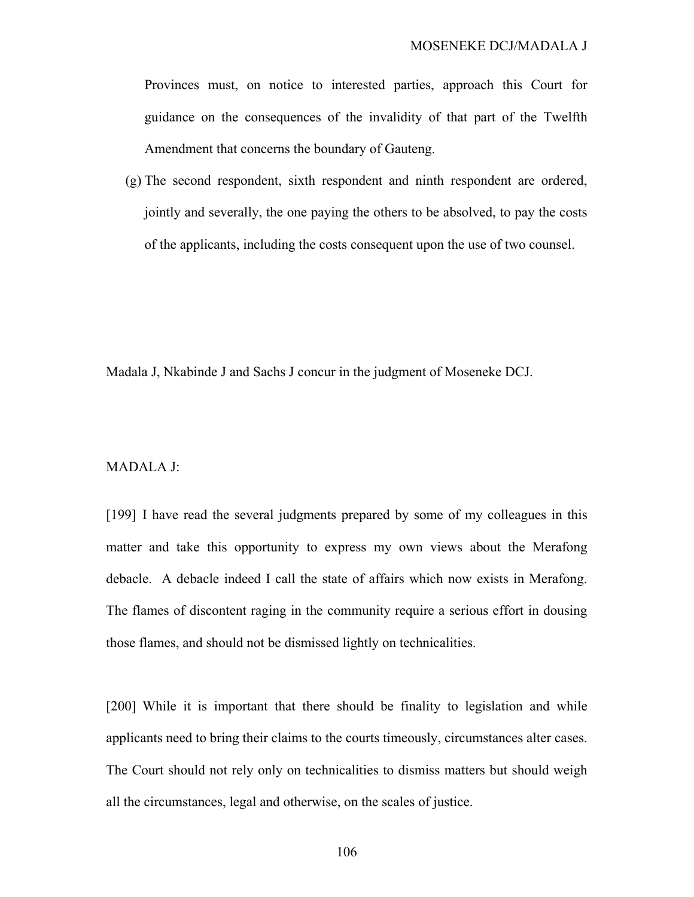Provinces must, on notice to interested parties, approach this Court for guidance on the consequences of the invalidity of that part of the Twelfth Amendment that concerns the boundary of Gauteng.

(g) The second respondent, sixth respondent and ninth respondent are ordered, jointly and severally, the one paying the others to be absolved, to pay the costs of the applicants, including the costs consequent upon the use of two counsel.

Madala J, Nkabinde J and Sachs J concur in the judgment of Moseneke DCJ.

### MADALA J:

[199] I have read the several judgments prepared by some of my colleagues in this matter and take this opportunity to express my own views about the Merafong debacle. A debacle indeed I call the state of affairs which now exists in Merafong. The flames of discontent raging in the community require a serious effort in dousing those flames, and should not be dismissed lightly on technicalities.

[200] While it is important that there should be finality to legislation and while applicants need to bring their claims to the courts timeously, circumstances alter cases. The Court should not rely only on technicalities to dismiss matters but should weigh all the circumstances, legal and otherwise, on the scales of justice.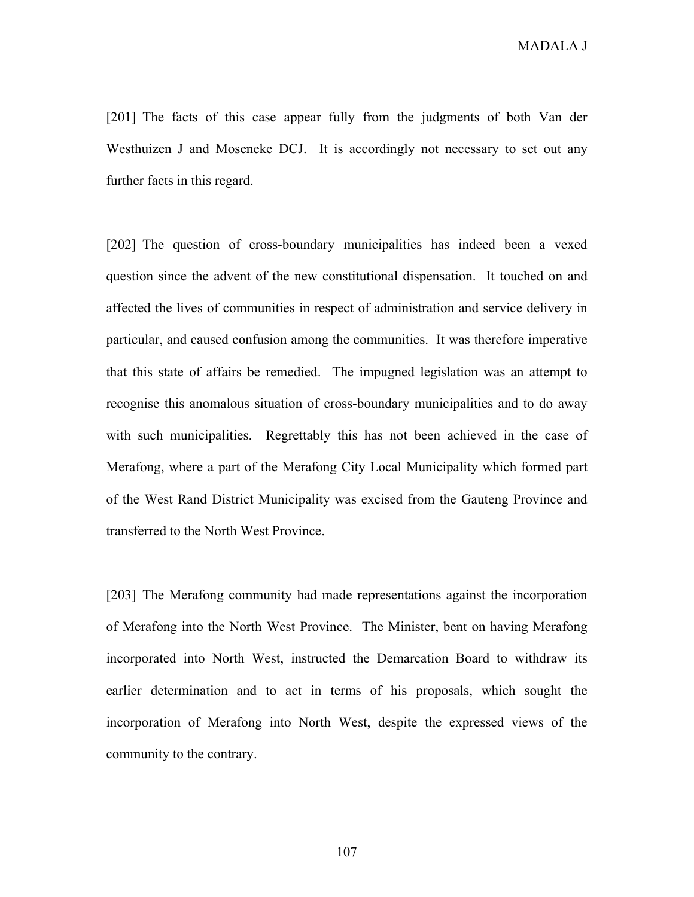[201] The facts of this case appear fully from the judgments of both Van der Westhuizen J and Moseneke DCJ. It is accordingly not necessary to set out any further facts in this regard.

[202] The question of cross-boundary municipalities has indeed been a vexed question since the advent of the new constitutional dispensation. It touched on and affected the lives of communities in respect of administration and service delivery in particular, and caused confusion among the communities. It was therefore imperative that this state of affairs be remedied. The impugned legislation was an attempt to recognise this anomalous situation of cross-boundary municipalities and to do away with such municipalities. Regrettably this has not been achieved in the case of Merafong, where a part of the Merafong City Local Municipality which formed part of the West Rand District Municipality was excised from the Gauteng Province and transferred to the North West Province.

[203] The Merafong community had made representations against the incorporation of Merafong into the North West Province. The Minister, bent on having Merafong incorporated into North West, instructed the Demarcation Board to withdraw its earlier determination and to act in terms of his proposals, which sought the incorporation of Merafong into North West, despite the expressed views of the community to the contrary.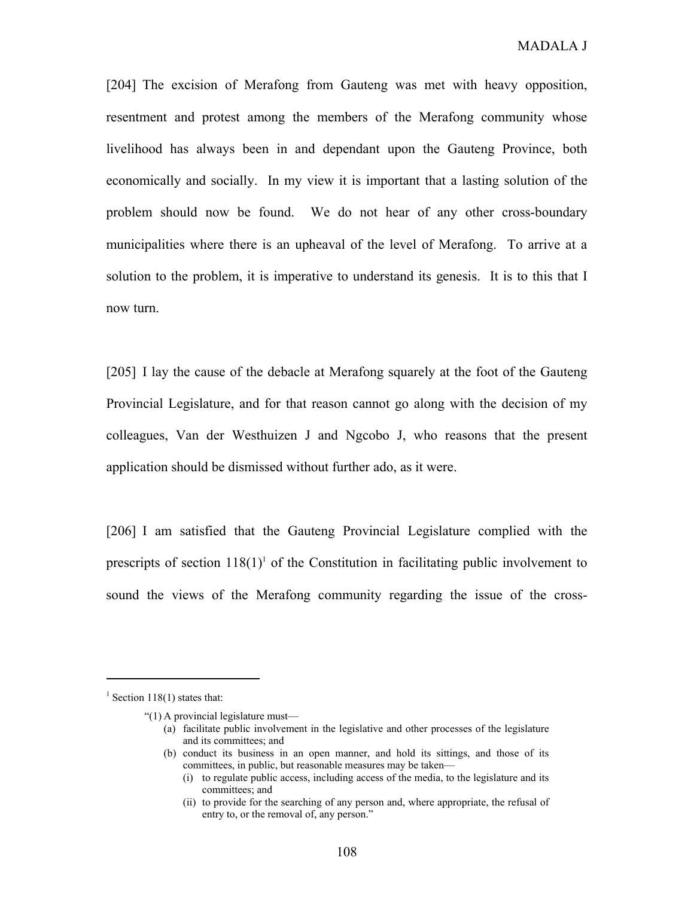[204] The excision of Merafong from Gauteng was met with heavy opposition, resentment and protest among the members of the Merafong community whose livelihood has always been in and dependant upon the Gauteng Province, both economically and socially. In my view it is important that a lasting solution of the problem should now be found. We do not hear of any other cross-boundary municipalities where there is an upheaval of the level of Merafong. To arrive at a solution to the problem, it is imperative to understand its genesis. It is to this that I now turn.

[205] I lay the cause of the debacle at Merafong squarely at the foot of the Gauteng Provincial Legislature, and for that reason cannot go along with the decision of my colleagues, Van der Westhuizen J and Ngcobo J, who reasons that the present application should be dismissed without further ado, as it were.

[206] I am satisfied that the Gauteng Provincial Legislature complied with the prescripts of section  $118(1)$ <sup>1</sup> of the Constitution in facilitating public involvement to sound the views of the Merafong community regarding the issue of the cross-

 $\overline{a}$ 

<sup>&</sup>lt;sup>1</sup> Section 118(1) states that:

<sup>&</sup>quot;(1) A provincial legislature must—

<sup>(</sup>a) facilitate public involvement in the legislative and other processes of the legislature and its committees; and

<sup>(</sup>b) conduct its business in an open manner, and hold its sittings, and those of its committees, in public, but reasonable measures may be taken—

<sup>(</sup>i) to regulate public access, including access of the media, to the legislature and its committees; and

<sup>(</sup>ii) to provide for the searching of any person and, where appropriate, the refusal of entry to, or the removal of, any person."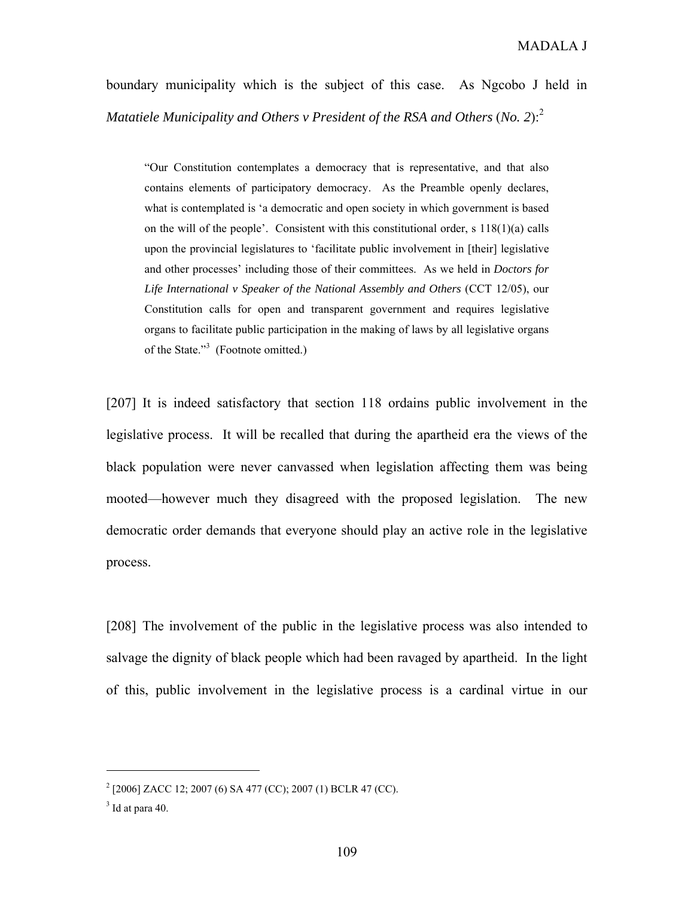boundary municipality which is the subject of this case. As Ngcobo J held in *Matatiele Municipality and Others v President of the RSA and Others (No. 2):*<sup>2</sup>

"Our Constitution contemplates a democracy that is representative, and that also contains elements of participatory democracy. As the Preamble openly declares, what is contemplated is 'a democratic and open society in which government is based on the will of the people'. Consistent with this constitutional order, s  $118(1)(a)$  calls upon the provincial legislatures to 'facilitate public involvement in [their] legislative and other processes' including those of their committees. As we held in *Doctors for Life International v Speaker of the National Assembly and Others* (CCT 12/05), our Constitution calls for open and transparent government and requires legislative organs to facilitate public participation in the making of laws by all legislative organs of the State."<sup>3</sup> (Footnote omitted.)

[207] It is indeed satisfactory that section 118 ordains public involvement in the legislative process. It will be recalled that during the apartheid era the views of the black population were never canvassed when legislation affecting them was being mooted—however much they disagreed with the proposed legislation. The new democratic order demands that everyone should play an active role in the legislative process.

[208] The involvement of the public in the legislative process was also intended to salvage the dignity of black people which had been ravaged by apartheid. In the light of this, public involvement in the legislative process is a cardinal virtue in our

<sup>2</sup> [2006] ZACC 12; 2007 (6) SA 477 (CC); 2007 (1) BCLR 47 (CC).

 $3$  Id at para 40.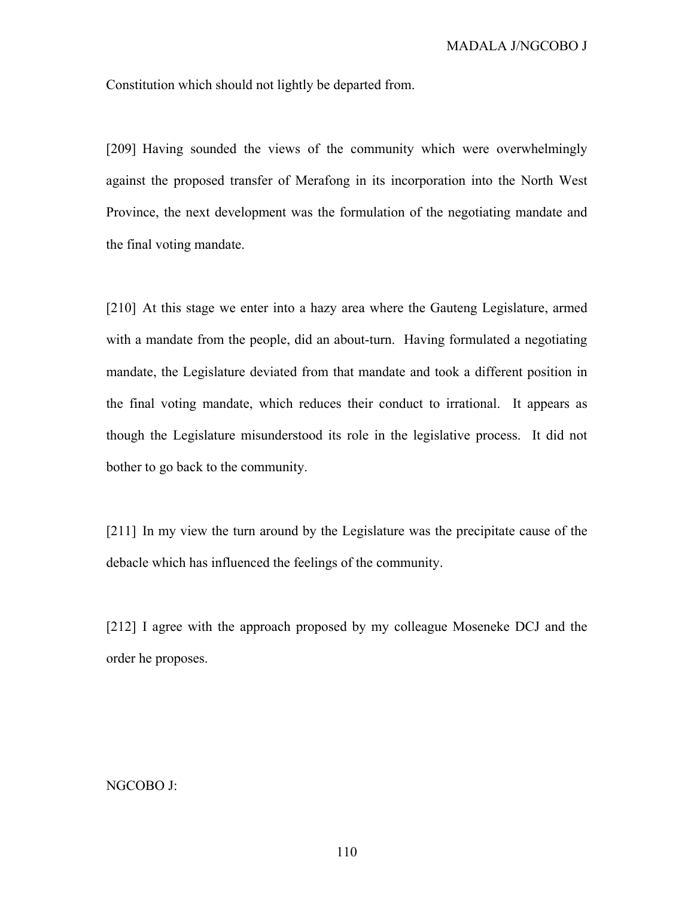Constitution which should not lightly be departed from.

[209] Having sounded the views of the community which were overwhelmingly against the proposed transfer of Merafong in its incorporation into the North West Province, the next development was the formulation of the negotiating mandate and the final voting mandate.

[210] At this stage we enter into a hazy area where the Gauteng Legislature, armed with a mandate from the people, did an about-turn. Having formulated a negotiating mandate, the Legislature deviated from that mandate and took a different position in the final voting mandate, which reduces their conduct to irrational. It appears as though the Legislature misunderstood its role in the legislative process. It did not bother to go back to the community.

[211] In my view the turn around by the Legislature was the precipitate cause of the debacle which has influenced the feelings of the community.

[212] I agree with the approach proposed by my colleague Moseneke DCJ and the order he proposes.

# NGCOBO J: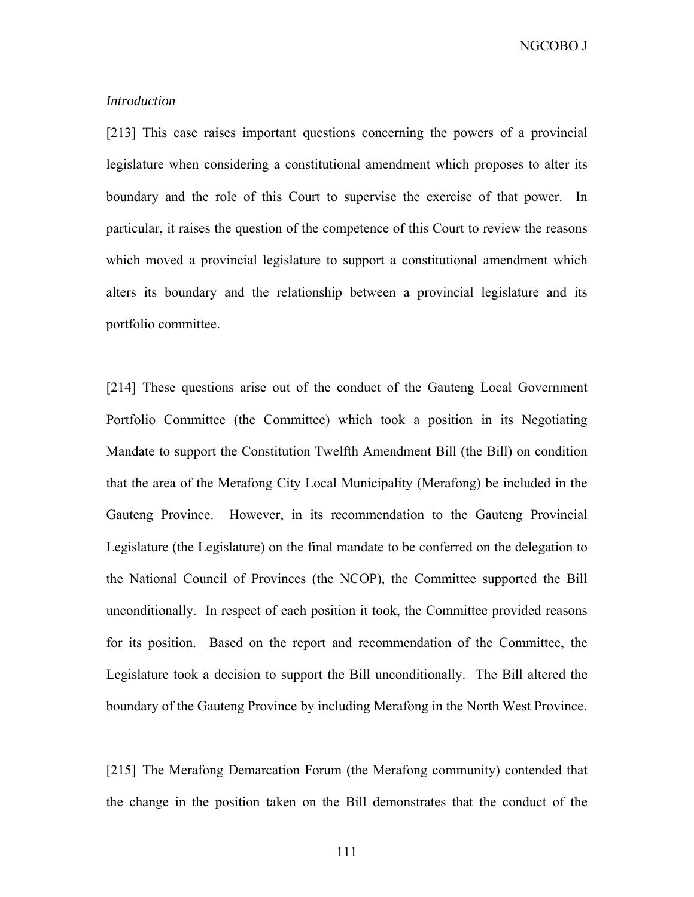NGCOBO J

# *Introduction*

[213] This case raises important questions concerning the powers of a provincial legislature when considering a constitutional amendment which proposes to alter its boundary and the role of this Court to supervise the exercise of that power. In particular, it raises the question of the competence of this Court to review the reasons which moved a provincial legislature to support a constitutional amendment which alters its boundary and the relationship between a provincial legislature and its portfolio committee.

[214] These questions arise out of the conduct of the Gauteng Local Government Portfolio Committee (the Committee) which took a position in its Negotiating Mandate to support the Constitution Twelfth Amendment Bill (the Bill) on condition that the area of the Merafong City Local Municipality (Merafong) be included in the Gauteng Province. However, in its recommendation to the Gauteng Provincial Legislature (the Legislature) on the final mandate to be conferred on the delegation to the National Council of Provinces (the NCOP), the Committee supported the Bill unconditionally. In respect of each position it took, the Committee provided reasons for its position. Based on the report and recommendation of the Committee, the Legislature took a decision to support the Bill unconditionally. The Bill altered the boundary of the Gauteng Province by including Merafong in the North West Province.

[215] The Merafong Demarcation Forum (the Merafong community) contended that the change in the position taken on the Bill demonstrates that the conduct of the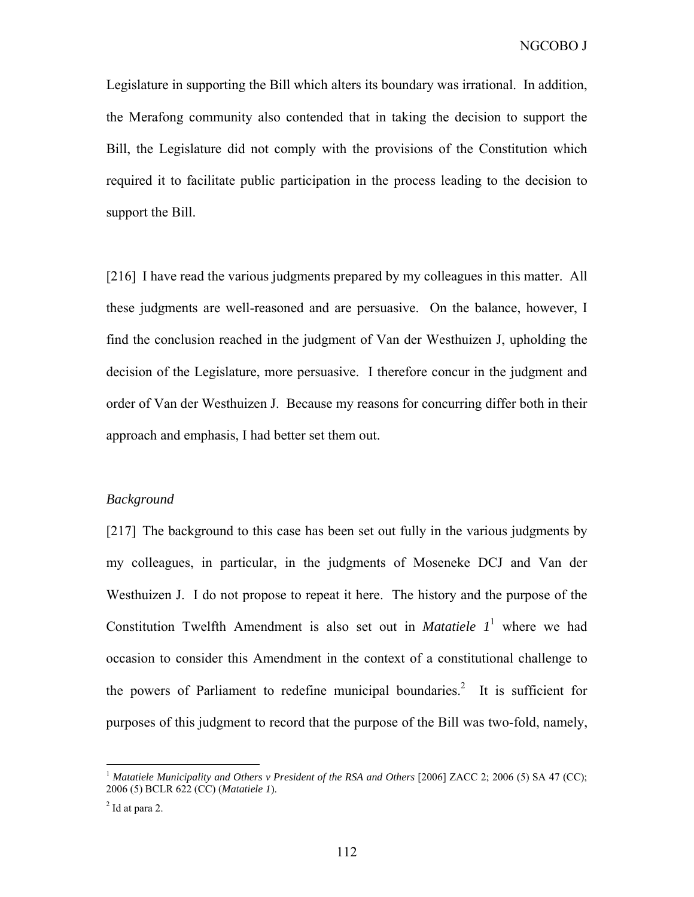Legislature in supporting the Bill which alters its boundary was irrational. In addition, the Merafong community also contended that in taking the decision to support the Bill, the Legislature did not comply with the provisions of the Constitution which required it to facilitate public participation in the process leading to the decision to support the Bill.

[216] I have read the various judgments prepared by my colleagues in this matter. All these judgments are well-reasoned and are persuasive. On the balance, however, I find the conclusion reached in the judgment of Van der Westhuizen J, upholding the decision of the Legislature, more persuasive. I therefore concur in the judgment and order of Van der Westhuizen J. Because my reasons for concurring differ both in their approach and emphasis, I had better set them out.

## *Background*

[217] The background to this case has been set out fully in the various judgments by my colleagues, in particular, in the judgments of Moseneke DCJ and Van der Westhuizen J. I do not propose to repeat it here. The history and the purpose of the Constitution Twelfth Amendment is also set out in *Matatiele*  $1<sup>1</sup>$  where we had occasion to consider this Amendment in the context of a constitutional challenge to the powers of Parliament to redefine municipal boundaries.<sup>2</sup> It is sufficient for purposes of this judgment to record that the purpose of the Bill was two-fold, namely,

<sup>&</sup>lt;sup>1</sup> Matatiele Municipality and Others v President of the RSA and Others [2006] ZACC 2; 2006 (5) SA 47 (CC); 2006 (5) BCLR 622 (CC) (*Matatiele 1*).

 $<sup>2</sup>$  Id at para 2.</sup>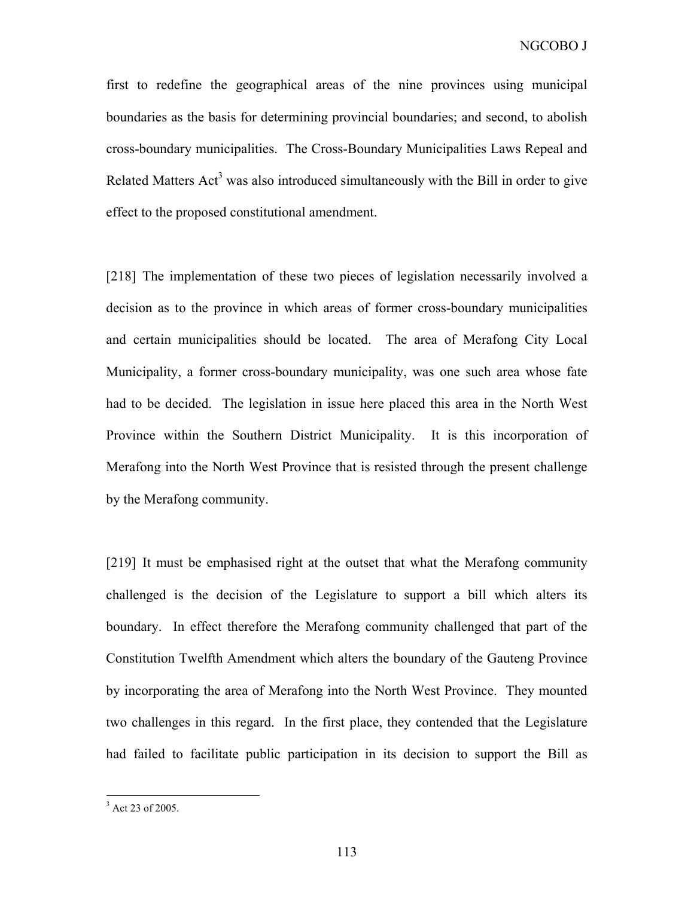first to redefine the geographical areas of the nine provinces using municipal boundaries as the basis for determining provincial boundaries; and second, to abolish cross-boundary municipalities. The Cross-Boundary Municipalities Laws Repeal and Related Matters  $Act<sup>3</sup>$  was also introduced simultaneously with the Bill in order to give effect to the proposed constitutional amendment.

[218] The implementation of these two pieces of legislation necessarily involved a decision as to the province in which areas of former cross-boundary municipalities and certain municipalities should be located. The area of Merafong City Local Municipality, a former cross-boundary municipality, was one such area whose fate had to be decided. The legislation in issue here placed this area in the North West Province within the Southern District Municipality. It is this incorporation of Merafong into the North West Province that is resisted through the present challenge by the Merafong community.

[219] It must be emphasised right at the outset that what the Merafong community challenged is the decision of the Legislature to support a bill which alters its boundary. In effect therefore the Merafong community challenged that part of the Constitution Twelfth Amendment which alters the boundary of the Gauteng Province by incorporating the area of Merafong into the North West Province. They mounted two challenges in this regard. In the first place, they contended that the Legislature had failed to facilitate public participation in its decision to support the Bill as

 $3 \text{ Act } 23 \text{ of } 2005.$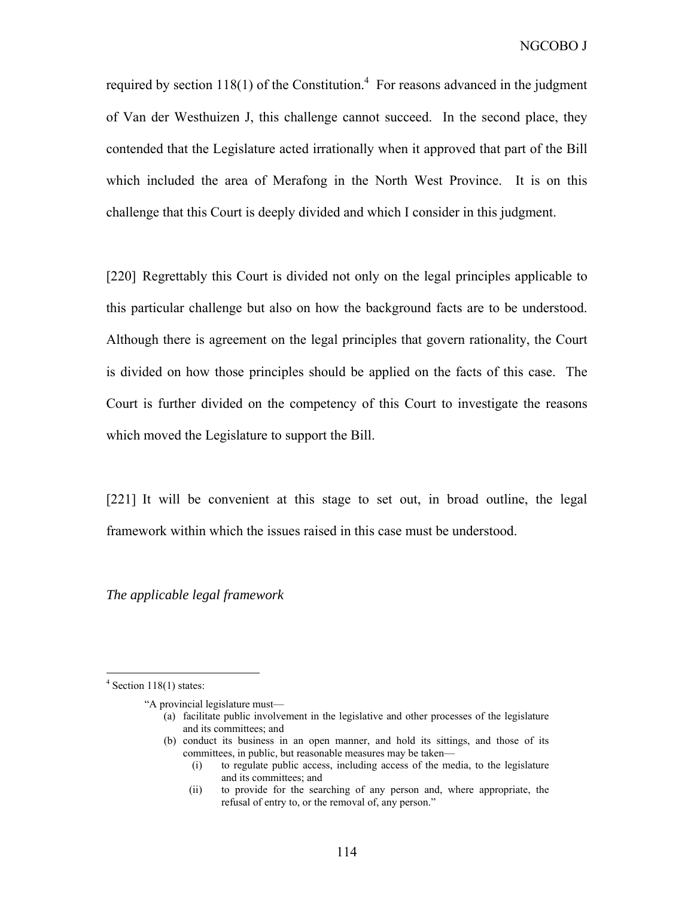required by section  $118(1)$  of the Constitution.<sup>4</sup> For reasons advanced in the judgment of Van der Westhuizen J, this challenge cannot succeed. In the second place, they contended that the Legislature acted irrationally when it approved that part of the Bill which included the area of Merafong in the North West Province. It is on this challenge that this Court is deeply divided and which I consider in this judgment.

[220] Regrettably this Court is divided not only on the legal principles applicable to this particular challenge but also on how the background facts are to be understood. Although there is agreement on the legal principles that govern rationality, the Court is divided on how those principles should be applied on the facts of this case. The Court is further divided on the competency of this Court to investigate the reasons which moved the Legislature to support the Bill.

[221] It will be convenient at this stage to set out, in broad outline, the legal framework within which the issues raised in this case must be understood.

*The applicable legal framework* 

 $\overline{a}$ 

"A provincial legislature must—

- (a) facilitate public involvement in the legislative and other processes of the legislature and its committees; and
- (b) conduct its business in an open manner, and hold its sittings, and those of its committees, in public, but reasonable measures may be taken—
	- (i) to regulate public access, including access of the media, to the legislature and its committees; and
	- (ii) to provide for the searching of any person and, where appropriate, the refusal of entry to, or the removal of, any person."

 $4$  Section 118(1) states: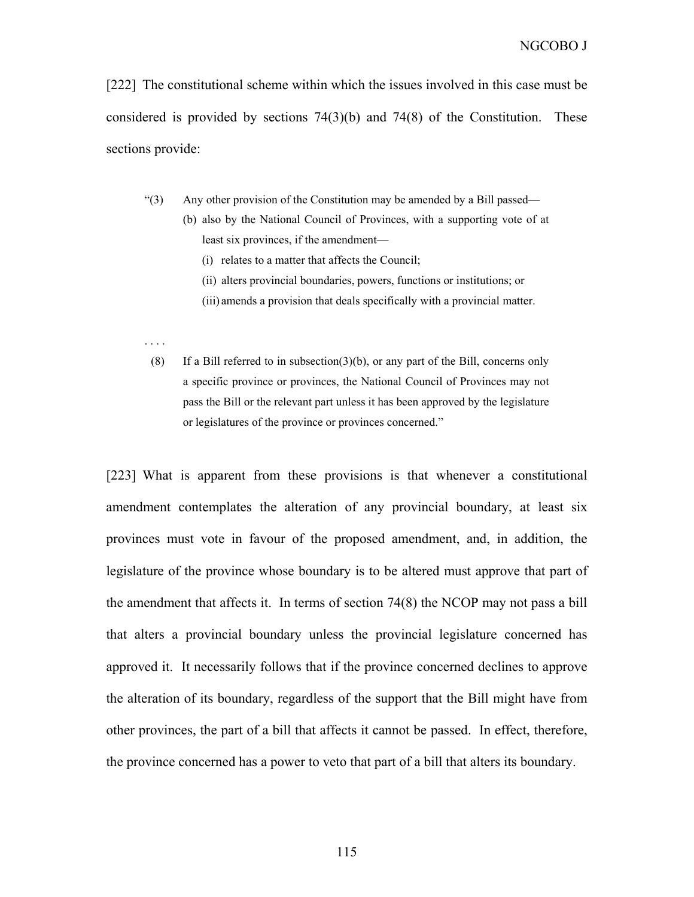[222] The constitutional scheme within which the issues involved in this case must be considered is provided by sections 74(3)(b) and 74(8) of the Constitution. These sections provide:

- "(3) Any other provision of the Constitution may be amended by a Bill passed—
	- (b) also by the National Council of Provinces, with a supporting vote of at least six provinces, if the amendment—
		- (i) relates to a matter that affects the Council;

. . . .

- (ii) alters provincial boundaries, powers, functions or institutions; or
- (iii) amends a provision that deals specifically with a provincial matter.
- (8) If a Bill referred to in subsection(3)(b), or any part of the Bill, concerns only a specific province or provinces, the National Council of Provinces may not pass the Bill or the relevant part unless it has been approved by the legislature or legislatures of the province or provinces concerned."

[223] What is apparent from these provisions is that whenever a constitutional amendment contemplates the alteration of any provincial boundary, at least six provinces must vote in favour of the proposed amendment, and, in addition, the legislature of the province whose boundary is to be altered must approve that part of the amendment that affects it. In terms of section 74(8) the NCOP may not pass a bill that alters a provincial boundary unless the provincial legislature concerned has approved it. It necessarily follows that if the province concerned declines to approve the alteration of its boundary, regardless of the support that the Bill might have from other provinces, the part of a bill that affects it cannot be passed. In effect, therefore, the province concerned has a power to veto that part of a bill that alters its boundary.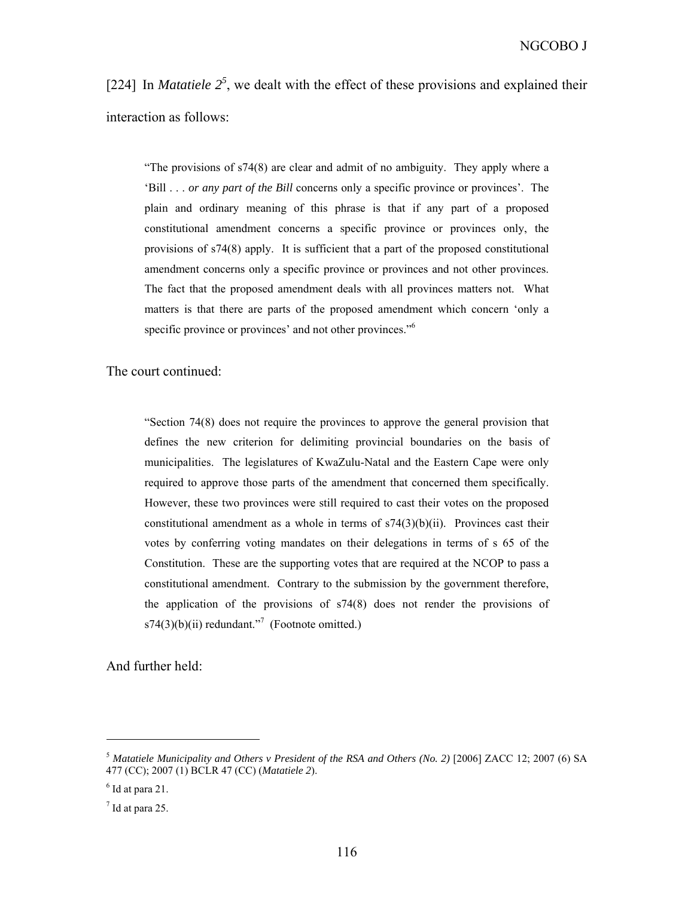[224] In *Matatiele 2<sup>5</sup>*, we dealt with the effect of these provisions and explained their interaction as follows:

"The provisions of s74(8) are clear and admit of no ambiguity. They apply where a 'Bill . . . *or any part of the Bill* concerns only a specific province or provinces'. The plain and ordinary meaning of this phrase is that if any part of a proposed constitutional amendment concerns a specific province or provinces only, the provisions of s74(8) apply. It is sufficient that a part of the proposed constitutional amendment concerns only a specific province or provinces and not other provinces. The fact that the proposed amendment deals with all provinces matters not. What matters is that there are parts of the proposed amendment which concern 'only a specific province or provinces' and not other provinces."<sup>6</sup>

The court continued:

"Section 74(8) does not require the provinces to approve the general provision that defines the new criterion for delimiting provincial boundaries on the basis of municipalities. The legislatures of KwaZulu-Natal and the Eastern Cape were only required to approve those parts of the amendment that concerned them specifically. However, these two provinces were still required to cast their votes on the proposed constitutional amendment as a whole in terms of  $s74(3)(b)(ii)$ . Provinces cast their votes by conferring voting mandates on their delegations in terms of s 65 of the Constitution. These are the supporting votes that are required at the NCOP to pass a constitutional amendment. Contrary to the submission by the government therefore, the application of the provisions of s74(8) does not render the provisions of  $s74(3)(b)(ii)$  redundant."<sup>7</sup> (Footnote omitted.)

And further held:

<sup>5</sup> *Matatiele Municipality and Others v President of the RSA and Others (No. 2)* [2006] ZACC 12; 2007 (6) SA 477 (CC); 2007 (1) BCLR 47 (CC) (*Matatiele 2*).

 $<sup>6</sup>$  Id at para 21.</sup>

 $<sup>7</sup>$  Id at para 25.</sup>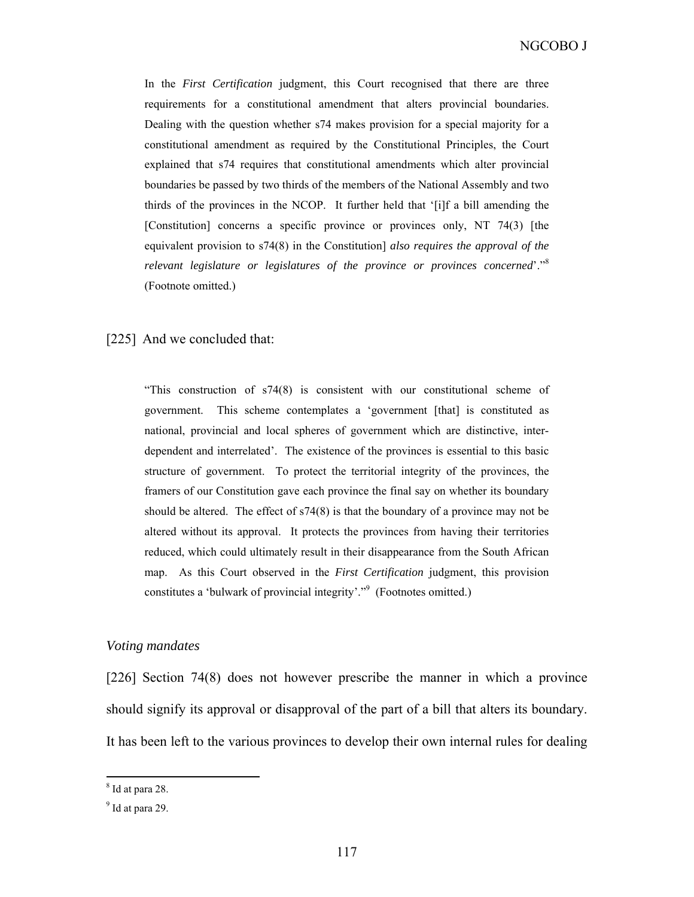In the *First Certification* judgment, this Court recognised that there are three requirements for a constitutional amendment that alters provincial boundaries. Dealing with the question whether s74 makes provision for a special majority for a constitutional amendment as required by the Constitutional Principles, the Court explained that s74 requires that constitutional amendments which alter provincial boundaries be passed by two thirds of the members of the National Assembly and two thirds of the provinces in the NCOP. It further held that '[i]f a bill amending the [Constitution] concerns a specific province or provinces only, NT 74(3) [the equivalent provision to s74(8) in the Constitution] *also requires the approval of the relevant legislature or legislatures of the province or provinces concerned*'."<sup>8</sup> (Footnote omitted.)

#### [225] And we concluded that:

"This construction of s74(8) is consistent with our constitutional scheme of government. This scheme contemplates a 'government [that] is constituted as national, provincial and local spheres of government which are distinctive, interdependent and interrelated'. The existence of the provinces is essential to this basic structure of government. To protect the territorial integrity of the provinces, the framers of our Constitution gave each province the final say on whether its boundary should be altered. The effect of s74(8) is that the boundary of a province may not be altered without its approval. It protects the provinces from having their territories reduced, which could ultimately result in their disappearance from the South African map. As this Court observed in the *First Certification* judgment, this provision constitutes a 'bulwark of provincial integrity'."<sup>9</sup> (Footnotes omitted.)

#### *Voting mandates*

[226] Section 74(8) does not however prescribe the manner in which a province should signify its approval or disapproval of the part of a bill that alters its boundary. It has been left to the various provinces to develop their own internal rules for dealing

<sup>&</sup>lt;sup>8</sup> Id at para 28.

 $<sup>9</sup>$  Id at para 29.</sup>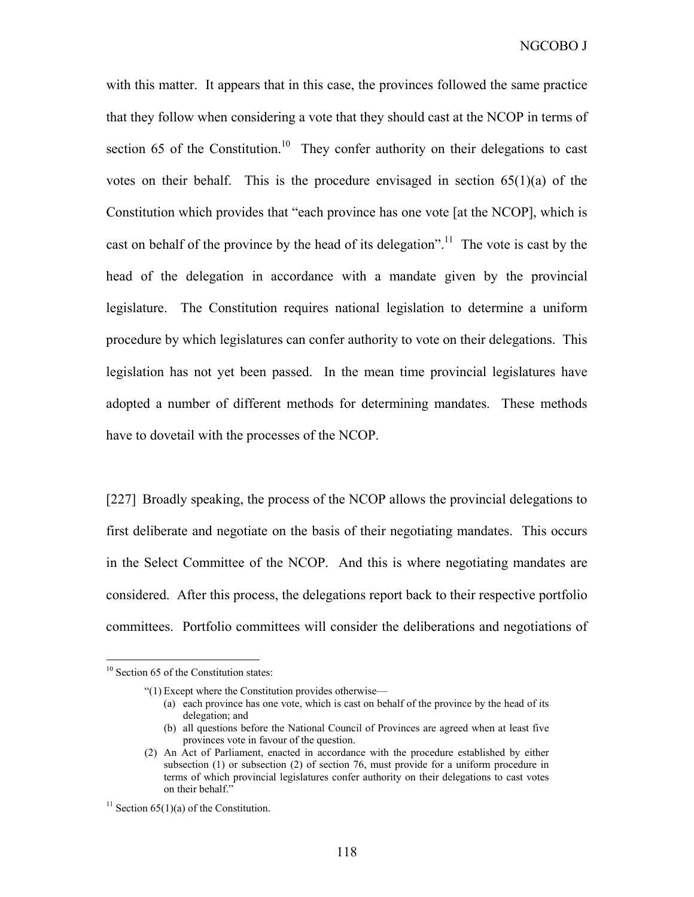with this matter. It appears that in this case, the provinces followed the same practice that they follow when considering a vote that they should cast at the NCOP in terms of section 65 of the Constitution.<sup>10</sup> They confer authority on their delegations to cast votes on their behalf. This is the procedure envisaged in section  $65(1)(a)$  of the Constitution which provides that "each province has one vote [at the NCOP], which is cast on behalf of the province by the head of its delegation".<sup>11</sup> The vote is cast by the head of the delegation in accordance with a mandate given by the provincial legislature. The Constitution requires national legislation to determine a uniform procedure by which legislatures can confer authority to vote on their delegations. This legislation has not yet been passed. In the mean time provincial legislatures have adopted a number of different methods for determining mandates. These methods have to dovetail with the processes of the NCOP.

[227] Broadly speaking, the process of the NCOP allows the provincial delegations to first deliberate and negotiate on the basis of their negotiating mandates. This occurs in the Select Committee of the NCOP. And this is where negotiating mandates are considered. After this process, the delegations report back to their respective portfolio committees. Portfolio committees will consider the deliberations and negotiations of

 $10$  Section 65 of the Constitution states:

<sup>&</sup>quot;(1) Except where the Constitution provides otherwise—

<sup>(</sup>a) each province has one vote, which is cast on behalf of the province by the head of its delegation; and

<sup>(</sup>b) all questions before the National Council of Provinces are agreed when at least five provinces vote in favour of the question.

<sup>(2)</sup> An Act of Parliament, enacted in accordance with the procedure established by either subsection (1) or subsection (2) of section 76, must provide for a uniform procedure in terms of which provincial legislatures confer authority on their delegations to cast votes on their behalf."

<sup>&</sup>lt;sup>11</sup> Section  $65(1)(a)$  of the Constitution.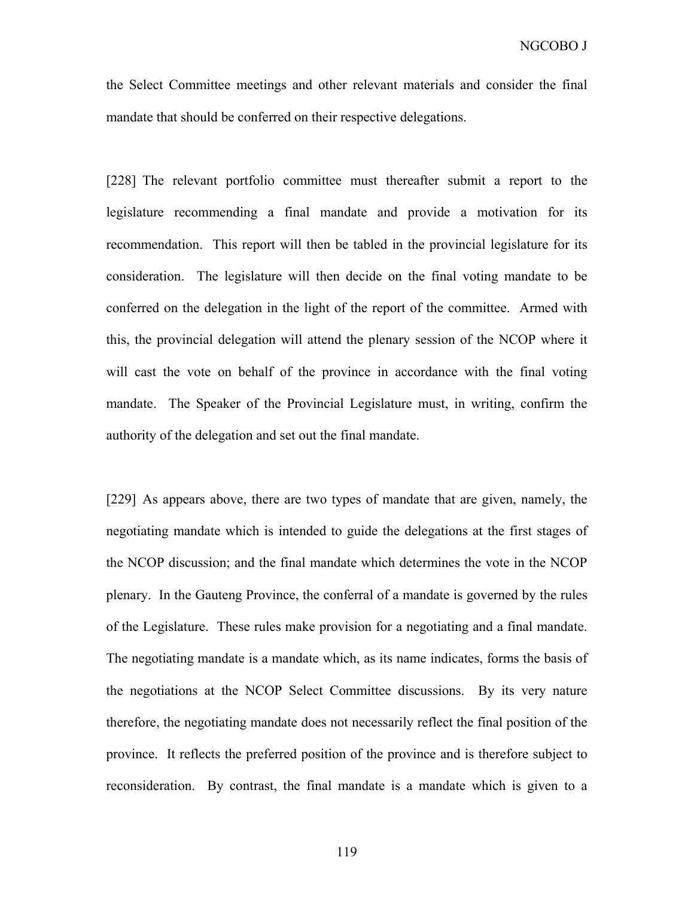the Select Committee meetings and other relevant materials and consider the final mandate that should be conferred on their respective delegations.

[228] The relevant portfolio committee must thereafter submit a report to the legislature recommending a final mandate and provide a motivation for its recommendation. This report will then be tabled in the provincial legislature for its consideration. The legislature will then decide on the final voting mandate to be conferred on the delegation in the light of the report of the committee. Armed with this, the provincial delegation will attend the plenary session of the NCOP where it will cast the vote on behalf of the province in accordance with the final voting mandate. The Speaker of the Provincial Legislature must, in writing, confirm the authority of the delegation and set out the final mandate.

[229] As appears above, there are two types of mandate that are given, namely, the negotiating mandate which is intended to guide the delegations at the first stages of the NCOP discussion; and the final mandate which determines the vote in the NCOP plenary. In the Gauteng Province, the conferral of a mandate is governed by the rules of the Legislature. These rules make provision for a negotiating and a final mandate. The negotiating mandate is a mandate which, as its name indicates, forms the basis of the negotiations at the NCOP Select Committee discussions. By its very nature therefore, the negotiating mandate does not necessarily reflect the final position of the province. It reflects the preferred position of the province and is therefore subject to reconsideration. By contrast, the final mandate is a mandate which is given to a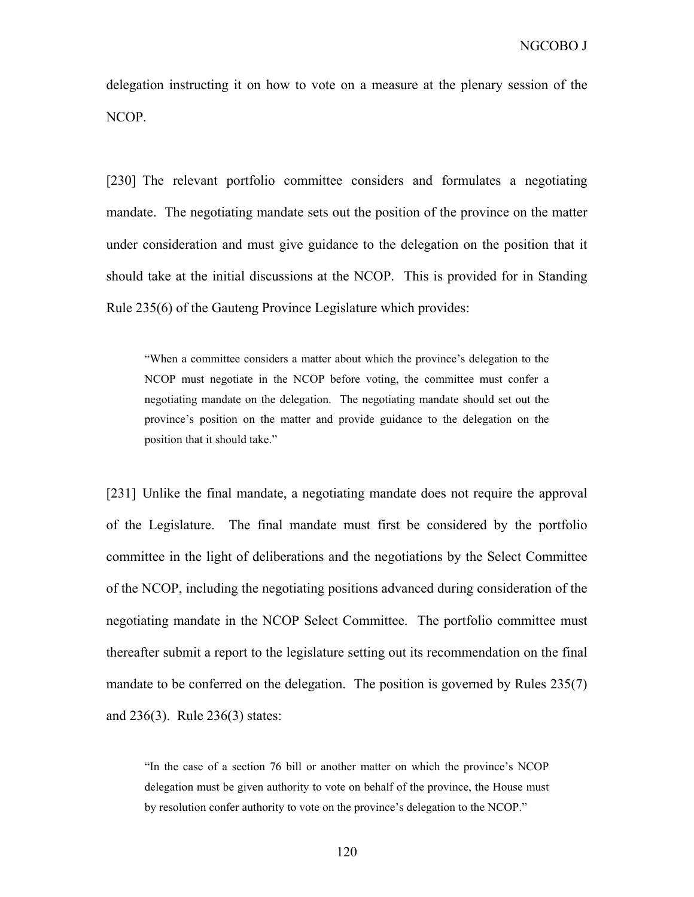delegation instructing it on how to vote on a measure at the plenary session of the NCOP.

[230] The relevant portfolio committee considers and formulates a negotiating mandate. The negotiating mandate sets out the position of the province on the matter under consideration and must give guidance to the delegation on the position that it should take at the initial discussions at the NCOP. This is provided for in Standing Rule 235(6) of the Gauteng Province Legislature which provides:

"When a committee considers a matter about which the province's delegation to the NCOP must negotiate in the NCOP before voting, the committee must confer a negotiating mandate on the delegation. The negotiating mandate should set out the province's position on the matter and provide guidance to the delegation on the position that it should take."

[231] Unlike the final mandate, a negotiating mandate does not require the approval of the Legislature. The final mandate must first be considered by the portfolio committee in the light of deliberations and the negotiations by the Select Committee of the NCOP, including the negotiating positions advanced during consideration of the negotiating mandate in the NCOP Select Committee. The portfolio committee must thereafter submit a report to the legislature setting out its recommendation on the final mandate to be conferred on the delegation. The position is governed by Rules 235(7) and 236(3). Rule 236(3) states:

"In the case of a section 76 bill or another matter on which the province's NCOP delegation must be given authority to vote on behalf of the province, the House must by resolution confer authority to vote on the province's delegation to the NCOP."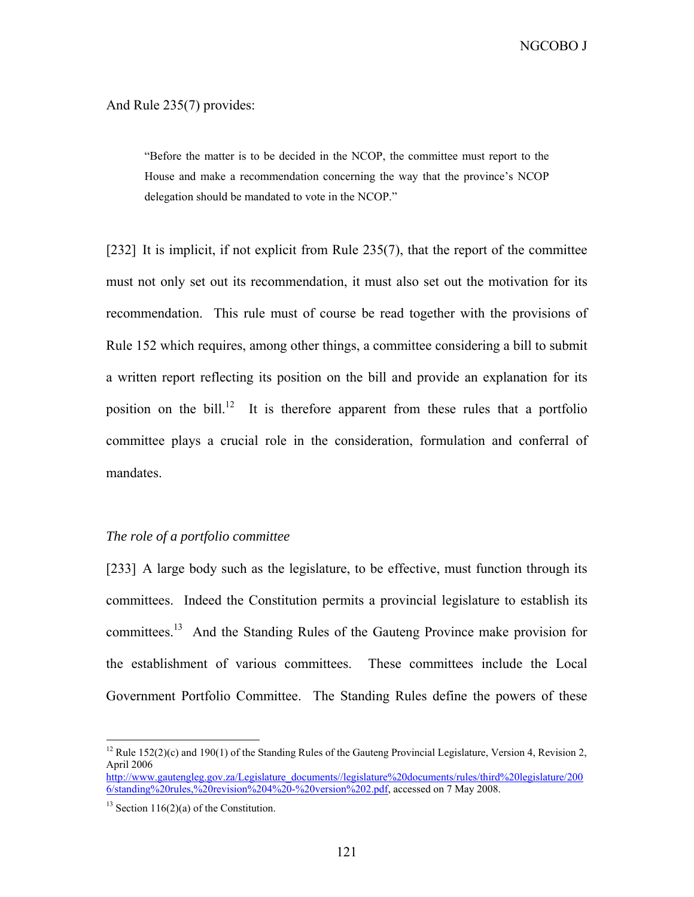NGCOBO J

And Rule 235(7) provides:

"Before the matter is to be decided in the NCOP, the committee must report to the House and make a recommendation concerning the way that the province's NCOP delegation should be mandated to vote in the NCOP."

[232] It is implicit, if not explicit from Rule 235(7), that the report of the committee must not only set out its recommendation, it must also set out the motivation for its recommendation. This rule must of course be read together with the provisions of Rule 152 which requires, among other things, a committee considering a bill to submit a written report reflecting its position on the bill and provide an explanation for its position on the bill.<sup>12</sup> It is therefore apparent from these rules that a portfolio committee plays a crucial role in the consideration, formulation and conferral of mandates.

## *The role of a portfolio committee*

[233] A large body such as the legislature, to be effective, must function through its committees. Indeed the Constitution permits a provincial legislature to establish its committees.13 And the Standing Rules of the Gauteng Province make provision for the establishment of various committees. These committees include the Local Government Portfolio Committee. The Standing Rules define the powers of these

<sup>&</sup>lt;sup>12</sup> Rule 152(2)(c) and 190(1) of the Standing Rules of the Gauteng Provincial Legislature, Version 4, Revision 2, April 2006

http://www.gautengleg.gov.za/Legislature\_documents//legislature%20documents/rules/third%20legislature/200 6/standing%20rules,%20revision%204%20-%20version%202.pdf, accessed on 7 May 2008.

 $13$  Section 116(2)(a) of the Constitution.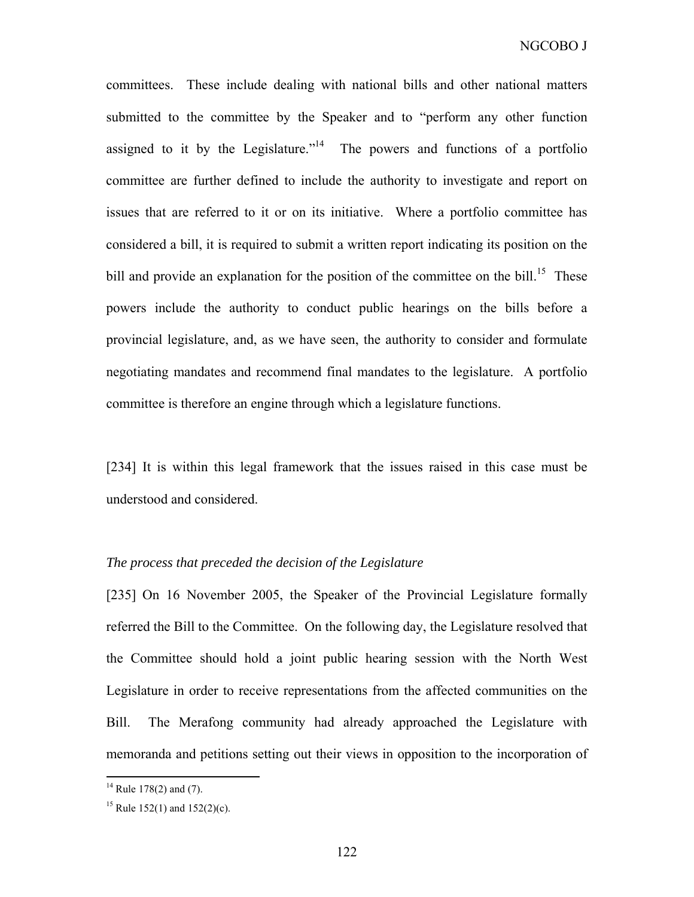committees. These include dealing with national bills and other national matters submitted to the committee by the Speaker and to "perform any other function assigned to it by the Legislature."<sup>14</sup> The powers and functions of a portfolio committee are further defined to include the authority to investigate and report on issues that are referred to it or on its initiative. Where a portfolio committee has considered a bill, it is required to submit a written report indicating its position on the bill and provide an explanation for the position of the committee on the bill.<sup>15</sup> These powers include the authority to conduct public hearings on the bills before a provincial legislature, and, as we have seen, the authority to consider and formulate negotiating mandates and recommend final mandates to the legislature. A portfolio committee is therefore an engine through which a legislature functions.

[234] It is within this legal framework that the issues raised in this case must be understood and considered.

## *The process that preceded the decision of the Legislature*

[235] On 16 November 2005, the Speaker of the Provincial Legislature formally referred the Bill to the Committee. On the following day, the Legislature resolved that the Committee should hold a joint public hearing session with the North West Legislature in order to receive representations from the affected communities on the Bill. The Merafong community had already approached the Legislature with memoranda and petitions setting out their views in opposition to the incorporation of

 $14$  Rule 178(2) and (7).

<sup>&</sup>lt;sup>15</sup> Rule 152(1) and 152(2)(c).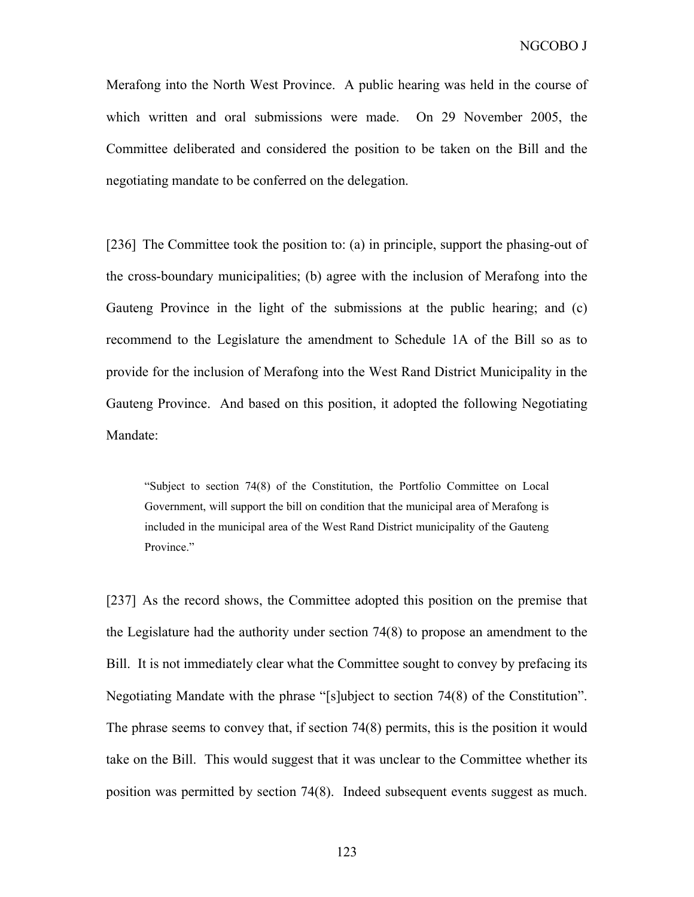Merafong into the North West Province. A public hearing was held in the course of which written and oral submissions were made. On 29 November 2005, the Committee deliberated and considered the position to be taken on the Bill and the negotiating mandate to be conferred on the delegation.

[236] The Committee took the position to: (a) in principle, support the phasing-out of the cross-boundary municipalities; (b) agree with the inclusion of Merafong into the Gauteng Province in the light of the submissions at the public hearing; and (c) recommend to the Legislature the amendment to Schedule 1A of the Bill so as to provide for the inclusion of Merafong into the West Rand District Municipality in the Gauteng Province. And based on this position, it adopted the following Negotiating Mandate:

"Subject to section 74(8) of the Constitution, the Portfolio Committee on Local Government, will support the bill on condition that the municipal area of Merafong is included in the municipal area of the West Rand District municipality of the Gauteng Province."

[237] As the record shows, the Committee adopted this position on the premise that the Legislature had the authority under section 74(8) to propose an amendment to the Bill. It is not immediately clear what the Committee sought to convey by prefacing its Negotiating Mandate with the phrase "[s]ubject to section 74(8) of the Constitution". The phrase seems to convey that, if section 74(8) permits, this is the position it would take on the Bill. This would suggest that it was unclear to the Committee whether its position was permitted by section 74(8). Indeed subsequent events suggest as much.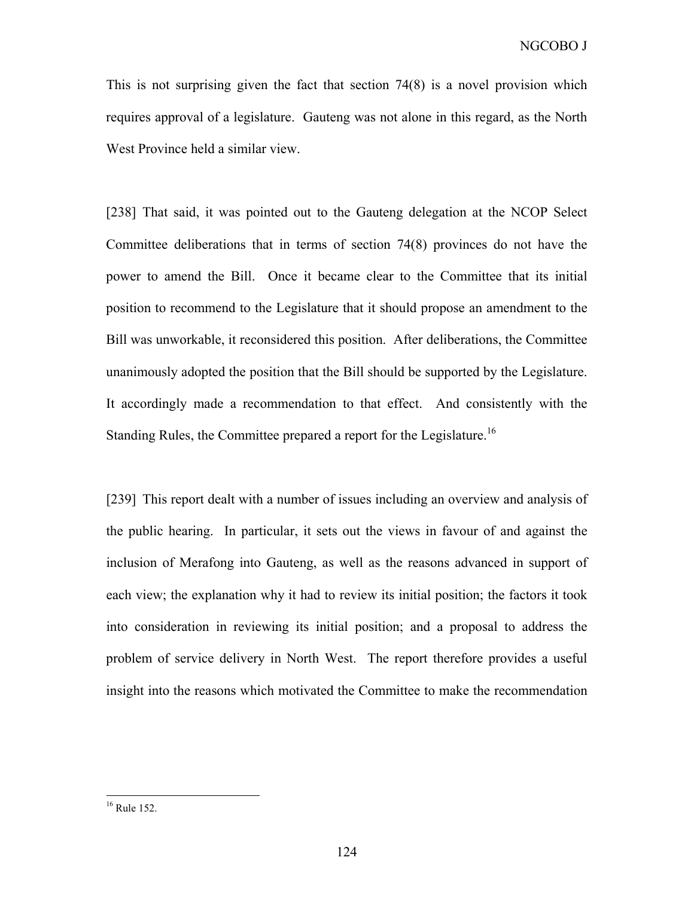This is not surprising given the fact that section 74(8) is a novel provision which requires approval of a legislature. Gauteng was not alone in this regard, as the North West Province held a similar view.

[238] That said, it was pointed out to the Gauteng delegation at the NCOP Select Committee deliberations that in terms of section 74(8) provinces do not have the power to amend the Bill. Once it became clear to the Committee that its initial position to recommend to the Legislature that it should propose an amendment to the Bill was unworkable, it reconsidered this position. After deliberations, the Committee unanimously adopted the position that the Bill should be supported by the Legislature. It accordingly made a recommendation to that effect. And consistently with the Standing Rules, the Committee prepared a report for the Legislature.<sup>16</sup>

[239] This report dealt with a number of issues including an overview and analysis of the public hearing. In particular, it sets out the views in favour of and against the inclusion of Merafong into Gauteng, as well as the reasons advanced in support of each view; the explanation why it had to review its initial position; the factors it took into consideration in reviewing its initial position; and a proposal to address the problem of service delivery in North West. The report therefore provides a useful insight into the reasons which motivated the Committee to make the recommendation

 $16$  Rule 152.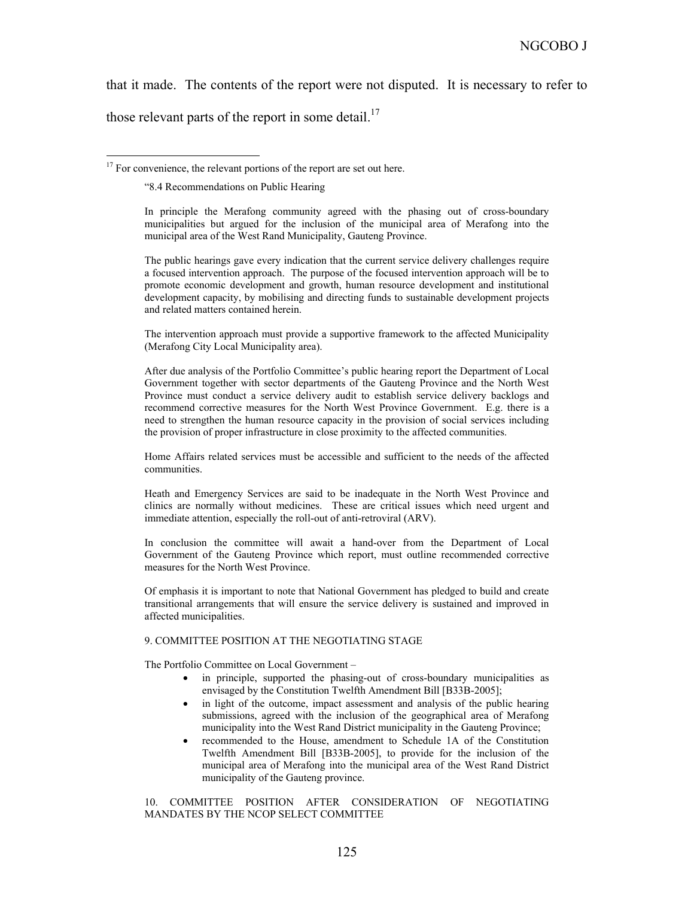that it made. The contents of the report were not disputed. It is necessary to refer to those relevant parts of the report in some detail.<sup>17</sup>

"8.4 Recommendations on Public Hearing

 $\overline{a}$ 

The public hearings gave every indication that the current service delivery challenges require a focused intervention approach. The purpose of the focused intervention approach will be to promote economic development and growth, human resource development and institutional development capacity, by mobilising and directing funds to sustainable development projects and related matters contained herein.

The intervention approach must provide a supportive framework to the affected Municipality (Merafong City Local Municipality area).

After due analysis of the Portfolio Committee's public hearing report the Department of Local Government together with sector departments of the Gauteng Province and the North West Province must conduct a service delivery audit to establish service delivery backlogs and recommend corrective measures for the North West Province Government. E.g. there is a need to strengthen the human resource capacity in the provision of social services including the provision of proper infrastructure in close proximity to the affected communities.

Home Affairs related services must be accessible and sufficient to the needs of the affected communities.

Heath and Emergency Services are said to be inadequate in the North West Province and clinics are normally without medicines. These are critical issues which need urgent and immediate attention, especially the roll-out of anti-retroviral (ARV).

In conclusion the committee will await a hand-over from the Department of Local Government of the Gauteng Province which report, must outline recommended corrective measures for the North West Province.

Of emphasis it is important to note that National Government has pledged to build and create transitional arrangements that will ensure the service delivery is sustained and improved in affected municipalities.

#### 9. COMMITTEE POSITION AT THE NEGOTIATING STAGE

The Portfolio Committee on Local Government –

- in principle, supported the phasing-out of cross-boundary municipalities as envisaged by the Constitution Twelfth Amendment Bill [B33B-2005];
- in light of the outcome, impact assessment and analysis of the public hearing submissions, agreed with the inclusion of the geographical area of Merafong municipality into the West Rand District municipality in the Gauteng Province;
- recommended to the House, amendment to Schedule 1A of the Constitution Twelfth Amendment Bill [B33B-2005], to provide for the inclusion of the municipal area of Merafong into the municipal area of the West Rand District municipality of the Gauteng province.

10. COMMITTEE POSITION AFTER CONSIDERATION OF NEGOTIATING MANDATES BY THE NCOP SELECT COMMITTEE

<sup>&</sup>lt;sup>17</sup> For convenience, the relevant portions of the report are set out here.

In principle the Merafong community agreed with the phasing out of cross-boundary municipalities but argued for the inclusion of the municipal area of Merafong into the municipal area of the West Rand Municipality, Gauteng Province.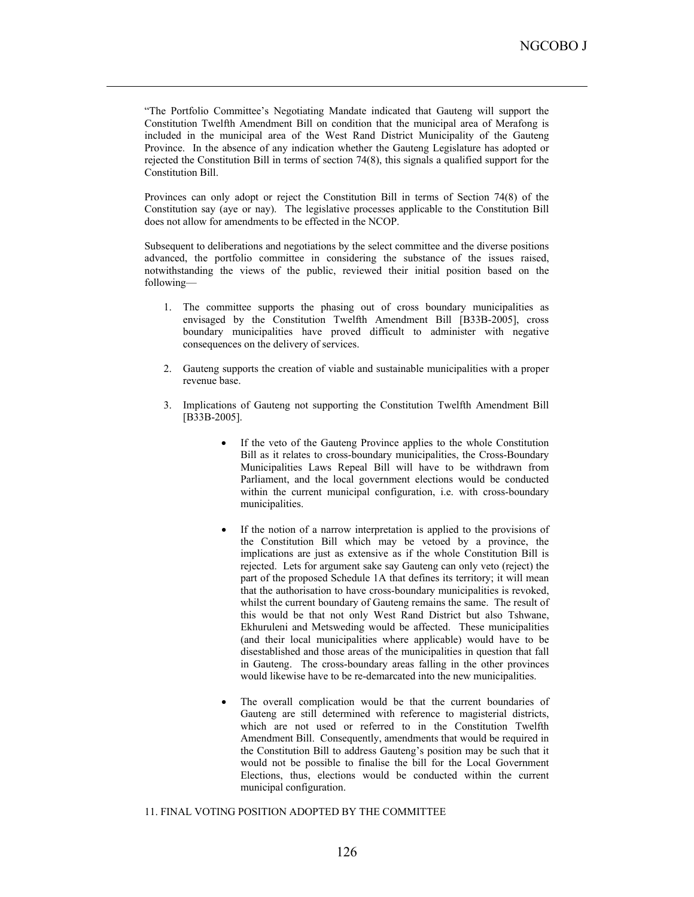"The Portfolio Committee's Negotiating Mandate indicated that Gauteng will support the Constitution Twelfth Amendment Bill on condition that the municipal area of Merafong is included in the municipal area of the West Rand District Municipality of the Gauteng Province. In the absence of any indication whether the Gauteng Legislature has adopted or rejected the Constitution Bill in terms of section 74(8), this signals a qualified support for the Constitution Bill.

 $\overline{a}$ 

Provinces can only adopt or reject the Constitution Bill in terms of Section 74(8) of the Constitution say (aye or nay). The legislative processes applicable to the Constitution Bill does not allow for amendments to be effected in the NCOP.

Subsequent to deliberations and negotiations by the select committee and the diverse positions advanced, the portfolio committee in considering the substance of the issues raised, notwithstanding the views of the public, reviewed their initial position based on the following—

- 1. The committee supports the phasing out of cross boundary municipalities as envisaged by the Constitution Twelfth Amendment Bill [B33B-2005], cross boundary municipalities have proved difficult to administer with negative consequences on the delivery of services.
- 2. Gauteng supports the creation of viable and sustainable municipalities with a proper revenue base.
- 3. Implications of Gauteng not supporting the Constitution Twelfth Amendment Bill [B33B-2005].
	- If the veto of the Gauteng Province applies to the whole Constitution Bill as it relates to cross-boundary municipalities, the Cross-Boundary Municipalities Laws Repeal Bill will have to be withdrawn from Parliament, and the local government elections would be conducted within the current municipal configuration, i.e. with cross-boundary municipalities.
	- If the notion of a narrow interpretation is applied to the provisions of the Constitution Bill which may be vetoed by a province, the implications are just as extensive as if the whole Constitution Bill is rejected. Lets for argument sake say Gauteng can only veto (reject) the part of the proposed Schedule 1A that defines its territory; it will mean that the authorisation to have cross-boundary municipalities is revoked, whilst the current boundary of Gauteng remains the same. The result of this would be that not only West Rand District but also Tshwane, Ekhuruleni and Metsweding would be affected. These municipalities (and their local municipalities where applicable) would have to be disestablished and those areas of the municipalities in question that fall in Gauteng. The cross-boundary areas falling in the other provinces would likewise have to be re-demarcated into the new municipalities.
	- The overall complication would be that the current boundaries of Gauteng are still determined with reference to magisterial districts, which are not used or referred to in the Constitution Twelfth Amendment Bill. Consequently, amendments that would be required in the Constitution Bill to address Gauteng's position may be such that it would not be possible to finalise the bill for the Local Government Elections, thus, elections would be conducted within the current municipal configuration.

#### 11. FINAL VOTING POSITION ADOPTED BY THE COMMITTEE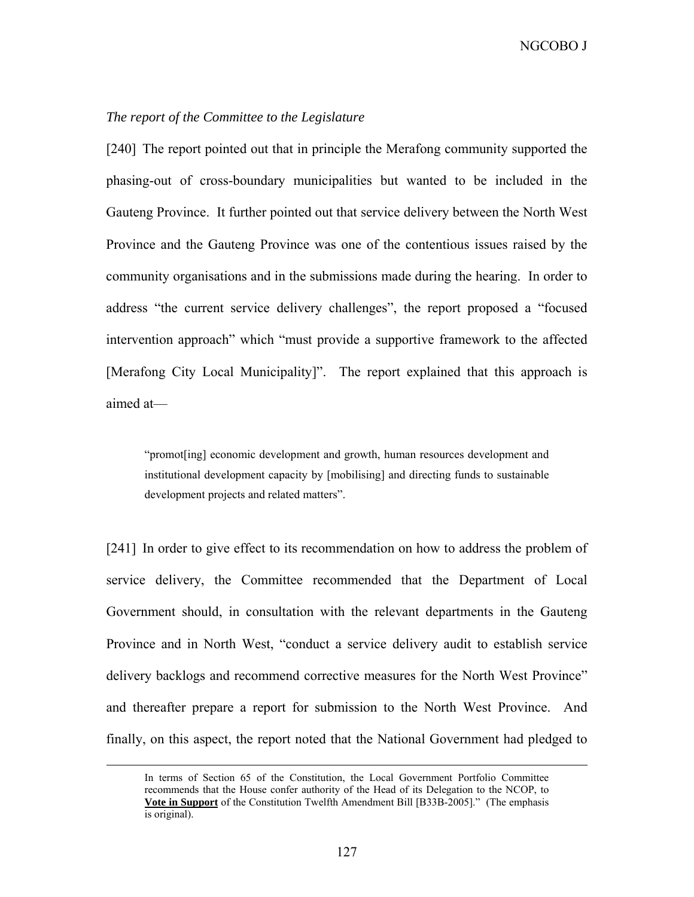#### *The report of the Committee to the Legislature*

[240] The report pointed out that in principle the Merafong community supported the phasing-out of cross-boundary municipalities but wanted to be included in the Gauteng Province. It further pointed out that service delivery between the North West Province and the Gauteng Province was one of the contentious issues raised by the community organisations and in the submissions made during the hearing. In order to address "the current service delivery challenges", the report proposed a "focused intervention approach" which "must provide a supportive framework to the affected [Merafong City Local Municipality]". The report explained that this approach is aimed at—

"promot[ing] economic development and growth, human resources development and institutional development capacity by [mobilising] and directing funds to sustainable development projects and related matters".

[241] In order to give effect to its recommendation on how to address the problem of service delivery, the Committee recommended that the Department of Local Government should, in consultation with the relevant departments in the Gauteng Province and in North West, "conduct a service delivery audit to establish service delivery backlogs and recommend corrective measures for the North West Province" and thereafter prepare a report for submission to the North West Province. And finally, on this aspect, the report noted that the National Government had pledged to

In terms of Section 65 of the Constitution, the Local Government Portfolio Committee recommends that the House confer authority of the Head of its Delegation to the NCOP, to **Vote in Support** of the Constitution Twelfth Amendment Bill [B33B-2005]." (The emphasis is original).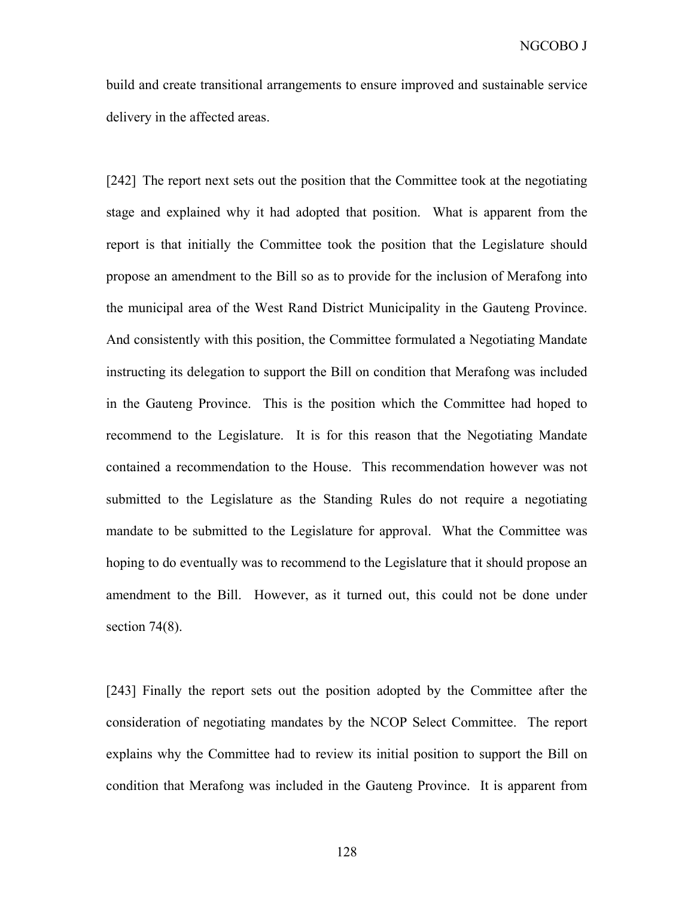build and create transitional arrangements to ensure improved and sustainable service delivery in the affected areas.

[242] The report next sets out the position that the Committee took at the negotiating stage and explained why it had adopted that position. What is apparent from the report is that initially the Committee took the position that the Legislature should propose an amendment to the Bill so as to provide for the inclusion of Merafong into the municipal area of the West Rand District Municipality in the Gauteng Province. And consistently with this position, the Committee formulated a Negotiating Mandate instructing its delegation to support the Bill on condition that Merafong was included in the Gauteng Province. This is the position which the Committee had hoped to recommend to the Legislature. It is for this reason that the Negotiating Mandate contained a recommendation to the House. This recommendation however was not submitted to the Legislature as the Standing Rules do not require a negotiating mandate to be submitted to the Legislature for approval. What the Committee was hoping to do eventually was to recommend to the Legislature that it should propose an amendment to the Bill. However, as it turned out, this could not be done under section 74(8).

[243] Finally the report sets out the position adopted by the Committee after the consideration of negotiating mandates by the NCOP Select Committee. The report explains why the Committee had to review its initial position to support the Bill on condition that Merafong was included in the Gauteng Province. It is apparent from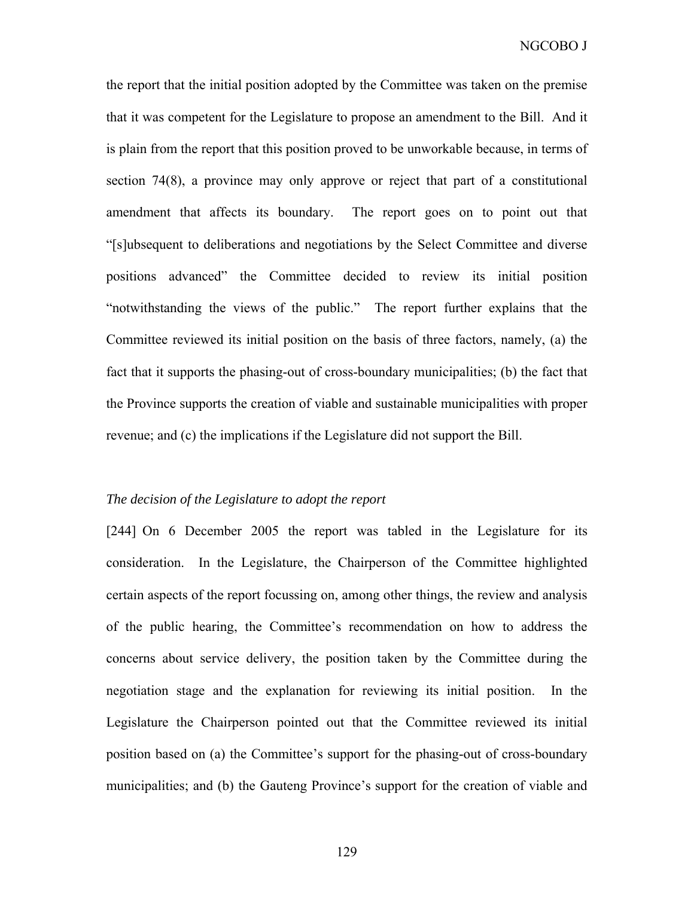the report that the initial position adopted by the Committee was taken on the premise that it was competent for the Legislature to propose an amendment to the Bill. And it is plain from the report that this position proved to be unworkable because, in terms of section 74(8), a province may only approve or reject that part of a constitutional amendment that affects its boundary. The report goes on to point out that "[s]ubsequent to deliberations and negotiations by the Select Committee and diverse positions advanced" the Committee decided to review its initial position "notwithstanding the views of the public." The report further explains that the Committee reviewed its initial position on the basis of three factors, namely, (a) the fact that it supports the phasing-out of cross-boundary municipalities; (b) the fact that the Province supports the creation of viable and sustainable municipalities with proper revenue; and (c) the implications if the Legislature did not support the Bill.

## *The decision of the Legislature to adopt the report*

[244] On 6 December 2005 the report was tabled in the Legislature for its consideration. In the Legislature, the Chairperson of the Committee highlighted certain aspects of the report focussing on, among other things, the review and analysis of the public hearing, the Committee's recommendation on how to address the concerns about service delivery, the position taken by the Committee during the negotiation stage and the explanation for reviewing its initial position. In the Legislature the Chairperson pointed out that the Committee reviewed its initial position based on (a) the Committee's support for the phasing-out of cross-boundary municipalities; and (b) the Gauteng Province's support for the creation of viable and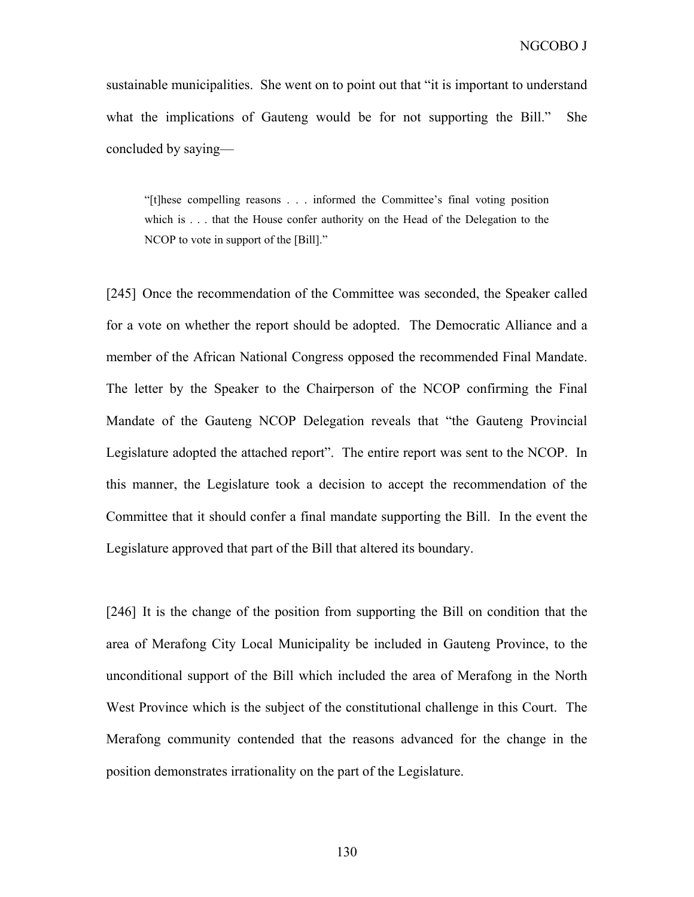sustainable municipalities. She went on to point out that "it is important to understand what the implications of Gauteng would be for not supporting the Bill." She concluded by saying—

"[t]hese compelling reasons . . . informed the Committee's final voting position which is . . . that the House confer authority on the Head of the Delegation to the NCOP to vote in support of the [Bill]."

[245] Once the recommendation of the Committee was seconded, the Speaker called for a vote on whether the report should be adopted. The Democratic Alliance and a member of the African National Congress opposed the recommended Final Mandate. The letter by the Speaker to the Chairperson of the NCOP confirming the Final Mandate of the Gauteng NCOP Delegation reveals that "the Gauteng Provincial Legislature adopted the attached report". The entire report was sent to the NCOP. In this manner, the Legislature took a decision to accept the recommendation of the Committee that it should confer a final mandate supporting the Bill. In the event the Legislature approved that part of the Bill that altered its boundary.

[246] It is the change of the position from supporting the Bill on condition that the area of Merafong City Local Municipality be included in Gauteng Province, to the unconditional support of the Bill which included the area of Merafong in the North West Province which is the subject of the constitutional challenge in this Court. The Merafong community contended that the reasons advanced for the change in the position demonstrates irrationality on the part of the Legislature.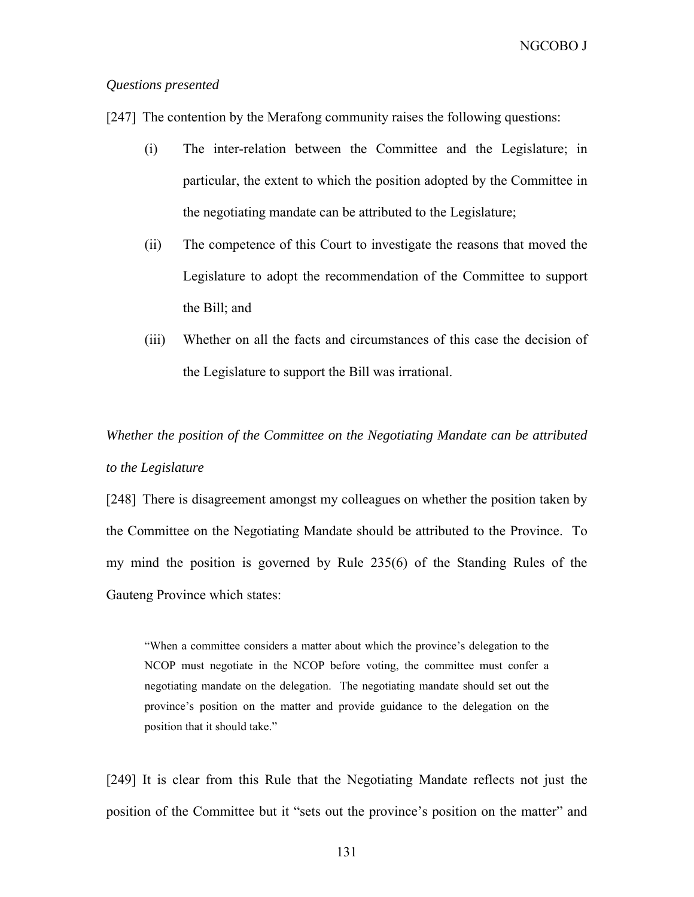#### *Questions presented*

[247] The contention by the Merafong community raises the following questions:

- (i) The inter-relation between the Committee and the Legislature; in particular, the extent to which the position adopted by the Committee in the negotiating mandate can be attributed to the Legislature;
- (ii) The competence of this Court to investigate the reasons that moved the Legislature to adopt the recommendation of the Committee to support the Bill; and
- (iii) Whether on all the facts and circumstances of this case the decision of the Legislature to support the Bill was irrational.

# *Whether the position of the Committee on the Negotiating Mandate can be attributed to the Legislature*

[248] There is disagreement amongst my colleagues on whether the position taken by the Committee on the Negotiating Mandate should be attributed to the Province. To my mind the position is governed by Rule 235(6) of the Standing Rules of the Gauteng Province which states:

"When a committee considers a matter about which the province's delegation to the NCOP must negotiate in the NCOP before voting, the committee must confer a negotiating mandate on the delegation. The negotiating mandate should set out the province's position on the matter and provide guidance to the delegation on the position that it should take."

[249] It is clear from this Rule that the Negotiating Mandate reflects not just the position of the Committee but it "sets out the province's position on the matter" and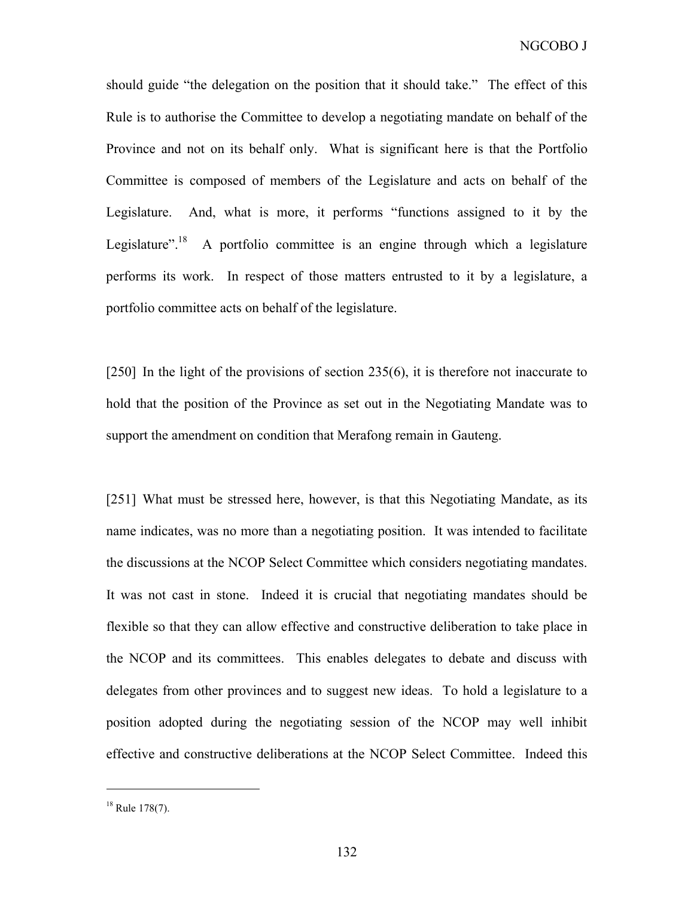should guide "the delegation on the position that it should take." The effect of this Rule is to authorise the Committee to develop a negotiating mandate on behalf of the Province and not on its behalf only. What is significant here is that the Portfolio Committee is composed of members of the Legislature and acts on behalf of the Legislature. And, what is more, it performs "functions assigned to it by the Legislature".<sup>18</sup> A portfolio committee is an engine through which a legislature performs its work. In respect of those matters entrusted to it by a legislature, a portfolio committee acts on behalf of the legislature.

[250] In the light of the provisions of section 235(6), it is therefore not inaccurate to hold that the position of the Province as set out in the Negotiating Mandate was to support the amendment on condition that Merafong remain in Gauteng.

[251] What must be stressed here, however, is that this Negotiating Mandate, as its name indicates, was no more than a negotiating position. It was intended to facilitate the discussions at the NCOP Select Committee which considers negotiating mandates. It was not cast in stone. Indeed it is crucial that negotiating mandates should be flexible so that they can allow effective and constructive deliberation to take place in the NCOP and its committees. This enables delegates to debate and discuss with delegates from other provinces and to suggest new ideas. To hold a legislature to a position adopted during the negotiating session of the NCOP may well inhibit effective and constructive deliberations at the NCOP Select Committee. Indeed this

 $18$  Rule 178(7).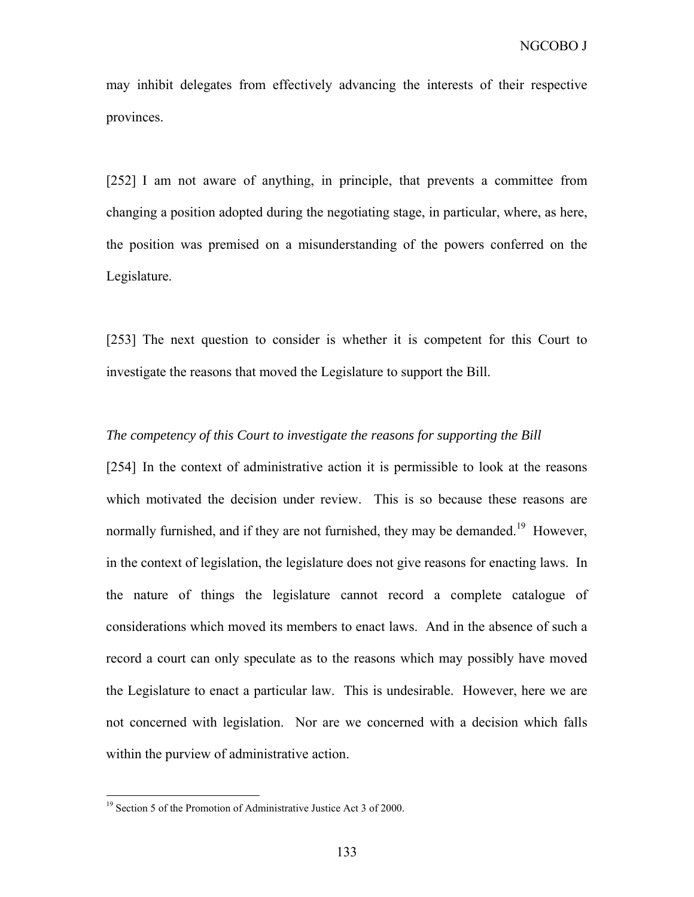may inhibit delegates from effectively advancing the interests of their respective provinces.

[252] I am not aware of anything, in principle, that prevents a committee from changing a position adopted during the negotiating stage, in particular, where, as here, the position was premised on a misunderstanding of the powers conferred on the Legislature.

[253] The next question to consider is whether it is competent for this Court to investigate the reasons that moved the Legislature to support the Bill.

# *The competency of this Court to investigate the reasons for supporting the Bill*

[254] In the context of administrative action it is permissible to look at the reasons which motivated the decision under review. This is so because these reasons are normally furnished, and if they are not furnished, they may be demanded.<sup>19</sup> However, in the context of legislation, the legislature does not give reasons for enacting laws. In the nature of things the legislature cannot record a complete catalogue of considerations which moved its members to enact laws. And in the absence of such a record a court can only speculate as to the reasons which may possibly have moved the Legislature to enact a particular law. This is undesirable. However, here we are not concerned with legislation. Nor are we concerned with a decision which falls within the purview of administrative action.

 $19$  Section 5 of the Promotion of Administrative Justice Act 3 of 2000.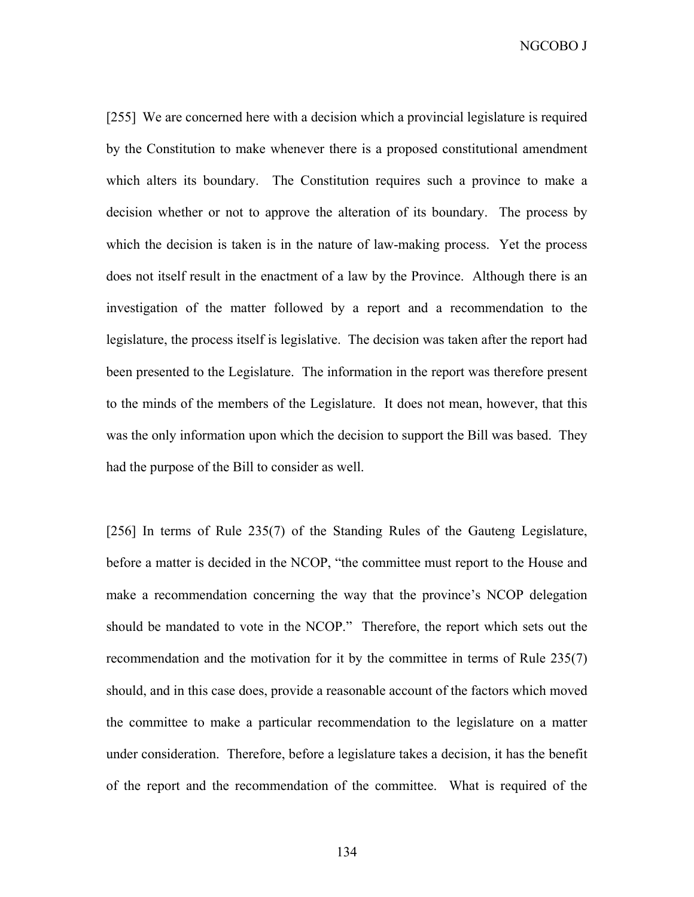NGCOBO J

[255] We are concerned here with a decision which a provincial legislature is required by the Constitution to make whenever there is a proposed constitutional amendment which alters its boundary. The Constitution requires such a province to make a decision whether or not to approve the alteration of its boundary. The process by which the decision is taken is in the nature of law-making process. Yet the process does not itself result in the enactment of a law by the Province. Although there is an investigation of the matter followed by a report and a recommendation to the legislature, the process itself is legislative. The decision was taken after the report had been presented to the Legislature. The information in the report was therefore present to the minds of the members of the Legislature. It does not mean, however, that this was the only information upon which the decision to support the Bill was based. They had the purpose of the Bill to consider as well.

[256] In terms of Rule 235(7) of the Standing Rules of the Gauteng Legislature, before a matter is decided in the NCOP, "the committee must report to the House and make a recommendation concerning the way that the province's NCOP delegation should be mandated to vote in the NCOP." Therefore, the report which sets out the recommendation and the motivation for it by the committee in terms of Rule 235(7) should, and in this case does, provide a reasonable account of the factors which moved the committee to make a particular recommendation to the legislature on a matter under consideration. Therefore, before a legislature takes a decision, it has the benefit of the report and the recommendation of the committee. What is required of the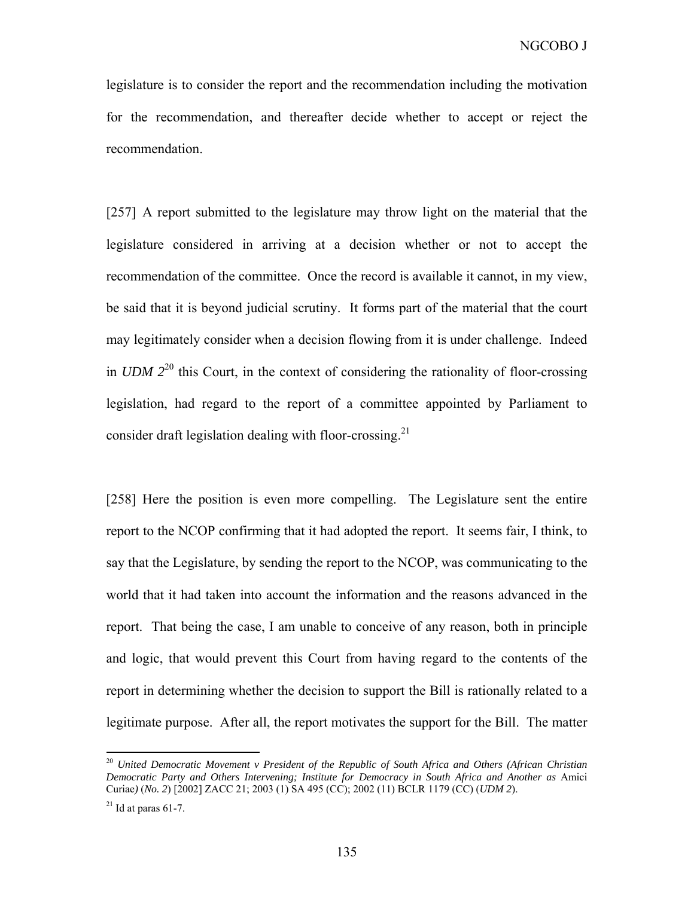legislature is to consider the report and the recommendation including the motivation for the recommendation, and thereafter decide whether to accept or reject the recommendation.

[257] A report submitted to the legislature may throw light on the material that the legislature considered in arriving at a decision whether or not to accept the recommendation of the committee. Once the record is available it cannot, in my view, be said that it is beyond judicial scrutiny. It forms part of the material that the court may legitimately consider when a decision flowing from it is under challenge. Indeed in *UDM*  $2^{20}$  this Court, in the context of considering the rationality of floor-crossing legislation, had regard to the report of a committee appointed by Parliament to consider draft legislation dealing with floor-crossing.<sup>21</sup>

[258] Here the position is even more compelling. The Legislature sent the entire report to the NCOP confirming that it had adopted the report. It seems fair, I think, to say that the Legislature, by sending the report to the NCOP, was communicating to the world that it had taken into account the information and the reasons advanced in the report. That being the case, I am unable to conceive of any reason, both in principle and logic, that would prevent this Court from having regard to the contents of the report in determining whether the decision to support the Bill is rationally related to a legitimate purpose. After all, the report motivates the support for the Bill. The matter

<sup>20</sup> *United Democratic Movement v President of the Republic of South Africa and Others (African Christian Democratic Party and Others Intervening; Institute for Democracy in South Africa and Another as* Amici Curiae*)* (*No. 2*) [2002] ZACC 21; 2003 (1) SA 495 (CC); 2002 (11) BCLR 1179 (CC) (*UDM 2*).

 $^{21}$  Id at paras 61-7.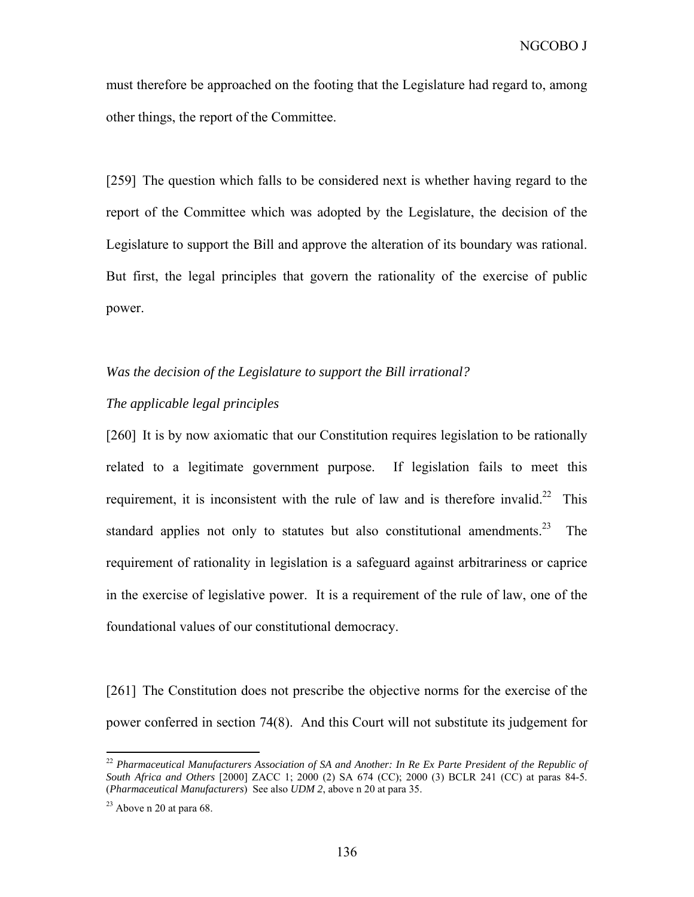must therefore be approached on the footing that the Legislature had regard to, among other things, the report of the Committee.

[259] The question which falls to be considered next is whether having regard to the report of the Committee which was adopted by the Legislature, the decision of the Legislature to support the Bill and approve the alteration of its boundary was rational. But first, the legal principles that govern the rationality of the exercise of public power.

## *Was the decision of the Legislature to support the Bill irrational?*

# *The applicable legal principles*

[260] It is by now axiomatic that our Constitution requires legislation to be rationally related to a legitimate government purpose. If legislation fails to meet this requirement, it is inconsistent with the rule of law and is therefore invalid.<sup>22</sup> This standard applies not only to statutes but also constitutional amendments.<sup>23</sup> The requirement of rationality in legislation is a safeguard against arbitrariness or caprice in the exercise of legislative power. It is a requirement of the rule of law, one of the foundational values of our constitutional democracy.

[261] The Constitution does not prescribe the objective norms for the exercise of the power conferred in section 74(8). And this Court will not substitute its judgement for

<sup>&</sup>lt;sup>22</sup> Pharmaceutical Manufacturers Association of SA and Another: In Re Ex Parte President of the Republic of *South Africa and Others* [2000] ZACC 1; 2000 (2) SA 674 (CC); 2000 (3) BCLR 241 (CC) at paras 84-5. (*Pharmaceutical Manufacturers*) See also *UDM 2*, above n 20 at para 35.

 $23$  Above n 20 at para 68.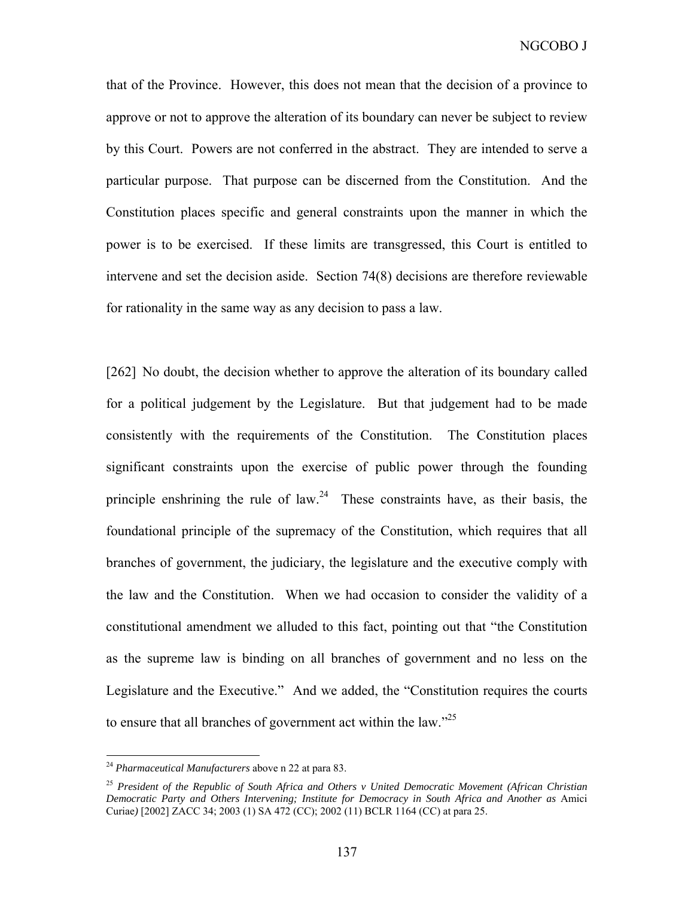that of the Province. However, this does not mean that the decision of a province to approve or not to approve the alteration of its boundary can never be subject to review by this Court. Powers are not conferred in the abstract. They are intended to serve a particular purpose. That purpose can be discerned from the Constitution. And the Constitution places specific and general constraints upon the manner in which the power is to be exercised. If these limits are transgressed, this Court is entitled to intervene and set the decision aside. Section 74(8) decisions are therefore reviewable for rationality in the same way as any decision to pass a law.

[262] No doubt, the decision whether to approve the alteration of its boundary called for a political judgement by the Legislature. But that judgement had to be made consistently with the requirements of the Constitution. The Constitution places significant constraints upon the exercise of public power through the founding principle enshrining the rule of law.<sup>24</sup> These constraints have, as their basis, the foundational principle of the supremacy of the Constitution, which requires that all branches of government, the judiciary, the legislature and the executive comply with the law and the Constitution. When we had occasion to consider the validity of a constitutional amendment we alluded to this fact, pointing out that "the Constitution as the supreme law is binding on all branches of government and no less on the Legislature and the Executive." And we added, the "Constitution requires the courts to ensure that all branches of government act within the law."25

<sup>24</sup> *Pharmaceutical Manufacturers* above n 22 at para 83.

<sup>25</sup> *President of the Republic of South Africa and Others v United Democratic Movement (African Christian Democratic Party and Others Intervening; Institute for Democracy in South Africa and Another as* Amici Curiae*)* [2002] ZACC 34; 2003 (1) SA 472 (CC); 2002 (11) BCLR 1164 (CC) at para 25.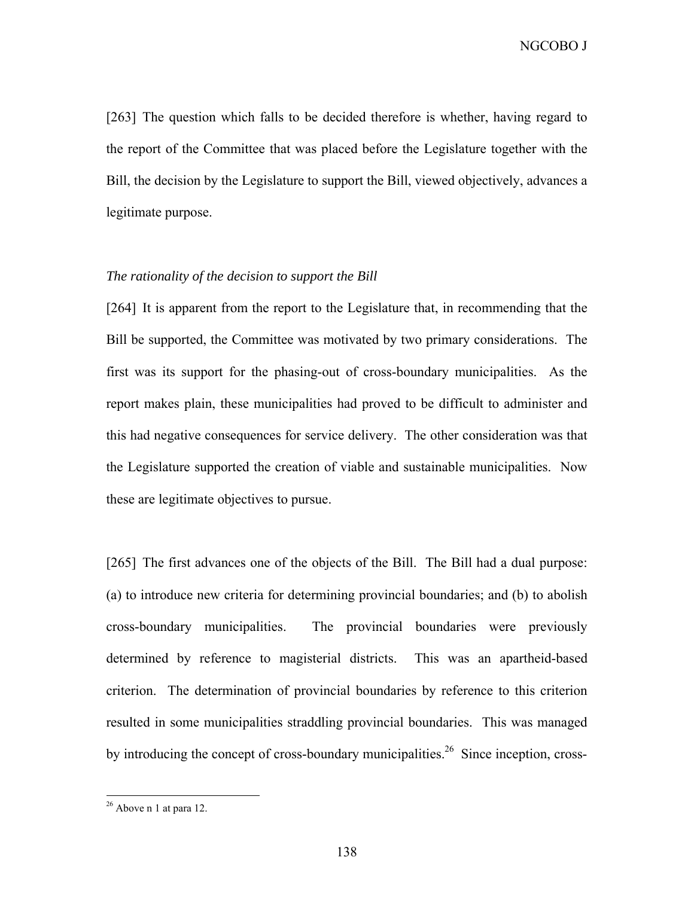NGCOBO J

[263] The question which falls to be decided therefore is whether, having regard to the report of the Committee that was placed before the Legislature together with the Bill, the decision by the Legislature to support the Bill, viewed objectively, advances a legitimate purpose.

# *The rationality of the decision to support the Bill*

[264] It is apparent from the report to the Legislature that, in recommending that the Bill be supported, the Committee was motivated by two primary considerations. The first was its support for the phasing-out of cross-boundary municipalities. As the report makes plain, these municipalities had proved to be difficult to administer and this had negative consequences for service delivery. The other consideration was that the Legislature supported the creation of viable and sustainable municipalities. Now these are legitimate objectives to pursue.

[265] The first advances one of the objects of the Bill. The Bill had a dual purpose: (a) to introduce new criteria for determining provincial boundaries; and (b) to abolish cross-boundary municipalities. The provincial boundaries were previously determined by reference to magisterial districts. This was an apartheid-based criterion. The determination of provincial boundaries by reference to this criterion resulted in some municipalities straddling provincial boundaries. This was managed by introducing the concept of cross-boundary municipalities.<sup>26</sup> Since inception, cross-

 $26$  Above n 1 at para 12.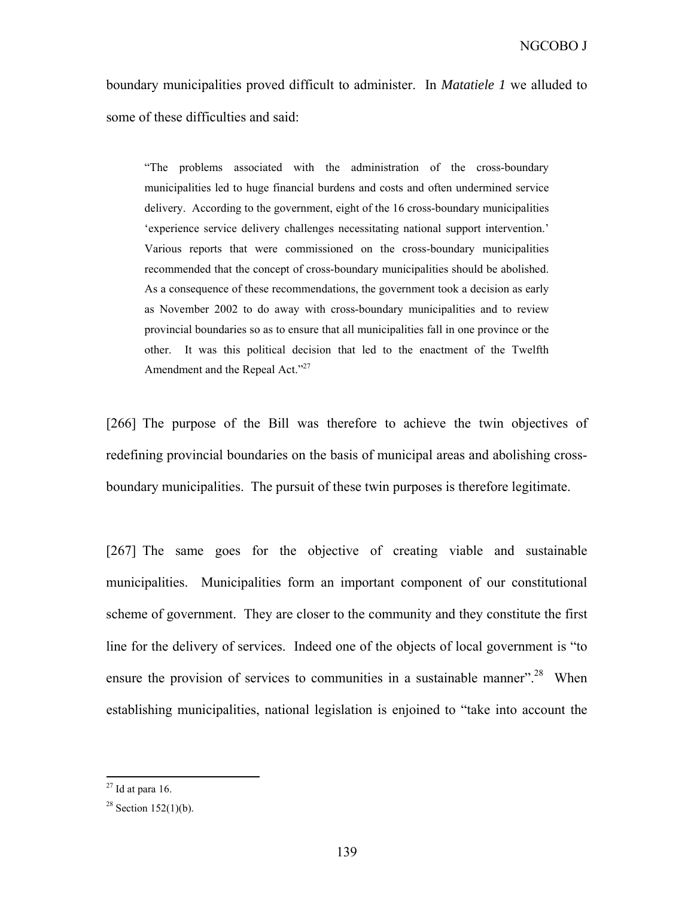boundary municipalities proved difficult to administer. In *Matatiele 1* we alluded to some of these difficulties and said:

"The problems associated with the administration of the cross-boundary municipalities led to huge financial burdens and costs and often undermined service delivery. According to the government, eight of the 16 cross-boundary municipalities 'experience service delivery challenges necessitating national support intervention.' Various reports that were commissioned on the cross-boundary municipalities recommended that the concept of cross-boundary municipalities should be abolished. As a consequence of these recommendations, the government took a decision as early as November 2002 to do away with cross-boundary municipalities and to review provincial boundaries so as to ensure that all municipalities fall in one province or the other. It was this political decision that led to the enactment of the Twelfth Amendment and the Repeal Act."27

[266] The purpose of the Bill was therefore to achieve the twin objectives of redefining provincial boundaries on the basis of municipal areas and abolishing crossboundary municipalities. The pursuit of these twin purposes is therefore legitimate.

[267] The same goes for the objective of creating viable and sustainable municipalities. Municipalities form an important component of our constitutional scheme of government. They are closer to the community and they constitute the first line for the delivery of services. Indeed one of the objects of local government is "to ensure the provision of services to communities in a sustainable manner".<sup>28</sup> When establishing municipalities, national legislation is enjoined to "take into account the

 $27$  Id at para 16.

 $28$  Section 152(1)(b).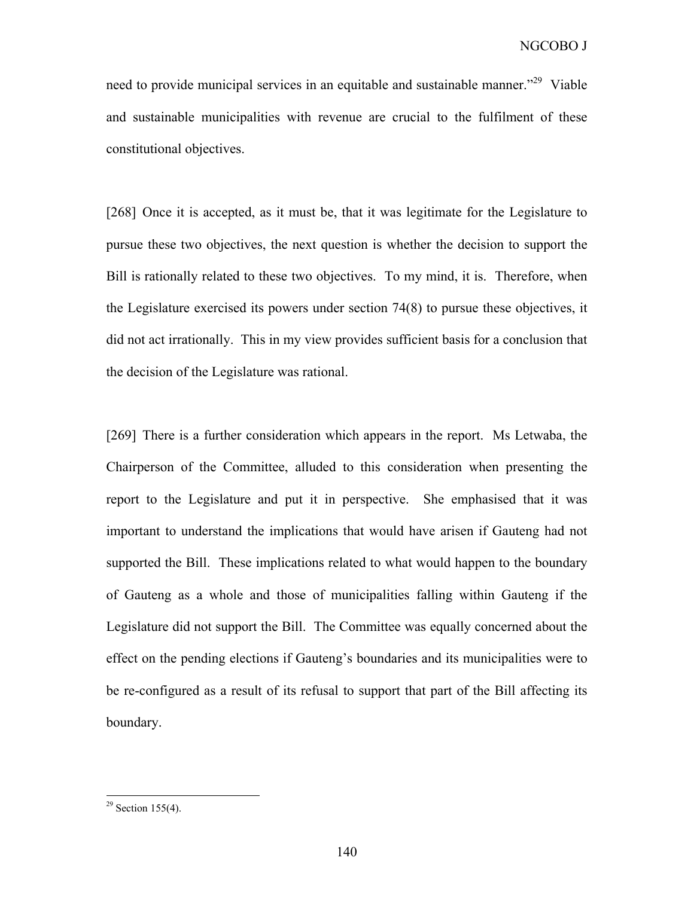need to provide municipal services in an equitable and sustainable manner.<sup>"29</sup> Viable and sustainable municipalities with revenue are crucial to the fulfilment of these constitutional objectives.

[268] Once it is accepted, as it must be, that it was legitimate for the Legislature to pursue these two objectives, the next question is whether the decision to support the Bill is rationally related to these two objectives. To my mind, it is. Therefore, when the Legislature exercised its powers under section 74(8) to pursue these objectives, it did not act irrationally. This in my view provides sufficient basis for a conclusion that the decision of the Legislature was rational.

[269] There is a further consideration which appears in the report. Ms Letwaba, the Chairperson of the Committee, alluded to this consideration when presenting the report to the Legislature and put it in perspective. She emphasised that it was important to understand the implications that would have arisen if Gauteng had not supported the Bill. These implications related to what would happen to the boundary of Gauteng as a whole and those of municipalities falling within Gauteng if the Legislature did not support the Bill. The Committee was equally concerned about the effect on the pending elections if Gauteng's boundaries and its municipalities were to be re-configured as a result of its refusal to support that part of the Bill affecting its boundary.

 $29$  Section 155(4).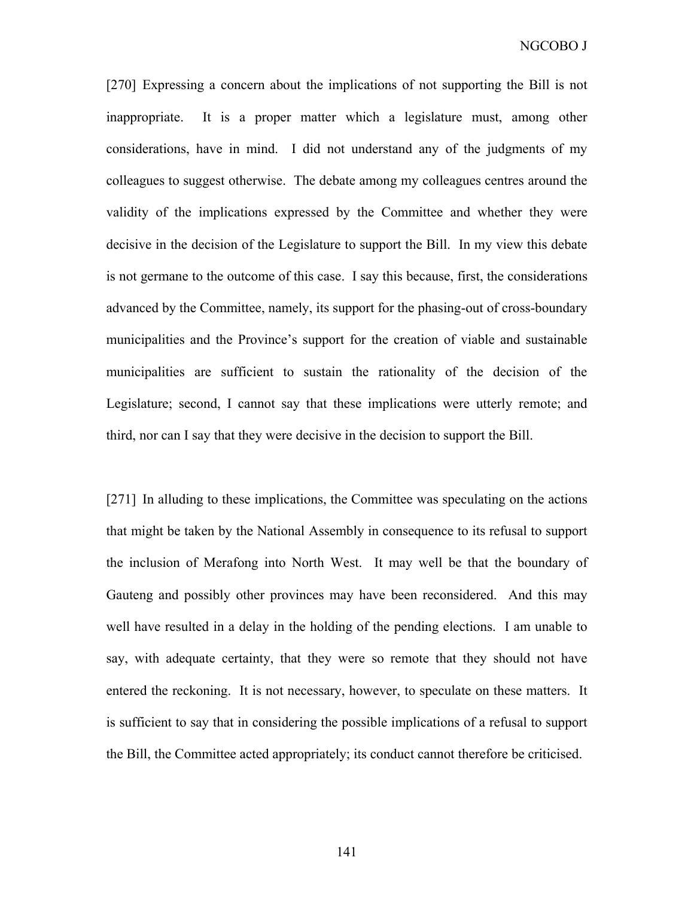[270] Expressing a concern about the implications of not supporting the Bill is not inappropriate. It is a proper matter which a legislature must, among other considerations, have in mind. I did not understand any of the judgments of my colleagues to suggest otherwise. The debate among my colleagues centres around the validity of the implications expressed by the Committee and whether they were decisive in the decision of the Legislature to support the Bill. In my view this debate is not germane to the outcome of this case. I say this because, first, the considerations advanced by the Committee, namely, its support for the phasing-out of cross-boundary municipalities and the Province's support for the creation of viable and sustainable municipalities are sufficient to sustain the rationality of the decision of the Legislature; second, I cannot say that these implications were utterly remote; and third, nor can I say that they were decisive in the decision to support the Bill.

[271] In alluding to these implications, the Committee was speculating on the actions that might be taken by the National Assembly in consequence to its refusal to support the inclusion of Merafong into North West. It may well be that the boundary of Gauteng and possibly other provinces may have been reconsidered. And this may well have resulted in a delay in the holding of the pending elections. I am unable to say, with adequate certainty, that they were so remote that they should not have entered the reckoning. It is not necessary, however, to speculate on these matters. It is sufficient to say that in considering the possible implications of a refusal to support the Bill, the Committee acted appropriately; its conduct cannot therefore be criticised.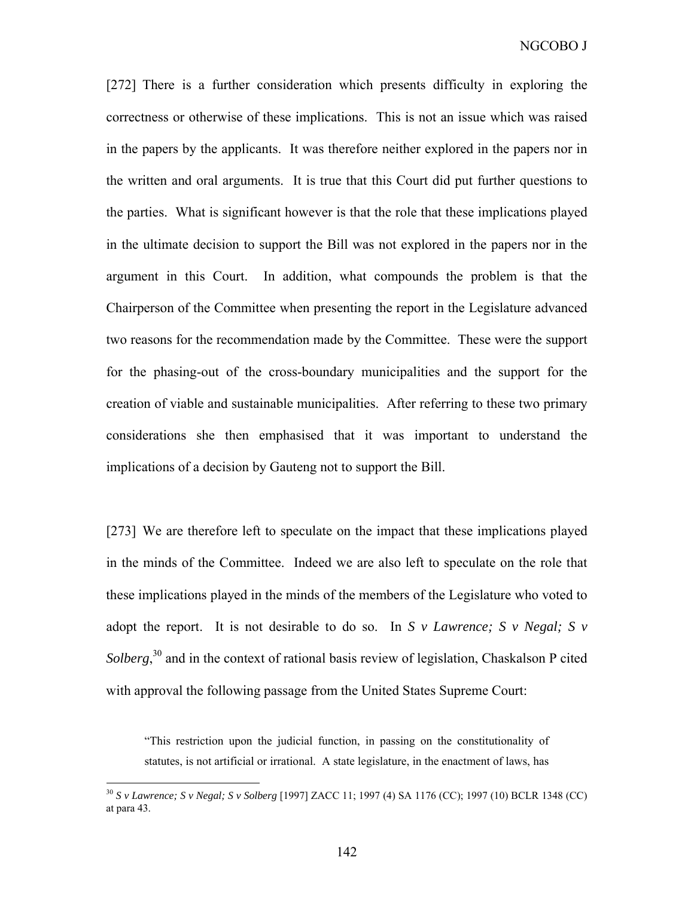[272] There is a further consideration which presents difficulty in exploring the correctness or otherwise of these implications. This is not an issue which was raised in the papers by the applicants. It was therefore neither explored in the papers nor in the written and oral arguments. It is true that this Court did put further questions to the parties. What is significant however is that the role that these implications played in the ultimate decision to support the Bill was not explored in the papers nor in the argument in this Court. In addition, what compounds the problem is that the Chairperson of the Committee when presenting the report in the Legislature advanced two reasons for the recommendation made by the Committee. These were the support for the phasing-out of the cross-boundary municipalities and the support for the creation of viable and sustainable municipalities. After referring to these two primary considerations she then emphasised that it was important to understand the implications of a decision by Gauteng not to support the Bill.

[273] We are therefore left to speculate on the impact that these implications played in the minds of the Committee. Indeed we are also left to speculate on the role that these implications played in the minds of the members of the Legislature who voted to adopt the report. It is not desirable to do so. In *S v Lawrence; S v Negal; S v*  Solberg,<sup>30</sup> and in the context of rational basis review of legislation, Chaskalson P cited with approval the following passage from the United States Supreme Court:

"This restriction upon the judicial function, in passing on the constitutionality of statutes, is not artificial or irrational. A state legislature, in the enactment of laws, has

<sup>30</sup> *S v Lawrence; S v Negal; S v Solberg* [1997] ZACC 11; 1997 (4) SA 1176 (CC); 1997 (10) BCLR 1348 (CC) at para 43.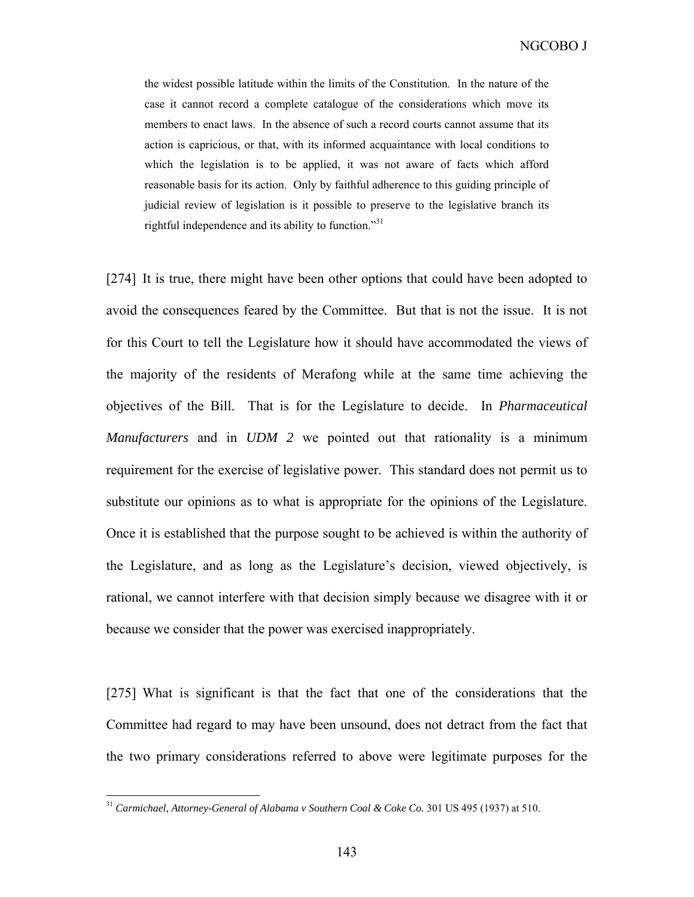NGCOBO J

the widest possible latitude within the limits of the Constitution. In the nature of the case it cannot record a complete catalogue of the considerations which move its members to enact laws. In the absence of such a record courts cannot assume that its action is capricious, or that, with its informed acquaintance with local conditions to which the legislation is to be applied, it was not aware of facts which afford reasonable basis for its action. Only by faithful adherence to this guiding principle of judicial review of legislation is it possible to preserve to the legislative branch its rightful independence and its ability to function."<sup>31</sup>

[274] It is true, there might have been other options that could have been adopted to avoid the consequences feared by the Committee. But that is not the issue. It is not for this Court to tell the Legislature how it should have accommodated the views of the majority of the residents of Merafong while at the same time achieving the objectives of the Bill. That is for the Legislature to decide. In *Pharmaceutical Manufacturers* and in *UDM 2* we pointed out that rationality is a minimum requirement for the exercise of legislative power. This standard does not permit us to substitute our opinions as to what is appropriate for the opinions of the Legislature. Once it is established that the purpose sought to be achieved is within the authority of the Legislature, and as long as the Legislature's decision, viewed objectively, is rational, we cannot interfere with that decision simply because we disagree with it or because we consider that the power was exercised inappropriately.

[275] What is significant is that the fact that one of the considerations that the Committee had regard to may have been unsound, does not detract from the fact that the two primary considerations referred to above were legitimate purposes for the

<sup>31</sup> *Carmichael, Attorney-General of Alabama v Southern Coal & Coke Co.* 301 US 495 (1937) at 510.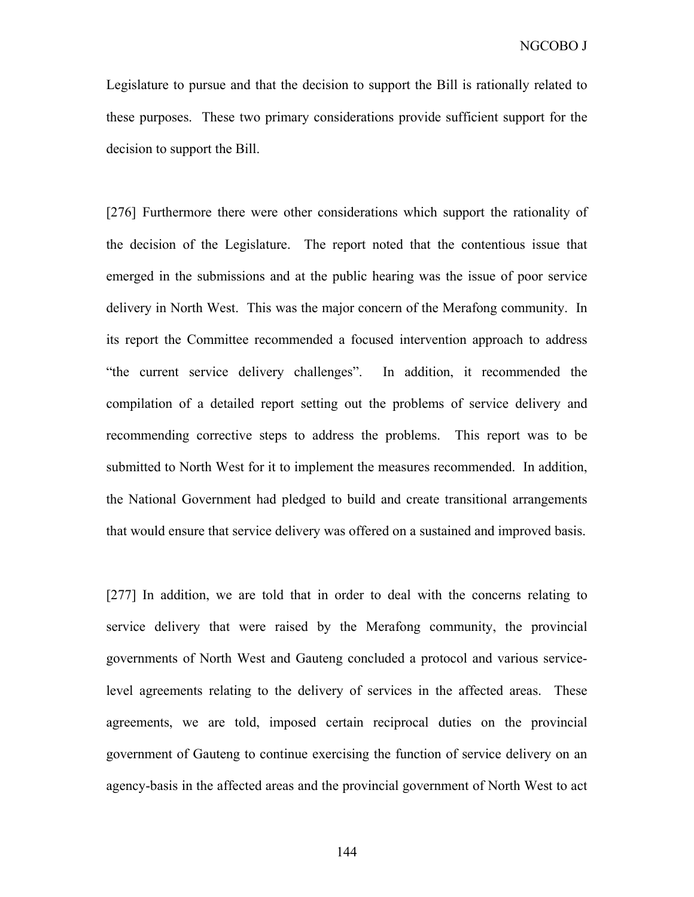Legislature to pursue and that the decision to support the Bill is rationally related to these purposes. These two primary considerations provide sufficient support for the decision to support the Bill.

[276] Furthermore there were other considerations which support the rationality of the decision of the Legislature. The report noted that the contentious issue that emerged in the submissions and at the public hearing was the issue of poor service delivery in North West. This was the major concern of the Merafong community. In its report the Committee recommended a focused intervention approach to address "the current service delivery challenges". In addition, it recommended the compilation of a detailed report setting out the problems of service delivery and recommending corrective steps to address the problems. This report was to be submitted to North West for it to implement the measures recommended. In addition, the National Government had pledged to build and create transitional arrangements that would ensure that service delivery was offered on a sustained and improved basis.

[277] In addition, we are told that in order to deal with the concerns relating to service delivery that were raised by the Merafong community, the provincial governments of North West and Gauteng concluded a protocol and various servicelevel agreements relating to the delivery of services in the affected areas. These agreements, we are told, imposed certain reciprocal duties on the provincial government of Gauteng to continue exercising the function of service delivery on an agency-basis in the affected areas and the provincial government of North West to act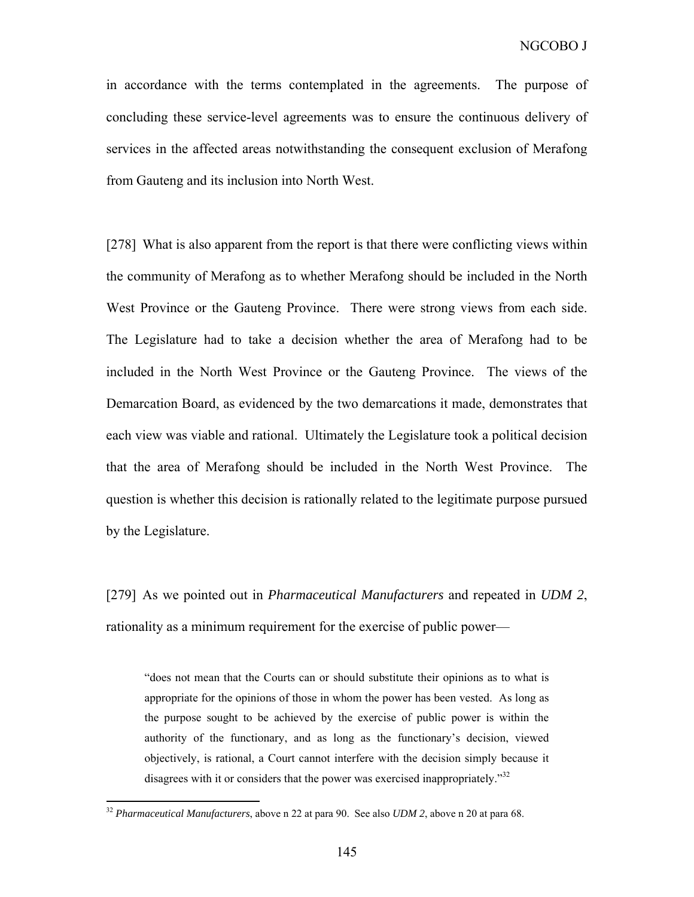in accordance with the terms contemplated in the agreements. The purpose of concluding these service-level agreements was to ensure the continuous delivery of services in the affected areas notwithstanding the consequent exclusion of Merafong from Gauteng and its inclusion into North West.

[278] What is also apparent from the report is that there were conflicting views within the community of Merafong as to whether Merafong should be included in the North West Province or the Gauteng Province. There were strong views from each side. The Legislature had to take a decision whether the area of Merafong had to be included in the North West Province or the Gauteng Province. The views of the Demarcation Board, as evidenced by the two demarcations it made, demonstrates that each view was viable and rational. Ultimately the Legislature took a political decision that the area of Merafong should be included in the North West Province. The question is whether this decision is rationally related to the legitimate purpose pursued by the Legislature.

[279] As we pointed out in *Pharmaceutical Manufacturers* and repeated in *UDM 2*, rationality as a minimum requirement for the exercise of public power—

"does not mean that the Courts can or should substitute their opinions as to what is appropriate for the opinions of those in whom the power has been vested. As long as the purpose sought to be achieved by the exercise of public power is within the authority of the functionary, and as long as the functionary's decision, viewed objectively, is rational, a Court cannot interfere with the decision simply because it disagrees with it or considers that the power was exercised inappropriately."<sup>32</sup>

<sup>32</sup> *Pharmaceutical Manufacturers*, above n 22 at para 90. See also *UDM 2*, above n 20 at para 68.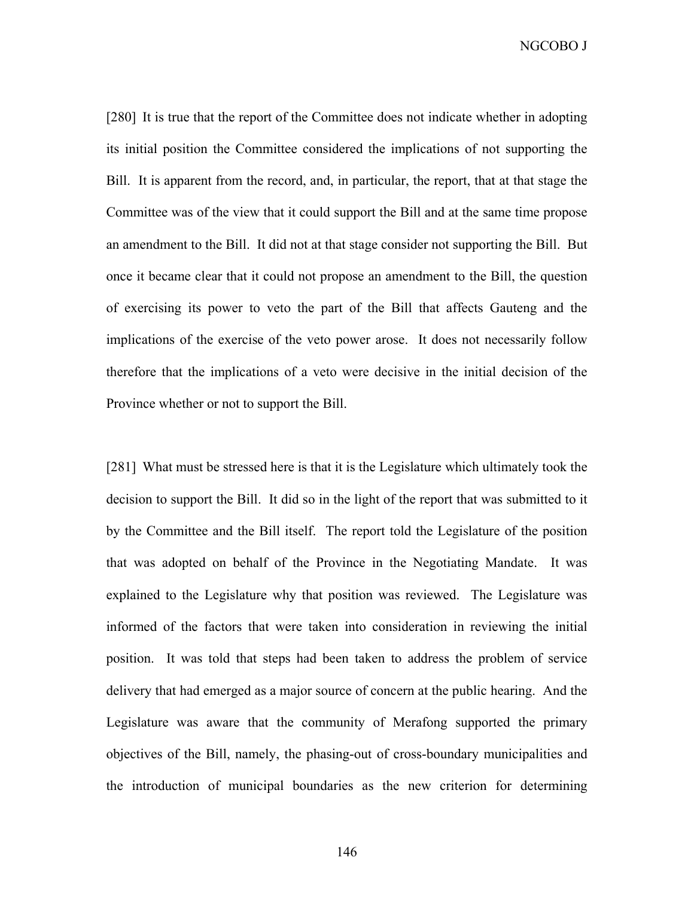NGCOBO J

[280] It is true that the report of the Committee does not indicate whether in adopting its initial position the Committee considered the implications of not supporting the Bill. It is apparent from the record, and, in particular, the report, that at that stage the Committee was of the view that it could support the Bill and at the same time propose an amendment to the Bill. It did not at that stage consider not supporting the Bill. But once it became clear that it could not propose an amendment to the Bill, the question of exercising its power to veto the part of the Bill that affects Gauteng and the implications of the exercise of the veto power arose. It does not necessarily follow therefore that the implications of a veto were decisive in the initial decision of the Province whether or not to support the Bill.

[281] What must be stressed here is that it is the Legislature which ultimately took the decision to support the Bill. It did so in the light of the report that was submitted to it by the Committee and the Bill itself. The report told the Legislature of the position that was adopted on behalf of the Province in the Negotiating Mandate. It was explained to the Legislature why that position was reviewed. The Legislature was informed of the factors that were taken into consideration in reviewing the initial position. It was told that steps had been taken to address the problem of service delivery that had emerged as a major source of concern at the public hearing. And the Legislature was aware that the community of Merafong supported the primary objectives of the Bill, namely, the phasing-out of cross-boundary municipalities and the introduction of municipal boundaries as the new criterion for determining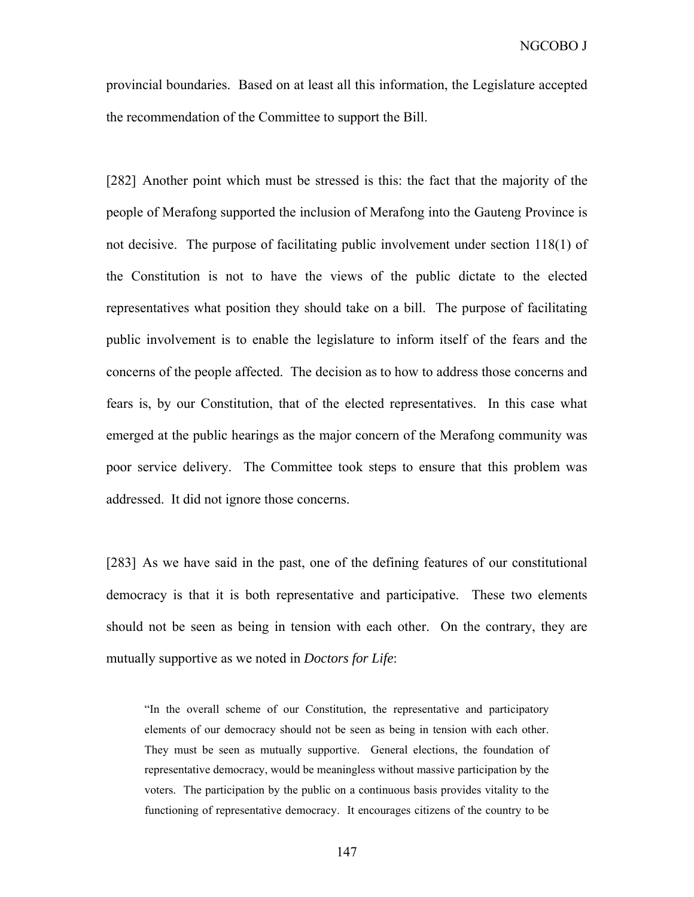provincial boundaries. Based on at least all this information, the Legislature accepted the recommendation of the Committee to support the Bill.

[282] Another point which must be stressed is this: the fact that the majority of the people of Merafong supported the inclusion of Merafong into the Gauteng Province is not decisive. The purpose of facilitating public involvement under section 118(1) of the Constitution is not to have the views of the public dictate to the elected representatives what position they should take on a bill. The purpose of facilitating public involvement is to enable the legislature to inform itself of the fears and the concerns of the people affected. The decision as to how to address those concerns and fears is, by our Constitution, that of the elected representatives. In this case what emerged at the public hearings as the major concern of the Merafong community was poor service delivery. The Committee took steps to ensure that this problem was addressed. It did not ignore those concerns.

[283] As we have said in the past, one of the defining features of our constitutional democracy is that it is both representative and participative. These two elements should not be seen as being in tension with each other. On the contrary, they are mutually supportive as we noted in *Doctors for Life*:

"In the overall scheme of our Constitution, the representative and participatory elements of our democracy should not be seen as being in tension with each other. They must be seen as mutually supportive. General elections, the foundation of representative democracy, would be meaningless without massive participation by the voters. The participation by the public on a continuous basis provides vitality to the functioning of representative democracy. It encourages citizens of the country to be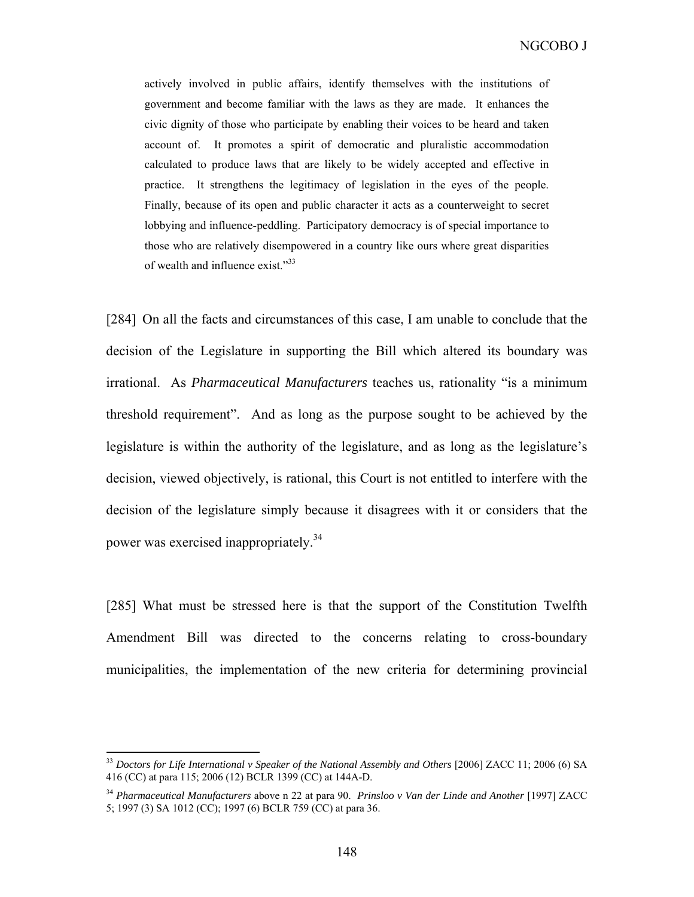NGCOBO J

actively involved in public affairs, identify themselves with the institutions of government and become familiar with the laws as they are made. It enhances the civic dignity of those who participate by enabling their voices to be heard and taken account of. It promotes a spirit of democratic and pluralistic accommodation calculated to produce laws that are likely to be widely accepted and effective in practice. It strengthens the legitimacy of legislation in the eyes of the people. Finally, because of its open and public character it acts as a counterweight to secret lobbying and influence-peddling. Participatory democracy is of special importance to those who are relatively disempowered in a country like ours where great disparities of wealth and influence exist."<sup>33</sup>

[284] On all the facts and circumstances of this case, I am unable to conclude that the decision of the Legislature in supporting the Bill which altered its boundary was irrational. As *Pharmaceutical Manufacturers* teaches us, rationality "is a minimum threshold requirement". And as long as the purpose sought to be achieved by the legislature is within the authority of the legislature, and as long as the legislature's decision, viewed objectively, is rational, this Court is not entitled to interfere with the decision of the legislature simply because it disagrees with it or considers that the power was exercised inappropriately.<sup>34</sup>

[285] What must be stressed here is that the support of the Constitution Twelfth Amendment Bill was directed to the concerns relating to cross-boundary municipalities, the implementation of the new criteria for determining provincial

<sup>33</sup> *Doctors for Life International v Speaker of the National Assembly and Others* [2006] ZACC 11; 2006 (6) SA 416 (CC) at para 115; 2006 (12) BCLR 1399 (CC) at 144A-D.

<sup>34</sup> *Pharmaceutical Manufacturers* above n 22 at para 90. *Prinsloo v Van der Linde and Another* [1997] ZACC 5; 1997 (3) SA 1012 (CC); 1997 (6) BCLR 759 (CC) at para 36.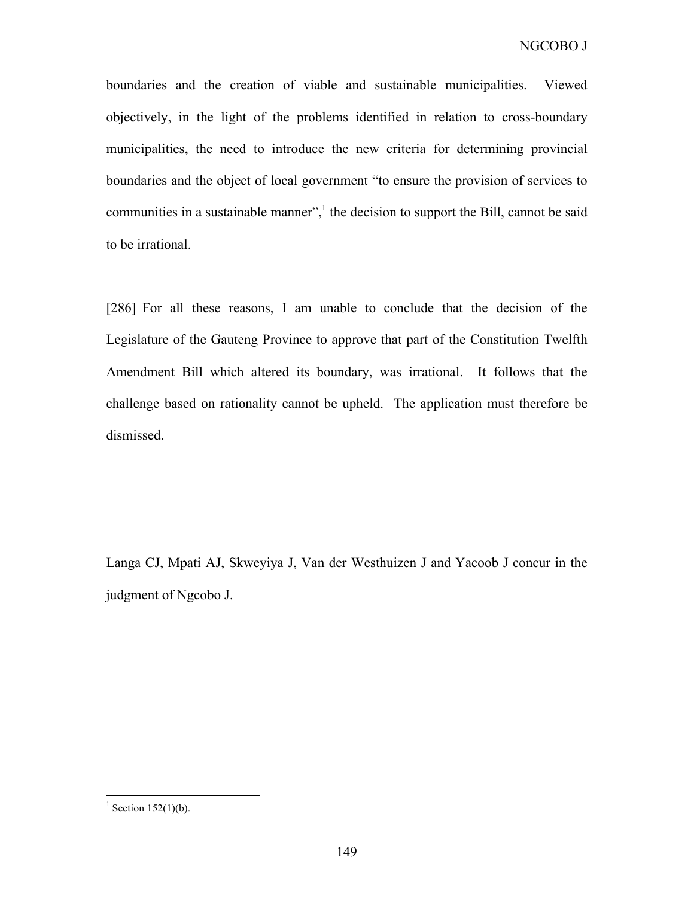boundaries and the creation of viable and sustainable municipalities. Viewed objectively, in the light of the problems identified in relation to cross-boundary municipalities, the need to introduce the new criteria for determining provincial boundaries and the object of local government "to ensure the provision of services to communities in a sustainable manner",<sup>1</sup> the decision to support the Bill, cannot be said to be irrational.

[286] For all these reasons, I am unable to conclude that the decision of the Legislature of the Gauteng Province to approve that part of the Constitution Twelfth Amendment Bill which altered its boundary, was irrational. It follows that the challenge based on rationality cannot be upheld. The application must therefore be dismissed.

Langa CJ, Mpati AJ, Skweyiya J, Van der Westhuizen J and Yacoob J concur in the judgment of Ngcobo J.

<sup>&</sup>lt;sup>1</sup> Section 152(1)(b).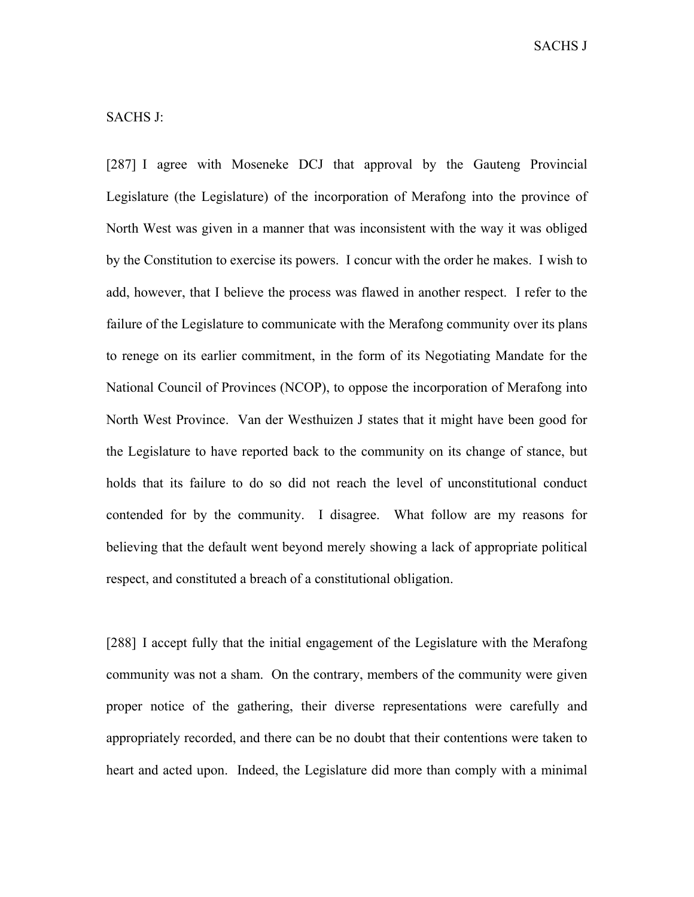# SACHS J:

[287] I agree with Moseneke DCJ that approval by the Gauteng Provincial Legislature (the Legislature) of the incorporation of Merafong into the province of North West was given in a manner that was inconsistent with the way it was obliged by the Constitution to exercise its powers. I concur with the order he makes. I wish to add, however, that I believe the process was flawed in another respect. I refer to the failure of the Legislature to communicate with the Merafong community over its plans to renege on its earlier commitment, in the form of its Negotiating Mandate for the National Council of Provinces (NCOP), to oppose the incorporation of Merafong into North West Province. Van der Westhuizen J states that it might have been good for the Legislature to have reported back to the community on its change of stance, but holds that its failure to do so did not reach the level of unconstitutional conduct contended for by the community. I disagree. What follow are my reasons for believing that the default went beyond merely showing a lack of appropriate political respect, and constituted a breach of a constitutional obligation.

[288] I accept fully that the initial engagement of the Legislature with the Merafong community was not a sham. On the contrary, members of the community were given proper notice of the gathering, their diverse representations were carefully and appropriately recorded, and there can be no doubt that their contentions were taken to heart and acted upon. Indeed, the Legislature did more than comply with a minimal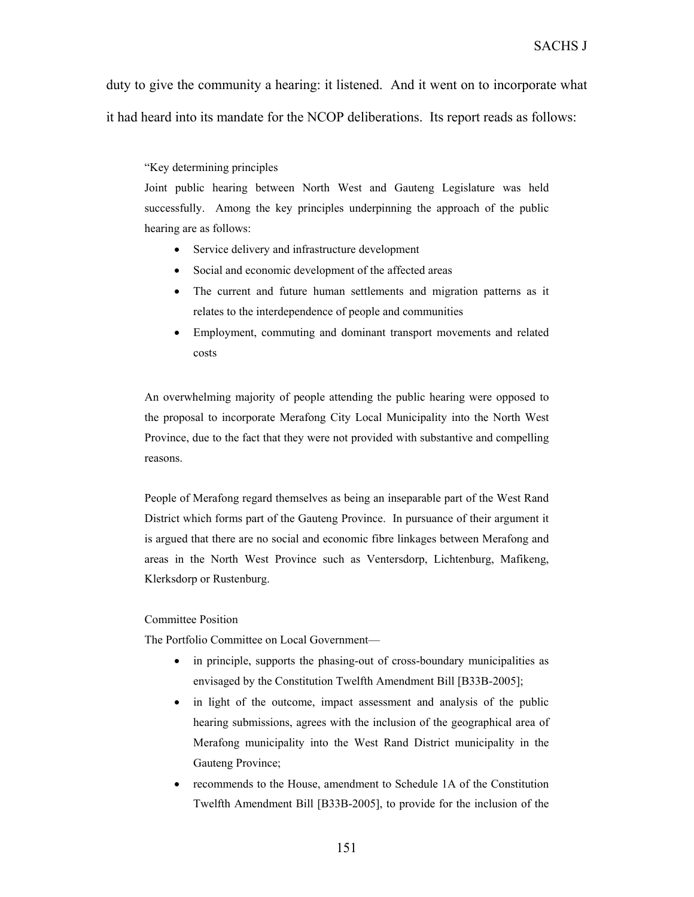duty to give the community a hearing: it listened. And it went on to incorporate what it had heard into its mandate for the NCOP deliberations. Its report reads as follows:

### "Key determining principles

Joint public hearing between North West and Gauteng Legislature was held successfully. Among the key principles underpinning the approach of the public hearing are as follows:

- Service delivery and infrastructure development
- Social and economic development of the affected areas
- The current and future human settlements and migration patterns as it relates to the interdependence of people and communities
- Employment, commuting and dominant transport movements and related costs

An overwhelming majority of people attending the public hearing were opposed to the proposal to incorporate Merafong City Local Municipality into the North West Province, due to the fact that they were not provided with substantive and compelling reasons.

People of Merafong regard themselves as being an inseparable part of the West Rand District which forms part of the Gauteng Province. In pursuance of their argument it is argued that there are no social and economic fibre linkages between Merafong and areas in the North West Province such as Ventersdorp, Lichtenburg, Mafikeng, Klerksdorp or Rustenburg.

#### Committee Position

The Portfolio Committee on Local Government—

- in principle, supports the phasing-out of cross-boundary municipalities as envisaged by the Constitution Twelfth Amendment Bill [B33B-2005];
- in light of the outcome, impact assessment and analysis of the public hearing submissions, agrees with the inclusion of the geographical area of Merafong municipality into the West Rand District municipality in the Gauteng Province;
- recommends to the House, amendment to Schedule 1A of the Constitution Twelfth Amendment Bill [B33B-2005], to provide for the inclusion of the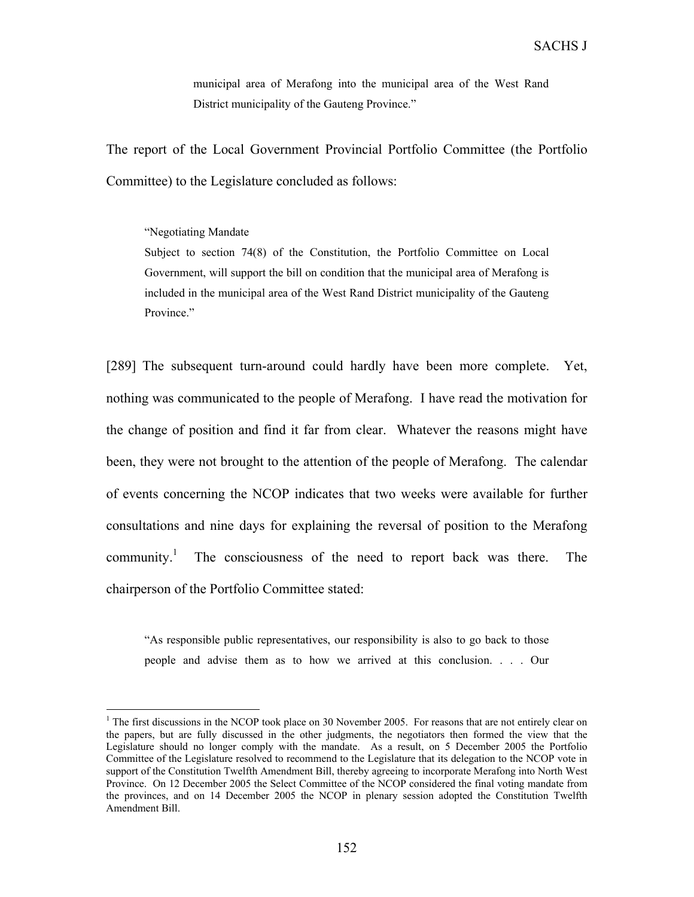municipal area of Merafong into the municipal area of the West Rand District municipality of the Gauteng Province."

The report of the Local Government Provincial Portfolio Committee (the Portfolio Committee) to the Legislature concluded as follows:

#### "Negotiating Mandate

1

Subject to section 74(8) of the Constitution, the Portfolio Committee on Local Government, will support the bill on condition that the municipal area of Merafong is included in the municipal area of the West Rand District municipality of the Gauteng Province."

[289] The subsequent turn-around could hardly have been more complete. Yet, nothing was communicated to the people of Merafong. I have read the motivation for the change of position and find it far from clear. Whatever the reasons might have been, they were not brought to the attention of the people of Merafong. The calendar of events concerning the NCOP indicates that two weeks were available for further consultations and nine days for explaining the reversal of position to the Merafong community. $\frac{1}{1}$  The consciousness of the need to report back was there. The chairperson of the Portfolio Committee stated:

"As responsible public representatives, our responsibility is also to go back to those people and advise them as to how we arrived at this conclusion. . . . Our

<sup>&</sup>lt;sup>1</sup> The first discussions in the NCOP took place on 30 November 2005. For reasons that are not entirely clear on the papers, but are fully discussed in the other judgments, the negotiators then formed the view that the Legislature should no longer comply with the mandate. As a result, on 5 December 2005 the Portfolio Committee of the Legislature resolved to recommend to the Legislature that its delegation to the NCOP vote in support of the Constitution Twelfth Amendment Bill, thereby agreeing to incorporate Merafong into North West Province. On 12 December 2005 the Select Committee of the NCOP considered the final voting mandate from the provinces, and on 14 December 2005 the NCOP in plenary session adopted the Constitution Twelfth Amendment Bill.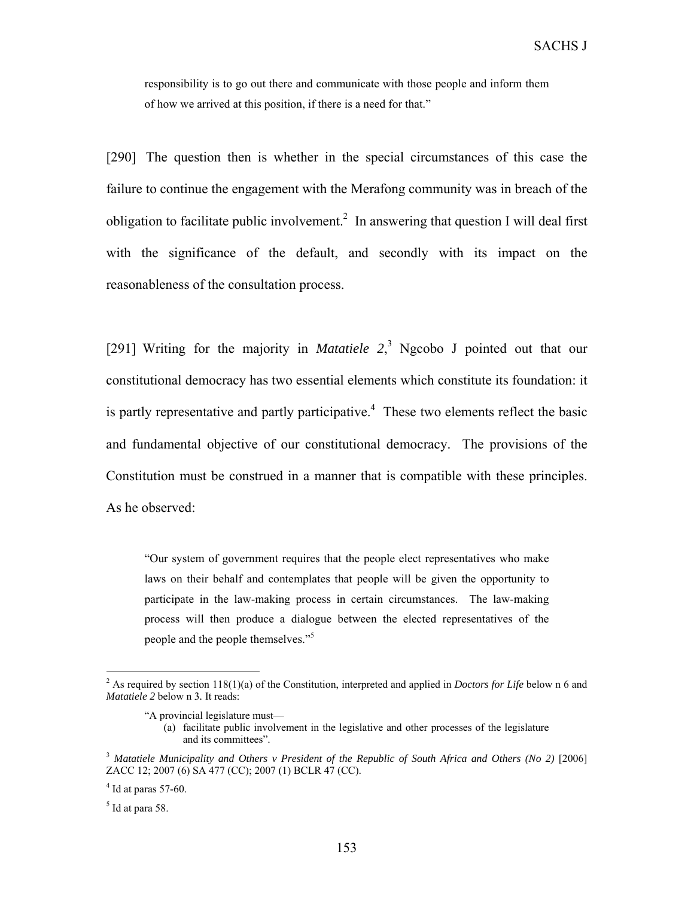responsibility is to go out there and communicate with those people and inform them of how we arrived at this position, if there is a need for that."

[290] The question then is whether in the special circumstances of this case the failure to continue the engagement with the Merafong community was in breach of the obligation to facilitate public involvement.<sup>2</sup> In answering that question I will deal first with the significance of the default, and secondly with its impact on the reasonableness of the consultation process.

[291] Writing for the majority in *Matatiele* 2,<sup>3</sup> Ngcobo J pointed out that our constitutional democracy has two essential elements which constitute its foundation: it is partly representative and partly participative.<sup>4</sup> These two elements reflect the basic and fundamental objective of our constitutional democracy. The provisions of the Constitution must be construed in a manner that is compatible with these principles. As he observed:

"Our system of government requires that the people elect representatives who make laws on their behalf and contemplates that people will be given the opportunity to participate in the law-making process in certain circumstances. The law-making process will then produce a dialogue between the elected representatives of the people and the people themselves."5

<sup>&</sup>lt;sup>2</sup> As required by section 118(1)(a) of the Constitution, interpreted and applied in *Doctors for Life* below n 6 and *Matatiele 2* below n 3*.* It reads:

<sup>&</sup>quot;A provincial legislature must—

<sup>(</sup>a) facilitate public involvement in the legislative and other processes of the legislature and its committees".

<sup>3</sup> *Matatiele Municipality and Others v President of the Republic of South Africa and Others (No 2)* [2006] ZACC 12; 2007 (6) SA 477 (CC); 2007 (1) BCLR 47 (CC).

 $4$  Id at paras 57-60.

 $<sup>5</sup>$  Id at para 58.</sup>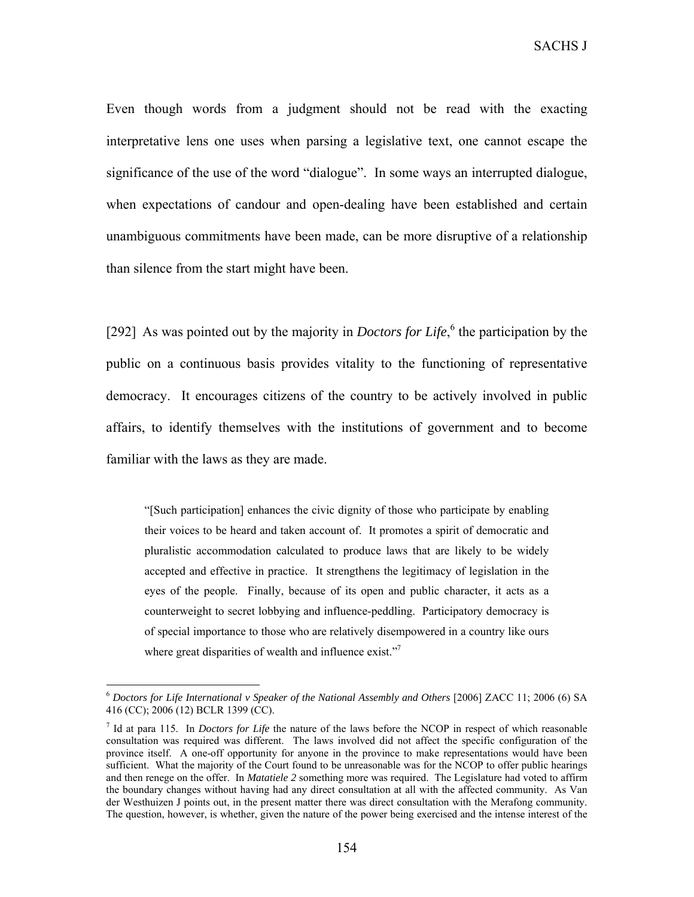Even though words from a judgment should not be read with the exacting interpretative lens one uses when parsing a legislative text, one cannot escape the significance of the use of the word "dialogue". In some ways an interrupted dialogue, when expectations of candour and open-dealing have been established and certain unambiguous commitments have been made, can be more disruptive of a relationship than silence from the start might have been.

[292] As was pointed out by the majority in *Doctors for Life*,<sup>6</sup> the participation by the public on a continuous basis provides vitality to the functioning of representative democracy. It encourages citizens of the country to be actively involved in public affairs, to identify themselves with the institutions of government and to become familiar with the laws as they are made.

"[Such participation] enhances the civic dignity of those who participate by enabling their voices to be heard and taken account of. It promotes a spirit of democratic and pluralistic accommodation calculated to produce laws that are likely to be widely accepted and effective in practice. It strengthens the legitimacy of legislation in the eyes of the people. Finally, because of its open and public character, it acts as a counterweight to secret lobbying and influence-peddling. Participatory democracy is of special importance to those who are relatively disempowered in a country like ours where great disparities of wealth and influence exist."<sup>7</sup>

<sup>6</sup> *Doctors for Life International v Speaker of the National Assembly and Others* [2006] ZACC 11; 2006 (6) SA 416 (CC); 2006 (12) BCLR 1399 (CC).

<sup>7</sup> Id at para 115. In *Doctors for Life* the nature of the laws before the NCOP in respect of which reasonable consultation was required was different. The laws involved did not affect the specific configuration of the province itself. A one-off opportunity for anyone in the province to make representations would have been sufficient. What the majority of the Court found to be unreasonable was for the NCOP to offer public hearings and then renege on the offer. In *Matatiele 2* something more was required. The Legislature had voted to affirm the boundary changes without having had any direct consultation at all with the affected community. As Van der Westhuizen J points out, in the present matter there was direct consultation with the Merafong community. The question, however, is whether, given the nature of the power being exercised and the intense interest of the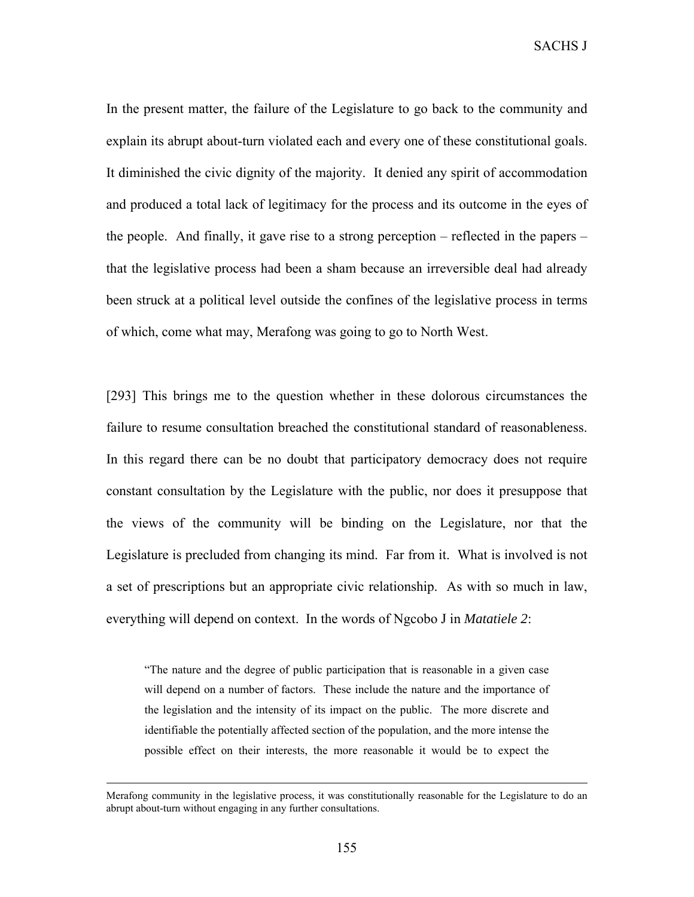In the present matter, the failure of the Legislature to go back to the community and explain its abrupt about-turn violated each and every one of these constitutional goals. It diminished the civic dignity of the majority. It denied any spirit of accommodation and produced a total lack of legitimacy for the process and its outcome in the eyes of the people. And finally, it gave rise to a strong perception – reflected in the papers – that the legislative process had been a sham because an irreversible deal had already been struck at a political level outside the confines of the legislative process in terms of which, come what may, Merafong was going to go to North West.

[293] This brings me to the question whether in these dolorous circumstances the failure to resume consultation breached the constitutional standard of reasonableness. In this regard there can be no doubt that participatory democracy does not require constant consultation by the Legislature with the public, nor does it presuppose that the views of the community will be binding on the Legislature, nor that the Legislature is precluded from changing its mind. Far from it. What is involved is not a set of prescriptions but an appropriate civic relationship. As with so much in law, everything will depend on context. In the words of Ngcobo J in *Matatiele 2*:

"The nature and the degree of public participation that is reasonable in a given case will depend on a number of factors. These include the nature and the importance of the legislation and the intensity of its impact on the public. The more discrete and identifiable the potentially affected section of the population, and the more intense the possible effect on their interests, the more reasonable it would be to expect the

Merafong community in the legislative process, it was constitutionally reasonable for the Legislature to do an abrupt about-turn without engaging in any further consultations.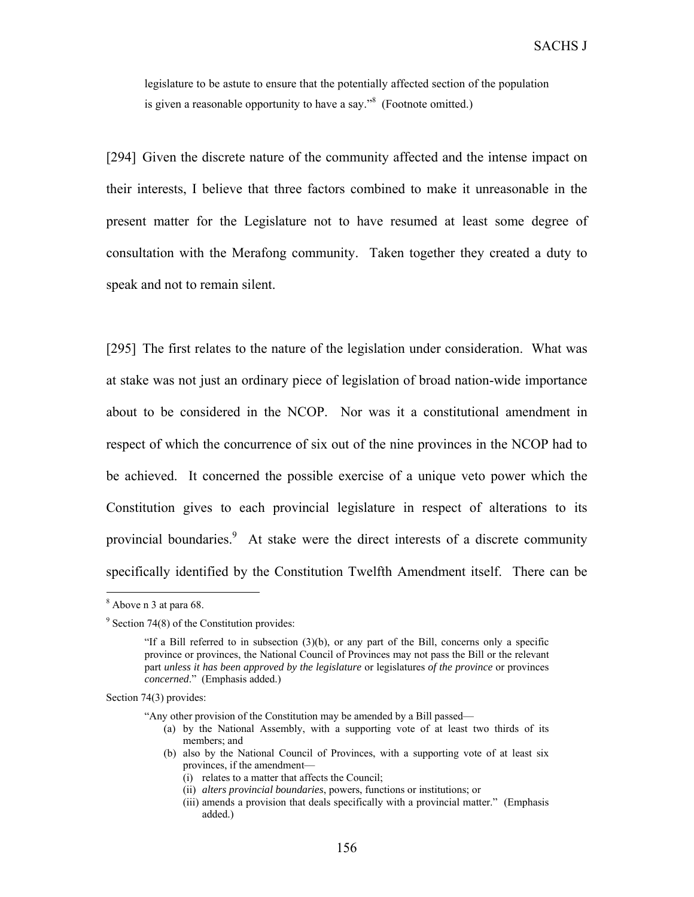legislature to be astute to ensure that the potentially affected section of the population is given a reasonable opportunity to have a say."<sup>8</sup> (Footnote omitted.)

[294] Given the discrete nature of the community affected and the intense impact on their interests, I believe that three factors combined to make it unreasonable in the present matter for the Legislature not to have resumed at least some degree of consultation with the Merafong community. Taken together they created a duty to speak and not to remain silent.

[295] The first relates to the nature of the legislation under consideration. What was at stake was not just an ordinary piece of legislation of broad nation-wide importance about to be considered in the NCOP. Nor was it a constitutional amendment in respect of which the concurrence of six out of the nine provinces in the NCOP had to be achieved. It concerned the possible exercise of a unique veto power which the Constitution gives to each provincial legislature in respect of alterations to its provincial boundaries.<sup>9</sup> At stake were the direct interests of a discrete community specifically identified by the Constitution Twelfth Amendment itself. There can be

1

Section 74(3) provides:

"Any other provision of the Constitution may be amended by a Bill passed—

- (a) by the National Assembly, with a supporting vote of at least two thirds of its members; and
- (b) also by the National Council of Provinces, with a supporting vote of at least six provinces, if the amendment—
	- (i) relates to a matter that affects the Council;
	- (ii) *alters provincial boundaries*, powers, functions or institutions; or
	- (iii) amends a provision that deals specifically with a provincial matter." (Emphasis added.)

<sup>&</sup>lt;sup>8</sup> Above n 3 at para 68.

 $9^9$  Section 74(8) of the Constitution provides:

<sup>&</sup>quot;If a Bill referred to in subsection  $(3)(b)$ , or any part of the Bill, concerns only a specific province or provinces, the National Council of Provinces may not pass the Bill or the relevant part *unless it has been approved by the legislature* or legislatures *of the province* or provinces *concerned*." (Emphasis added.)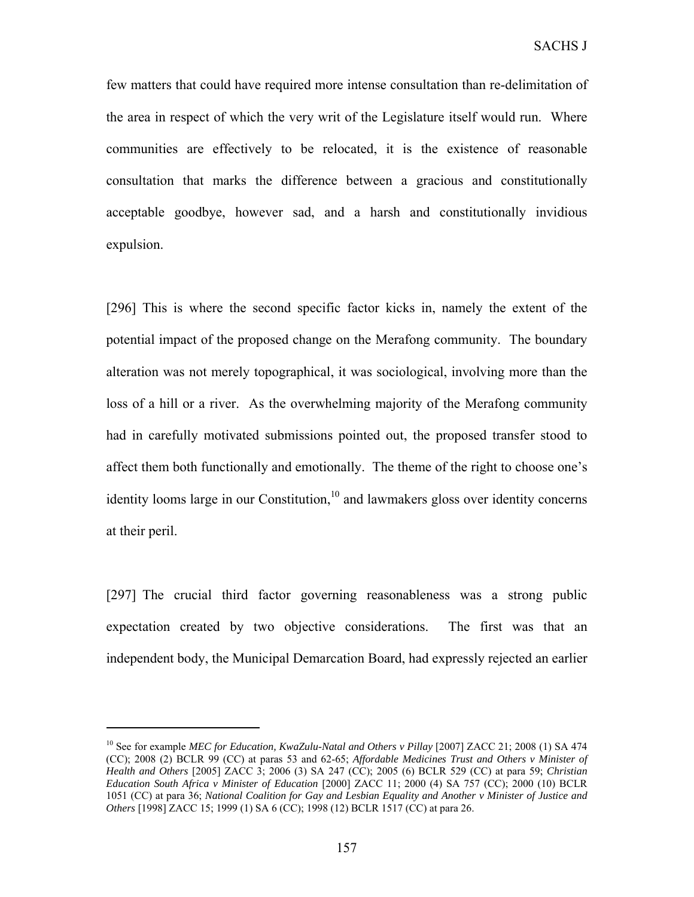few matters that could have required more intense consultation than re-delimitation of the area in respect of which the very writ of the Legislature itself would run. Where communities are effectively to be relocated, it is the existence of reasonable consultation that marks the difference between a gracious and constitutionally acceptable goodbye, however sad, and a harsh and constitutionally invidious expulsion.

[296] This is where the second specific factor kicks in, namely the extent of the potential impact of the proposed change on the Merafong community. The boundary alteration was not merely topographical, it was sociological, involving more than the loss of a hill or a river. As the overwhelming majority of the Merafong community had in carefully motivated submissions pointed out, the proposed transfer stood to affect them both functionally and emotionally. The theme of the right to choose one's identity looms large in our Constitution, $10$  and lawmakers gloss over identity concerns at their peril.

[297] The crucial third factor governing reasonableness was a strong public expectation created by two objective considerations. The first was that an independent body, the Municipal Demarcation Board, had expressly rejected an earlier

<sup>&</sup>lt;sup>10</sup> See for example *MEC for Education, KwaZulu-Natal and Others v Pillay* [2007] ZACC 21; 2008 (1) SA 474 (CC); 2008 (2) BCLR 99 (CC) at paras 53 and 62-65; *Affordable Medicines Trust and Others v Minister of Health and Others* [2005] ZACC 3; 2006 (3) SA 247 (CC); 2005 (6) BCLR 529 (CC) at para 59; *Christian Education South Africa v Minister of Education* [2000] ZACC 11; 2000 (4) SA 757 (CC); 2000 (10) BCLR 1051 (CC) at para 36; *National Coalition for Gay and Lesbian Equality and Another v Minister of Justice and Others* [1998] ZACC 15; 1999 (1) SA 6 (CC); 1998 (12) BCLR 1517 (CC) at para 26.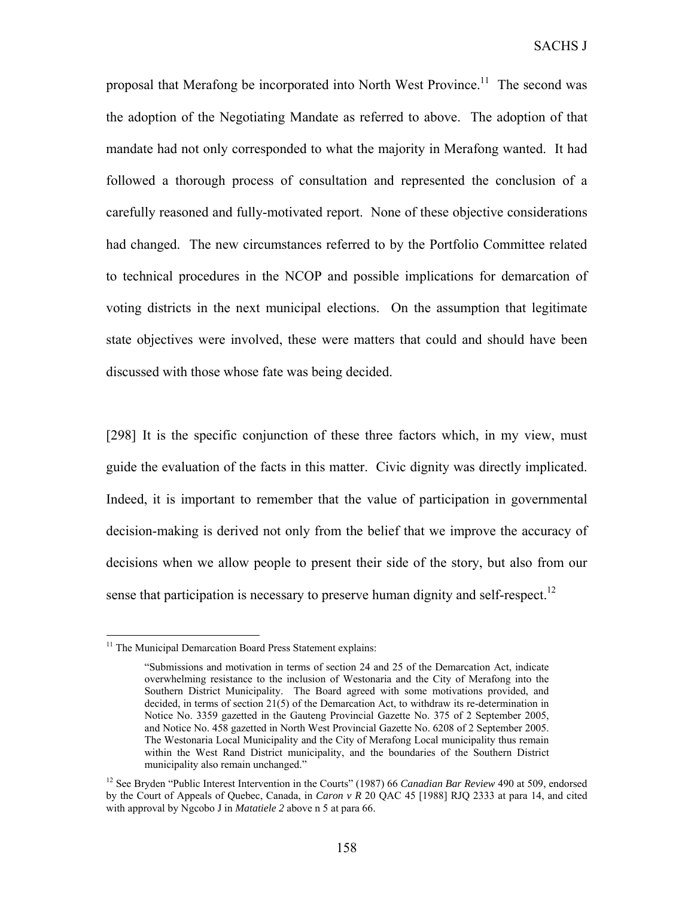proposal that Merafong be incorporated into North West Province.<sup>11</sup> The second was the adoption of the Negotiating Mandate as referred to above. The adoption of that mandate had not only corresponded to what the majority in Merafong wanted. It had followed a thorough process of consultation and represented the conclusion of a carefully reasoned and fully-motivated report. None of these objective considerations had changed. The new circumstances referred to by the Portfolio Committee related to technical procedures in the NCOP and possible implications for demarcation of voting districts in the next municipal elections. On the assumption that legitimate state objectives were involved, these were matters that could and should have been discussed with those whose fate was being decided.

[298] It is the specific conjunction of these three factors which, in my view, must guide the evaluation of the facts in this matter. Civic dignity was directly implicated. Indeed, it is important to remember that the value of participation in governmental decision-making is derived not only from the belief that we improve the accuracy of decisions when we allow people to present their side of the story, but also from our sense that participation is necessary to preserve human dignity and self-respect.<sup>12</sup>

<sup>&</sup>lt;sup>11</sup> The Municipal Demarcation Board Press Statement explains:

<sup>&</sup>quot;Submissions and motivation in terms of section 24 and 25 of the Demarcation Act, indicate overwhelming resistance to the inclusion of Westonaria and the City of Merafong into the Southern District Municipality. The Board agreed with some motivations provided, and decided, in terms of section 21(5) of the Demarcation Act, to withdraw its re-determination in Notice No. 3359 gazetted in the Gauteng Provincial Gazette No. 375 of 2 September 2005, and Notice No. 458 gazetted in North West Provincial Gazette No. 6208 of 2 September 2005. The Westonaria Local Municipality and the City of Merafong Local municipality thus remain within the West Rand District municipality, and the boundaries of the Southern District municipality also remain unchanged."

<sup>&</sup>lt;sup>12</sup> See Bryden "Public Interest Intervention in the Courts" (1987) 66 *Canadian Bar Review* 490 at 509, endorsed by the Court of Appeals of Quebec, Canada, in *Caron v R* 20 QAC 45 [1988] RJQ 2333 at para 14, and cited with approval by Ngcobo J in *Matatiele 2* above n 5 at para 66.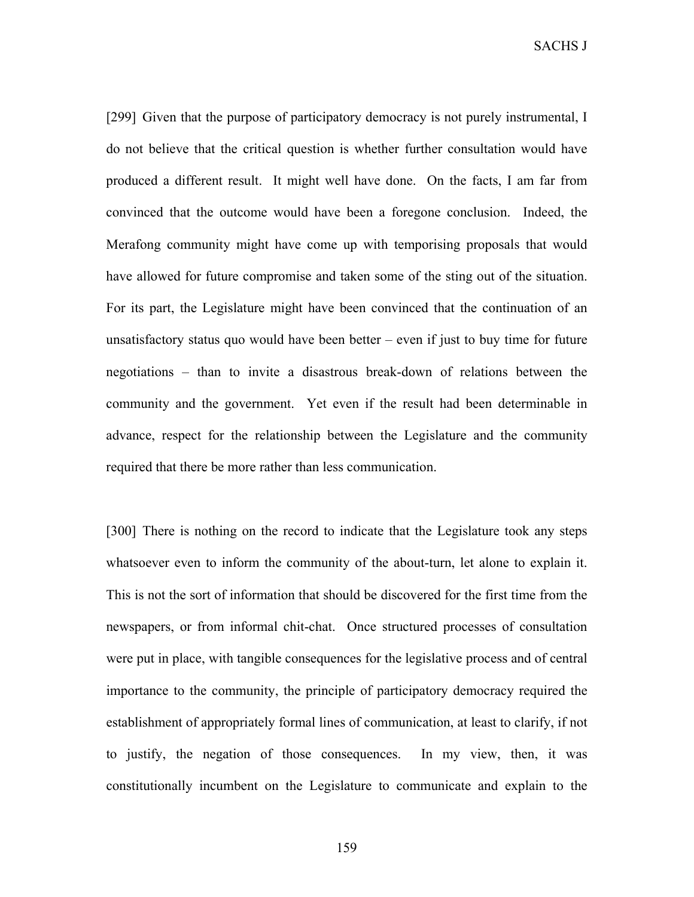[299] Given that the purpose of participatory democracy is not purely instrumental, I do not believe that the critical question is whether further consultation would have produced a different result. It might well have done. On the facts, I am far from convinced that the outcome would have been a foregone conclusion. Indeed, the Merafong community might have come up with temporising proposals that would have allowed for future compromise and taken some of the sting out of the situation. For its part, the Legislature might have been convinced that the continuation of an unsatisfactory status quo would have been better – even if just to buy time for future negotiations – than to invite a disastrous break-down of relations between the community and the government. Yet even if the result had been determinable in advance, respect for the relationship between the Legislature and the community required that there be more rather than less communication.

[300] There is nothing on the record to indicate that the Legislature took any steps whatsoever even to inform the community of the about-turn, let alone to explain it. This is not the sort of information that should be discovered for the first time from the newspapers, or from informal chit-chat. Once structured processes of consultation were put in place, with tangible consequences for the legislative process and of central importance to the community, the principle of participatory democracy required the establishment of appropriately formal lines of communication, at least to clarify, if not to justify, the negation of those consequences. In my view, then, it was constitutionally incumbent on the Legislature to communicate and explain to the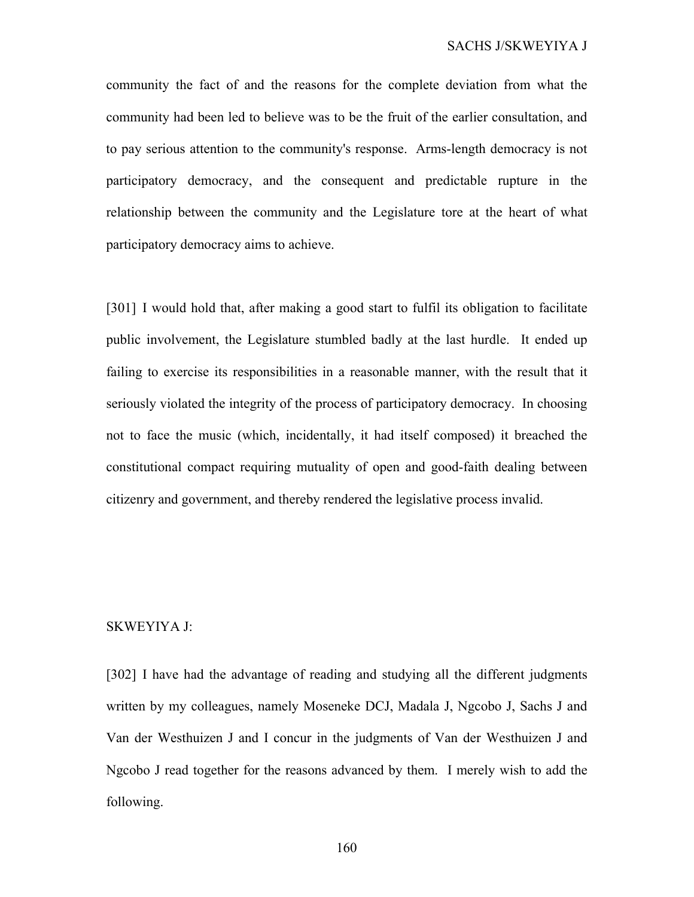community the fact of and the reasons for the complete deviation from what the community had been led to believe was to be the fruit of the earlier consultation, and to pay serious attention to the community's response. Arms-length democracy is not participatory democracy, and the consequent and predictable rupture in the relationship between the community and the Legislature tore at the heart of what participatory democracy aims to achieve.

[301] I would hold that, after making a good start to fulfil its obligation to facilitate public involvement, the Legislature stumbled badly at the last hurdle. It ended up failing to exercise its responsibilities in a reasonable manner, with the result that it seriously violated the integrity of the process of participatory democracy. In choosing not to face the music (which, incidentally, it had itself composed) it breached the constitutional compact requiring mutuality of open and good-faith dealing between citizenry and government, and thereby rendered the legislative process invalid.

## SKWEYIYA J:

[302] I have had the advantage of reading and studying all the different judgments written by my colleagues, namely Moseneke DCJ, Madala J, Ngcobo J, Sachs J and Van der Westhuizen J and I concur in the judgments of Van der Westhuizen J and Ngcobo J read together for the reasons advanced by them. I merely wish to add the following.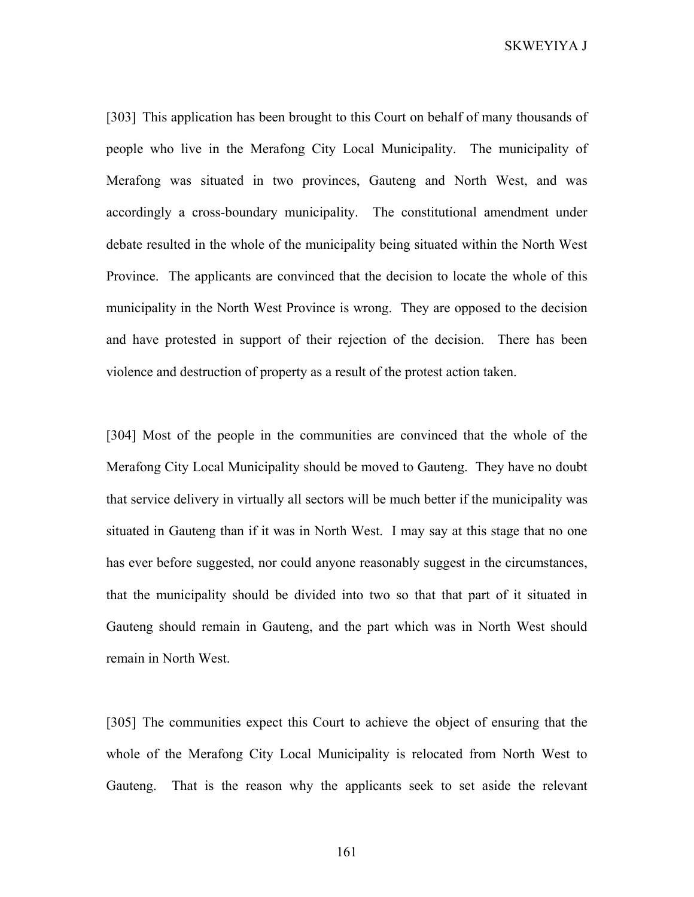SKWEYIYA J

[303] This application has been brought to this Court on behalf of many thousands of people who live in the Merafong City Local Municipality. The municipality of Merafong was situated in two provinces, Gauteng and North West, and was accordingly a cross-boundary municipality. The constitutional amendment under debate resulted in the whole of the municipality being situated within the North West Province. The applicants are convinced that the decision to locate the whole of this municipality in the North West Province is wrong. They are opposed to the decision and have protested in support of their rejection of the decision. There has been violence and destruction of property as a result of the protest action taken.

[304] Most of the people in the communities are convinced that the whole of the Merafong City Local Municipality should be moved to Gauteng. They have no doubt that service delivery in virtually all sectors will be much better if the municipality was situated in Gauteng than if it was in North West. I may say at this stage that no one has ever before suggested, nor could anyone reasonably suggest in the circumstances, that the municipality should be divided into two so that that part of it situated in Gauteng should remain in Gauteng, and the part which was in North West should remain in North West.

[305] The communities expect this Court to achieve the object of ensuring that the whole of the Merafong City Local Municipality is relocated from North West to Gauteng. That is the reason why the applicants seek to set aside the relevant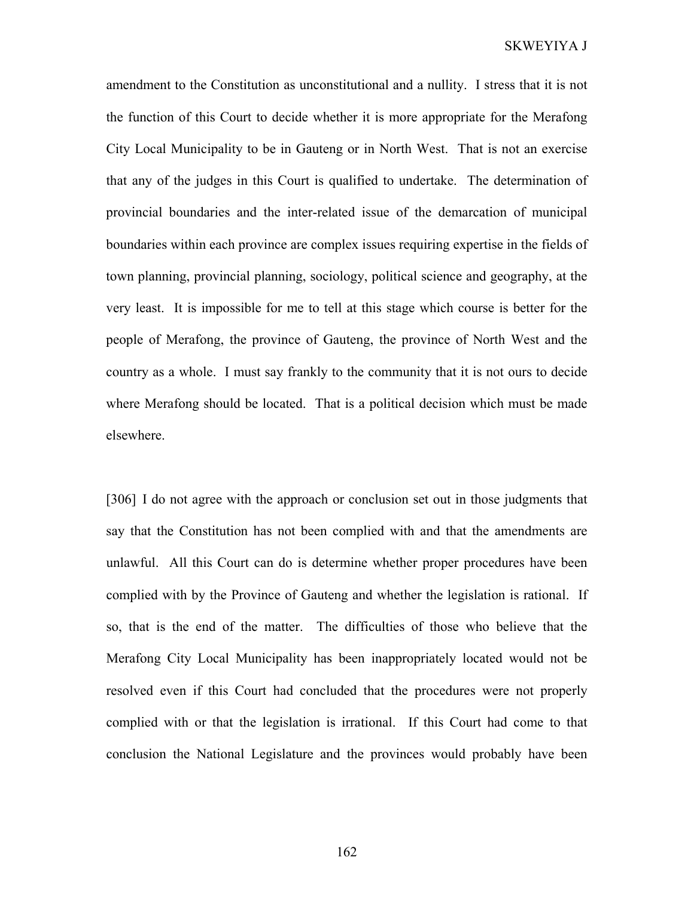## SKWEYIYA J

amendment to the Constitution as unconstitutional and a nullity. I stress that it is not the function of this Court to decide whether it is more appropriate for the Merafong City Local Municipality to be in Gauteng or in North West. That is not an exercise that any of the judges in this Court is qualified to undertake. The determination of provincial boundaries and the inter-related issue of the demarcation of municipal boundaries within each province are complex issues requiring expertise in the fields of town planning, provincial planning, sociology, political science and geography, at the very least. It is impossible for me to tell at this stage which course is better for the people of Merafong, the province of Gauteng, the province of North West and the country as a whole. I must say frankly to the community that it is not ours to decide where Merafong should be located. That is a political decision which must be made elsewhere.

[306] I do not agree with the approach or conclusion set out in those judgments that say that the Constitution has not been complied with and that the amendments are unlawful. All this Court can do is determine whether proper procedures have been complied with by the Province of Gauteng and whether the legislation is rational. If so, that is the end of the matter. The difficulties of those who believe that the Merafong City Local Municipality has been inappropriately located would not be resolved even if this Court had concluded that the procedures were not properly complied with or that the legislation is irrational. If this Court had come to that conclusion the National Legislature and the provinces would probably have been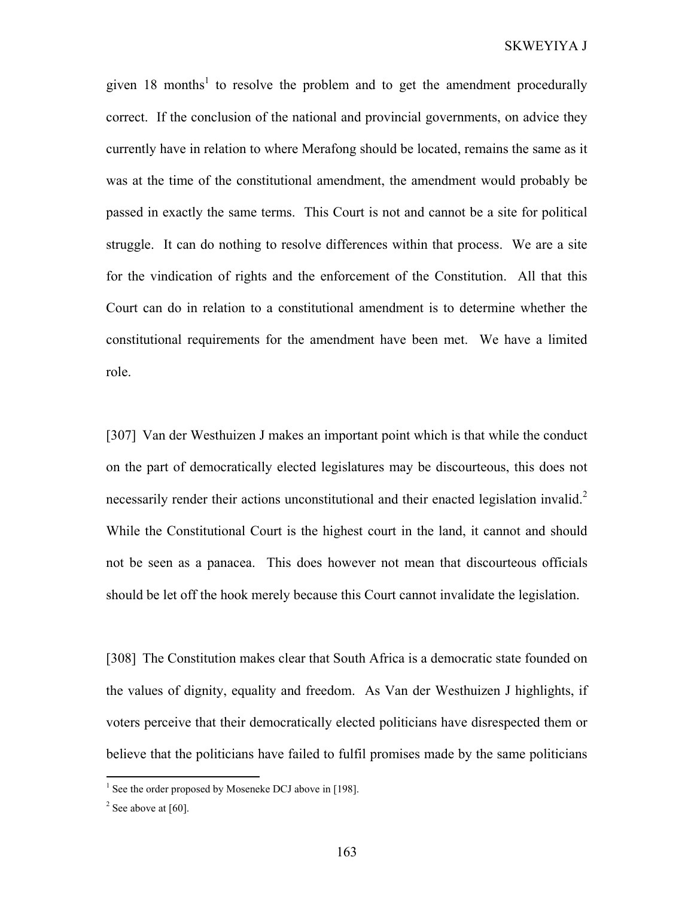SKWEYIYA J

given  $18$  months<sup>1</sup> to resolve the problem and to get the amendment procedurally correct. If the conclusion of the national and provincial governments, on advice they currently have in relation to where Merafong should be located, remains the same as it was at the time of the constitutional amendment, the amendment would probably be passed in exactly the same terms. This Court is not and cannot be a site for political struggle. It can do nothing to resolve differences within that process. We are a site for the vindication of rights and the enforcement of the Constitution. All that this Court can do in relation to a constitutional amendment is to determine whether the constitutional requirements for the amendment have been met. We have a limited role.

[307] Van der Westhuizen J makes an important point which is that while the conduct on the part of democratically elected legislatures may be discourteous, this does not necessarily render their actions unconstitutional and their enacted legislation invalid.<sup>2</sup> While the Constitutional Court is the highest court in the land, it cannot and should not be seen as a panacea. This does however not mean that discourteous officials should be let off the hook merely because this Court cannot invalidate the legislation.

[308] The Constitution makes clear that South Africa is a democratic state founded on the values of dignity, equality and freedom. As Van der Westhuizen J highlights, if voters perceive that their democratically elected politicians have disrespected them or believe that the politicians have failed to fulfil promises made by the same politicians

 1 See the order proposed by Moseneke DCJ above in [198].

 $2$  See above at [60].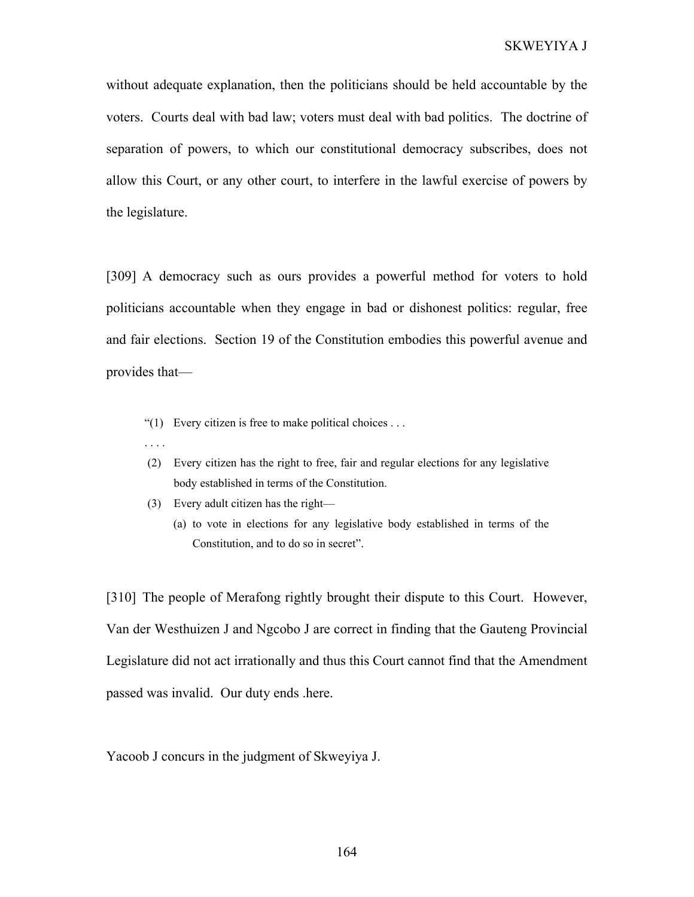without adequate explanation, then the politicians should be held accountable by the voters. Courts deal with bad law; voters must deal with bad politics. The doctrine of separation of powers, to which our constitutional democracy subscribes, does not allow this Court, or any other court, to interfere in the lawful exercise of powers by the legislature.

[309] A democracy such as ours provides a powerful method for voters to hold politicians accountable when they engage in bad or dishonest politics: regular, free and fair elections. Section 19 of the Constitution embodies this powerful avenue and provides that—

- "(1) Every citizen is free to make political choices  $\dots$
- . . . .
- (2) Every citizen has the right to free, fair and regular elections for any legislative body established in terms of the Constitution.
- (3) Every adult citizen has the right—
	- (a) to vote in elections for any legislative body established in terms of the Constitution, and to do so in secret".

[310] The people of Merafong rightly brought their dispute to this Court. However, Van der Westhuizen J and Ngcobo J are correct in finding that the Gauteng Provincial Legislature did not act irrationally and thus this Court cannot find that the Amendment passed was invalid. Our duty ends .here.

Yacoob J concurs in the judgment of Skweyiya J.